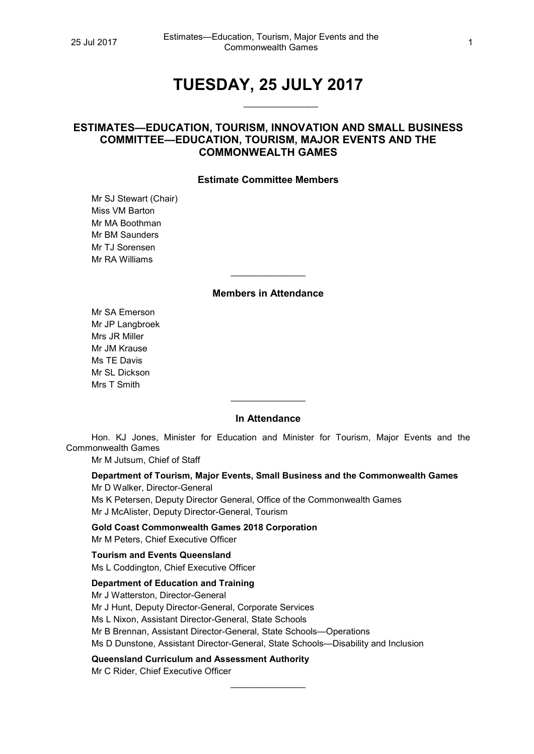# **TUESDAY, 25 JULY 2017**

 $\overline{\phantom{a}}$ 

# **ESTIMATES—EDUCATION, TOURISM, INNOVATION AND SMALL BUSINESS COMMITTEE—EDUCATION, TOURISM, MAJOR EVENTS AND THE COMMONWEALTH GAMES**

### **Estimate Committee Members**

Mr SJ Stewart (Chair) Miss VM Barton Mr MA Boothman Mr BM Saunders Mr TJ Sorensen Mr RA Williams

## **Members in Attendance**

 $\overline{\phantom{a}}$ 

Mr SA Emerson Mr JP Langbroek Mrs JR Miller Mr JM Krause Ms TE Davis Mr SL Dickson Mrs T Smith

#### **In Attendance**

 $\overline{\phantom{a}}$ 

Hon. KJ Jones, Minister for Education and Minister for Tourism, Major Events and the Commonwealth Games

Mr M Jutsum, Chief of Staff

**Department of Tourism, Major Events, Small Business and the Commonwealth Games** Mr D Walker, Director-General

Ms K Petersen, Deputy Director General, Office of the Commonwealth Games Mr J McAlister, Deputy Director-General, Tourism

**Gold Coast Commonwealth Games 2018 Corporation** Mr M Peters, Chief Executive Officer

**Tourism and Events Queensland** Ms L Coddington, Chief Executive Officer

#### **Department of Education and Training**

Mr J Watterston, Director-General Mr J Hunt, Deputy Director-General, Corporate Services Ms L Nixon, Assistant Director-General, State Schools Mr B Brennan, Assistant Director-General, State Schools—Operations Ms D Dunstone, Assistant Director-General, State Schools—Disability and Inclusion

 $\overline{\phantom{a}}$ 

**Queensland Curriculum and Assessment Authority**

Mr C Rider, Chief Executive Officer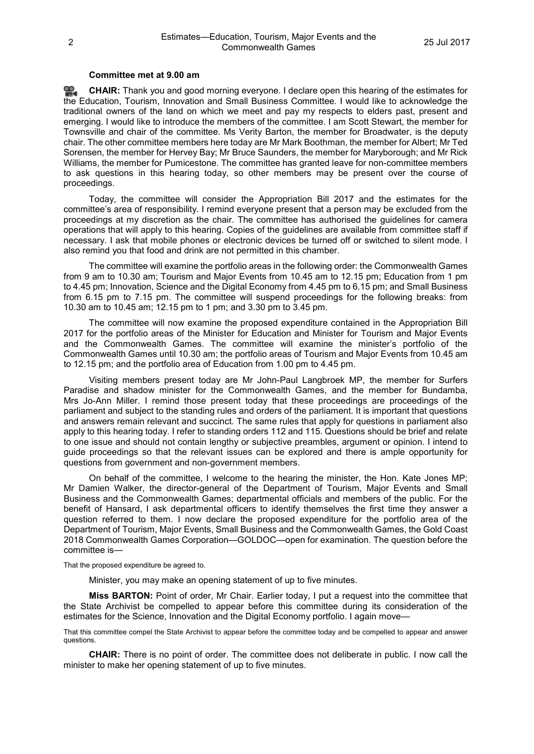#### **Committee met at 9.00 am**

≌. **[CHAIR:](http://www.parliament.qld.gov.au/docs/find.aspx?id=0Mba20170725_090109)** Thank you and good morning everyone. I declare open this hearing of the estimates for the Education, Tourism, Innovation and Small Business Committee. I would like to acknowledge the traditional owners of the land on which we meet and pay my respects to elders past, present and emerging. I would like to introduce the members of the committee. I am Scott Stewart, the member for Townsville and chair of the committee. Ms Verity Barton, the member for Broadwater, is the deputy chair. The other committee members here today are Mr Mark Boothman, the member for Albert; Mr Ted Sorensen, the member for Hervey Bay; Mr Bruce Saunders, the member for Maryborough; and Mr Rick Williams, the member for Pumicestone. The committee has granted leave for non-committee members to ask questions in this hearing today, so other members may be present over the course of proceedings.

Today, the committee will consider the Appropriation Bill 2017 and the estimates for the committee's area of responsibility. I remind everyone present that a person may be excluded from the proceedings at my discretion as the chair. The committee has authorised the guidelines for camera operations that will apply to this hearing. Copies of the guidelines are available from committee staff if necessary. I ask that mobile phones or electronic devices be turned off or switched to silent mode. I also remind you that food and drink are not permitted in this chamber.

The committee will examine the portfolio areas in the following order: the Commonwealth Games from 9 am to 10.30 am; Tourism and Major Events from 10.45 am to 12.15 pm; Education from 1 pm to 4.45 pm; Innovation, Science and the Digital Economy from 4.45 pm to 6.15 pm; and Small Business from 6.15 pm to 7.15 pm. The committee will suspend proceedings for the following breaks: from 10.30 am to 10.45 am; 12.15 pm to 1 pm; and 3.30 pm to 3.45 pm.

The committee will now examine the proposed expenditure contained in the Appropriation Bill 2017 for the portfolio areas of the Minister for Education and Minister for Tourism and Major Events and the Commonwealth Games. The committee will examine the minister's portfolio of the Commonwealth Games until 10.30 am; the portfolio areas of Tourism and Major Events from 10.45 am to 12.15 pm; and the portfolio area of Education from 1.00 pm to 4.45 pm.

Visiting members present today are Mr John-Paul Langbroek MP, the member for Surfers Paradise and shadow minister for the Commonwealth Games, and the member for Bundamba, Mrs Jo-Ann Miller. I remind those present today that these proceedings are proceedings of the parliament and subject to the standing rules and orders of the parliament. It is important that questions and answers remain relevant and succinct. The same rules that apply for questions in parliament also apply to this hearing today. I refer to standing orders 112 and 115. Questions should be brief and relate to one issue and should not contain lengthy or subjective preambles, argument or opinion. I intend to guide proceedings so that the relevant issues can be explored and there is ample opportunity for questions from government and non-government members.

On behalf of the committee, I welcome to the hearing the minister, the Hon. Kate Jones MP; Mr Damien Walker, the director-general of the Department of Tourism, Major Events and Small Business and the Commonwealth Games; departmental officials and members of the public. For the benefit of Hansard, I ask departmental officers to identify themselves the first time they answer a question referred to them. I now declare the proposed expenditure for the portfolio area of the Department of Tourism, Major Events, Small Business and the Commonwealth Games, the Gold Coast 2018 Commonwealth Games Corporation—GOLDOC—open for examination. The question before the committee is—

That the proposed expenditure be agreed to.

Minister, you may make an opening statement of up to five minutes.

**Miss BARTON:** Point of order, Mr Chair. Earlier today, I put a request into the committee that the State Archivist be compelled to appear before this committee during its consideration of the estimates for the Science, Innovation and the Digital Economy portfolio. I again move—

That this committee compel the State Archivist to appear before the committee today and be compelled to appear and answer questions.

**CHAIR:** There is no point of order. The committee does not deliberate in public. I now call the minister to make her opening statement of up to five minutes.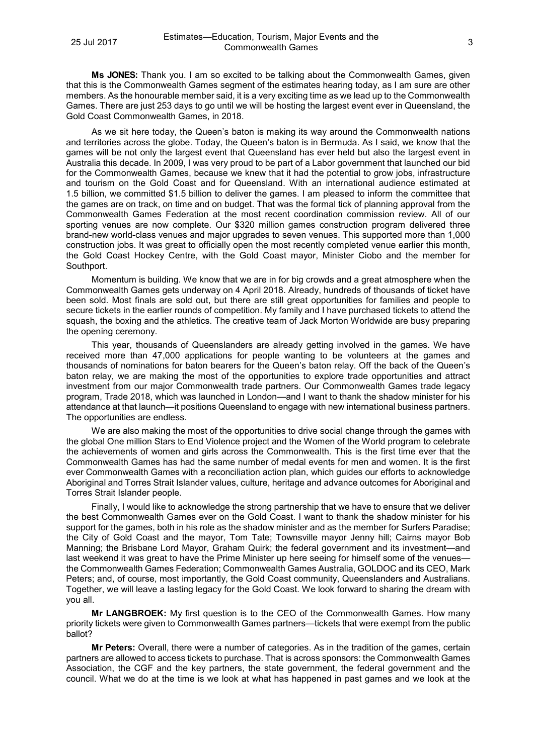**Ms JONES:** Thank you. I am so excited to be talking about the Commonwealth Games, given that this is the Commonwealth Games segment of the estimates hearing today, as I am sure are other members. As the honourable member said, it is a very exciting time as we lead up to the Commonwealth Games. There are just 253 days to go until we will be hosting the largest event ever in Queensland, the Gold Coast Commonwealth Games, in 2018.

As we sit here today, the Queen's baton is making its way around the Commonwealth nations and territories across the globe. Today, the Queen's baton is in Bermuda. As I said, we know that the games will be not only the largest event that Queensland has ever held but also the largest event in Australia this decade. In 2009, I was very proud to be part of a Labor government that launched our bid for the Commonwealth Games, because we knew that it had the potential to grow jobs, infrastructure and tourism on the Gold Coast and for Queensland. With an international audience estimated at 1.5 billion, we committed \$1.5 billion to deliver the games. I am pleased to inform the committee that the games are on track, on time and on budget. That was the formal tick of planning approval from the Commonwealth Games Federation at the most recent coordination commission review. All of our sporting venues are now complete. Our \$320 million games construction program delivered three brand-new world-class venues and major upgrades to seven venues. This supported more than 1,000 construction jobs. It was great to officially open the most recently completed venue earlier this month, the Gold Coast Hockey Centre, with the Gold Coast mayor, Minister Ciobo and the member for Southport.

Momentum is building. We know that we are in for big crowds and a great atmosphere when the Commonwealth Games gets underway on 4 April 2018. Already, hundreds of thousands of ticket have been sold. Most finals are sold out, but there are still great opportunities for families and people to secure tickets in the earlier rounds of competition. My family and I have purchased tickets to attend the squash, the boxing and the athletics. The creative team of Jack Morton Worldwide are busy preparing the opening ceremony.

This year, thousands of Queenslanders are already getting involved in the games. We have received more than 47,000 applications for people wanting to be volunteers at the games and thousands of nominations for baton bearers for the Queen's baton relay. Off the back of the Queen's baton relay, we are making the most of the opportunities to explore trade opportunities and attract investment from our major Commonwealth trade partners. Our Commonwealth Games trade legacy program, Trade 2018, which was launched in London—and I want to thank the shadow minister for his attendance at that launch—it positions Queensland to engage with new international business partners. The opportunities are endless.

We are also making the most of the opportunities to drive social change through the games with the global One million Stars to End Violence project and the Women of the World program to celebrate the achievements of women and girls across the Commonwealth. This is the first time ever that the Commonwealth Games has had the same number of medal events for men and women. It is the first ever Commonwealth Games with a reconciliation action plan, which guides our efforts to acknowledge Aboriginal and Torres Strait Islander values, culture, heritage and advance outcomes for Aboriginal and Torres Strait Islander people.

Finally, I would like to acknowledge the strong partnership that we have to ensure that we deliver the best Commonwealth Games ever on the Gold Coast. I want to thank the shadow minister for his support for the games, both in his role as the shadow minister and as the member for Surfers Paradise; the City of Gold Coast and the mayor, Tom Tate; Townsville mayor Jenny hill; Cairns mayor Bob Manning; the Brisbane Lord Mayor, Graham Quirk; the federal government and its investment—and last weekend it was great to have the Prime Minister up here seeing for himself some of the venues the Commonwealth Games Federation; Commonwealth Games Australia, GOLDOC and its CEO, Mark Peters; and, of course, most importantly, the Gold Coast community, Queenslanders and Australians. Together, we will leave a lasting legacy for the Gold Coast. We look forward to sharing the dream with you all.

**Mr LANGBROEK:** My first question is to the CEO of the Commonwealth Games. How many priority tickets were given to Commonwealth Games partners—tickets that were exempt from the public ballot?

**Mr Peters:** Overall, there were a number of categories. As in the tradition of the games, certain partners are allowed to access tickets to purchase. That is across sponsors: the Commonwealth Games Association, the CGF and the key partners, the state government, the federal government and the council. What we do at the time is we look at what has happened in past games and we look at the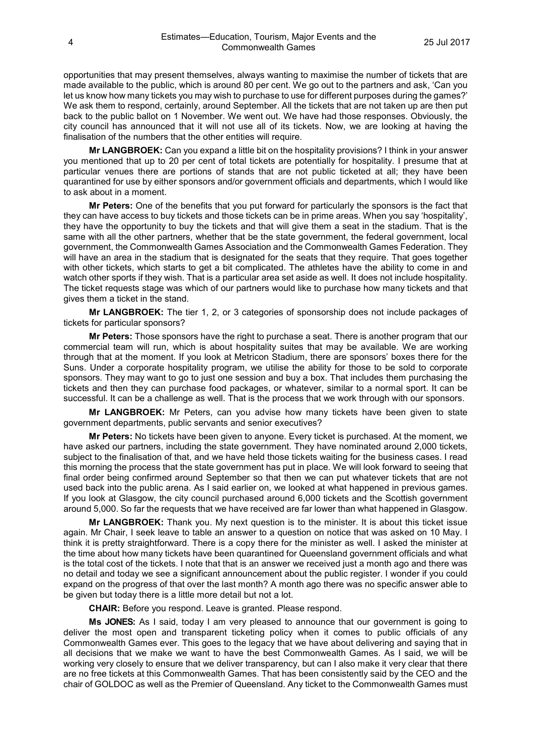opportunities that may present themselves, always wanting to maximise the number of tickets that are made available to the public, which is around 80 per cent. We go out to the partners and ask, 'Can you let us know how many tickets you may wish to purchase to use for different purposes during the games?' We ask them to respond, certainly, around September. All the tickets that are not taken up are then put back to the public ballot on 1 November. We went out. We have had those responses. Obviously, the city council has announced that it will not use all of its tickets. Now, we are looking at having the finalisation of the numbers that the other entities will require.

**Mr LANGBROEK:** Can you expand a little bit on the hospitality provisions? I think in your answer you mentioned that up to 20 per cent of total tickets are potentially for hospitality. I presume that at particular venues there are portions of stands that are not public ticketed at all; they have been quarantined for use by either sponsors and/or government officials and departments, which I would like to ask about in a moment.

**Mr Peters:** One of the benefits that you put forward for particularly the sponsors is the fact that they can have access to buy tickets and those tickets can be in prime areas. When you say 'hospitality', they have the opportunity to buy the tickets and that will give them a seat in the stadium. That is the same with all the other partners, whether that be the state government, the federal government, local government, the Commonwealth Games Association and the Commonwealth Games Federation. They will have an area in the stadium that is designated for the seats that they require. That goes together with other tickets, which starts to get a bit complicated. The athletes have the ability to come in and watch other sports if they wish. That is a particular area set aside as well. It does not include hospitality. The ticket requests stage was which of our partners would like to purchase how many tickets and that gives them a ticket in the stand.

**Mr LANGBROEK:** The tier 1, 2, or 3 categories of sponsorship does not include packages of tickets for particular sponsors?

**Mr Peters:** Those sponsors have the right to purchase a seat. There is another program that our commercial team will run, which is about hospitality suites that may be available. We are working through that at the moment. If you look at Metricon Stadium, there are sponsors' boxes there for the Suns. Under a corporate hospitality program, we utilise the ability for those to be sold to corporate sponsors. They may want to go to just one session and buy a box. That includes them purchasing the tickets and then they can purchase food packages, or whatever, similar to a normal sport. It can be successful. It can be a challenge as well. That is the process that we work through with our sponsors.

**Mr LANGBROEK:** Mr Peters, can you advise how many tickets have been given to state government departments, public servants and senior executives?

**Mr Peters:** No tickets have been given to anyone. Every ticket is purchased. At the moment, we have asked our partners, including the state government. They have nominated around 2,000 tickets, subject to the finalisation of that, and we have held those tickets waiting for the business cases. I read this morning the process that the state government has put in place. We will look forward to seeing that final order being confirmed around September so that then we can put whatever tickets that are not used back into the public arena. As I said earlier on, we looked at what happened in previous games. If you look at Glasgow, the city council purchased around 6,000 tickets and the Scottish government around 5,000. So far the requests that we have received are far lower than what happened in Glasgow.

**Mr LANGBROEK:** Thank you. My next question is to the minister. It is about this ticket issue again. Mr Chair, I seek leave to table an answer to a question on notice that was asked on 10 May. I think it is pretty straightforward. There is a copy there for the minister as well. I asked the minister at the time about how many tickets have been quarantined for Queensland government officials and what is the total cost of the tickets. I note that that is an answer we received just a month ago and there was no detail and today we see a significant announcement about the public register. I wonder if you could expand on the progress of that over the last month? A month ago there was no specific answer able to be given but today there is a little more detail but not a lot.

**CHAIR:** Before you respond. Leave is granted. Please respond.

**Ms JONES:** As I said, today I am very pleased to announce that our government is going to deliver the most open and transparent ticketing policy when it comes to public officials of any Commonwealth Games ever. This goes to the legacy that we have about delivering and saying that in all decisions that we make we want to have the best Commonwealth Games. As I said, we will be working very closely to ensure that we deliver transparency, but can I also make it very clear that there are no free tickets at this Commonwealth Games. That has been consistently said by the CEO and the chair of GOLDOC as well as the Premier of Queensland. Any ticket to the Commonwealth Games must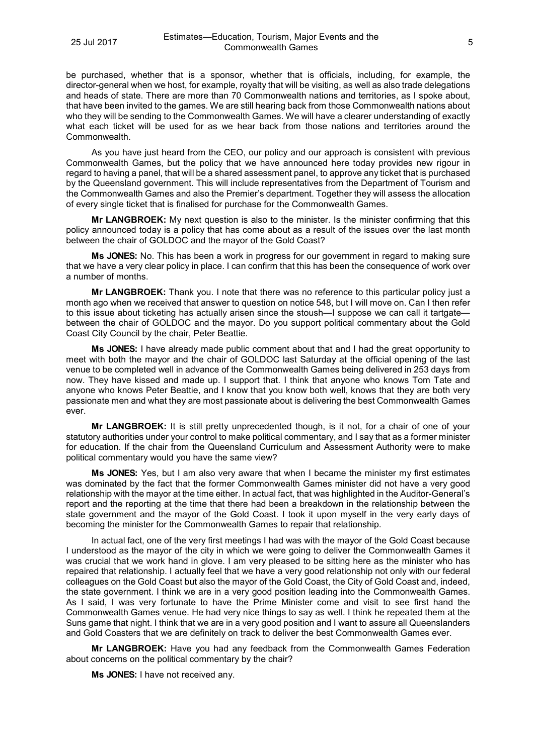be purchased, whether that is a sponsor, whether that is officials, including, for example, the director-general when we host, for example, royalty that will be visiting, as well as also trade delegations and heads of state. There are more than 70 Commonwealth nations and territories, as I spoke about, that have been invited to the games. We are still hearing back from those Commonwealth nations about who they will be sending to the Commonwealth Games. We will have a clearer understanding of exactly what each ticket will be used for as we hear back from those nations and territories around the Commonwealth.

As you have just heard from the CEO, our policy and our approach is consistent with previous Commonwealth Games, but the policy that we have announced here today provides new rigour in regard to having a panel, that will be a shared assessment panel, to approve any ticket that is purchased by the Queensland government. This will include representatives from the Department of Tourism and the Commonwealth Games and also the Premier's department. Together they will assess the allocation of every single ticket that is finalised for purchase for the Commonwealth Games.

**Mr LANGBROEK:** My next question is also to the minister. Is the minister confirming that this policy announced today is a policy that has come about as a result of the issues over the last month between the chair of GOLDOC and the mayor of the Gold Coast?

**Ms JONES:** No. This has been a work in progress for our government in regard to making sure that we have a very clear policy in place. I can confirm that this has been the consequence of work over a number of months.

**Mr LANGBROEK:** Thank you. I note that there was no reference to this particular policy just a month ago when we received that answer to question on notice 548, but I will move on. Can I then refer to this issue about ticketing has actually arisen since the stoush—I suppose we can call it tartgate between the chair of GOLDOC and the mayor. Do you support political commentary about the Gold Coast City Council by the chair, Peter Beattie.

**Ms JONES:** I have already made public comment about that and I had the great opportunity to meet with both the mayor and the chair of GOLDOC last Saturday at the official opening of the last venue to be completed well in advance of the Commonwealth Games being delivered in 253 days from now. They have kissed and made up. I support that. I think that anyone who knows Tom Tate and anyone who knows Peter Beattie, and I know that you know both well, knows that they are both very passionate men and what they are most passionate about is delivering the best Commonwealth Games ever.

**Mr LANGBROEK:** It is still pretty unprecedented though, is it not, for a chair of one of your statutory authorities under your control to make political commentary, and I say that as a former minister for education. If the chair from the Queensland Curriculum and Assessment Authority were to make political commentary would you have the same view?

**Ms JONES:** Yes, but I am also very aware that when I became the minister my first estimates was dominated by the fact that the former Commonwealth Games minister did not have a very good relationship with the mayor at the time either. In actual fact, that was highlighted in the Auditor-General's report and the reporting at the time that there had been a breakdown in the relationship between the state government and the mayor of the Gold Coast. I took it upon myself in the very early days of becoming the minister for the Commonwealth Games to repair that relationship.

In actual fact, one of the very first meetings I had was with the mayor of the Gold Coast because I understood as the mayor of the city in which we were going to deliver the Commonwealth Games it was crucial that we work hand in glove. I am very pleased to be sitting here as the minister who has repaired that relationship. I actually feel that we have a very good relationship not only with our federal colleagues on the Gold Coast but also the mayor of the Gold Coast, the City of Gold Coast and, indeed, the state government. I think we are in a very good position leading into the Commonwealth Games. As I said, I was very fortunate to have the Prime Minister come and visit to see first hand the Commonwealth Games venue. He had very nice things to say as well. I think he repeated them at the Suns game that night. I think that we are in a very good position and I want to assure all Queenslanders and Gold Coasters that we are definitely on track to deliver the best Commonwealth Games ever.

**Mr LANGBROEK:** Have you had any feedback from the Commonwealth Games Federation about concerns on the political commentary by the chair?

**Ms JONES:** I have not received any.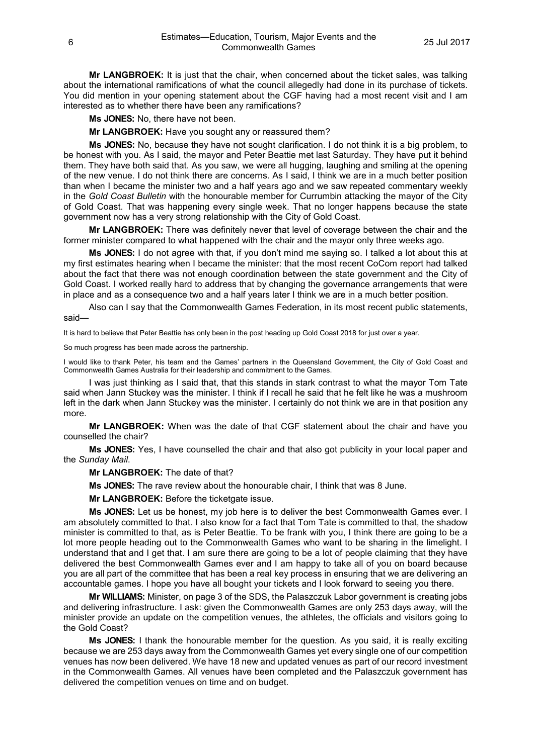**Mr LANGBROEK:** It is just that the chair, when concerned about the ticket sales, was talking about the international ramifications of what the council allegedly had done in its purchase of tickets. You did mention in your opening statement about the CGF having had a most recent visit and I am interested as to whether there have been any ramifications?

**Ms JONES:** No, there have not been.

**Mr LANGBROEK:** Have you sought any or reassured them?

**Ms JONES:** No, because they have not sought clarification. I do not think it is a big problem, to be honest with you. As I said, the mayor and Peter Beattie met last Saturday. They have put it behind them. They have both said that. As you saw, we were all hugging, laughing and smiling at the opening of the new venue. I do not think there are concerns. As I said, I think we are in a much better position than when I became the minister two and a half years ago and we saw repeated commentary weekly in the *Gold Coast Bulletin* with the honourable member for Currumbin attacking the mayor of the City of Gold Coast. That was happening every single week. That no longer happens because the state government now has a very strong relationship with the City of Gold Coast.

**Mr LANGBROEK:** There was definitely never that level of coverage between the chair and the former minister compared to what happened with the chair and the mayor only three weeks ago.

**Ms JONES:** I do not agree with that, if you don't mind me saying so. I talked a lot about this at my first estimates hearing when I became the minister: that the most recent CoCom report had talked about the fact that there was not enough coordination between the state government and the City of Gold Coast. I worked really hard to address that by changing the governance arrangements that were in place and as a consequence two and a half years later I think we are in a much better position.

Also can I say that the Commonwealth Games Federation, in its most recent public statements, said—

It is hard to believe that Peter Beattie has only been in the post heading up Gold Coast 2018 for just over a year.

So much progress has been made across the partnership.

I would like to thank Peter, his team and the Games' partners in the Queensland Government, the City of Gold Coast and Commonwealth Games Australia for their leadership and commitment to the Games.

I was just thinking as I said that, that this stands in stark contrast to what the mayor Tom Tate said when Jann Stuckey was the minister. I think if I recall he said that he felt like he was a mushroom left in the dark when Jann Stuckey was the minister. I certainly do not think we are in that position any more.

**Mr LANGBROEK:** When was the date of that CGF statement about the chair and have you counselled the chair?

**Ms JONES:** Yes, I have counselled the chair and that also got publicity in your local paper and the *Sunday Mail*.

**Mr LANGBROEK:** The date of that?

**Ms JONES:** The rave review about the honourable chair, I think that was 8 June.

**Mr LANGBROEK:** Before the ticketgate issue.

**Ms JONES:** Let us be honest, my job here is to deliver the best Commonwealth Games ever. I am absolutely committed to that. I also know for a fact that Tom Tate is committed to that, the shadow minister is committed to that, as is Peter Beattie. To be frank with you, I think there are going to be a lot more people heading out to the Commonwealth Games who want to be sharing in the limelight. I understand that and I get that. I am sure there are going to be a lot of people claiming that they have delivered the best Commonwealth Games ever and I am happy to take all of you on board because you are all part of the committee that has been a real key process in ensuring that we are delivering an accountable games. I hope you have all bought your tickets and I look forward to seeing you there.

**Mr WILLIAMS:** Minister, on page 3 of the SDS, the Palaszczuk Labor government is creating jobs and delivering infrastructure. I ask: given the Commonwealth Games are only 253 days away, will the minister provide an update on the competition venues, the athletes, the officials and visitors going to the Gold Coast?

**Ms JONES:** I thank the honourable member for the question. As you said, it is really exciting because we are 253 days away from the Commonwealth Games yet every single one of our competition venues has now been delivered. We have 18 new and updated venues as part of our record investment in the Commonwealth Games. All venues have been completed and the Palaszczuk government has delivered the competition venues on time and on budget.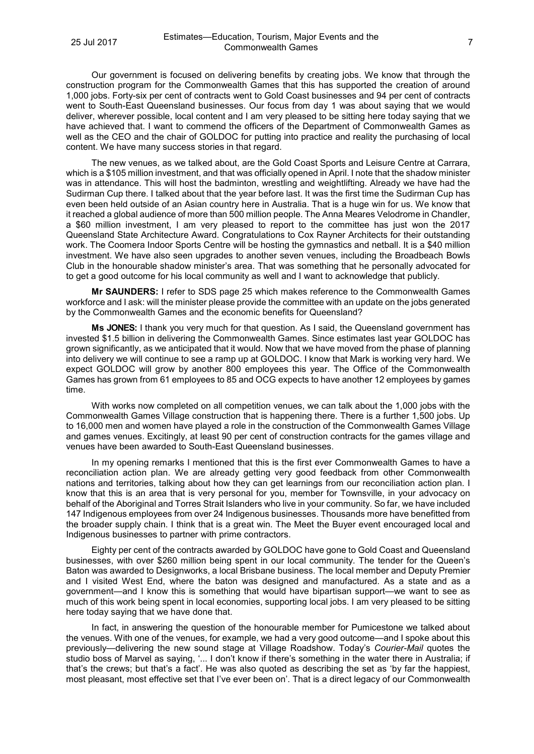Our government is focused on delivering benefits by creating jobs. We know that through the construction program for the Commonwealth Games that this has supported the creation of around 1,000 jobs. Forty-six per cent of contracts went to Gold Coast businesses and 94 per cent of contracts went to South-East Queensland businesses. Our focus from day 1 was about saying that we would deliver, wherever possible, local content and I am very pleased to be sitting here today saying that we have achieved that. I want to commend the officers of the Department of Commonwealth Games as well as the CEO and the chair of GOLDOC for putting into practice and reality the purchasing of local content. We have many success stories in that regard.

The new venues, as we talked about, are the Gold Coast Sports and Leisure Centre at Carrara, which is a \$105 million investment, and that was officially opened in April. I note that the shadow minister was in attendance. This will host the badminton, wrestling and weightlifting. Already we have had the Sudirman Cup there. I talked about that the year before last. It was the first time the Sudirman Cup has even been held outside of an Asian country here in Australia. That is a huge win for us. We know that it reached a global audience of more than 500 million people. The Anna Meares Velodrome in Chandler, a \$60 million investment, I am very pleased to report to the committee has just won the 2017 Queensland State Architecture Award. Congratulations to Cox Rayner Architects for their outstanding work. The Coomera Indoor Sports Centre will be hosting the gymnastics and netball. It is a \$40 million investment. We have also seen upgrades to another seven venues, including the Broadbeach Bowls Club in the honourable shadow minister's area. That was something that he personally advocated for to get a good outcome for his local community as well and I want to acknowledge that publicly.

**Mr SAUNDERS:** I refer to SDS page 25 which makes reference to the Commonwealth Games workforce and I ask: will the minister please provide the committee with an update on the jobs generated by the Commonwealth Games and the economic benefits for Queensland?

**Ms JONES:** I thank you very much for that question. As I said, the Queensland government has invested \$1.5 billion in delivering the Commonwealth Games. Since estimates last year GOLDOC has grown significantly, as we anticipated that it would. Now that we have moved from the phase of planning into delivery we will continue to see a ramp up at GOLDOC. I know that Mark is working very hard. We expect GOLDOC will grow by another 800 employees this year. The Office of the Commonwealth Games has grown from 61 employees to 85 and OCG expects to have another 12 employees by games time.

With works now completed on all competition venues, we can talk about the 1,000 jobs with the Commonwealth Games Village construction that is happening there. There is a further 1,500 jobs. Up to 16,000 men and women have played a role in the construction of the Commonwealth Games Village and games venues. Excitingly, at least 90 per cent of construction contracts for the games village and venues have been awarded to South-East Queensland businesses.

In my opening remarks I mentioned that this is the first ever Commonwealth Games to have a reconciliation action plan. We are already getting very good feedback from other Commonwealth nations and territories, talking about how they can get learnings from our reconciliation action plan. I know that this is an area that is very personal for you, member for Townsville, in your advocacy on behalf of the Aboriginal and Torres Strait Islanders who live in your community. So far, we have included 147 Indigenous employees from over 24 Indigenous businesses. Thousands more have benefitted from the broader supply chain. I think that is a great win. The Meet the Buyer event encouraged local and Indigenous businesses to partner with prime contractors.

Eighty per cent of the contracts awarded by GOLDOC have gone to Gold Coast and Queensland businesses, with over \$260 million being spent in our local community. The tender for the Queen's Baton was awarded to Designworks, a local Brisbane business. The local member and Deputy Premier and I visited West End, where the baton was designed and manufactured. As a state and as a government—and I know this is something that would have bipartisan support—we want to see as much of this work being spent in local economies, supporting local jobs. I am very pleased to be sitting here today saying that we have done that.

In fact, in answering the question of the honourable member for Pumicestone we talked about the venues. With one of the venues, for example, we had a very good outcome—and I spoke about this previously—delivering the new sound stage at Village Roadshow. Today's *Courier-Mail* quotes the studio boss of Marvel as saying, '... I don't know if there's something in the water there in Australia; if that's the crews; but that's a fact'. He was also quoted as describing the set as 'by far the happiest, most pleasant, most effective set that I've ever been on'. That is a direct legacy of our Commonwealth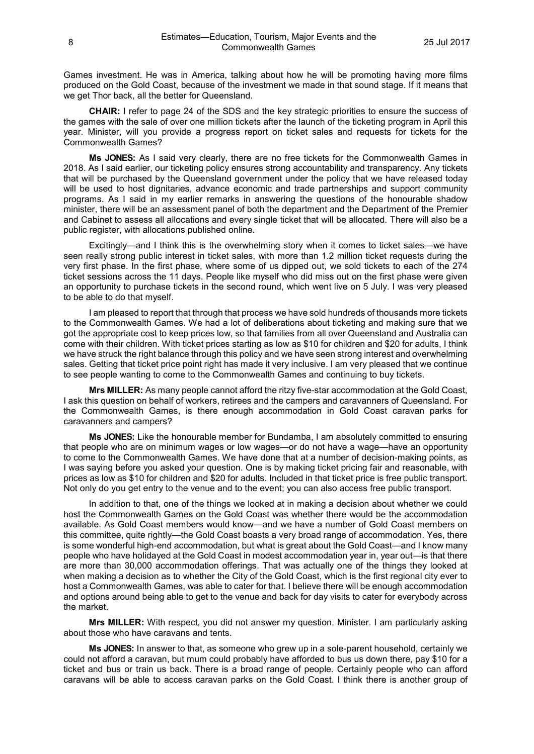Games investment. He was in America, talking about how he will be promoting having more films produced on the Gold Coast, because of the investment we made in that sound stage. If it means that we get Thor back, all the better for Queensland.

**CHAIR:** I refer to page 24 of the SDS and the key strategic priorities to ensure the success of the games with the sale of over one million tickets after the launch of the ticketing program in April this year. Minister, will you provide a progress report on ticket sales and requests for tickets for the Commonwealth Games?

**Ms JONES:** As I said very clearly, there are no free tickets for the Commonwealth Games in 2018. As I said earlier, our ticketing policy ensures strong accountability and transparency. Any tickets that will be purchased by the Queensland government under the policy that we have released today will be used to host dignitaries, advance economic and trade partnerships and support community programs. As I said in my earlier remarks in answering the questions of the honourable shadow minister, there will be an assessment panel of both the department and the Department of the Premier and Cabinet to assess all allocations and every single ticket that will be allocated. There will also be a public register, with allocations published online.

Excitingly—and I think this is the overwhelming story when it comes to ticket sales—we have seen really strong public interest in ticket sales, with more than 1.2 million ticket requests during the very first phase. In the first phase, where some of us dipped out, we sold tickets to each of the 274 ticket sessions across the 11 days. People like myself who did miss out on the first phase were given an opportunity to purchase tickets in the second round, which went live on 5 July. I was very pleased to be able to do that myself.

I am pleased to report that through that process we have sold hundreds of thousands more tickets to the Commonwealth Games. We had a lot of deliberations about ticketing and making sure that we got the appropriate cost to keep prices low, so that families from all over Queensland and Australia can come with their children. With ticket prices starting as low as \$10 for children and \$20 for adults, I think we have struck the right balance through this policy and we have seen strong interest and overwhelming sales. Getting that ticket price point right has made it very inclusive. I am very pleased that we continue to see people wanting to come to the Commonwealth Games and continuing to buy tickets.

**Mrs MILLER:** As many people cannot afford the ritzy five-star accommodation at the Gold Coast, I ask this question on behalf of workers, retirees and the campers and caravanners of Queensland. For the Commonwealth Games, is there enough accommodation in Gold Coast caravan parks for caravanners and campers?

**Ms JONES:** Like the honourable member for Bundamba, I am absolutely committed to ensuring that people who are on minimum wages or low wages—or do not have a wage—have an opportunity to come to the Commonwealth Games. We have done that at a number of decision-making points, as I was saying before you asked your question. One is by making ticket pricing fair and reasonable, with prices as low as \$10 for children and \$20 for adults. Included in that ticket price is free public transport. Not only do you get entry to the venue and to the event; you can also access free public transport.

In addition to that, one of the things we looked at in making a decision about whether we could host the Commonwealth Games on the Gold Coast was whether there would be the accommodation available. As Gold Coast members would know—and we have a number of Gold Coast members on this committee, quite rightly—the Gold Coast boasts a very broad range of accommodation. Yes, there is some wonderful high-end accommodation, but what is great about the Gold Coast—and I know many people who have holidayed at the Gold Coast in modest accommodation year in, year out—is that there are more than 30,000 accommodation offerings. That was actually one of the things they looked at when making a decision as to whether the City of the Gold Coast, which is the first regional city ever to host a Commonwealth Games, was able to cater for that. I believe there will be enough accommodation and options around being able to get to the venue and back for day visits to cater for everybody across the market.

**Mrs MILLER:** With respect, you did not answer my question, Minister. I am particularly asking about those who have caravans and tents.

**Ms JONES:** In answer to that, as someone who grew up in a sole-parent household, certainly we could not afford a caravan, but mum could probably have afforded to bus us down there, pay \$10 for a ticket and bus or train us back. There is a broad range of people. Certainly people who can afford caravans will be able to access caravan parks on the Gold Coast. I think there is another group of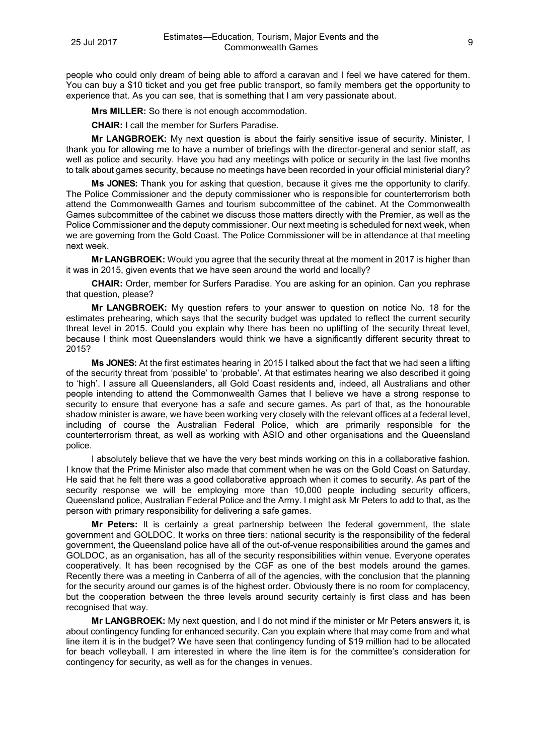people who could only dream of being able to afford a caravan and I feel we have catered for them. You can buy a \$10 ticket and you get free public transport, so family members get the opportunity to experience that. As you can see, that is something that I am very passionate about.

**Mrs MILLER:** So there is not enough accommodation.

**CHAIR:** I call the member for Surfers Paradise.

**Mr LANGBROEK:** My next question is about the fairly sensitive issue of security. Minister, I thank you for allowing me to have a number of briefings with the director-general and senior staff, as well as police and security. Have you had any meetings with police or security in the last five months to talk about games security, because no meetings have been recorded in your official ministerial diary?

**Ms JONES:** Thank you for asking that question, because it gives me the opportunity to clarify. The Police Commissioner and the deputy commissioner who is responsible for counterterrorism both attend the Commonwealth Games and tourism subcommittee of the cabinet. At the Commonwealth Games subcommittee of the cabinet we discuss those matters directly with the Premier, as well as the Police Commissioner and the deputy commissioner. Our next meeting is scheduled for next week, when we are governing from the Gold Coast. The Police Commissioner will be in attendance at that meeting next week.

**Mr LANGBROEK:** Would you agree that the security threat at the moment in 2017 is higher than it was in 2015, given events that we have seen around the world and locally?

**CHAIR:** Order, member for Surfers Paradise. You are asking for an opinion. Can you rephrase that question, please?

**Mr LANGBROEK:** My question refers to your answer to question on notice No. 18 for the estimates prehearing, which says that the security budget was updated to reflect the current security threat level in 2015. Could you explain why there has been no uplifting of the security threat level, because I think most Queenslanders would think we have a significantly different security threat to 2015?

**Ms JONES:** At the first estimates hearing in 2015 I talked about the fact that we had seen a lifting of the security threat from 'possible' to 'probable'. At that estimates hearing we also described it going to 'high'. I assure all Queenslanders, all Gold Coast residents and, indeed, all Australians and other people intending to attend the Commonwealth Games that I believe we have a strong response to security to ensure that everyone has a safe and secure games. As part of that, as the honourable shadow minister is aware, we have been working very closely with the relevant offices at a federal level, including of course the Australian Federal Police, which are primarily responsible for the counterterrorism threat, as well as working with ASIO and other organisations and the Queensland police.

I absolutely believe that we have the very best minds working on this in a collaborative fashion. I know that the Prime Minister also made that comment when he was on the Gold Coast on Saturday. He said that he felt there was a good collaborative approach when it comes to security. As part of the security response we will be employing more than 10,000 people including security officers, Queensland police, Australian Federal Police and the Army. I might ask Mr Peters to add to that, as the person with primary responsibility for delivering a safe games.

**Mr Peters:** It is certainly a great partnership between the federal government, the state government and GOLDOC. It works on three tiers: national security is the responsibility of the federal government, the Queensland police have all of the out-of-venue responsibilities around the games and GOLDOC, as an organisation, has all of the security responsibilities within venue. Everyone operates cooperatively. It has been recognised by the CGF as one of the best models around the games. Recently there was a meeting in Canberra of all of the agencies, with the conclusion that the planning for the security around our games is of the highest order. Obviously there is no room for complacency, but the cooperation between the three levels around security certainly is first class and has been recognised that way.

**Mr LANGBROEK:** My next question, and I do not mind if the minister or Mr Peters answers it, is about contingency funding for enhanced security. Can you explain where that may come from and what line item it is in the budget? We have seen that contingency funding of \$19 million had to be allocated for beach volleyball. I am interested in where the line item is for the committee's consideration for contingency for security, as well as for the changes in venues.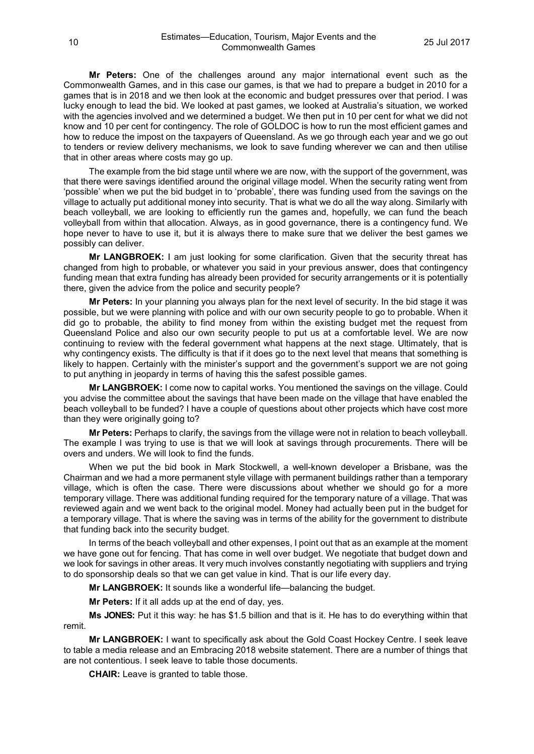**Mr Peters:** One of the challenges around any major international event such as the Commonwealth Games, and in this case our games, is that we had to prepare a budget in 2010 for a games that is in 2018 and we then look at the economic and budget pressures over that period. I was lucky enough to lead the bid. We looked at past games, we looked at Australia's situation, we worked with the agencies involved and we determined a budget. We then put in 10 per cent for what we did not know and 10 per cent for contingency. The role of GOLDOC is how to run the most efficient games and how to reduce the impost on the taxpayers of Queensland. As we go through each year and we go out to tenders or review delivery mechanisms, we look to save funding wherever we can and then utilise that in other areas where costs may go up.

The example from the bid stage until where we are now, with the support of the government, was that there were savings identified around the original village model. When the security rating went from 'possible' when we put the bid budget in to 'probable', there was funding used from the savings on the village to actually put additional money into security. That is what we do all the way along. Similarly with beach volleyball, we are looking to efficiently run the games and, hopefully, we can fund the beach volleyball from within that allocation. Always, as in good governance, there is a contingency fund. We hope never to have to use it, but it is always there to make sure that we deliver the best games we possibly can deliver.

**Mr LANGBROEK:** I am just looking for some clarification. Given that the security threat has changed from high to probable, or whatever you said in your previous answer, does that contingency funding mean that extra funding has already been provided for security arrangements or it is potentially there, given the advice from the police and security people?

**Mr Peters:** In your planning you always plan for the next level of security. In the bid stage it was possible, but we were planning with police and with our own security people to go to probable. When it did go to probable, the ability to find money from within the existing budget met the request from Queensland Police and also our own security people to put us at a comfortable level. We are now continuing to review with the federal government what happens at the next stage. Ultimately, that is why contingency exists. The difficulty is that if it does go to the next level that means that something is likely to happen. Certainly with the minister's support and the government's support we are not going to put anything in jeopardy in terms of having this the safest possible games.

**Mr LANGBROEK:** I come now to capital works. You mentioned the savings on the village. Could you advise the committee about the savings that have been made on the village that have enabled the beach volleyball to be funded? I have a couple of questions about other projects which have cost more than they were originally going to?

**Mr Peters:** Perhaps to clarify, the savings from the village were not in relation to beach volleyball. The example I was trying to use is that we will look at savings through procurements. There will be overs and unders. We will look to find the funds.

When we put the bid book in Mark Stockwell, a well-known developer a Brisbane, was the Chairman and we had a more permanent style village with permanent buildings rather than a temporary village, which is often the case. There were discussions about whether we should go for a more temporary village. There was additional funding required for the temporary nature of a village. That was reviewed again and we went back to the original model. Money had actually been put in the budget for a temporary village. That is where the saving was in terms of the ability for the government to distribute that funding back into the security budget.

In terms of the beach volleyball and other expenses, I point out that as an example at the moment we have gone out for fencing. That has come in well over budget. We negotiate that budget down and we look for savings in other areas. It very much involves constantly negotiating with suppliers and trying to do sponsorship deals so that we can get value in kind. That is our life every day.

**Mr LANGBROEK:** It sounds like a wonderful life—balancing the budget.

**Mr Peters:** If it all adds up at the end of day, yes.

**Ms JONES:** Put it this way: he has \$1.5 billion and that is it. He has to do everything within that remit.

**Mr LANGBROEK:** I want to specifically ask about the Gold Coast Hockey Centre. I seek leave to table a media release and an Embracing 2018 website statement. There are a number of things that are not contentious. I seek leave to table those documents.

**CHAIR:** Leave is granted to table those.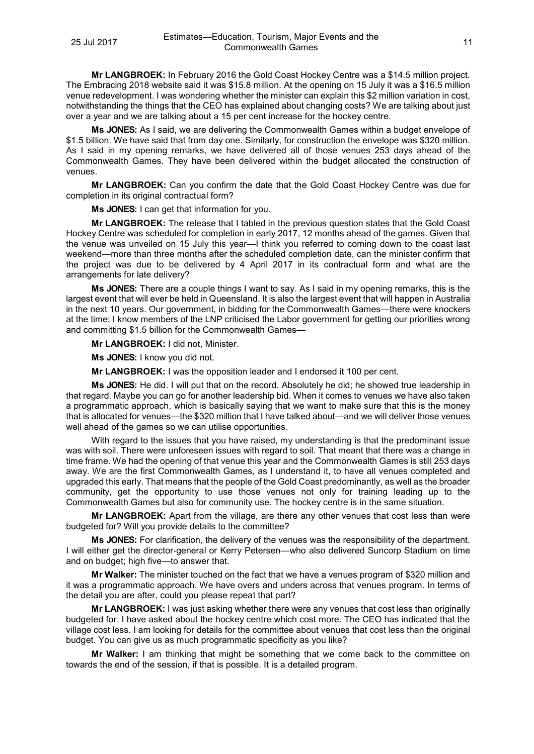**Mr LANGBROEK:** In February 2016 the Gold Coast Hockey Centre was a \$14.5 million project. The Embracing 2018 website said it was \$15.8 million. At the opening on 15 July it was a \$16.5 million venue redevelopment. I was wondering whether the minister can explain this \$2 million variation in cost, notwithstanding the things that the CEO has explained about changing costs? We are talking about just over a year and we are talking about a 15 per cent increase for the hockey centre.

**Ms JONES:** As I said, we are delivering the Commonwealth Games within a budget envelope of \$1.5 billion. We have said that from day one. Similarly, for construction the envelope was \$320 million. As I said in my opening remarks, we have delivered all of those venues 253 days ahead of the Commonwealth Games. They have been delivered within the budget allocated the construction of venues.

**Mr LANGBROEK:** Can you confirm the date that the Gold Coast Hockey Centre was due for completion in its original contractual form?

**Ms JONES:** I can get that information for you.

**Mr LANGBROEK:** The release that I tabled in the previous question states that the Gold Coast Hockey Centre was scheduled for completion in early 2017, 12 months ahead of the games. Given that the venue was unveiled on 15 July this year—I think you referred to coming down to the coast last weekend—more than three months after the scheduled completion date, can the minister confirm that the project was due to be delivered by 4 April 2017 in its contractual form and what are the arrangements for late delivery?

**Ms JONES:** There are a couple things I want to say. As I said in my opening remarks, this is the largest event that will ever be held in Queensland. It is also the largest event that will happen in Australia in the next 10 years. Our government, in bidding for the Commonwealth Games—there were knockers at the time; I know members of the LNP criticised the Labor government for getting our priorities wrong and committing \$1.5 billion for the Commonwealth Games-

**Mr LANGBROEK:** I did not, Minister.

**Ms JONES:** I know you did not.

**Mr LANGBROEK:** I was the opposition leader and I endorsed it 100 per cent.

**Ms JONES:** He did. I will put that on the record. Absolutely he did; he showed true leadership in that regard. Maybe you can go for another leadership bid. When it comes to venues we have also taken a programmatic approach, which is basically saying that we want to make sure that this is the money that is allocated for venues—the \$320 million that I have talked about—and we will deliver those venues well ahead of the games so we can utilise opportunities.

With regard to the issues that you have raised, my understanding is that the predominant issue was with soil. There were unforeseen issues with regard to soil. That meant that there was a change in time frame. We had the opening of that venue this year and the Commonwealth Games is still 253 days away. We are the first Commonwealth Games, as I understand it, to have all venues completed and upgraded this early. That means that the people of the Gold Coast predominantly, as well as the broader community, get the opportunity to use those venues not only for training leading up to the Commonwealth Games but also for community use. The hockey centre is in the same situation.

**Mr LANGBROEK:** Apart from the village, are there any other venues that cost less than were budgeted for? Will you provide details to the committee?

**Ms JONES:** For clarification, the delivery of the venues was the responsibility of the department. I will either get the director-general or Kerry Petersen—who also delivered Suncorp Stadium on time and on budget; high five—to answer that.

**Mr Walker:** The minister touched on the fact that we have a venues program of \$320 million and it was a programmatic approach. We have overs and unders across that venues program. In terms of the detail you are after, could you please repeat that part?

**Mr LANGBROEK:** I was just asking whether there were any venues that cost less than originally budgeted for. I have asked about the hockey centre which cost more. The CEO has indicated that the village cost less. I am looking for details for the committee about venues that cost less than the original budget. You can give us as much programmatic specificity as you like?

**Mr Walker:** I am thinking that might be something that we come back to the committee on towards the end of the session, if that is possible. It is a detailed program.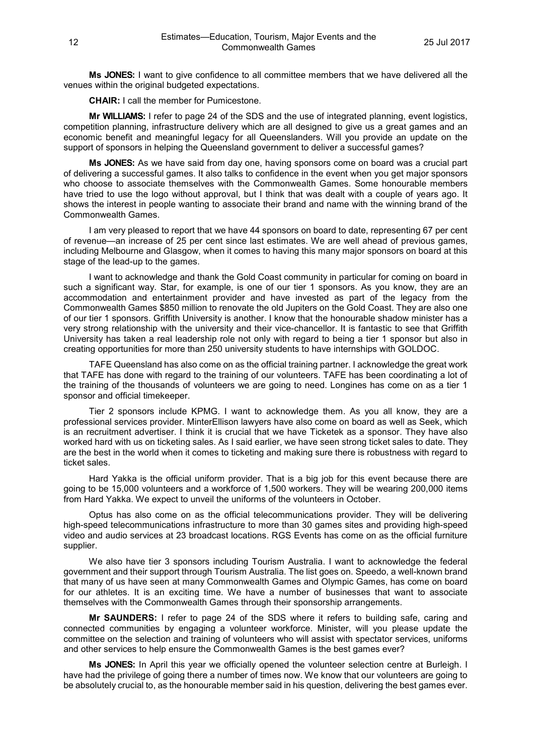**Ms JONES:** I want to give confidence to all committee members that we have delivered all the venues within the original budgeted expectations.

**CHAIR:** I call the member for Pumicestone.

**Mr WILLIAMS:** I refer to page 24 of the SDS and the use of integrated planning, event logistics, competition planning, infrastructure delivery which are all designed to give us a great games and an economic benefit and meaningful legacy for all Queenslanders. Will you provide an update on the support of sponsors in helping the Queensland government to deliver a successful games?

**Ms JONES:** As we have said from day one, having sponsors come on board was a crucial part of delivering a successful games. It also talks to confidence in the event when you get major sponsors who choose to associate themselves with the Commonwealth Games. Some honourable members have tried to use the logo without approval, but I think that was dealt with a couple of years ago. It shows the interest in people wanting to associate their brand and name with the winning brand of the Commonwealth Games.

I am very pleased to report that we have 44 sponsors on board to date, representing 67 per cent of revenue—an increase of 25 per cent since last estimates. We are well ahead of previous games, including Melbourne and Glasgow, when it comes to having this many major sponsors on board at this stage of the lead-up to the games.

I want to acknowledge and thank the Gold Coast community in particular for coming on board in such a significant way. Star, for example, is one of our tier 1 sponsors. As you know, they are an accommodation and entertainment provider and have invested as part of the legacy from the Commonwealth Games \$850 million to renovate the old Jupiters on the Gold Coast. They are also one of our tier 1 sponsors. Griffith University is another. I know that the honourable shadow minister has a very strong relationship with the university and their vice-chancellor. It is fantastic to see that Griffith University has taken a real leadership role not only with regard to being a tier 1 sponsor but also in creating opportunities for more than 250 university students to have internships with GOLDOC.

TAFE Queensland has also come on as the official training partner. I acknowledge the great work that TAFE has done with regard to the training of our volunteers. TAFE has been coordinating a lot of the training of the thousands of volunteers we are going to need. Longines has come on as a tier 1 sponsor and official timekeeper.

Tier 2 sponsors include KPMG. I want to acknowledge them. As you all know, they are a professional services provider. MinterEllison lawyers have also come on board as well as Seek, which is an recruitment advertiser. I think it is crucial that we have Ticketek as a sponsor. They have also worked hard with us on ticketing sales. As I said earlier, we have seen strong ticket sales to date. They are the best in the world when it comes to ticketing and making sure there is robustness with regard to ticket sales.

Hard Yakka is the official uniform provider. That is a big job for this event because there are going to be 15,000 volunteers and a workforce of 1,500 workers. They will be wearing 200,000 items from Hard Yakka. We expect to unveil the uniforms of the volunteers in October.

Optus has also come on as the official telecommunications provider. They will be delivering high-speed telecommunications infrastructure to more than 30 games sites and providing high-speed video and audio services at 23 broadcast locations. RGS Events has come on as the official furniture supplier.

We also have tier 3 sponsors including Tourism Australia. I want to acknowledge the federal government and their support through Tourism Australia. The list goes on. Speedo, a well-known brand that many of us have seen at many Commonwealth Games and Olympic Games, has come on board for our athletes. It is an exciting time. We have a number of businesses that want to associate themselves with the Commonwealth Games through their sponsorship arrangements.

**Mr SAUNDERS:** I refer to page 24 of the SDS where it refers to building safe, caring and connected communities by engaging a volunteer workforce. Minister, will you please update the committee on the selection and training of volunteers who will assist with spectator services, uniforms and other services to help ensure the Commonwealth Games is the best games ever?

**Ms JONES:** In April this year we officially opened the volunteer selection centre at Burleigh. I have had the privilege of going there a number of times now. We know that our volunteers are going to be absolutely crucial to, as the honourable member said in his question, delivering the best games ever.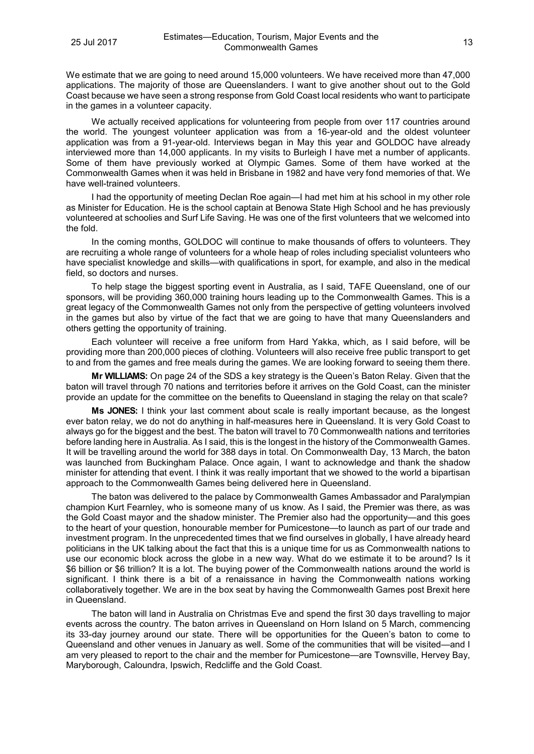We estimate that we are going to need around 15,000 volunteers. We have received more than 47,000 applications. The majority of those are Queenslanders. I want to give another shout out to the Gold Coast because we have seen a strong response from Gold Coast local residents who want to participate in the games in a volunteer capacity.

We actually received applications for volunteering from people from over 117 countries around the world. The youngest volunteer application was from a 16-year-old and the oldest volunteer application was from a 91-year-old. Interviews began in May this year and GOLDOC have already interviewed more than 14,000 applicants. In my visits to Burleigh I have met a number of applicants. Some of them have previously worked at Olympic Games. Some of them have worked at the Commonwealth Games when it was held in Brisbane in 1982 and have very fond memories of that. We have well-trained volunteers.

I had the opportunity of meeting Declan Roe again—I had met him at his school in my other role as Minister for Education. He is the school captain at Benowa State High School and he has previously volunteered at schoolies and Surf Life Saving. He was one of the first volunteers that we welcomed into the fold.

In the coming months, GOLDOC will continue to make thousands of offers to volunteers. They are recruiting a whole range of volunteers for a whole heap of roles including specialist volunteers who have specialist knowledge and skills—with qualifications in sport, for example, and also in the medical field, so doctors and nurses.

To help stage the biggest sporting event in Australia, as I said, TAFE Queensland, one of our sponsors, will be providing 360,000 training hours leading up to the Commonwealth Games. This is a great legacy of the Commonwealth Games not only from the perspective of getting volunteers involved in the games but also by virtue of the fact that we are going to have that many Queenslanders and others getting the opportunity of training.

Each volunteer will receive a free uniform from Hard Yakka, which, as I said before, will be providing more than 200,000 pieces of clothing. Volunteers will also receive free public transport to get to and from the games and free meals during the games. We are looking forward to seeing them there.

**Mr WILLIAMS:** On page 24 of the SDS a key strategy is the Queen's Baton Relay. Given that the baton will travel through 70 nations and territories before it arrives on the Gold Coast, can the minister provide an update for the committee on the benefits to Queensland in staging the relay on that scale?

**Ms JONES:** I think your last comment about scale is really important because, as the longest ever baton relay, we do not do anything in half-measures here in Queensland. It is very Gold Coast to always go for the biggest and the best. The baton will travel to 70 Commonwealth nations and territories before landing here in Australia. As I said, this is the longest in the history of the Commonwealth Games. It will be travelling around the world for 388 days in total. On Commonwealth Day, 13 March, the baton was launched from Buckingham Palace. Once again, I want to acknowledge and thank the shadow minister for attending that event. I think it was really important that we showed to the world a bipartisan approach to the Commonwealth Games being delivered here in Queensland.

The baton was delivered to the palace by Commonwealth Games Ambassador and Paralympian champion Kurt Fearnley, who is someone many of us know. As I said, the Premier was there, as was the Gold Coast mayor and the shadow minister. The Premier also had the opportunity—and this goes to the heart of your question, honourable member for Pumicestone—to launch as part of our trade and investment program. In the unprecedented times that we find ourselves in globally, I have already heard politicians in the UK talking about the fact that this is a unique time for us as Commonwealth nations to use our economic block across the globe in a new way. What do we estimate it to be around? Is it \$6 billion or \$6 trillion? It is a lot. The buying power of the Commonwealth nations around the world is significant. I think there is a bit of a renaissance in having the Commonwealth nations working collaboratively together. We are in the box seat by having the Commonwealth Games post Brexit here in Queensland.

The baton will land in Australia on Christmas Eve and spend the first 30 days travelling to major events across the country. The baton arrives in Queensland on Horn Island on 5 March, commencing its 33-day journey around our state. There will be opportunities for the Queen's baton to come to Queensland and other venues in January as well. Some of the communities that will be visited—and I am very pleased to report to the chair and the member for Pumicestone—are Townsville, Hervey Bay, Maryborough, Caloundra, Ipswich, Redcliffe and the Gold Coast.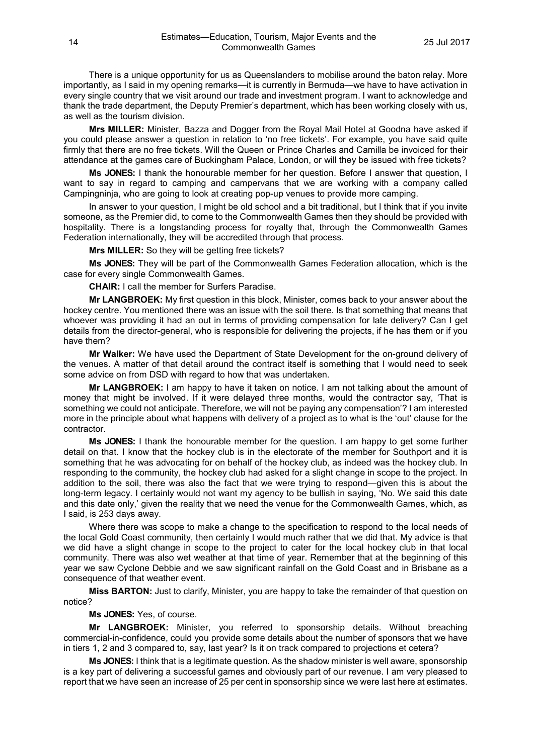There is a unique opportunity for us as Queenslanders to mobilise around the baton relay. More importantly, as I said in my opening remarks—it is currently in Bermuda—we have to have activation in every single country that we visit around our trade and investment program. I want to acknowledge and thank the trade department, the Deputy Premier's department, which has been working closely with us, as well as the tourism division.

**Mrs MILLER:** Minister, Bazza and Dogger from the Royal Mail Hotel at Goodna have asked if you could please answer a question in relation to 'no free tickets'. For example, you have said quite firmly that there are no free tickets. Will the Queen or Prince Charles and Camilla be invoiced for their attendance at the games care of Buckingham Palace, London, or will they be issued with free tickets?

**Ms JONES:** I thank the honourable member for her question. Before I answer that question, I want to say in regard to camping and campervans that we are working with a company called Campingninja, who are going to look at creating pop-up venues to provide more camping.

In answer to your question, I might be old school and a bit traditional, but I think that if you invite someone, as the Premier did, to come to the Commonwealth Games then they should be provided with hospitality. There is a longstanding process for royalty that, through the Commonwealth Games Federation internationally, they will be accredited through that process.

**Mrs MILLER:** So they will be getting free tickets?

**Ms JONES:** They will be part of the Commonwealth Games Federation allocation, which is the case for every single Commonwealth Games.

**CHAIR:** I call the member for Surfers Paradise.

**Mr LANGBROEK:** My first question in this block, Minister, comes back to your answer about the hockey centre. You mentioned there was an issue with the soil there. Is that something that means that whoever was providing it had an out in terms of providing compensation for late delivery? Can I get details from the director-general, who is responsible for delivering the projects, if he has them or if you have them?

**Mr Walker:** We have used the Department of State Development for the on-ground delivery of the venues. A matter of that detail around the contract itself is something that I would need to seek some advice on from DSD with regard to how that was undertaken.

**Mr LANGBROEK:** I am happy to have it taken on notice. I am not talking about the amount of money that might be involved. If it were delayed three months, would the contractor say, 'That is something we could not anticipate. Therefore, we will not be paying any compensation'? I am interested more in the principle about what happens with delivery of a project as to what is the 'out' clause for the contractor.

**Ms JONES:** I thank the honourable member for the question. I am happy to get some further detail on that. I know that the hockey club is in the electorate of the member for Southport and it is something that he was advocating for on behalf of the hockey club, as indeed was the hockey club. In responding to the community, the hockey club had asked for a slight change in scope to the project. In addition to the soil, there was also the fact that we were trying to respond—given this is about the long-term legacy. I certainly would not want my agency to be bullish in saying, 'No. We said this date and this date only,' given the reality that we need the venue for the Commonwealth Games, which, as I said, is 253 days away.

Where there was scope to make a change to the specification to respond to the local needs of the local Gold Coast community, then certainly I would much rather that we did that. My advice is that we did have a slight change in scope to the project to cater for the local hockey club in that local community. There was also wet weather at that time of year. Remember that at the beginning of this year we saw Cyclone Debbie and we saw significant rainfall on the Gold Coast and in Brisbane as a consequence of that weather event.

**Miss BARTON:** Just to clarify, Minister, you are happy to take the remainder of that question on notice?

**Ms JONES:** Yes, of course.

**Mr LANGBROEK:** Minister, you referred to sponsorship details. Without breaching commercial-in-confidence, could you provide some details about the number of sponsors that we have in tiers 1, 2 and 3 compared to, say, last year? Is it on track compared to projections et cetera?

**Ms JONES:** I think that is a legitimate question. As the shadow minister is well aware, sponsorship is a key part of delivering a successful games and obviously part of our revenue. I am very pleased to report that we have seen an increase of 25 per cent in sponsorship since we were last here at estimates.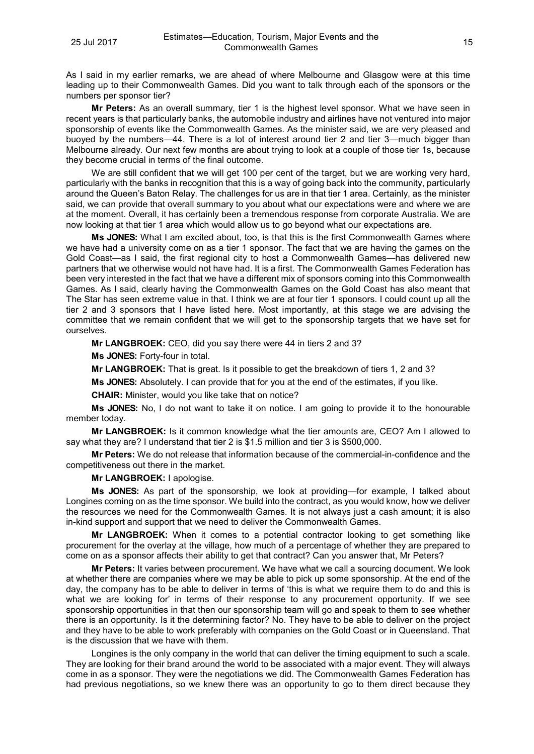As I said in my earlier remarks, we are ahead of where Melbourne and Glasgow were at this time leading up to their Commonwealth Games. Did you want to talk through each of the sponsors or the numbers per sponsor tier?

**Mr Peters:** As an overall summary, tier 1 is the highest level sponsor. What we have seen in recent years is that particularly banks, the automobile industry and airlines have not ventured into major sponsorship of events like the Commonwealth Games. As the minister said, we are very pleased and buoyed by the numbers—44. There is a lot of interest around tier 2 and tier 3—much bigger than Melbourne already. Our next few months are about trying to look at a couple of those tier 1s, because they become crucial in terms of the final outcome.

We are still confident that we will get 100 per cent of the target, but we are working very hard, particularly with the banks in recognition that this is a way of going back into the community, particularly around the Queen's Baton Relay. The challenges for us are in that tier 1 area. Certainly, as the minister said, we can provide that overall summary to you about what our expectations were and where we are at the moment. Overall, it has certainly been a tremendous response from corporate Australia. We are now looking at that tier 1 area which would allow us to go beyond what our expectations are.

**Ms JONES:** What I am excited about, too, is that this is the first Commonwealth Games where we have had a university come on as a tier 1 sponsor. The fact that we are having the games on the Gold Coast—as I said, the first regional city to host a Commonwealth Games—has delivered new partners that we otherwise would not have had. It is a first. The Commonwealth Games Federation has been very interested in the fact that we have a different mix of sponsors coming into this Commonwealth Games. As I said, clearly having the Commonwealth Games on the Gold Coast has also meant that The Star has seen extreme value in that. I think we are at four tier 1 sponsors. I could count up all the tier 2 and 3 sponsors that I have listed here. Most importantly, at this stage we are advising the committee that we remain confident that we will get to the sponsorship targets that we have set for ourselves.

**Mr LANGBROEK:** CEO, did you say there were 44 in tiers 2 and 3?

**Ms JONES:** Forty-four in total.

**Mr LANGBROEK:** That is great. Is it possible to get the breakdown of tiers 1, 2 and 3?

**Ms JONES:** Absolutely. I can provide that for you at the end of the estimates, if you like.

**CHAIR:** Minister, would you like take that on notice?

**Ms JONES:** No, I do not want to take it on notice. I am going to provide it to the honourable member today.

**Mr LANGBROEK:** Is it common knowledge what the tier amounts are, CEO? Am I allowed to say what they are? I understand that tier 2 is \$1.5 million and tier 3 is \$500,000.

**Mr Peters:** We do not release that information because of the commercial-in-confidence and the competitiveness out there in the market.

#### **Mr LANGBROEK:** I apologise.

**Ms JONES:** As part of the sponsorship, we look at providing—for example, I talked about Longines coming on as the time sponsor. We build into the contract, as you would know, how we deliver the resources we need for the Commonwealth Games. It is not always just a cash amount; it is also in-kind support and support that we need to deliver the Commonwealth Games.

**Mr LANGBROEK:** When it comes to a potential contractor looking to get something like procurement for the overlay at the village, how much of a percentage of whether they are prepared to come on as a sponsor affects their ability to get that contract? Can you answer that, Mr Peters?

**Mr Peters:** It varies between procurement. We have what we call a sourcing document. We look at whether there are companies where we may be able to pick up some sponsorship. At the end of the day, the company has to be able to deliver in terms of 'this is what we require them to do and this is what we are looking for' in terms of their response to any procurement opportunity. If we see sponsorship opportunities in that then our sponsorship team will go and speak to them to see whether there is an opportunity. Is it the determining factor? No. They have to be able to deliver on the project and they have to be able to work preferably with companies on the Gold Coast or in Queensland. That is the discussion that we have with them.

Longines is the only company in the world that can deliver the timing equipment to such a scale. They are looking for their brand around the world to be associated with a major event. They will always come in as a sponsor. They were the negotiations we did. The Commonwealth Games Federation has had previous negotiations, so we knew there was an opportunity to go to them direct because they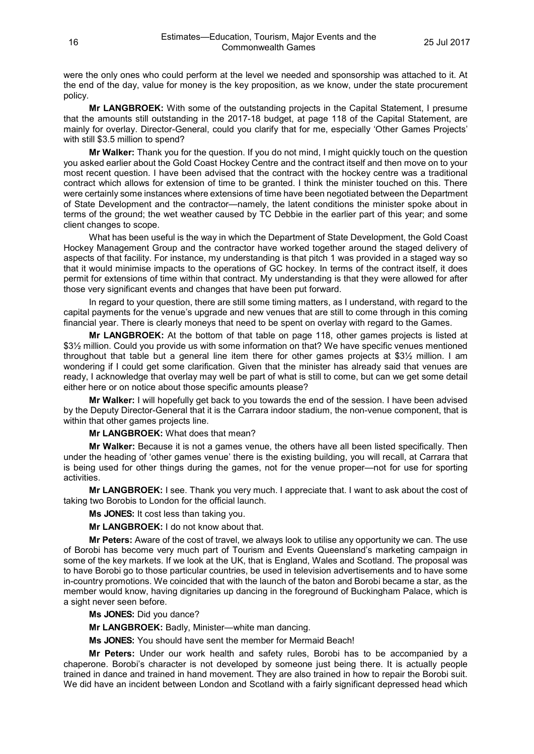were the only ones who could perform at the level we needed and sponsorship was attached to it. At the end of the day, value for money is the key proposition, as we know, under the state procurement policy.

**Mr LANGBROEK:** With some of the outstanding projects in the Capital Statement, I presume that the amounts still outstanding in the 2017-18 budget, at page 118 of the Capital Statement, are mainly for overlay. Director-General, could you clarify that for me, especially 'Other Games Projects' with still \$3.5 million to spend?

**Mr Walker:** Thank you for the question. If you do not mind, I might quickly touch on the question you asked earlier about the Gold Coast Hockey Centre and the contract itself and then move on to your most recent question. I have been advised that the contract with the hockey centre was a traditional contract which allows for extension of time to be granted. I think the minister touched on this. There were certainly some instances where extensions of time have been negotiated between the Department of State Development and the contractor—namely, the latent conditions the minister spoke about in terms of the ground; the wet weather caused by TC Debbie in the earlier part of this year; and some client changes to scope.

What has been useful is the way in which the Department of State Development, the Gold Coast Hockey Management Group and the contractor have worked together around the staged delivery of aspects of that facility. For instance, my understanding is that pitch 1 was provided in a staged way so that it would minimise impacts to the operations of GC hockey. In terms of the contract itself, it does permit for extensions of time within that contract. My understanding is that they were allowed for after those very significant events and changes that have been put forward.

In regard to your question, there are still some timing matters, as I understand, with regard to the capital payments for the venue's upgrade and new venues that are still to come through in this coming financial year. There is clearly moneys that need to be spent on overlay with regard to the Games.

**Mr LANGBROEK:** At the bottom of that table on page 118, other games projects is listed at \$3½ million. Could you provide us with some information on that? We have specific venues mentioned throughout that table but a general line item there for other games projects at \$3½ million. I am wondering if I could get some clarification. Given that the minister has already said that venues are ready, I acknowledge that overlay may well be part of what is still to come, but can we get some detail either here or on notice about those specific amounts please?

**Mr Walker:** I will hopefully get back to you towards the end of the session. I have been advised by the Deputy Director-General that it is the Carrara indoor stadium, the non-venue component, that is within that other games projects line.

**Mr LANGBROEK:** What does that mean?

**Mr Walker:** Because it is not a games venue, the others have all been listed specifically. Then under the heading of 'other games venue' there is the existing building, you will recall, at Carrara that is being used for other things during the games, not for the venue proper—not for use for sporting activities.

**Mr LANGBROEK:** I see. Thank you very much. I appreciate that. I want to ask about the cost of taking two Borobis to London for the official launch.

**Ms JONES:** It cost less than taking you.

**Mr LANGBROEK:** I do not know about that.

**Mr Peters:** Aware of the cost of travel, we always look to utilise any opportunity we can. The use of Borobi has become very much part of Tourism and Events Queensland's marketing campaign in some of the key markets. If we look at the UK, that is England, Wales and Scotland. The proposal was to have Borobi go to those particular countries, be used in television advertisements and to have some in-country promotions. We coincided that with the launch of the baton and Borobi became a star, as the member would know, having dignitaries up dancing in the foreground of Buckingham Palace, which is a sight never seen before.

**Ms JONES:** Did you dance?

**Mr LANGBROEK:** Badly, Minister—white man dancing.

**Ms JONES:** You should have sent the member for Mermaid Beach!

**Mr Peters:** Under our work health and safety rules, Borobi has to be accompanied by a chaperone. Borobi's character is not developed by someone just being there. It is actually people trained in dance and trained in hand movement. They are also trained in how to repair the Borobi suit. We did have an incident between London and Scotland with a fairly significant depressed head which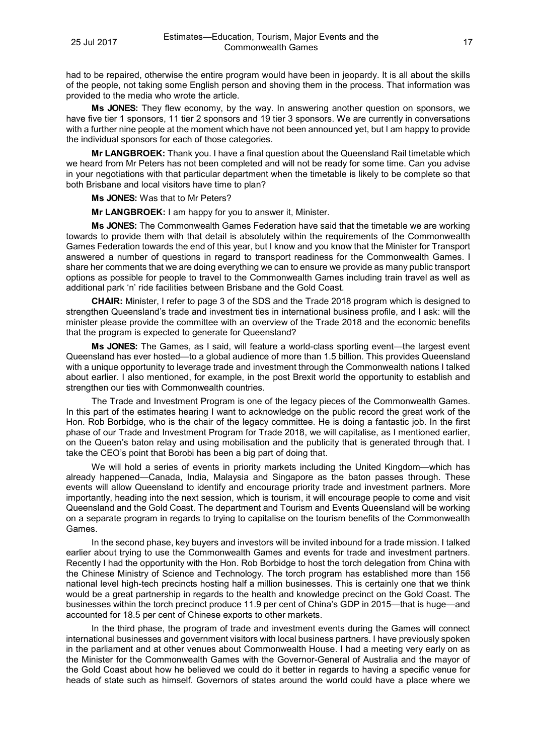had to be repaired, otherwise the entire program would have been in jeopardy. It is all about the skills of the people, not taking some English person and shoving them in the process. That information was provided to the media who wrote the article.

**Ms JONES:** They flew economy, by the way. In answering another question on sponsors, we have five tier 1 sponsors, 11 tier 2 sponsors and 19 tier 3 sponsors. We are currently in conversations with a further nine people at the moment which have not been announced yet, but I am happy to provide the individual sponsors for each of those categories.

**Mr LANGBROEK:** Thank you. I have a final question about the Queensland Rail timetable which we heard from Mr Peters has not been completed and will not be ready for some time. Can you advise in your negotiations with that particular department when the timetable is likely to be complete so that both Brisbane and local visitors have time to plan?

**Ms JONES:** Was that to Mr Peters?

**Mr LANGBROEK:** I am happy for you to answer it, Minister.

**Ms JONES:** The Commonwealth Games Federation have said that the timetable we are working towards to provide them with that detail is absolutely within the requirements of the Commonwealth Games Federation towards the end of this year, but I know and you know that the Minister for Transport answered a number of questions in regard to transport readiness for the Commonwealth Games. I share her comments that we are doing everything we can to ensure we provide as many public transport options as possible for people to travel to the Commonwealth Games including train travel as well as additional park 'n' ride facilities between Brisbane and the Gold Coast.

**CHAIR:** Minister, I refer to page 3 of the SDS and the Trade 2018 program which is designed to strengthen Queensland's trade and investment ties in international business profile, and I ask: will the minister please provide the committee with an overview of the Trade 2018 and the economic benefits that the program is expected to generate for Queensland?

**Ms JONES:** The Games, as I said, will feature a world-class sporting event—the largest event Queensland has ever hosted—to a global audience of more than 1.5 billion. This provides Queensland with a unique opportunity to leverage trade and investment through the Commonwealth nations I talked about earlier. I also mentioned, for example, in the post Brexit world the opportunity to establish and strengthen our ties with Commonwealth countries.

The Trade and Investment Program is one of the legacy pieces of the Commonwealth Games. In this part of the estimates hearing I want to acknowledge on the public record the great work of the Hon. Rob Borbidge, who is the chair of the legacy committee. He is doing a fantastic job. In the first phase of our Trade and Investment Program for Trade 2018, we will capitalise, as I mentioned earlier, on the Queen's baton relay and using mobilisation and the publicity that is generated through that. I take the CEO's point that Borobi has been a big part of doing that.

We will hold a series of events in priority markets including the United Kingdom—which has already happened—Canada, India, Malaysia and Singapore as the baton passes through. These events will allow Queensland to identify and encourage priority trade and investment partners. More importantly, heading into the next session, which is tourism, it will encourage people to come and visit Queensland and the Gold Coast. The department and Tourism and Events Queensland will be working on a separate program in regards to trying to capitalise on the tourism benefits of the Commonwealth Games.

In the second phase, key buyers and investors will be invited inbound for a trade mission. I talked earlier about trying to use the Commonwealth Games and events for trade and investment partners. Recently I had the opportunity with the Hon. Rob Borbidge to host the torch delegation from China with the Chinese Ministry of Science and Technology. The torch program has established more than 156 national level high-tech precincts hosting half a million businesses. This is certainly one that we think would be a great partnership in regards to the health and knowledge precinct on the Gold Coast. The businesses within the torch precinct produce 11.9 per cent of China's GDP in 2015—that is huge—and accounted for 18.5 per cent of Chinese exports to other markets.

In the third phase, the program of trade and investment events during the Games will connect international businesses and government visitors with local business partners. I have previously spoken in the parliament and at other venues about Commonwealth House. I had a meeting very early on as the Minister for the Commonwealth Games with the Governor-General of Australia and the mayor of the Gold Coast about how he believed we could do it better in regards to having a specific venue for heads of state such as himself. Governors of states around the world could have a place where we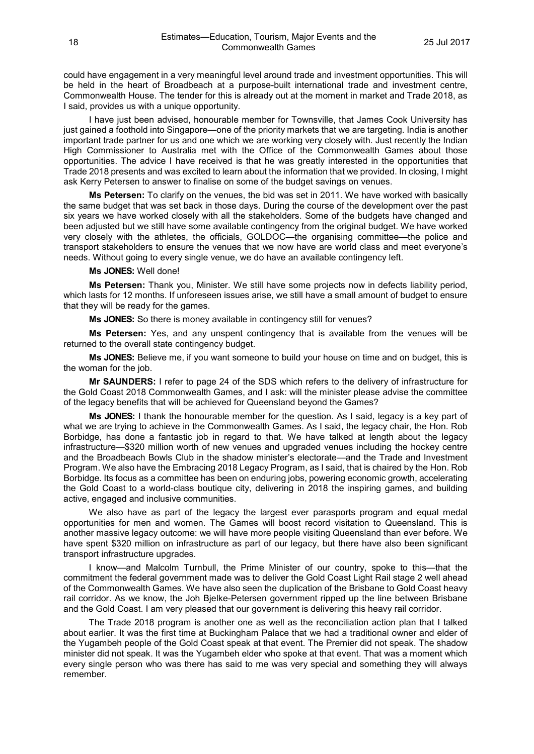could have engagement in a very meaningful level around trade and investment opportunities. This will be held in the heart of Broadbeach at a purpose-built international trade and investment centre, Commonwealth House. The tender for this is already out at the moment in market and Trade 2018, as I said, provides us with a unique opportunity.

I have just been advised, honourable member for Townsville, that James Cook University has just gained a foothold into Singapore—one of the priority markets that we are targeting. India is another important trade partner for us and one which we are working very closely with. Just recently the Indian High Commissioner to Australia met with the Office of the Commonwealth Games about those opportunities. The advice I have received is that he was greatly interested in the opportunities that Trade 2018 presents and was excited to learn about the information that we provided. In closing, I might ask Kerry Petersen to answer to finalise on some of the budget savings on venues.

**Ms Petersen:** To clarify on the venues, the bid was set in 2011. We have worked with basically the same budget that was set back in those days. During the course of the development over the past six years we have worked closely with all the stakeholders. Some of the budgets have changed and been adjusted but we still have some available contingency from the original budget. We have worked very closely with the athletes, the officials, GOLDOC—the organising committee—the police and transport stakeholders to ensure the venues that we now have are world class and meet everyone's needs. Without going to every single venue, we do have an available contingency left.

#### **Ms JONES:** Well done!

**Ms Petersen:** Thank you, Minister. We still have some projects now in defects liability period, which lasts for 12 months. If unforeseen issues arise, we still have a small amount of budget to ensure that they will be ready for the games.

**Ms JONES:** So there is money available in contingency still for venues?

**Ms Petersen:** Yes, and any unspent contingency that is available from the venues will be returned to the overall state contingency budget.

**Ms JONES:** Believe me, if you want someone to build your house on time and on budget, this is the woman for the job.

**Mr SAUNDERS:** I refer to page 24 of the SDS which refers to the delivery of infrastructure for the Gold Coast 2018 Commonwealth Games, and I ask: will the minister please advise the committee of the legacy benefits that will be achieved for Queensland beyond the Games?

**Ms JONES:** I thank the honourable member for the question. As I said, legacy is a key part of what we are trying to achieve in the Commonwealth Games. As I said, the legacy chair, the Hon. Rob Borbidge, has done a fantastic job in regard to that. We have talked at length about the legacy infrastructure—\$320 million worth of new venues and upgraded venues including the hockey centre and the Broadbeach Bowls Club in the shadow minister's electorate—and the Trade and Investment Program. We also have the Embracing 2018 Legacy Program, as I said, that is chaired by the Hon. Rob Borbidge. Its focus as a committee has been on enduring jobs, powering economic growth, accelerating the Gold Coast to a world-class boutique city, delivering in 2018 the inspiring games, and building active, engaged and inclusive communities.

We also have as part of the legacy the largest ever parasports program and equal medal opportunities for men and women. The Games will boost record visitation to Queensland. This is another massive legacy outcome: we will have more people visiting Queensland than ever before. We have spent \$320 million on infrastructure as part of our legacy, but there have also been significant transport infrastructure upgrades.

I know—and Malcolm Turnbull, the Prime Minister of our country, spoke to this—that the commitment the federal government made was to deliver the Gold Coast Light Rail stage 2 well ahead of the Commonwealth Games. We have also seen the duplication of the Brisbane to Gold Coast heavy rail corridor. As we know, the Joh Bjelke-Petersen government ripped up the line between Brisbane and the Gold Coast. I am very pleased that our government is delivering this heavy rail corridor.

The Trade 2018 program is another one as well as the reconciliation action plan that I talked about earlier. It was the first time at Buckingham Palace that we had a traditional owner and elder of the Yugambeh people of the Gold Coast speak at that event. The Premier did not speak. The shadow minister did not speak. It was the Yugambeh elder who spoke at that event. That was a moment which every single person who was there has said to me was very special and something they will always remember.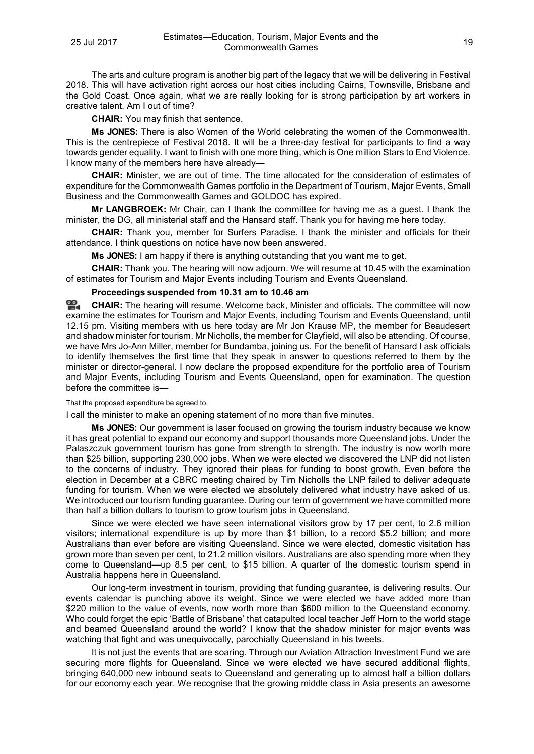The arts and culture program is another big part of the legacy that we will be delivering in Festival 2018. This will have activation right across our host cities including Cairns, Townsville, Brisbane and the Gold Coast. Once again, what we are really looking for is strong participation by art workers in creative talent. Am I out of time?

**CHAIR:** You may finish that sentence.

**Ms JONES:** There is also Women of the World celebrating the women of the Commonwealth. This is the centrepiece of Festival 2018. It will be a three-day festival for participants to find a way towards gender equality. I want to finish with one more thing, which is One million Stars to End Violence. I know many of the members here have already—

**CHAIR:** Minister, we are out of time. The time allocated for the consideration of estimates of expenditure for the Commonwealth Games portfolio in the Department of Tourism, Major Events, Small Business and the Commonwealth Games and GOLDOC has expired.

**Mr LANGBROEK:** Mr Chair, can I thank the committee for having me as a guest. I thank the minister, the DG, all ministerial staff and the Hansard staff. Thank you for having me here today.

**CHAIR:** Thank you, member for Surfers Paradise. I thank the minister and officials for their attendance. I think questions on notice have now been answered.

**Ms JONES:** I am happy if there is anything outstanding that you want me to get.

**CHAIR:** Thank you. The hearing will now adjourn. We will resume at 10.45 with the examination of estimates for Tourism and Major Events including Tourism and Events Queensland.

#### **Proceedings suspended from 10.31 am to 10.46 am**

옆. **[CHAIR:](http://www.parliament.qld.gov.au/docs/find.aspx?id=0Mba20170725_104737)** The hearing will resume. Welcome back, Minister and officials. The committee will now examine the estimates for Tourism and Major Events, including Tourism and Events Queensland, until 12.15 pm. Visiting members with us here today are Mr Jon Krause MP, the member for Beaudesert and shadow minister for tourism. Mr Nicholls, the member for Clayfield, will also be attending. Of course, we have Mrs Jo-Ann Miller, member for Bundamba, joining us. For the benefit of Hansard I ask officials to identify themselves the first time that they speak in answer to questions referred to them by the minister or director-general. I now declare the proposed expenditure for the portfolio area of Tourism and Major Events, including Tourism and Events Queensland, open for examination. The question before the committee is—

That the proposed expenditure be agreed to.

I call the minister to make an opening statement of no more than five minutes.

**Ms JONES:** Our government is laser focused on growing the tourism industry because we know it has great potential to expand our economy and support thousands more Queensland jobs. Under the Palaszczuk government tourism has gone from strength to strength. The industry is now worth more than \$25 billion, supporting 230,000 jobs. When we were elected we discovered the LNP did not listen to the concerns of industry. They ignored their pleas for funding to boost growth. Even before the election in December at a CBRC meeting chaired by Tim Nicholls the LNP failed to deliver adequate funding for tourism. When we were elected we absolutely delivered what industry have asked of us. We introduced our tourism funding guarantee. During our term of government we have committed more than half a billion dollars to tourism to grow tourism jobs in Queensland.

Since we were elected we have seen international visitors grow by 17 per cent, to 2.6 million visitors; international expenditure is up by more than \$1 billion, to a record \$5.2 billion; and more Australians than ever before are visiting Queensland. Since we were elected, domestic visitation has grown more than seven per cent, to 21.2 million visitors. Australians are also spending more when they come to Queensland—up 8.5 per cent, to \$15 billion. A quarter of the domestic tourism spend in Australia happens here in Queensland.

Our long-term investment in tourism, providing that funding guarantee, is delivering results. Our events calendar is punching above its weight. Since we were elected we have added more than \$220 million to the value of events, now worth more than \$600 million to the Queensland economy. Who could forget the epic 'Battle of Brisbane' that catapulted local teacher Jeff Horn to the world stage and beamed Queensland around the world? I know that the shadow minister for major events was watching that fight and was unequivocally, parochially Queensland in his tweets.

It is not just the events that are soaring. Through our Aviation Attraction Investment Fund we are securing more flights for Queensland. Since we were elected we have secured additional flights, bringing 640,000 new inbound seats to Queensland and generating up to almost half a billion dollars for our economy each year. We recognise that the growing middle class in Asia presents an awesome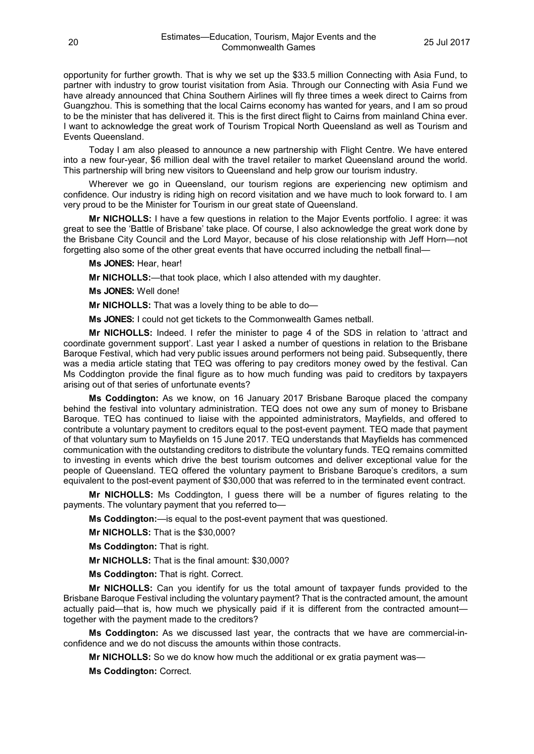opportunity for further growth. That is why we set up the \$33.5 million Connecting with Asia Fund, to partner with industry to grow tourist visitation from Asia. Through our Connecting with Asia Fund we have already announced that China Southern Airlines will fly three times a week direct to Cairns from Guangzhou. This is something that the local Cairns economy has wanted for years, and I am so proud to be the minister that has delivered it. This is the first direct flight to Cairns from mainland China ever. I want to acknowledge the great work of Tourism Tropical North Queensland as well as Tourism and Events Queensland.

Today I am also pleased to announce a new partnership with Flight Centre. We have entered into a new four-year, \$6 million deal with the travel retailer to market Queensland around the world. This partnership will bring new visitors to Queensland and help grow our tourism industry.

Wherever we go in Queensland, our tourism regions are experiencing new optimism and confidence. Our industry is riding high on record visitation and we have much to look forward to. I am very proud to be the Minister for Tourism in our great state of Queensland.

**Mr NICHOLLS:** I have a few questions in relation to the Major Events portfolio. I agree: it was great to see the 'Battle of Brisbane' take place. Of course, I also acknowledge the great work done by the Brisbane City Council and the Lord Mayor, because of his close relationship with Jeff Horn—not forgetting also some of the other great events that have occurred including the netball final—

**Ms JONES:** Hear, hear!

**Mr NICHOLLS:**—that took place, which I also attended with my daughter.

**Ms JONES:** Well done!

**Mr NICHOLLS:** That was a lovely thing to be able to do—

**Ms JONES:** I could not get tickets to the Commonwealth Games netball.

**Mr NICHOLLS:** Indeed. I refer the minister to page 4 of the SDS in relation to 'attract and coordinate government support'. Last year I asked a number of questions in relation to the Brisbane Baroque Festival, which had very public issues around performers not being paid. Subsequently, there was a media article stating that TEQ was offering to pay creditors money owed by the festival. Can Ms Coddington provide the final figure as to how much funding was paid to creditors by taxpayers arising out of that series of unfortunate events?

**Ms Coddington:** As we know, on 16 January 2017 Brisbane Baroque placed the company behind the festival into voluntary administration. TEQ does not owe any sum of money to Brisbane Baroque. TEQ has continued to liaise with the appointed administrators, Mayfields, and offered to contribute a voluntary payment to creditors equal to the post-event payment. TEQ made that payment of that voluntary sum to Mayfields on 15 June 2017. TEQ understands that Mayfields has commenced communication with the outstanding creditors to distribute the voluntary funds. TEQ remains committed to investing in events which drive the best tourism outcomes and deliver exceptional value for the people of Queensland. TEQ offered the voluntary payment to Brisbane Baroque's creditors, a sum equivalent to the post-event payment of \$30,000 that was referred to in the terminated event contract.

**Mr NICHOLLS:** Ms Coddington, I guess there will be a number of figures relating to the payments. The voluntary payment that you referred to—

**Ms Coddington:**—is equal to the post-event payment that was questioned.

**Mr NICHOLLS:** That is the \$30,000?

**Ms Coddington:** That is right.

**Mr NICHOLLS:** That is the final amount: \$30,000?

**Ms Coddington:** That is right. Correct.

**Mr NICHOLLS:** Can you identify for us the total amount of taxpayer funds provided to the Brisbane Baroque Festival including the voluntary payment? That is the contracted amount, the amount actually paid—that is, how much we physically paid if it is different from the contracted amount together with the payment made to the creditors?

**Ms Coddington:** As we discussed last year, the contracts that we have are commercial-inconfidence and we do not discuss the amounts within those contracts.

**Mr NICHOLLS:** So we do know how much the additional or ex gratia payment was—

**Ms Coddington:** Correct.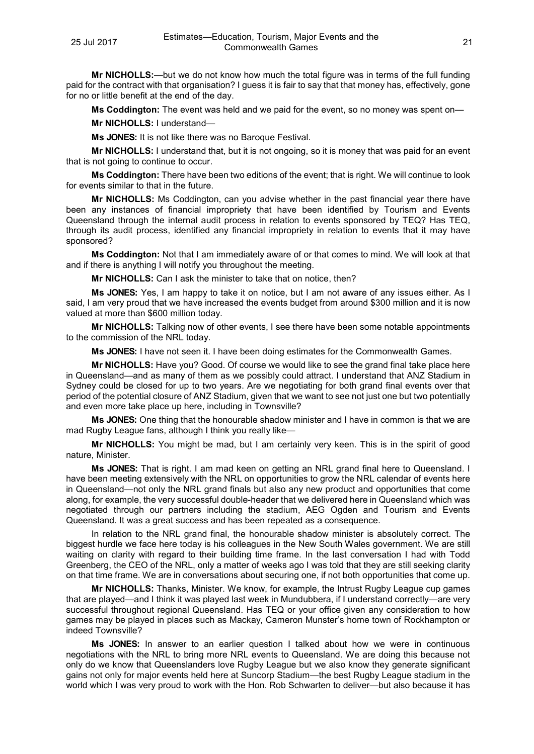**Mr NICHOLLS:**—but we do not know how much the total figure was in terms of the full funding paid for the contract with that organisation? I guess it is fair to say that that money has, effectively, gone for no or little benefit at the end of the day.

**Ms Coddington:** The event was held and we paid for the event, so no money was spent on—

**Mr NICHOLLS:** I understand—

**Ms JONES:** It is not like there was no Baroque Festival.

**Mr NICHOLLS:** I understand that, but it is not ongoing, so it is money that was paid for an event that is not going to continue to occur.

**Ms Coddington:** There have been two editions of the event; that is right. We will continue to look for events similar to that in the future.

**Mr NICHOLLS:** Ms Coddington, can you advise whether in the past financial year there have been any instances of financial impropriety that have been identified by Tourism and Events Queensland through the internal audit process in relation to events sponsored by TEQ? Has TEQ, through its audit process, identified any financial impropriety in relation to events that it may have sponsored?

**Ms Coddington:** Not that I am immediately aware of or that comes to mind. We will look at that and if there is anything I will notify you throughout the meeting.

**Mr NICHOLLS:** Can I ask the minister to take that on notice, then?

**Ms JONES:** Yes, I am happy to take it on notice, but I am not aware of any issues either. As I said, I am very proud that we have increased the events budget from around \$300 million and it is now valued at more than \$600 million today.

**Mr NICHOLLS:** Talking now of other events, I see there have been some notable appointments to the commission of the NRL today.

**Ms JONES:** I have not seen it. I have been doing estimates for the Commonwealth Games.

**Mr NICHOLLS:** Have you? Good. Of course we would like to see the grand final take place here in Queensland—and as many of them as we possibly could attract. I understand that ANZ Stadium in Sydney could be closed for up to two years. Are we negotiating for both grand final events over that period of the potential closure of ANZ Stadium, given that we want to see not just one but two potentially and even more take place up here, including in Townsville?

**Ms JONES:** One thing that the honourable shadow minister and I have in common is that we are mad Rugby League fans, although I think you really like—

**Mr NICHOLLS:** You might be mad, but I am certainly very keen. This is in the spirit of good nature, Minister.

**Ms JONES:** That is right. I am mad keen on getting an NRL grand final here to Queensland. I have been meeting extensively with the NRL on opportunities to grow the NRL calendar of events here in Queensland—not only the NRL grand finals but also any new product and opportunities that come along, for example, the very successful double-header that we delivered here in Queensland which was negotiated through our partners including the stadium, AEG Ogden and Tourism and Events Queensland. It was a great success and has been repeated as a consequence.

In relation to the NRL grand final, the honourable shadow minister is absolutely correct. The biggest hurdle we face here today is his colleagues in the New South Wales government. We are still waiting on clarity with regard to their building time frame. In the last conversation I had with Todd Greenberg, the CEO of the NRL, only a matter of weeks ago I was told that they are still seeking clarity on that time frame. We are in conversations about securing one, if not both opportunities that come up.

**Mr NICHOLLS:** Thanks, Minister. We know, for example, the Intrust Rugby League cup games that are played—and I think it was played last week in Mundubbera, if I understand correctly—are very successful throughout regional Queensland. Has TEQ or your office given any consideration to how games may be played in places such as Mackay, Cameron Munster's home town of Rockhampton or indeed Townsville?

**Ms JONES:** In answer to an earlier question I talked about how we were in continuous negotiations with the NRL to bring more NRL events to Queensland. We are doing this because not only do we know that Queenslanders love Rugby League but we also know they generate significant gains not only for major events held here at Suncorp Stadium—the best Rugby League stadium in the world which I was very proud to work with the Hon. Rob Schwarten to deliver—but also because it has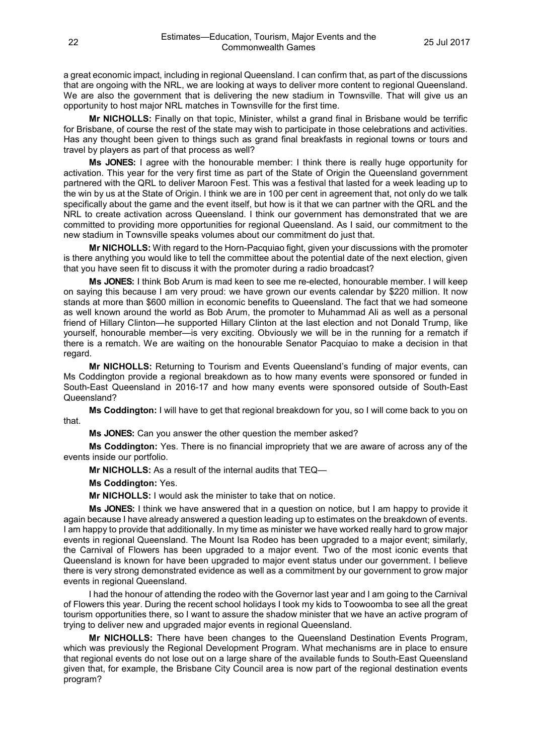a great economic impact, including in regional Queensland. I can confirm that, as part of the discussions that are ongoing with the NRL, we are looking at ways to deliver more content to regional Queensland. We are also the government that is delivering the new stadium in Townsville. That will give us an opportunity to host major NRL matches in Townsville for the first time.

**Mr NICHOLLS:** Finally on that topic, Minister, whilst a grand final in Brisbane would be terrific for Brisbane, of course the rest of the state may wish to participate in those celebrations and activities. Has any thought been given to things such as grand final breakfasts in regional towns or tours and travel by players as part of that process as well?

**Ms JONES:** I agree with the honourable member: I think there is really huge opportunity for activation. This year for the very first time as part of the State of Origin the Queensland government partnered with the QRL to deliver Maroon Fest. This was a festival that lasted for a week leading up to the win by us at the State of Origin. I think we are in 100 per cent in agreement that, not only do we talk specifically about the game and the event itself, but how is it that we can partner with the QRL and the NRL to create activation across Queensland. I think our government has demonstrated that we are committed to providing more opportunities for regional Queensland. As I said, our commitment to the new stadium in Townsville speaks volumes about our commitment do just that.

**Mr NICHOLLS:** With regard to the Horn-Pacquiao fight, given your discussions with the promoter is there anything you would like to tell the committee about the potential date of the next election, given that you have seen fit to discuss it with the promoter during a radio broadcast?

**Ms JONES:** I think Bob Arum is mad keen to see me re-elected, honourable member. I will keep on saying this because I am very proud: we have grown our events calendar by \$220 million. It now stands at more than \$600 million in economic benefits to Queensland. The fact that we had someone as well known around the world as Bob Arum, the promoter to Muhammad Ali as well as a personal friend of Hillary Clinton—he supported Hillary Clinton at the last election and not Donald Trump, like yourself, honourable member—is very exciting. Obviously we will be in the running for a rematch if there is a rematch. We are waiting on the honourable Senator Pacquiao to make a decision in that regard.

**Mr NICHOLLS:** Returning to Tourism and Events Queensland's funding of major events, can Ms Coddington provide a regional breakdown as to how many events were sponsored or funded in South-East Queensland in 2016-17 and how many events were sponsored outside of South-East Queensland?

**Ms Coddington:** I will have to get that regional breakdown for you, so I will come back to you on that.

**Ms JONES:** Can you answer the other question the member asked?

**Ms Coddington:** Yes. There is no financial impropriety that we are aware of across any of the events inside our portfolio.

**Mr NICHOLLS:** As a result of the internal audits that TEQ—

**Ms Coddington:** Yes.

**Mr NICHOLLS:** I would ask the minister to take that on notice.

**Ms JONES:** I think we have answered that in a question on notice, but I am happy to provide it again because I have already answered a question leading up to estimates on the breakdown of events. I am happy to provide that additionally. In my time as minister we have worked really hard to grow major events in regional Queensland. The Mount Isa Rodeo has been upgraded to a major event; similarly, the Carnival of Flowers has been upgraded to a major event. Two of the most iconic events that Queensland is known for have been upgraded to major event status under our government. I believe there is very strong demonstrated evidence as well as a commitment by our government to grow major events in regional Queensland.

I had the honour of attending the rodeo with the Governor last year and I am going to the Carnival of Flowers this year. During the recent school holidays I took my kids to Toowoomba to see all the great tourism opportunities there, so I want to assure the shadow minister that we have an active program of trying to deliver new and upgraded major events in regional Queensland.

**Mr NICHOLLS:** There have been changes to the Queensland Destination Events Program, which was previously the Regional Development Program. What mechanisms are in place to ensure that regional events do not lose out on a large share of the available funds to South-East Queensland given that, for example, the Brisbane City Council area is now part of the regional destination events program?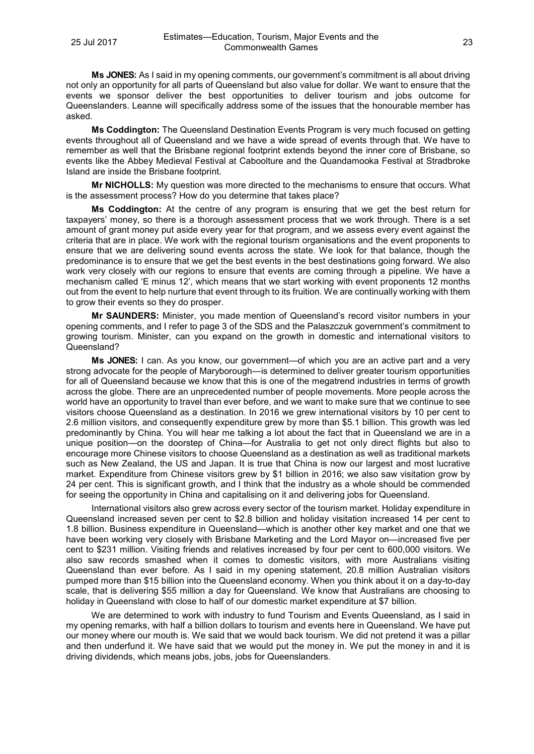**Ms JONES:** As I said in my opening comments, our government's commitment is all about driving not only an opportunity for all parts of Queensland but also value for dollar. We want to ensure that the events we sponsor deliver the best opportunities to deliver tourism and jobs outcome for Queenslanders. Leanne will specifically address some of the issues that the honourable member has asked.

**Ms Coddington:** The Queensland Destination Events Program is very much focused on getting events throughout all of Queensland and we have a wide spread of events through that. We have to remember as well that the Brisbane regional footprint extends beyond the inner core of Brisbane, so events like the Abbey Medieval Festival at Caboolture and the Quandamooka Festival at Stradbroke Island are inside the Brisbane footprint.

**Mr NICHOLLS:** My question was more directed to the mechanisms to ensure that occurs. What is the assessment process? How do you determine that takes place?

**Ms Coddington:** At the centre of any program is ensuring that we get the best return for taxpayers' money, so there is a thorough assessment process that we work through. There is a set amount of grant money put aside every year for that program, and we assess every event against the criteria that are in place. We work with the regional tourism organisations and the event proponents to ensure that we are delivering sound events across the state. We look for that balance, though the predominance is to ensure that we get the best events in the best destinations going forward. We also work very closely with our regions to ensure that events are coming through a pipeline. We have a mechanism called 'E minus 12', which means that we start working with event proponents 12 months out from the event to help nurture that event through to its fruition. We are continually working with them to grow their events so they do prosper.

**Mr SAUNDERS:** Minister, you made mention of Queensland's record visitor numbers in your opening comments, and I refer to page 3 of the SDS and the Palaszczuk government's commitment to growing tourism. Minister, can you expand on the growth in domestic and international visitors to Queensland?

**Ms JONES:** I can. As you know, our government—of which you are an active part and a very strong advocate for the people of Maryborough—is determined to deliver greater tourism opportunities for all of Queensland because we know that this is one of the megatrend industries in terms of growth across the globe. There are an unprecedented number of people movements. More people across the world have an opportunity to travel than ever before, and we want to make sure that we continue to see visitors choose Queensland as a destination. In 2016 we grew international visitors by 10 per cent to 2.6 million visitors, and consequently expenditure grew by more than \$5.1 billion. This growth was led predominantly by China. You will hear me talking a lot about the fact that in Queensland we are in a unique position—on the doorstep of China—for Australia to get not only direct flights but also to encourage more Chinese visitors to choose Queensland as a destination as well as traditional markets such as New Zealand, the US and Japan. It is true that China is now our largest and most lucrative market. Expenditure from Chinese visitors grew by \$1 billion in 2016; we also saw visitation grow by 24 per cent. This is significant growth, and I think that the industry as a whole should be commended for seeing the opportunity in China and capitalising on it and delivering jobs for Queensland.

International visitors also grew across every sector of the tourism market. Holiday expenditure in Queensland increased seven per cent to \$2.8 billion and holiday visitation increased 14 per cent to 1.8 billion. Business expenditure in Queensland—which is another other key market and one that we have been working very closely with Brisbane Marketing and the Lord Mayor on—increased five per cent to \$231 million. Visiting friends and relatives increased by four per cent to 600,000 visitors. We also saw records smashed when it comes to domestic visitors, with more Australians visiting Queensland than ever before. As I said in my opening statement, 20.8 million Australian visitors pumped more than \$15 billion into the Queensland economy. When you think about it on a day-to-day scale, that is delivering \$55 million a day for Queensland. We know that Australians are choosing to holiday in Queensland with close to half of our domestic market expenditure at \$7 billion.

We are determined to work with industry to fund Tourism and Events Queensland, as I said in my opening remarks, with half a billion dollars to tourism and events here in Queensland. We have put our money where our mouth is. We said that we would back tourism. We did not pretend it was a pillar and then underfund it. We have said that we would put the money in. We put the money in and it is driving dividends, which means jobs, jobs, jobs for Queenslanders.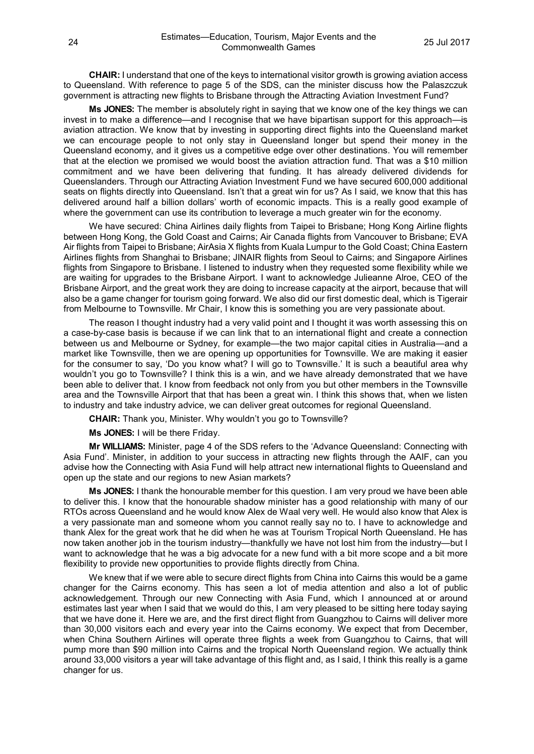**CHAIR:** I understand that one of the keys to international visitor growth is growing aviation access to Queensland. With reference to page 5 of the SDS, can the minister discuss how the Palaszczuk government is attracting new flights to Brisbane through the Attracting Aviation Investment Fund?

**Ms JONES:** The member is absolutely right in saying that we know one of the key things we can invest in to make a difference—and I recognise that we have bipartisan support for this approach—is aviation attraction. We know that by investing in supporting direct flights into the Queensland market we can encourage people to not only stay in Queensland longer but spend their money in the Queensland economy, and it gives us a competitive edge over other destinations. You will remember that at the election we promised we would boost the aviation attraction fund. That was a \$10 million commitment and we have been delivering that funding. It has already delivered dividends for Queenslanders. Through our Attracting Aviation Investment Fund we have secured 600,000 additional seats on flights directly into Queensland. Isn't that a great win for us? As I said, we know that this has delivered around half a billion dollars' worth of economic impacts. This is a really good example of where the government can use its contribution to leverage a much greater win for the economy.

We have secured: China Airlines daily flights from Taipei to Brisbane; Hong Kong Airline flights between Hong Kong, the Gold Coast and Cairns; Air Canada flights from Vancouver to Brisbane; EVA Air flights from Taipei to Brisbane; AirAsia X flights from Kuala Lumpur to the Gold Coast; China Eastern Airlines flights from Shanghai to Brisbane; JINAIR flights from Seoul to Cairns; and Singapore Airlines flights from Singapore to Brisbane. I listened to industry when they requested some flexibility while we are waiting for upgrades to the Brisbane Airport. I want to acknowledge Julieanne Alroe, CEO of the Brisbane Airport, and the great work they are doing to increase capacity at the airport, because that will also be a game changer for tourism going forward. We also did our first domestic deal, which is Tigerair from Melbourne to Townsville. Mr Chair, I know this is something you are very passionate about.

The reason I thought industry had a very valid point and I thought it was worth assessing this on a case-by-case basis is because if we can link that to an international flight and create a connection between us and Melbourne or Sydney, for example—the two major capital cities in Australia—and a market like Townsville, then we are opening up opportunities for Townsville. We are making it easier for the consumer to say, 'Do you know what? I will go to Townsville.' It is such a beautiful area why wouldn't you go to Townsville? I think this is a win, and we have already demonstrated that we have been able to deliver that. I know from feedback not only from you but other members in the Townsville area and the Townsville Airport that that has been a great win. I think this shows that, when we listen to industry and take industry advice, we can deliver great outcomes for regional Queensland.

**CHAIR:** Thank you, Minister. Why wouldn't you go to Townsville?

**Ms JONES:** I will be there Friday.

**Mr WILLIAMS:** Minister, page 4 of the SDS refers to the 'Advance Queensland: Connecting with Asia Fund'. Minister, in addition to your success in attracting new flights through the AAIF, can you advise how the Connecting with Asia Fund will help attract new international flights to Queensland and open up the state and our regions to new Asian markets?

**Ms JONES:** I thank the honourable member for this question. I am very proud we have been able to deliver this. I know that the honourable shadow minister has a good relationship with many of our RTOs across Queensland and he would know Alex de Waal very well. He would also know that Alex is a very passionate man and someone whom you cannot really say no to. I have to acknowledge and thank Alex for the great work that he did when he was at Tourism Tropical North Queensland. He has now taken another job in the tourism industry—thankfully we have not lost him from the industry—but I want to acknowledge that he was a big advocate for a new fund with a bit more scope and a bit more flexibility to provide new opportunities to provide flights directly from China.

We knew that if we were able to secure direct flights from China into Cairns this would be a game changer for the Cairns economy. This has seen a lot of media attention and also a lot of public acknowledgement. Through our new Connecting with Asia Fund, which I announced at or around estimates last year when I said that we would do this, I am very pleased to be sitting here today saying that we have done it. Here we are, and the first direct flight from Guangzhou to Cairns will deliver more than 30,000 visitors each and every year into the Cairns economy. We expect that from December, when China Southern Airlines will operate three flights a week from Guangzhou to Cairns, that will pump more than \$90 million into Cairns and the tropical North Queensland region. We actually think around 33,000 visitors a year will take advantage of this flight and, as I said, I think this really is a game changer for us.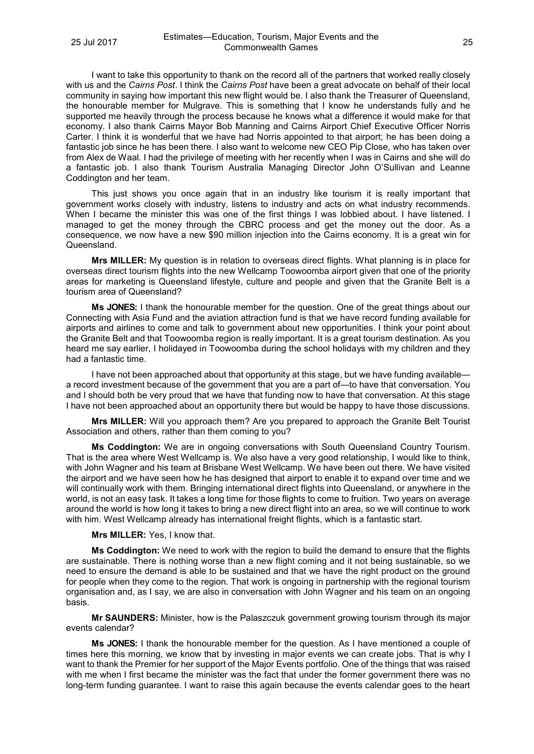I want to take this opportunity to thank on the record all of the partners that worked really closely with us and the *Cairns Post*. I think the *Cairns Post* have been a great advocate on behalf of their local community in saying how important this new flight would be. I also thank the Treasurer of Queensland, the honourable member for Mulgrave. This is something that I know he understands fully and he supported me heavily through the process because he knows what a difference it would make for that economy. I also thank Cairns Mayor Bob Manning and Cairns Airport Chief Executive Officer Norris Carter. I think it is wonderful that we have had Norris appointed to that airport; he has been doing a fantastic job since he has been there. I also want to welcome new CEO Pip Close, who has taken over from Alex de Waal. I had the privilege of meeting with her recently when I was in Cairns and she will do a fantastic job. I also thank Tourism Australia Managing Director John O'Sullivan and Leanne Coddington and her team.

This just shows you once again that in an industry like tourism it is really important that government works closely with industry, listens to industry and acts on what industry recommends. When I became the minister this was one of the first things I was lobbied about. I have listened. I managed to get the money through the CBRC process and get the money out the door. As a consequence, we now have a new \$90 million injection into the Cairns economy. It is a great win for Queensland.

**Mrs MILLER:** My question is in relation to overseas direct flights. What planning is in place for overseas direct tourism flights into the new Wellcamp Toowoomba airport given that one of the priority areas for marketing is Queensland lifestyle, culture and people and given that the Granite Belt is a tourism area of Queensland?

**Ms JONES:** I thank the honourable member for the question. One of the great things about our Connecting with Asia Fund and the aviation attraction fund is that we have record funding available for airports and airlines to come and talk to government about new opportunities. I think your point about the Granite Belt and that Toowoomba region is really important. It is a great tourism destination. As you heard me say earlier, I holidayed in Toowoomba during the school holidays with my children and they had a fantastic time.

I have not been approached about that opportunity at this stage, but we have funding available a record investment because of the government that you are a part of—to have that conversation. You and I should both be very proud that we have that funding now to have that conversation. At this stage I have not been approached about an opportunity there but would be happy to have those discussions.

**Mrs MILLER:** Will you approach them? Are you prepared to approach the Granite Belt Tourist Association and others, rather than them coming to you?

**Ms Coddington:** We are in ongoing conversations with South Queensland Country Tourism. That is the area where West Wellcamp is. We also have a very good relationship, I would like to think, with John Wagner and his team at Brisbane West Wellcamp. We have been out there. We have visited the airport and we have seen how he has designed that airport to enable it to expand over time and we will continually work with them. Bringing international direct flights into Queensland, or anywhere in the world, is not an easy task. It takes a long time for those flights to come to fruition. Two years on average around the world is how long it takes to bring a new direct flight into an area, so we will continue to work with him. West Wellcamp already has international freight flights, which is a fantastic start.

#### **Mrs MILLER:** Yes, I know that.

**Ms Coddington:** We need to work with the region to build the demand to ensure that the flights are sustainable. There is nothing worse than a new flight coming and it not being sustainable, so we need to ensure the demand is able to be sustained and that we have the right product on the ground for people when they come to the region. That work is ongoing in partnership with the regional tourism organisation and, as I say, we are also in conversation with John Wagner and his team on an ongoing basis.

**Mr SAUNDERS:** Minister, how is the Palaszczuk government growing tourism through its major events calendar?

**Ms JONES:** I thank the honourable member for the question. As I have mentioned a couple of times here this morning, we know that by investing in major events we can create jobs. That is why I want to thank the Premier for her support of the Major Events portfolio. One of the things that was raised with me when I first became the minister was the fact that under the former government there was no long-term funding guarantee. I want to raise this again because the events calendar goes to the heart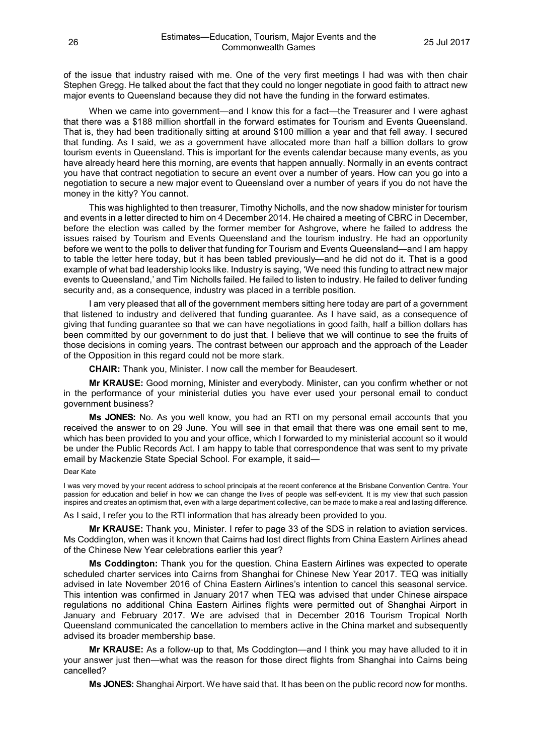of the issue that industry raised with me. One of the very first meetings I had was with then chair Stephen Gregg. He talked about the fact that they could no longer negotiate in good faith to attract new major events to Queensland because they did not have the funding in the forward estimates.

When we came into government—and I know this for a fact—the Treasurer and I were aghast that there was a \$188 million shortfall in the forward estimates for Tourism and Events Queensland. That is, they had been traditionally sitting at around \$100 million a year and that fell away. I secured that funding. As I said, we as a government have allocated more than half a billion dollars to grow tourism events in Queensland. This is important for the events calendar because many events, as you have already heard here this morning, are events that happen annually. Normally in an events contract you have that contract negotiation to secure an event over a number of years. How can you go into a negotiation to secure a new major event to Queensland over a number of years if you do not have the money in the kitty? You cannot.

This was highlighted to then treasurer, Timothy Nicholls, and the now shadow minister for tourism and events in a letter directed to him on 4 December 2014. He chaired a meeting of CBRC in December, before the election was called by the former member for Ashgrove, where he failed to address the issues raised by Tourism and Events Queensland and the tourism industry. He had an opportunity before we went to the polls to deliver that funding for Tourism and Events Queensland—and I am happy to table the letter here today, but it has been tabled previously—and he did not do it. That is a good example of what bad leadership looks like. Industry is saying, 'We need this funding to attract new major events to Queensland,' and Tim Nicholls failed. He failed to listen to industry. He failed to deliver funding security and, as a consequence, industry was placed in a terrible position.

I am very pleased that all of the government members sitting here today are part of a government that listened to industry and delivered that funding guarantee. As I have said, as a consequence of giving that funding guarantee so that we can have negotiations in good faith, half a billion dollars has been committed by our government to do just that. I believe that we will continue to see the fruits of those decisions in coming years. The contrast between our approach and the approach of the Leader of the Opposition in this regard could not be more stark.

**CHAIR:** Thank you, Minister. I now call the member for Beaudesert.

**Mr KRAUSE:** Good morning, Minister and everybody. Minister, can you confirm whether or not in the performance of your ministerial duties you have ever used your personal email to conduct government business?

**Ms JONES:** No. As you well know, you had an RTI on my personal email accounts that you received the answer to on 29 June. You will see in that email that there was one email sent to me, which has been provided to you and your office, which I forwarded to my ministerial account so it would be under the Public Records Act. I am happy to table that correspondence that was sent to my private email by Mackenzie State Special School. For example, it said—

#### Dear Kate

I was very moved by your recent address to school principals at the recent conference at the Brisbane Convention Centre. Your passion for education and belief in how we can change the lives of people was self-evident. It is my view that such passion inspires and creates an optimism that, even with a large department collective, can be made to make a real and lasting difference.

As I said, I refer you to the RTI information that has already been provided to you.

**Mr KRAUSE:** Thank you, Minister. I refer to page 33 of the SDS in relation to aviation services. Ms Coddington, when was it known that Cairns had lost direct flights from China Eastern Airlines ahead of the Chinese New Year celebrations earlier this year?

**Ms Coddington:** Thank you for the question. China Eastern Airlines was expected to operate scheduled charter services into Cairns from Shanghai for Chinese New Year 2017. TEQ was initially advised in late November 2016 of China Eastern Airlines's intention to cancel this seasonal service. This intention was confirmed in January 2017 when TEQ was advised that under Chinese airspace regulations no additional China Eastern Airlines flights were permitted out of Shanghai Airport in January and February 2017. We are advised that in December 2016 Tourism Tropical North Queensland communicated the cancellation to members active in the China market and subsequently advised its broader membership base.

**Mr KRAUSE:** As a follow-up to that, Ms Coddington—and I think you may have alluded to it in your answer just then—what was the reason for those direct flights from Shanghai into Cairns being cancelled?

**Ms JONES:** Shanghai Airport. We have said that. It has been on the public record now for months.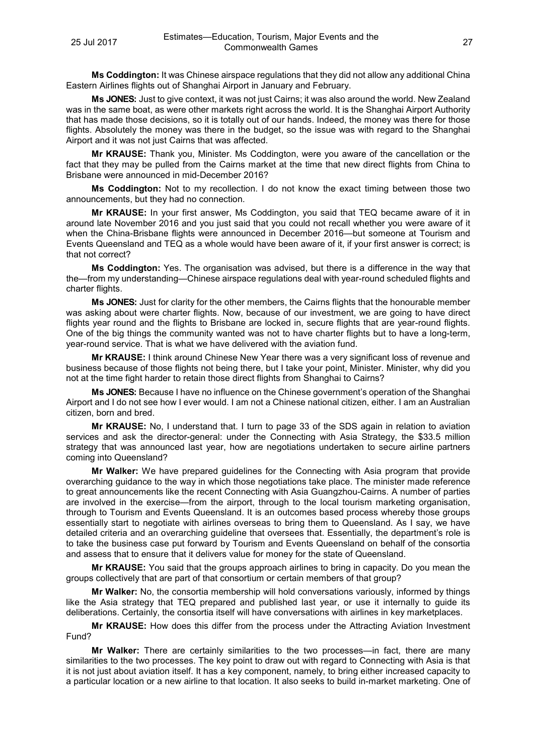**Ms Coddington:** It was Chinese airspace regulations that they did not allow any additional China Eastern Airlines flights out of Shanghai Airport in January and February.

**Ms JONES:** Just to give context, it was not just Cairns; it was also around the world. New Zealand was in the same boat, as were other markets right across the world. It is the Shanghai Airport Authority that has made those decisions, so it is totally out of our hands. Indeed, the money was there for those flights. Absolutely the money was there in the budget, so the issue was with regard to the Shanghai Airport and it was not just Cairns that was affected.

**Mr KRAUSE:** Thank you, Minister. Ms Coddington, were you aware of the cancellation or the fact that they may be pulled from the Cairns market at the time that new direct flights from China to Brisbane were announced in mid-December 2016?

**Ms Coddington:** Not to my recollection. I do not know the exact timing between those two announcements, but they had no connection.

**Mr KRAUSE:** In your first answer, Ms Coddington, you said that TEQ became aware of it in around late November 2016 and you just said that you could not recall whether you were aware of it when the China-Brisbane flights were announced in December 2016—but someone at Tourism and Events Queensland and TEQ as a whole would have been aware of it, if your first answer is correct; is that not correct?

**Ms Coddington:** Yes. The organisation was advised, but there is a difference in the way that the—from my understanding—Chinese airspace regulations deal with year-round scheduled flights and charter flights.

**Ms JONES:** Just for clarity for the other members, the Cairns flights that the honourable member was asking about were charter flights. Now, because of our investment, we are going to have direct flights year round and the flights to Brisbane are locked in, secure flights that are year-round flights. One of the big things the community wanted was not to have charter flights but to have a long-term, year-round service. That is what we have delivered with the aviation fund.

**Mr KRAUSE:** I think around Chinese New Year there was a very significant loss of revenue and business because of those flights not being there, but I take your point, Minister. Minister, why did you not at the time fight harder to retain those direct flights from Shanghai to Cairns?

**Ms JONES:** Because I have no influence on the Chinese government's operation of the Shanghai Airport and I do not see how I ever would. I am not a Chinese national citizen, either. I am an Australian citizen, born and bred.

**Mr KRAUSE:** No, I understand that. I turn to page 33 of the SDS again in relation to aviation services and ask the director-general: under the Connecting with Asia Strategy, the \$33.5 million strategy that was announced last year, how are negotiations undertaken to secure airline partners coming into Queensland?

**Mr Walker:** We have prepared guidelines for the Connecting with Asia program that provide overarching guidance to the way in which those negotiations take place. The minister made reference to great announcements like the recent Connecting with Asia Guangzhou-Cairns. A number of parties are involved in the exercise—from the airport, through to the local tourism marketing organisation, through to Tourism and Events Queensland. It is an outcomes based process whereby those groups essentially start to negotiate with airlines overseas to bring them to Queensland. As I say, we have detailed criteria and an overarching guideline that oversees that. Essentially, the department's role is to take the business case put forward by Tourism and Events Queensland on behalf of the consortia and assess that to ensure that it delivers value for money for the state of Queensland.

**Mr KRAUSE:** You said that the groups approach airlines to bring in capacity. Do you mean the groups collectively that are part of that consortium or certain members of that group?

**Mr Walker:** No, the consortia membership will hold conversations variously, informed by things like the Asia strategy that TEQ prepared and published last year, or use it internally to guide its deliberations. Certainly, the consortia itself will have conversations with airlines in key marketplaces.

**Mr KRAUSE:** How does this differ from the process under the Attracting Aviation Investment Fund?

**Mr Walker:** There are certainly similarities to the two processes—in fact, there are many similarities to the two processes. The key point to draw out with regard to Connecting with Asia is that it is not just about aviation itself. It has a key component, namely, to bring either increased capacity to a particular location or a new airline to that location. It also seeks to build in-market marketing. One of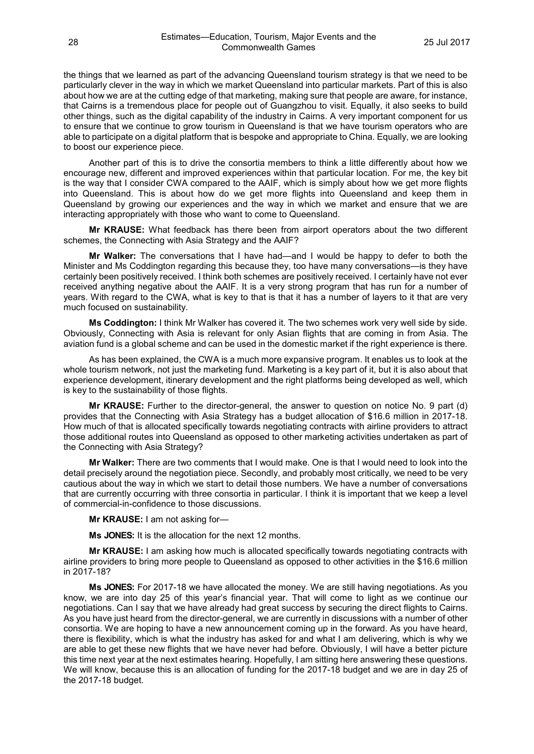the things that we learned as part of the advancing Queensland tourism strategy is that we need to be particularly clever in the way in which we market Queensland into particular markets. Part of this is also about how we are at the cutting edge of that marketing, making sure that people are aware, for instance, that Cairns is a tremendous place for people out of Guangzhou to visit. Equally, it also seeks to build other things, such as the digital capability of the industry in Cairns. A very important component for us to ensure that we continue to grow tourism in Queensland is that we have tourism operators who are able to participate on a digital platform that is bespoke and appropriate to China. Equally, we are looking to boost our experience piece.

Another part of this is to drive the consortia members to think a little differently about how we encourage new, different and improved experiences within that particular location. For me, the key bit is the way that I consider CWA compared to the AAIF, which is simply about how we get more flights into Queensland. This is about how do we get more flights into Queensland and keep them in Queensland by growing our experiences and the way in which we market and ensure that we are interacting appropriately with those who want to come to Queensland.

**Mr KRAUSE:** What feedback has there been from airport operators about the two different schemes, the Connecting with Asia Strategy and the AAIF?

**Mr Walker:** The conversations that I have had—and I would be happy to defer to both the Minister and Ms Coddington regarding this because they, too have many conversations—is they have certainly been positively received. I think both schemes are positively received. I certainly have not ever received anything negative about the AAIF. It is a very strong program that has run for a number of years. With regard to the CWA, what is key to that is that it has a number of layers to it that are very much focused on sustainability.

**Ms Coddington:** I think Mr Walker has covered it. The two schemes work very well side by side. Obviously, Connecting with Asia is relevant for only Asian flights that are coming in from Asia. The aviation fund is a global scheme and can be used in the domestic market if the right experience is there.

As has been explained, the CWA is a much more expansive program. It enables us to look at the whole tourism network, not just the marketing fund. Marketing is a key part of it, but it is also about that experience development, itinerary development and the right platforms being developed as well, which is key to the sustainability of those flights.

**Mr KRAUSE:** Further to the director-general, the answer to question on notice No. 9 part (d) provides that the Connecting with Asia Strategy has a budget allocation of \$16.6 million in 2017-18. How much of that is allocated specifically towards negotiating contracts with airline providers to attract those additional routes into Queensland as opposed to other marketing activities undertaken as part of the Connecting with Asia Strategy?

**Mr Walker:** There are two comments that I would make. One is that I would need to look into the detail precisely around the negotiation piece. Secondly, and probably most critically, we need to be very cautious about the way in which we start to detail those numbers. We have a number of conversations that are currently occurring with three consortia in particular. I think it is important that we keep a level of commercial-in-confidence to those discussions.

**Mr KRAUSE:** I am not asking for—

**Ms JONES:** It is the allocation for the next 12 months.

**Mr KRAUSE:** I am asking how much is allocated specifically towards negotiating contracts with airline providers to bring more people to Queensland as opposed to other activities in the \$16.6 million in 2017-18?

**Ms JONES:** For 2017-18 we have allocated the money. We are still having negotiations. As you know, we are into day 25 of this year's financial year. That will come to light as we continue our negotiations. Can I say that we have already had great success by securing the direct flights to Cairns. As you have just heard from the director-general, we are currently in discussions with a number of other consortia. We are hoping to have a new announcement coming up in the forward. As you have heard, there is flexibility, which is what the industry has asked for and what I am delivering, which is why we are able to get these new flights that we have never had before. Obviously, I will have a better picture this time next year at the next estimates hearing. Hopefully, I am sitting here answering these questions. We will know, because this is an allocation of funding for the 2017-18 budget and we are in day 25 of the 2017-18 budget.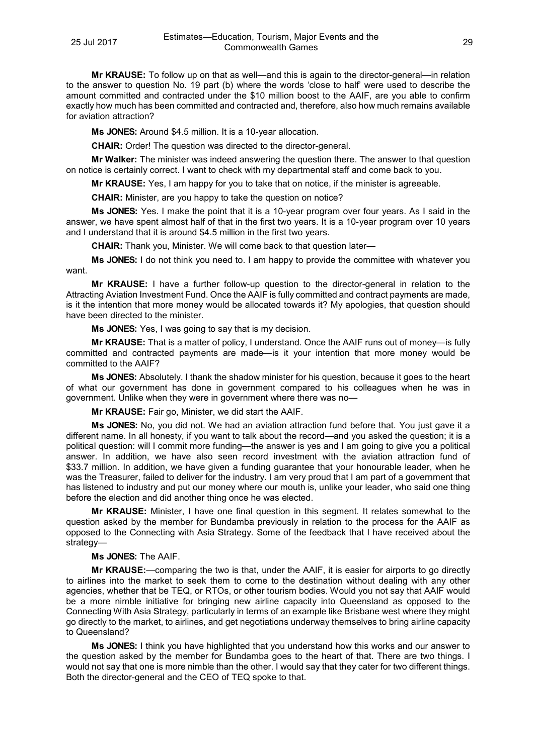**Mr KRAUSE:** To follow up on that as well—and this is again to the director-general—in relation to the answer to question No. 19 part (b) where the words 'close to half' were used to describe the amount committed and contracted under the \$10 million boost to the AAIF, are you able to confirm exactly how much has been committed and contracted and, therefore, also how much remains available for aviation attraction?

**Ms JONES:** Around \$4.5 million. It is a 10-year allocation.

**CHAIR:** Order! The question was directed to the director-general.

**Mr Walker:** The minister was indeed answering the question there. The answer to that question on notice is certainly correct. I want to check with my departmental staff and come back to you.

**Mr KRAUSE:** Yes, I am happy for you to take that on notice, if the minister is agreeable.

**CHAIR:** Minister, are you happy to take the question on notice?

**Ms JONES:** Yes. I make the point that it is a 10-year program over four years. As I said in the answer, we have spent almost half of that in the first two years. It is a 10-year program over 10 years and I understand that it is around \$4.5 million in the first two years.

**CHAIR:** Thank you, Minister. We will come back to that question later—

**Ms JONES:** I do not think you need to. I am happy to provide the committee with whatever you want.

**Mr KRAUSE:** I have a further follow-up question to the director-general in relation to the Attracting Aviation Investment Fund. Once the AAIF is fully committed and contract payments are made, is it the intention that more money would be allocated towards it? My apologies, that question should have been directed to the minister.

**Ms JONES:** Yes, I was going to say that is my decision.

**Mr KRAUSE:** That is a matter of policy, I understand. Once the AAIF runs out of money—is fully committed and contracted payments are made—is it your intention that more money would be committed to the AAIF?

**Ms JONES:** Absolutely. I thank the shadow minister for his question, because it goes to the heart of what our government has done in government compared to his colleagues when he was in government. Unlike when they were in government where there was no—

**Mr KRAUSE:** Fair go, Minister, we did start the AAIF.

**Ms JONES:** No, you did not. We had an aviation attraction fund before that. You just gave it a different name. In all honesty, if you want to talk about the record—and you asked the question; it is a political question: will I commit more funding—the answer is yes and I am going to give you a political answer. In addition, we have also seen record investment with the aviation attraction fund of \$33.7 million. In addition, we have given a funding guarantee that your honourable leader, when he was the Treasurer, failed to deliver for the industry. I am very proud that I am part of a government that has listened to industry and put our money where our mouth is, unlike your leader, who said one thing before the election and did another thing once he was elected.

**Mr KRAUSE:** Minister, I have one final question in this segment. It relates somewhat to the question asked by the member for Bundamba previously in relation to the process for the AAIF as opposed to the Connecting with Asia Strategy. Some of the feedback that I have received about the strategy—

#### **Ms JONES:** The AAIF.

**Mr KRAUSE:**—comparing the two is that, under the AAIF, it is easier for airports to go directly to airlines into the market to seek them to come to the destination without dealing with any other agencies, whether that be TEQ, or RTOs, or other tourism bodies. Would you not say that AAIF would be a more nimble initiative for bringing new airline capacity into Queensland as opposed to the Connecting With Asia Strategy, particularly in terms of an example like Brisbane west where they might go directly to the market, to airlines, and get negotiations underway themselves to bring airline capacity to Queensland?

**Ms JONES:** I think you have highlighted that you understand how this works and our answer to the question asked by the member for Bundamba goes to the heart of that. There are two things. I would not say that one is more nimble than the other. I would say that they cater for two different things. Both the director-general and the CEO of TEQ spoke to that.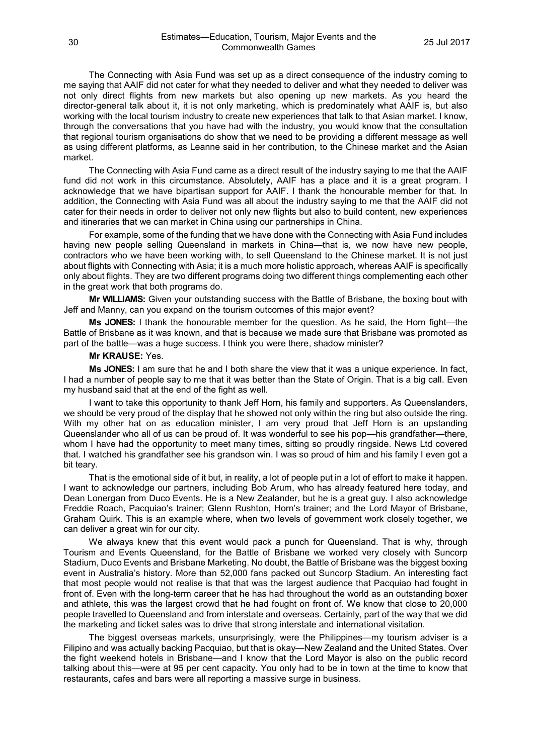The Connecting with Asia Fund was set up as a direct consequence of the industry coming to me saying that AAIF did not cater for what they needed to deliver and what they needed to deliver was not only direct flights from new markets but also opening up new markets. As you heard the director-general talk about it, it is not only marketing, which is predominately what AAIF is, but also working with the local tourism industry to create new experiences that talk to that Asian market. I know, through the conversations that you have had with the industry, you would know that the consultation that regional tourism organisations do show that we need to be providing a different message as well as using different platforms, as Leanne said in her contribution, to the Chinese market and the Asian market.

The Connecting with Asia Fund came as a direct result of the industry saying to me that the AAIF fund did not work in this circumstance. Absolutely, AAIF has a place and it is a great program. I acknowledge that we have bipartisan support for AAIF. I thank the honourable member for that. In addition, the Connecting with Asia Fund was all about the industry saying to me that the AAIF did not cater for their needs in order to deliver not only new flights but also to build content, new experiences and itineraries that we can market in China using our partnerships in China.

For example, some of the funding that we have done with the Connecting with Asia Fund includes having new people selling Queensland in markets in China—that is, we now have new people, contractors who we have been working with, to sell Queensland to the Chinese market. It is not just about flights with Connecting with Asia; it is a much more holistic approach, whereas AAIF is specifically only about flights. They are two different programs doing two different things complementing each other in the great work that both programs do.

**Mr WILLIAMS:** Given your outstanding success with the Battle of Brisbane, the boxing bout with Jeff and Manny, can you expand on the tourism outcomes of this major event?

**Ms JONES:** I thank the honourable member for the question. As he said, the Horn fight—the Battle of Brisbane as it was known, and that is because we made sure that Brisbane was promoted as part of the battle—was a huge success. I think you were there, shadow minister?

#### **Mr KRAUSE:** Yes.

**Ms JONES:** I am sure that he and I both share the view that it was a unique experience. In fact, I had a number of people say to me that it was better than the State of Origin. That is a big call. Even my husband said that at the end of the fight as well.

I want to take this opportunity to thank Jeff Horn, his family and supporters. As Queenslanders, we should be very proud of the display that he showed not only within the ring but also outside the ring. With my other hat on as education minister, I am very proud that Jeff Horn is an upstanding Queenslander who all of us can be proud of. It was wonderful to see his pop—his grandfather—there, whom I have had the opportunity to meet many times, sitting so proudly ringside. News Ltd covered that. I watched his grandfather see his grandson win. I was so proud of him and his family I even got a bit teary.

That is the emotional side of it but, in reality, a lot of people put in a lot of effort to make it happen. I want to acknowledge our partners, including Bob Arum, who has already featured here today, and Dean Lonergan from Duco Events. He is a New Zealander, but he is a great guy. I also acknowledge Freddie Roach, Pacquiao's trainer; Glenn Rushton, Horn's trainer; and the Lord Mayor of Brisbane, Graham Quirk. This is an example where, when two levels of government work closely together, we can deliver a great win for our city.

We always knew that this event would pack a punch for Queensland. That is why, through Tourism and Events Queensland, for the Battle of Brisbane we worked very closely with Suncorp Stadium, Duco Events and Brisbane Marketing. No doubt, the Battle of Brisbane was the biggest boxing event in Australia's history. More than 52,000 fans packed out Suncorp Stadium. An interesting fact that most people would not realise is that that was the largest audience that Pacquiao had fought in front of. Even with the long-term career that he has had throughout the world as an outstanding boxer and athlete, this was the largest crowd that he had fought on front of. We know that close to 20,000 people travelled to Queensland and from interstate and overseas. Certainly, part of the way that we did the marketing and ticket sales was to drive that strong interstate and international visitation.

The biggest overseas markets, unsurprisingly, were the Philippines—my tourism adviser is a Filipino and was actually backing Pacquiao, but that is okay—New Zealand and the United States. Over the fight weekend hotels in Brisbane—and I know that the Lord Mayor is also on the public record talking about this—were at 95 per cent capacity. You only had to be in town at the time to know that restaurants, cafes and bars were all reporting a massive surge in business.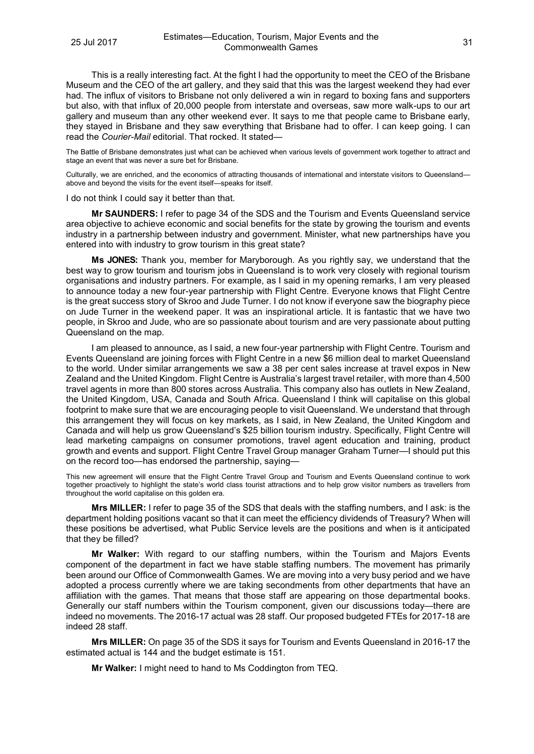This is a really interesting fact. At the fight I had the opportunity to meet the CEO of the Brisbane Museum and the CEO of the art gallery, and they said that this was the largest weekend they had ever had. The influx of visitors to Brisbane not only delivered a win in regard to boxing fans and supporters but also, with that influx of 20,000 people from interstate and overseas, saw more walk-ups to our art gallery and museum than any other weekend ever. It says to me that people came to Brisbane early, they stayed in Brisbane and they saw everything that Brisbane had to offer. I can keep going. I can read the *Courier-Mail* editorial. That rocked. It stated—

The Battle of Brisbane demonstrates just what can be achieved when various levels of government work together to attract and stage an event that was never a sure bet for Brisbane.

Culturally, we are enriched, and the economics of attracting thousands of international and interstate visitors to Queensland above and beyond the visits for the event itself—speaks for itself.

I do not think I could say it better than that.

**Mr SAUNDERS:** I refer to page 34 of the SDS and the Tourism and Events Queensland service area objective to achieve economic and social benefits for the state by growing the tourism and events industry in a partnership between industry and government. Minister, what new partnerships have you entered into with industry to grow tourism in this great state?

**Ms JONES:** Thank you, member for Maryborough. As you rightly say, we understand that the best way to grow tourism and tourism jobs in Queensland is to work very closely with regional tourism organisations and industry partners. For example, as I said in my opening remarks, I am very pleased to announce today a new four-year partnership with Flight Centre. Everyone knows that Flight Centre is the great success story of Skroo and Jude Turner. I do not know if everyone saw the biography piece on Jude Turner in the weekend paper. It was an inspirational article. It is fantastic that we have two people, in Skroo and Jude, who are so passionate about tourism and are very passionate about putting Queensland on the map.

I am pleased to announce, as I said, a new four-year partnership with Flight Centre. Tourism and Events Queensland are joining forces with Flight Centre in a new \$6 million deal to market Queensland to the world. Under similar arrangements we saw a 38 per cent sales increase at travel expos in New Zealand and the United Kingdom. Flight Centre is Australia's largest travel retailer, with more than 4,500 travel agents in more than 800 stores across Australia. This company also has outlets in New Zealand, the United Kingdom, USA, Canada and South Africa. Queensland I think will capitalise on this global footprint to make sure that we are encouraging people to visit Queensland. We understand that through this arrangement they will focus on key markets, as I said, in New Zealand, the United Kingdom and Canada and will help us grow Queensland's \$25 billion tourism industry. Specifically, Flight Centre will lead marketing campaigns on consumer promotions, travel agent education and training, product growth and events and support. Flight Centre Travel Group manager Graham Turner—I should put this on the record too—has endorsed the partnership, saying—

This new agreement will ensure that the Flight Centre Travel Group and Tourism and Events Queensland continue to work together proactively to highlight the state's world class tourist attractions and to help grow visitor numbers as travellers from throughout the world capitalise on this golden era.

**Mrs MILLER:** I refer to page 35 of the SDS that deals with the staffing numbers, and I ask: is the department holding positions vacant so that it can meet the efficiency dividends of Treasury? When will these positions be advertised, what Public Service levels are the positions and when is it anticipated that they be filled?

**Mr Walker:** With regard to our staffing numbers, within the Tourism and Majors Events component of the department in fact we have stable staffing numbers. The movement has primarily been around our Office of Commonwealth Games. We are moving into a very busy period and we have adopted a process currently where we are taking secondments from other departments that have an affiliation with the games. That means that those staff are appearing on those departmental books. Generally our staff numbers within the Tourism component, given our discussions today—there are indeed no movements. The 2016-17 actual was 28 staff. Our proposed budgeted FTEs for 2017-18 are indeed 28 staff.

**Mrs MILLER:** On page 35 of the SDS it says for Tourism and Events Queensland in 2016-17 the estimated actual is 144 and the budget estimate is 151.

**Mr Walker:** I might need to hand to Ms Coddington from TEQ.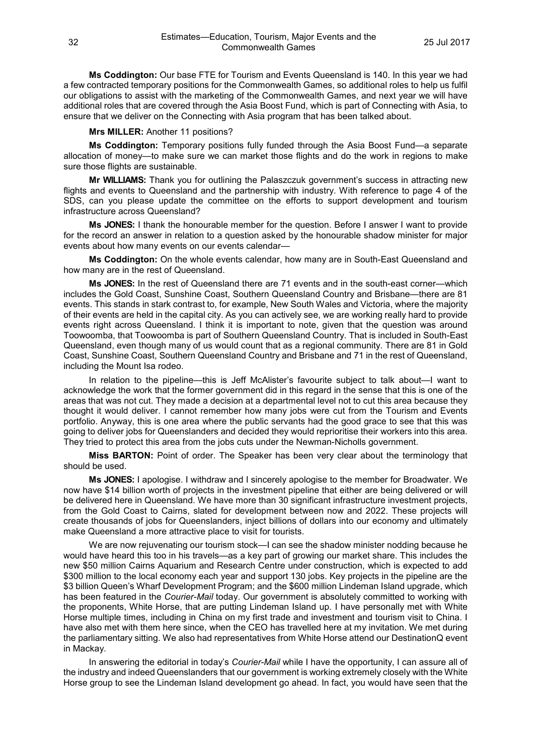**Ms Coddington:** Our base FTE for Tourism and Events Queensland is 140. In this year we had a few contracted temporary positions for the Commonwealth Games, so additional roles to help us fulfil our obligations to assist with the marketing of the Commonwealth Games, and next year we will have additional roles that are covered through the Asia Boost Fund, which is part of Connecting with Asia, to ensure that we deliver on the Connecting with Asia program that has been talked about.

#### **Mrs MILLER:** Another 11 positions?

**Ms Coddington:** Temporary positions fully funded through the Asia Boost Fund—a separate allocation of money—to make sure we can market those flights and do the work in regions to make sure those flights are sustainable.

**Mr WILLIAMS:** Thank you for outlining the Palaszczuk government's success in attracting new flights and events to Queensland and the partnership with industry. With reference to page 4 of the SDS, can you please update the committee on the efforts to support development and tourism infrastructure across Queensland?

**Ms JONES:** I thank the honourable member for the question. Before I answer I want to provide for the record an answer in relation to a question asked by the honourable shadow minister for major events about how many events on our events calendar—

**Ms Coddington:** On the whole events calendar, how many are in South-East Queensland and how many are in the rest of Queensland.

**Ms JONES:** In the rest of Queensland there are 71 events and in the south-east corner—which includes the Gold Coast, Sunshine Coast, Southern Queensland Country and Brisbane—there are 81 events. This stands in stark contrast to, for example, New South Wales and Victoria, where the majority of their events are held in the capital city. As you can actively see, we are working really hard to provide events right across Queensland. I think it is important to note, given that the question was around Toowoomba, that Toowoomba is part of Southern Queensland Country. That is included in South-East Queensland, even though many of us would count that as a regional community. There are 81 in Gold Coast, Sunshine Coast, Southern Queensland Country and Brisbane and 71 in the rest of Queensland, including the Mount Isa rodeo.

In relation to the pipeline—this is Jeff McAlister's favourite subject to talk about—I want to acknowledge the work that the former government did in this regard in the sense that this is one of the areas that was not cut. They made a decision at a departmental level not to cut this area because they thought it would deliver. I cannot remember how many jobs were cut from the Tourism and Events portfolio. Anyway, this is one area where the public servants had the good grace to see that this was going to deliver jobs for Queenslanders and decided they would reprioritise their workers into this area. They tried to protect this area from the jobs cuts under the Newman-Nicholls government.

**Miss BARTON:** Point of order. The Speaker has been very clear about the terminology that should be used.

**Ms JONES:** I apologise. I withdraw and I sincerely apologise to the member for Broadwater. We now have \$14 billion worth of projects in the investment pipeline that either are being delivered or will be delivered here in Queensland. We have more than 30 significant infrastructure investment projects, from the Gold Coast to Cairns, slated for development between now and 2022. These projects will create thousands of jobs for Queenslanders, inject billions of dollars into our economy and ultimately make Queensland a more attractive place to visit for tourists.

We are now rejuvenating our tourism stock—I can see the shadow minister nodding because he would have heard this too in his travels—as a key part of growing our market share. This includes the new \$50 million Cairns Aquarium and Research Centre under construction, which is expected to add \$300 million to the local economy each year and support 130 jobs. Key projects in the pipeline are the \$3 billion Queen's Wharf Development Program; and the \$600 million Lindeman Island upgrade, which has been featured in the *Courier-Mail* today. Our government is absolutely committed to working with the proponents, White Horse, that are putting Lindeman Island up. I have personally met with White Horse multiple times, including in China on my first trade and investment and tourism visit to China. I have also met with them here since, when the CEO has travelled here at my invitation. We met during the parliamentary sitting. We also had representatives from White Horse attend our DestinationQ event in Mackay.

In answering the editorial in today's *Courier-Mail* while I have the opportunity, I can assure all of the industry and indeed Queenslanders that our government is working extremely closely with the White Horse group to see the Lindeman Island development go ahead. In fact, you would have seen that the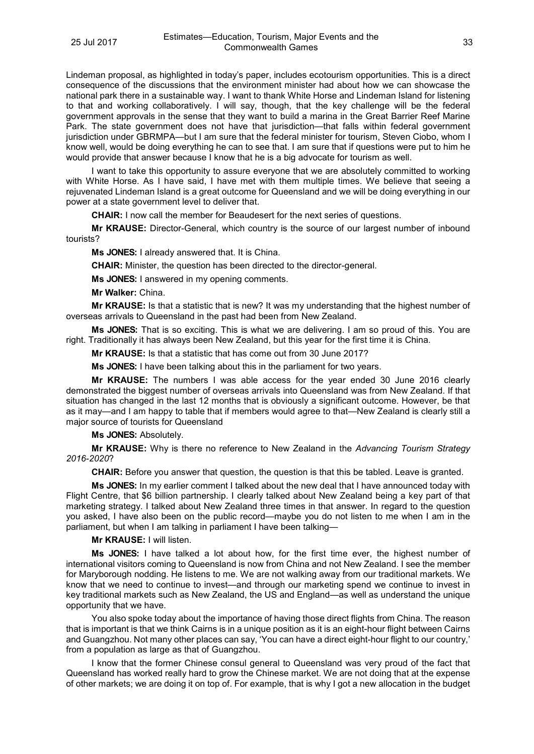Lindeman proposal, as highlighted in today's paper, includes ecotourism opportunities. This is a direct consequence of the discussions that the environment minister had about how we can showcase the national park there in a sustainable way. I want to thank White Horse and Lindeman Island for listening to that and working collaboratively. I will say, though, that the key challenge will be the federal government approvals in the sense that they want to build a marina in the Great Barrier Reef Marine Park. The state government does not have that jurisdiction—that falls within federal government jurisdiction under GBRMPA—but I am sure that the federal minister for tourism, Steven Ciobo, whom I know well, would be doing everything he can to see that. I am sure that if questions were put to him he would provide that answer because I know that he is a big advocate for tourism as well.

I want to take this opportunity to assure everyone that we are absolutely committed to working with White Horse. As I have said, I have met with them multiple times. We believe that seeing a rejuvenated Lindeman Island is a great outcome for Queensland and we will be doing everything in our power at a state government level to deliver that.

**CHAIR:** I now call the member for Beaudesert for the next series of questions.

**Mr KRAUSE:** Director-General, which country is the source of our largest number of inbound tourists?

**Ms JONES:** I already answered that. It is China.

**CHAIR:** Minister, the question has been directed to the director-general.

**Ms JONES:** I answered in my opening comments.

**Mr Walker:** China.

**Mr KRAUSE:** Is that a statistic that is new? It was my understanding that the highest number of overseas arrivals to Queensland in the past had been from New Zealand.

**Ms JONES:** That is so exciting. This is what we are delivering. I am so proud of this. You are right. Traditionally it has always been New Zealand, but this year for the first time it is China.

**Mr KRAUSE:** Is that a statistic that has come out from 30 June 2017?

**Ms JONES:** I have been talking about this in the parliament for two years.

**Mr KRAUSE:** The numbers I was able access for the year ended 30 June 2016 clearly demonstrated the biggest number of overseas arrivals into Queensland was from New Zealand. If that situation has changed in the last 12 months that is obviously a significant outcome. However, be that as it may—and I am happy to table that if members would agree to that—New Zealand is clearly still a major source of tourists for Queensland

**Ms JONES:** Absolutely.

**Mr KRAUSE:** Why is there no reference to New Zealand in the *Advancing Tourism Strategy 2016-2020*?

**CHAIR:** Before you answer that question, the question is that this be tabled. Leave is granted.

**Ms JONES:** In my earlier comment I talked about the new deal that I have announced today with Flight Centre, that \$6 billion partnership. I clearly talked about New Zealand being a key part of that marketing strategy. I talked about New Zealand three times in that answer. In regard to the question you asked, I have also been on the public record—maybe you do not listen to me when I am in the parliament, but when I am talking in parliament I have been talking—

**Mr KRAUSE:** I will listen.

**Ms JONES:** I have talked a lot about how, for the first time ever, the highest number of international visitors coming to Queensland is now from China and not New Zealand. I see the member for Maryborough nodding. He listens to me. We are not walking away from our traditional markets. We know that we need to continue to invest—and through our marketing spend we continue to invest in key traditional markets such as New Zealand, the US and England—as well as understand the unique opportunity that we have.

You also spoke today about the importance of having those direct flights from China. The reason that is important is that we think Cairns is in a unique position as it is an eight-hour flight between Cairns and Guangzhou. Not many other places can say, 'You can have a direct eight-hour flight to our country,' from a population as large as that of Guangzhou.

I know that the former Chinese consul general to Queensland was very proud of the fact that Queensland has worked really hard to grow the Chinese market. We are not doing that at the expense of other markets; we are doing it on top of. For example, that is why I got a new allocation in the budget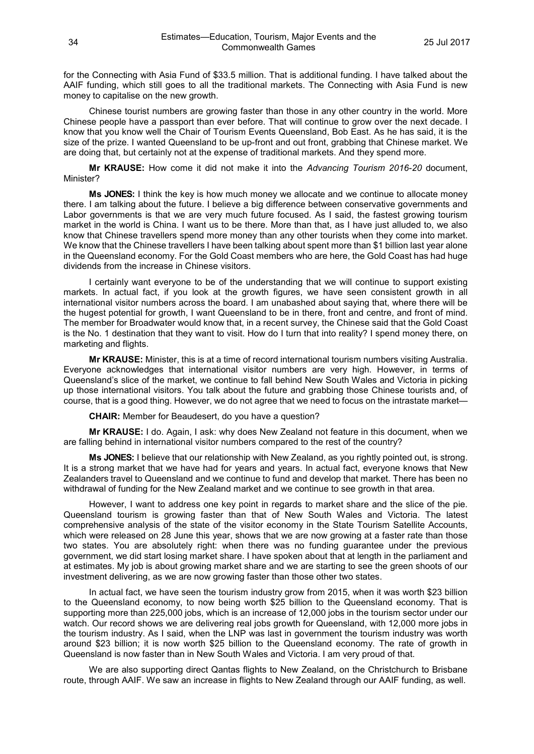for the Connecting with Asia Fund of \$33.5 million. That is additional funding. I have talked about the AAIF funding, which still goes to all the traditional markets. The Connecting with Asia Fund is new money to capitalise on the new growth.

Chinese tourist numbers are growing faster than those in any other country in the world. More Chinese people have a passport than ever before. That will continue to grow over the next decade. I know that you know well the Chair of Tourism Events Queensland, Bob East. As he has said, it is the size of the prize. I wanted Queensland to be up-front and out front, grabbing that Chinese market. We are doing that, but certainly not at the expense of traditional markets. And they spend more.

**Mr KRAUSE:** How come it did not make it into the *Advancing Tourism 2016-20* document, Minister?

**Ms JONES:** I think the key is how much money we allocate and we continue to allocate money there. I am talking about the future. I believe a big difference between conservative governments and Labor governments is that we are very much future focused. As I said, the fastest growing tourism market in the world is China. I want us to be there. More than that, as I have just alluded to, we also know that Chinese travellers spend more money than any other tourists when they come into market. We know that the Chinese travellers I have been talking about spent more than \$1 billion last year alone in the Queensland economy. For the Gold Coast members who are here, the Gold Coast has had huge dividends from the increase in Chinese visitors.

I certainly want everyone to be of the understanding that we will continue to support existing markets. In actual fact, if you look at the growth figures, we have seen consistent growth in all international visitor numbers across the board. I am unabashed about saying that, where there will be the hugest potential for growth, I want Queensland to be in there, front and centre, and front of mind. The member for Broadwater would know that, in a recent survey, the Chinese said that the Gold Coast is the No. 1 destination that they want to visit. How do I turn that into reality? I spend money there, on marketing and flights.

**Mr KRAUSE:** Minister, this is at a time of record international tourism numbers visiting Australia. Everyone acknowledges that international visitor numbers are very high. However, in terms of Queensland's slice of the market, we continue to fall behind New South Wales and Victoria in picking up those international visitors. You talk about the future and grabbing those Chinese tourists and, of course, that is a good thing. However, we do not agree that we need to focus on the intrastate market—

**CHAIR:** Member for Beaudesert, do you have a question?

**Mr KRAUSE:** I do. Again, I ask: why does New Zealand not feature in this document, when we are falling behind in international visitor numbers compared to the rest of the country?

**Ms JONES:** I believe that our relationship with New Zealand, as you rightly pointed out, is strong. It is a strong market that we have had for years and years. In actual fact, everyone knows that New Zealanders travel to Queensland and we continue to fund and develop that market. There has been no withdrawal of funding for the New Zealand market and we continue to see growth in that area.

However, I want to address one key point in regards to market share and the slice of the pie. Queensland tourism is growing faster than that of New South Wales and Victoria. The latest comprehensive analysis of the state of the visitor economy in the State Tourism Satellite Accounts, which were released on 28 June this year, shows that we are now growing at a faster rate than those two states. You are absolutely right: when there was no funding guarantee under the previous government, we did start losing market share. I have spoken about that at length in the parliament and at estimates. My job is about growing market share and we are starting to see the green shoots of our investment delivering, as we are now growing faster than those other two states.

In actual fact, we have seen the tourism industry grow from 2015, when it was worth \$23 billion to the Queensland economy, to now being worth \$25 billion to the Queensland economy. That is supporting more than 225,000 jobs, which is an increase of 12,000 jobs in the tourism sector under our watch. Our record shows we are delivering real jobs growth for Queensland, with 12,000 more jobs in the tourism industry. As I said, when the LNP was last in government the tourism industry was worth around \$23 billion; it is now worth \$25 billion to the Queensland economy. The rate of growth in Queensland is now faster than in New South Wales and Victoria. I am very proud of that.

We are also supporting direct Qantas flights to New Zealand, on the Christchurch to Brisbane route, through AAIF. We saw an increase in flights to New Zealand through our AAIF funding, as well.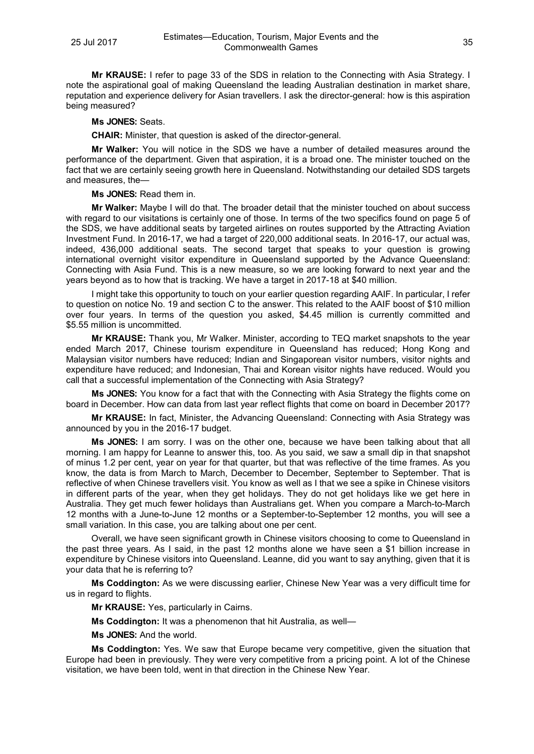**Mr KRAUSE:** I refer to page 33 of the SDS in relation to the Connecting with Asia Strategy. I note the aspirational goal of making Queensland the leading Australian destination in market share, reputation and experience delivery for Asian travellers. I ask the director-general: how is this aspiration being measured?

**Ms JONES:** Seats.

**CHAIR:** Minister, that question is asked of the director-general.

**Mr Walker:** You will notice in the SDS we have a number of detailed measures around the performance of the department. Given that aspiration, it is a broad one. The minister touched on the fact that we are certainly seeing growth here in Queensland. Notwithstanding our detailed SDS targets and measures, the—

**Ms JONES:** Read them in.

**Mr Walker:** Maybe I will do that. The broader detail that the minister touched on about success with regard to our visitations is certainly one of those. In terms of the two specifics found on page 5 of the SDS, we have additional seats by targeted airlines on routes supported by the Attracting Aviation Investment Fund. In 2016-17, we had a target of 220,000 additional seats. In 2016-17, our actual was, indeed, 436,000 additional seats. The second target that speaks to your question is growing international overnight visitor expenditure in Queensland supported by the Advance Queensland: Connecting with Asia Fund. This is a new measure, so we are looking forward to next year and the years beyond as to how that is tracking. We have a target in 2017-18 at \$40 million.

I might take this opportunity to touch on your earlier question regarding AAIF. In particular, I refer to question on notice No. 19 and section C to the answer. This related to the AAIF boost of \$10 million over four years. In terms of the question you asked, \$4.45 million is currently committed and \$5.55 million is uncommitted.

**Mr KRAUSE:** Thank you, Mr Walker. Minister, according to TEQ market snapshots to the year ended March 2017, Chinese tourism expenditure in Queensland has reduced; Hong Kong and Malaysian visitor numbers have reduced; Indian and Singaporean visitor numbers, visitor nights and expenditure have reduced; and Indonesian, Thai and Korean visitor nights have reduced. Would you call that a successful implementation of the Connecting with Asia Strategy?

**Ms JONES:** You know for a fact that with the Connecting with Asia Strategy the flights come on board in December. How can data from last year reflect flights that come on board in December 2017?

**Mr KRAUSE:** In fact, Minister, the Advancing Queensland: Connecting with Asia Strategy was announced by you in the 2016-17 budget.

**Ms JONES:** I am sorry. I was on the other one, because we have been talking about that all morning. I am happy for Leanne to answer this, too. As you said, we saw a small dip in that snapshot of minus 1.2 per cent, year on year for that quarter, but that was reflective of the time frames. As you know, the data is from March to March, December to December, September to September. That is reflective of when Chinese travellers visit. You know as well as I that we see a spike in Chinese visitors in different parts of the year, when they get holidays. They do not get holidays like we get here in Australia. They get much fewer holidays than Australians get. When you compare a March-to-March 12 months with a June-to-June 12 months or a September-to-September 12 months, you will see a small variation. In this case, you are talking about one per cent.

Overall, we have seen significant growth in Chinese visitors choosing to come to Queensland in the past three years. As I said, in the past 12 months alone we have seen a \$1 billion increase in expenditure by Chinese visitors into Queensland. Leanne, did you want to say anything, given that it is your data that he is referring to?

**Ms Coddington:** As we were discussing earlier, Chinese New Year was a very difficult time for us in regard to flights.

**Mr KRAUSE:** Yes, particularly in Cairns.

**Ms Coddington:** It was a phenomenon that hit Australia, as well—

**Ms JONES:** And the world.

**Ms Coddington:** Yes. We saw that Europe became very competitive, given the situation that Europe had been in previously. They were very competitive from a pricing point. A lot of the Chinese visitation, we have been told, went in that direction in the Chinese New Year.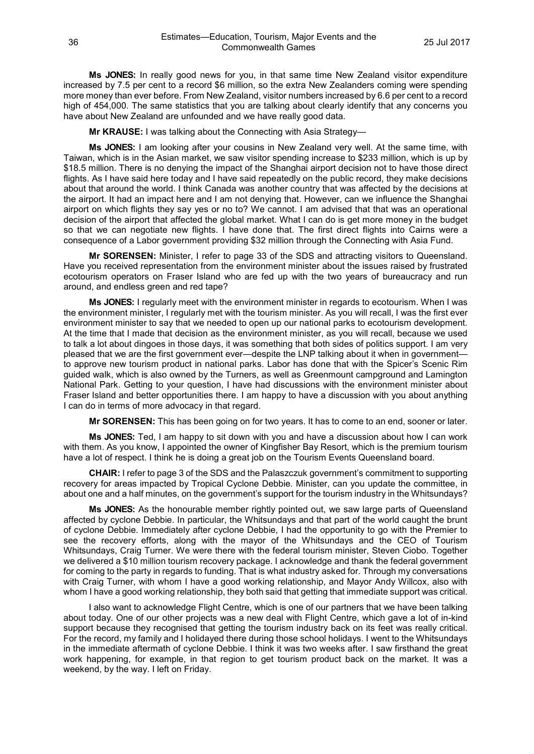**Ms JONES:** In really good news for you, in that same time New Zealand visitor expenditure increased by 7.5 per cent to a record \$6 million, so the extra New Zealanders coming were spending more money than ever before. From New Zealand, visitor numbers increased by 6.6 per cent to a record high of 454,000. The same statistics that you are talking about clearly identify that any concerns you have about New Zealand are unfounded and we have really good data.

**Mr KRAUSE:** I was talking about the Connecting with Asia Strategy—

**Ms JONES:** I am looking after your cousins in New Zealand very well. At the same time, with Taiwan, which is in the Asian market, we saw visitor spending increase to \$233 million, which is up by \$18.5 million. There is no denying the impact of the Shanghai airport decision not to have those direct flights. As I have said here today and I have said repeatedly on the public record, they make decisions about that around the world. I think Canada was another country that was affected by the decisions at the airport. It had an impact here and I am not denying that. However, can we influence the Shanghai airport on which flights they say yes or no to? We cannot. I am advised that that was an operational decision of the airport that affected the global market. What I can do is get more money in the budget so that we can negotiate new flights. I have done that. The first direct flights into Cairns were a consequence of a Labor government providing \$32 million through the Connecting with Asia Fund.

**Mr SORENSEN:** Minister, I refer to page 33 of the SDS and attracting visitors to Queensland. Have you received representation from the environment minister about the issues raised by frustrated ecotourism operators on Fraser Island who are fed up with the two years of bureaucracy and run around, and endless green and red tape?

**Ms JONES:** I regularly meet with the environment minister in regards to ecotourism. When I was the environment minister, I regularly met with the tourism minister. As you will recall, I was the first ever environment minister to say that we needed to open up our national parks to ecotourism development. At the time that I made that decision as the environment minister, as you will recall, because we used to talk a lot about dingoes in those days, it was something that both sides of politics support. I am very pleased that we are the first government ever—despite the LNP talking about it when in government to approve new tourism product in national parks. Labor has done that with the Spicer's Scenic Rim guided walk, which is also owned by the Turners, as well as Greenmount campground and Lamington National Park. Getting to your question, I have had discussions with the environment minister about Fraser Island and better opportunities there. I am happy to have a discussion with you about anything I can do in terms of more advocacy in that regard.

**Mr SORENSEN:** This has been going on for two years. It has to come to an end, sooner or later.

**Ms JONES:** Ted, I am happy to sit down with you and have a discussion about how I can work with them. As you know, I appointed the owner of Kingfisher Bay Resort, which is the premium tourism have a lot of respect. I think he is doing a great job on the Tourism Events Queensland board.

**CHAIR:** I refer to page 3 of the SDS and the Palaszczuk government's commitment to supporting recovery for areas impacted by Tropical Cyclone Debbie. Minister, can you update the committee, in about one and a half minutes, on the government's support for the tourism industry in the Whitsundays?

**Ms JONES:** As the honourable member rightly pointed out, we saw large parts of Queensland affected by cyclone Debbie. In particular, the Whitsundays and that part of the world caught the brunt of cyclone Debbie. Immediately after cyclone Debbie, I had the opportunity to go with the Premier to see the recovery efforts, along with the mayor of the Whitsundays and the CEO of Tourism Whitsundays, Craig Turner. We were there with the federal tourism minister, Steven Ciobo. Together we delivered a \$10 million tourism recovery package. I acknowledge and thank the federal government for coming to the party in regards to funding. That is what industry asked for. Through my conversations with Craig Turner, with whom I have a good working relationship, and Mayor Andy Willcox, also with whom I have a good working relationship, they both said that getting that immediate support was critical.

I also want to acknowledge Flight Centre, which is one of our partners that we have been talking about today. One of our other projects was a new deal with Flight Centre, which gave a lot of in-kind support because they recognised that getting the tourism industry back on its feet was really critical. For the record, my family and I holidayed there during those school holidays. I went to the Whitsundays in the immediate aftermath of cyclone Debbie. I think it was two weeks after. I saw firsthand the great work happening, for example, in that region to get tourism product back on the market. It was a weekend, by the way. I left on Friday.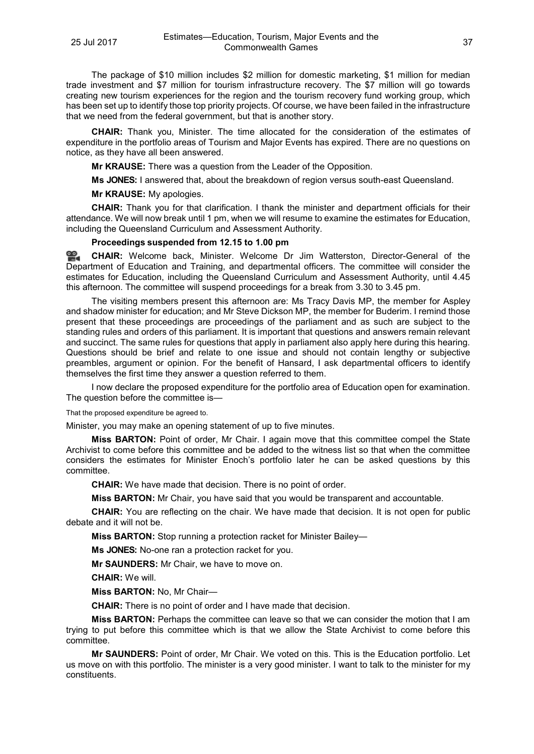The package of \$10 million includes \$2 million for domestic marketing, \$1 million for median trade investment and \$7 million for tourism infrastructure recovery. The \$7 million will go towards creating new tourism experiences for the region and the tourism recovery fund working group, which has been set up to identify those top priority projects. Of course, we have been failed in the infrastructure that we need from the federal government, but that is another story.

**CHAIR:** Thank you, Minister. The time allocated for the consideration of the estimates of expenditure in the portfolio areas of Tourism and Major Events has expired. There are no questions on notice, as they have all been answered.

**Mr KRAUSE:** There was a question from the Leader of the Opposition.

**Ms JONES:** I answered that, about the breakdown of region versus south-east Queensland.

**Mr KRAUSE:** My apologies.

**CHAIR:** Thank you for that clarification. I thank the minister and department officials for their attendance. We will now break until 1 pm, when we will resume to examine the estimates for Education, including the Queensland Curriculum and Assessment Authority.

## **Proceedings suspended from 12.15 to 1.00 pm**

<u>ഇ</u> **[CHAIR:](http://www.parliament.qld.gov.au/docs/find.aspx?id=0Mba20170725_130051)** Welcome back, Minister. Welcome Dr Jim Watterston, Director-General of the Department of Education and Training, and departmental officers. The committee will consider the estimates for Education, including the Queensland Curriculum and Assessment Authority, until 4.45 this afternoon. The committee will suspend proceedings for a break from 3.30 to 3.45 pm.

The visiting members present this afternoon are: Ms Tracy Davis MP, the member for Aspley and shadow minister for education; and Mr Steve Dickson MP, the member for Buderim. I remind those present that these proceedings are proceedings of the parliament and as such are subject to the standing rules and orders of this parliament. It is important that questions and answers remain relevant and succinct. The same rules for questions that apply in parliament also apply here during this hearing. Questions should be brief and relate to one issue and should not contain lengthy or subjective preambles, argument or opinion. For the benefit of Hansard, I ask departmental officers to identify themselves the first time they answer a question referred to them.

I now declare the proposed expenditure for the portfolio area of Education open for examination. The question before the committee is—

That the proposed expenditure be agreed to.

Minister, you may make an opening statement of up to five minutes.

**Miss BARTON:** Point of order, Mr Chair. I again move that this committee compel the State Archivist to come before this committee and be added to the witness list so that when the committee considers the estimates for Minister Enoch's portfolio later he can be asked questions by this committee.

**CHAIR:** We have made that decision. There is no point of order.

**Miss BARTON:** Mr Chair, you have said that you would be transparent and accountable.

**CHAIR:** You are reflecting on the chair. We have made that decision. It is not open for public debate and it will not be.

**Miss BARTON:** Stop running a protection racket for Minister Bailey—

**Ms JONES:** No-one ran a protection racket for you.

**Mr SAUNDERS:** Mr Chair, we have to move on.

**CHAIR:** We will.

**Miss BARTON:** No, Mr Chair—

**CHAIR:** There is no point of order and I have made that decision.

**Miss BARTON:** Perhaps the committee can leave so that we can consider the motion that I am trying to put before this committee which is that we allow the State Archivist to come before this committee.

**Mr SAUNDERS:** Point of order, Mr Chair. We voted on this. This is the Education portfolio. Let us move on with this portfolio. The minister is a very good minister. I want to talk to the minister for my constituents.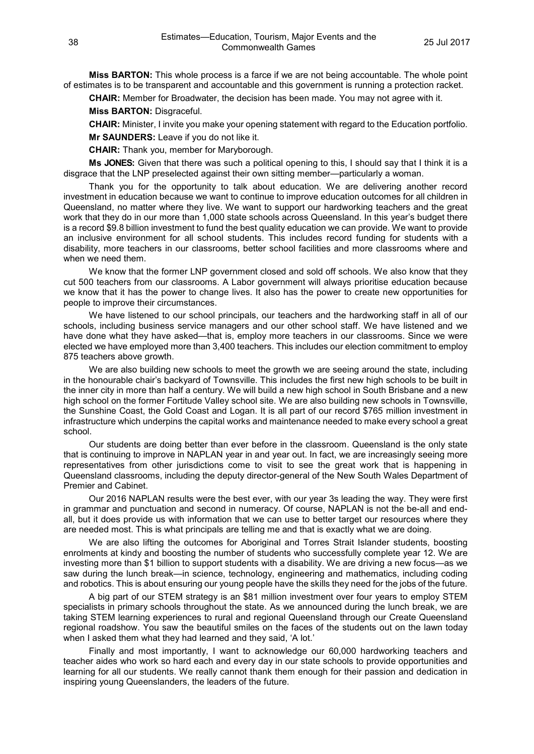**Miss BARTON:** This whole process is a farce if we are not being accountable. The whole point of estimates is to be transparent and accountable and this government is running a protection racket.

**CHAIR:** Member for Broadwater, the decision has been made. You may not agree with it.

**Miss BARTON:** Disgraceful.

**CHAIR:** Minister, I invite you make your opening statement with regard to the Education portfolio. **Mr SAUNDERS:** Leave if you do not like it.

**CHAIR:** Thank you, member for Maryborough.

**Ms JONES:** Given that there was such a political opening to this, I should say that I think it is a disgrace that the LNP preselected against their own sitting member—particularly a woman.

Thank you for the opportunity to talk about education. We are delivering another record investment in education because we want to continue to improve education outcomes for all children in Queensland, no matter where they live. We want to support our hardworking teachers and the great work that they do in our more than 1,000 state schools across Queensland. In this year's budget there is a record \$9.8 billion investment to fund the best quality education we can provide. We want to provide an inclusive environment for all school students. This includes record funding for students with a disability, more teachers in our classrooms, better school facilities and more classrooms where and when we need them.

We know that the former LNP government closed and sold off schools. We also know that they cut 500 teachers from our classrooms. A Labor government will always prioritise education because we know that it has the power to change lives. It also has the power to create new opportunities for people to improve their circumstances.

We have listened to our school principals, our teachers and the hardworking staff in all of our schools, including business service managers and our other school staff. We have listened and we have done what they have asked—that is, employ more teachers in our classrooms. Since we were elected we have employed more than 3,400 teachers. This includes our election commitment to employ 875 teachers above growth.

We are also building new schools to meet the growth we are seeing around the state, including in the honourable chair's backyard of Townsville. This includes the first new high schools to be built in the inner city in more than half a century. We will build a new high school in South Brisbane and a new high school on the former Fortitude Valley school site. We are also building new schools in Townsville, the Sunshine Coast, the Gold Coast and Logan. It is all part of our record \$765 million investment in infrastructure which underpins the capital works and maintenance needed to make every school a great school.

Our students are doing better than ever before in the classroom. Queensland is the only state that is continuing to improve in NAPLAN year in and year out. In fact, we are increasingly seeing more representatives from other jurisdictions come to visit to see the great work that is happening in Queensland classrooms, including the deputy director-general of the New South Wales Department of Premier and Cabinet.

Our 2016 NAPLAN results were the best ever, with our year 3s leading the way. They were first in grammar and punctuation and second in numeracy. Of course, NAPLAN is not the be-all and endall, but it does provide us with information that we can use to better target our resources where they are needed most. This is what principals are telling me and that is exactly what we are doing.

We are also lifting the outcomes for Aboriginal and Torres Strait Islander students, boosting enrolments at kindy and boosting the number of students who successfully complete year 12. We are investing more than \$1 billion to support students with a disability. We are driving a new focus—as we saw during the lunch break—in science, technology, engineering and mathematics, including coding and robotics. This is about ensuring our young people have the skills they need for the jobs of the future.

A big part of our STEM strategy is an \$81 million investment over four years to employ STEM specialists in primary schools throughout the state. As we announced during the lunch break, we are taking STEM learning experiences to rural and regional Queensland through our Create Queensland regional roadshow. You saw the beautiful smiles on the faces of the students out on the lawn today when I asked them what they had learned and they said, 'A lot.'

Finally and most importantly, I want to acknowledge our 60,000 hardworking teachers and teacher aides who work so hard each and every day in our state schools to provide opportunities and learning for all our students. We really cannot thank them enough for their passion and dedication in inspiring young Queenslanders, the leaders of the future.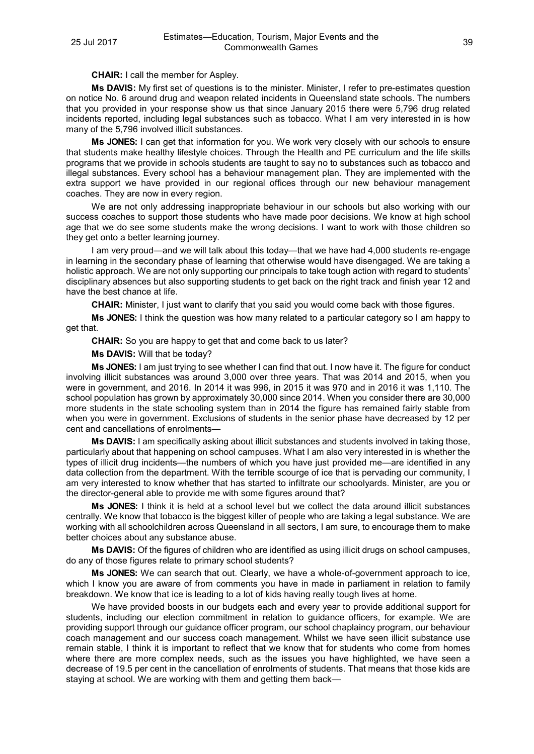**CHAIR:** I call the member for Aspley.

**Ms DAVIS:** My first set of questions is to the minister. Minister, I refer to pre-estimates question on notice No. 6 around drug and weapon related incidents in Queensland state schools. The numbers that you provided in your response show us that since January 2015 there were 5,796 drug related incidents reported, including legal substances such as tobacco. What I am very interested in is how many of the 5,796 involved illicit substances.

**Ms JONES:** I can get that information for you. We work very closely with our schools to ensure that students make healthy lifestyle choices. Through the Health and PE curriculum and the life skills programs that we provide in schools students are taught to say no to substances such as tobacco and illegal substances. Every school has a behaviour management plan. They are implemented with the extra support we have provided in our regional offices through our new behaviour management coaches. They are now in every region.

We are not only addressing inappropriate behaviour in our schools but also working with our success coaches to support those students who have made poor decisions. We know at high school age that we do see some students make the wrong decisions. I want to work with those children so they get onto a better learning journey.

I am very proud—and we will talk about this today—that we have had 4,000 students re-engage in learning in the secondary phase of learning that otherwise would have disengaged. We are taking a holistic approach. We are not only supporting our principals to take tough action with regard to students' disciplinary absences but also supporting students to get back on the right track and finish year 12 and have the best chance at life.

**CHAIR:** Minister, I just want to clarify that you said you would come back with those figures.

**Ms JONES:** I think the question was how many related to a particular category so I am happy to get that.

**CHAIR:** So you are happy to get that and come back to us later?

**Ms DAVIS:** Will that be today?

**Ms JONES:** I am just trying to see whether I can find that out. I now have it. The figure for conduct involving illicit substances was around 3,000 over three years. That was 2014 and 2015, when you were in government, and 2016. In 2014 it was 996, in 2015 it was 970 and in 2016 it was 1,110. The school population has grown by approximately 30,000 since 2014. When you consider there are 30,000 more students in the state schooling system than in 2014 the figure has remained fairly stable from when you were in government. Exclusions of students in the senior phase have decreased by 12 per cent and cancellations of enrolments—

**Ms DAVIS:** I am specifically asking about illicit substances and students involved in taking those, particularly about that happening on school campuses. What I am also very interested in is whether the types of illicit drug incidents—the numbers of which you have just provided me—are identified in any data collection from the department. With the terrible scourge of ice that is pervading our community, I am very interested to know whether that has started to infiltrate our schoolyards. Minister, are you or the director-general able to provide me with some figures around that?

**Ms JONES:** I think it is held at a school level but we collect the data around illicit substances centrally. We know that tobacco is the biggest killer of people who are taking a legal substance. We are working with all schoolchildren across Queensland in all sectors, I am sure, to encourage them to make better choices about any substance abuse.

**Ms DAVIS:** Of the figures of children who are identified as using illicit drugs on school campuses, do any of those figures relate to primary school students?

**Ms JONES:** We can search that out. Clearly, we have a whole-of-government approach to ice, which I know you are aware of from comments you have in made in parliament in relation to family breakdown. We know that ice is leading to a lot of kids having really tough lives at home.

We have provided boosts in our budgets each and every year to provide additional support for students, including our election commitment in relation to guidance officers, for example. We are providing support through our guidance officer program, our school chaplaincy program, our behaviour coach management and our success coach management. Whilst we have seen illicit substance use remain stable, I think it is important to reflect that we know that for students who come from homes where there are more complex needs, such as the issues you have highlighted, we have seen a decrease of 19.5 per cent in the cancellation of enrolments of students. That means that those kids are staying at school. We are working with them and getting them back—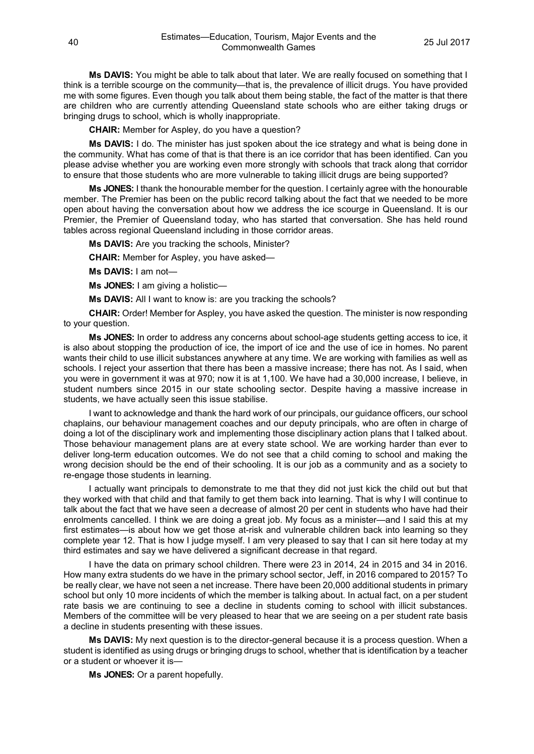**Ms DAVIS:** You might be able to talk about that later. We are really focused on something that I think is a terrible scourge on the community—that is, the prevalence of illicit drugs. You have provided me with some figures. Even though you talk about them being stable, the fact of the matter is that there are children who are currently attending Queensland state schools who are either taking drugs or bringing drugs to school, which is wholly inappropriate.

**CHAIR:** Member for Aspley, do you have a question?

**Ms DAVIS:** I do. The minister has just spoken about the ice strategy and what is being done in the community. What has come of that is that there is an ice corridor that has been identified. Can you please advise whether you are working even more strongly with schools that track along that corridor to ensure that those students who are more vulnerable to taking illicit drugs are being supported?

**Ms JONES:** I thank the honourable member for the question. I certainly agree with the honourable member. The Premier has been on the public record talking about the fact that we needed to be more open about having the conversation about how we address the ice scourge in Queensland. It is our Premier, the Premier of Queensland today, who has started that conversation. She has held round tables across regional Queensland including in those corridor areas.

**Ms DAVIS:** Are you tracking the schools, Minister?

**CHAIR:** Member for Aspley, you have asked—

**Ms DAVIS:** I am not—

**Ms JONES:** I am giving a holistic—

**Ms DAVIS:** All I want to know is: are you tracking the schools?

**CHAIR:** Order! Member for Aspley, you have asked the question. The minister is now responding to your question.

**Ms JONES:** In order to address any concerns about school-age students getting access to ice, it is also about stopping the production of ice, the import of ice and the use of ice in homes. No parent wants their child to use illicit substances anywhere at any time. We are working with families as well as schools. I reject your assertion that there has been a massive increase; there has not. As I said, when you were in government it was at 970; now it is at 1,100. We have had a 30,000 increase, I believe, in student numbers since 2015 in our state schooling sector. Despite having a massive increase in students, we have actually seen this issue stabilise.

I want to acknowledge and thank the hard work of our principals, our guidance officers, our school chaplains, our behaviour management coaches and our deputy principals, who are often in charge of doing a lot of the disciplinary work and implementing those disciplinary action plans that I talked about. Those behaviour management plans are at every state school. We are working harder than ever to deliver long-term education outcomes. We do not see that a child coming to school and making the wrong decision should be the end of their schooling. It is our job as a community and as a society to re-engage those students in learning.

I actually want principals to demonstrate to me that they did not just kick the child out but that they worked with that child and that family to get them back into learning. That is why I will continue to talk about the fact that we have seen a decrease of almost 20 per cent in students who have had their enrolments cancelled. I think we are doing a great job. My focus as a minister—and I said this at my first estimates—is about how we get those at-risk and vulnerable children back into learning so they complete year 12. That is how I judge myself. I am very pleased to say that I can sit here today at my third estimates and say we have delivered a significant decrease in that regard.

I have the data on primary school children. There were 23 in 2014, 24 in 2015 and 34 in 2016. How many extra students do we have in the primary school sector, Jeff, in 2016 compared to 2015? To be really clear, we have not seen a net increase. There have been 20,000 additional students in primary school but only 10 more incidents of which the member is talking about. In actual fact, on a per student rate basis we are continuing to see a decline in students coming to school with illicit substances. Members of the committee will be very pleased to hear that we are seeing on a per student rate basis a decline in students presenting with these issues.

**Ms DAVIS:** My next question is to the director-general because it is a process question. When a student is identified as using drugs or bringing drugs to school, whether that is identification by a teacher or a student or whoever it is—

**Ms JONES:** Or a parent hopefully.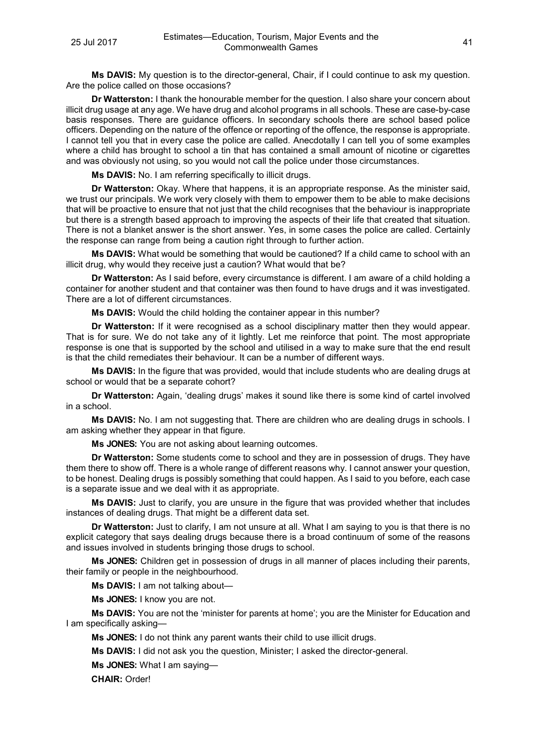**Ms DAVIS:** My question is to the director-general, Chair, if I could continue to ask my question. Are the police called on those occasions?

**Dr Watterston:** I thank the honourable member for the question. I also share your concern about illicit drug usage at any age. We have drug and alcohol programs in all schools. These are case-by-case basis responses. There are guidance officers. In secondary schools there are school based police officers. Depending on the nature of the offence or reporting of the offence, the response is appropriate. I cannot tell you that in every case the police are called. Anecdotally I can tell you of some examples where a child has brought to school a tin that has contained a small amount of nicotine or cigarettes and was obviously not using, so you would not call the police under those circumstances.

**Ms DAVIS:** No. I am referring specifically to illicit drugs.

**Dr Watterston:** Okay. Where that happens, it is an appropriate response. As the minister said, we trust our principals. We work very closely with them to empower them to be able to make decisions that will be proactive to ensure that not just that the child recognises that the behaviour is inappropriate but there is a strength based approach to improving the aspects of their life that created that situation. There is not a blanket answer is the short answer. Yes, in some cases the police are called. Certainly the response can range from being a caution right through to further action.

**Ms DAVIS:** What would be something that would be cautioned? If a child came to school with an illicit drug, why would they receive just a caution? What would that be?

**Dr Watterston:** As I said before, every circumstance is different. I am aware of a child holding a container for another student and that container was then found to have drugs and it was investigated. There are a lot of different circumstances.

**Ms DAVIS:** Would the child holding the container appear in this number?

**Dr Watterston:** If it were recognised as a school disciplinary matter then they would appear. That is for sure. We do not take any of it lightly. Let me reinforce that point. The most appropriate response is one that is supported by the school and utilised in a way to make sure that the end result is that the child remediates their behaviour. It can be a number of different ways.

**Ms DAVIS:** In the figure that was provided, would that include students who are dealing drugs at school or would that be a separate cohort?

**Dr Watterston:** Again, 'dealing drugs' makes it sound like there is some kind of cartel involved in a school.

**Ms DAVIS:** No. I am not suggesting that. There are children who are dealing drugs in schools. I am asking whether they appear in that figure.

**Ms JONES:** You are not asking about learning outcomes.

**Dr Watterston:** Some students come to school and they are in possession of drugs. They have them there to show off. There is a whole range of different reasons why. I cannot answer your question, to be honest. Dealing drugs is possibly something that could happen. As I said to you before, each case is a separate issue and we deal with it as appropriate.

**Ms DAVIS:** Just to clarify, you are unsure in the figure that was provided whether that includes instances of dealing drugs. That might be a different data set.

**Dr Watterston:** Just to clarify, I am not unsure at all. What I am saying to you is that there is no explicit category that says dealing drugs because there is a broad continuum of some of the reasons and issues involved in students bringing those drugs to school.

**Ms JONES:** Children get in possession of drugs in all manner of places including their parents, their family or people in the neighbourhood.

**Ms DAVIS:** I am not talking about—

**Ms JONES:** I know you are not.

**Ms DAVIS:** You are not the 'minister for parents at home'; you are the Minister for Education and I am specifically asking—

**Ms JONES:** I do not think any parent wants their child to use illicit drugs.

**Ms DAVIS:** I did not ask you the question, Minister; I asked the director-general.

**Ms JONES:** What I am saying—

**CHAIR:** Order!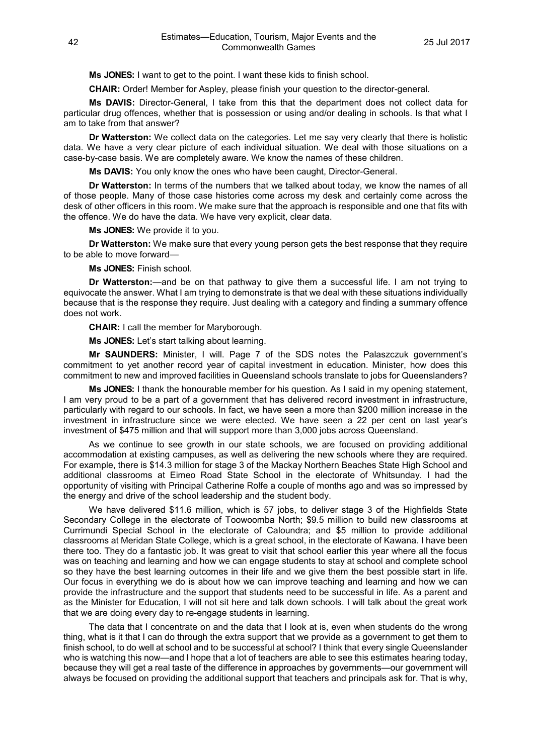**Ms JONES:** I want to get to the point. I want these kids to finish school.

**CHAIR:** Order! Member for Aspley, please finish your question to the director-general.

**Ms DAVIS:** Director-General, I take from this that the department does not collect data for particular drug offences, whether that is possession or using and/or dealing in schools. Is that what I am to take from that answer?

**Dr Watterston:** We collect data on the categories. Let me say very clearly that there is holistic data. We have a very clear picture of each individual situation. We deal with those situations on a case-by-case basis. We are completely aware. We know the names of these children.

**Ms DAVIS:** You only know the ones who have been caught, Director-General.

**Dr Watterston:** In terms of the numbers that we talked about today, we know the names of all of those people. Many of those case histories come across my desk and certainly come across the desk of other officers in this room. We make sure that the approach is responsible and one that fits with the offence. We do have the data. We have very explicit, clear data.

**Ms JONES:** We provide it to you.

**Dr Watterston:** We make sure that every young person gets the best response that they require to be able to move forward—

**Ms JONES:** Finish school.

**Dr Watterston:**—and be on that pathway to give them a successful life. I am not trying to equivocate the answer. What I am trying to demonstrate is that we deal with these situations individually because that is the response they require. Just dealing with a category and finding a summary offence does not work.

**CHAIR:** I call the member for Maryborough.

**Ms JONES:** Let's start talking about learning.

**Mr SAUNDERS:** Minister, I will. Page 7 of the SDS notes the Palaszczuk government's commitment to yet another record year of capital investment in education. Minister, how does this commitment to new and improved facilities in Queensland schools translate to jobs for Queenslanders?

**Ms JONES:** I thank the honourable member for his question. As I said in my opening statement, I am very proud to be a part of a government that has delivered record investment in infrastructure, particularly with regard to our schools. In fact, we have seen a more than \$200 million increase in the investment in infrastructure since we were elected. We have seen a 22 per cent on last year's investment of \$475 million and that will support more than 3,000 jobs across Queensland.

As we continue to see growth in our state schools, we are focused on providing additional accommodation at existing campuses, as well as delivering the new schools where they are required. For example, there is \$14.3 million for stage 3 of the Mackay Northern Beaches State High School and additional classrooms at Eimeo Road State School in the electorate of Whitsunday. I had the opportunity of visiting with Principal Catherine Rolfe a couple of months ago and was so impressed by the energy and drive of the school leadership and the student body.

We have delivered \$11.6 million, which is 57 jobs, to deliver stage 3 of the Highfields State Secondary College in the electorate of Toowoomba North; \$9.5 million to build new classrooms at Currimundi Special School in the electorate of Caloundra; and \$5 million to provide additional classrooms at Meridan State College, which is a great school, in the electorate of Kawana. I have been there too. They do a fantastic job. It was great to visit that school earlier this year where all the focus was on teaching and learning and how we can engage students to stay at school and complete school so they have the best learning outcomes in their life and we give them the best possible start in life. Our focus in everything we do is about how we can improve teaching and learning and how we can provide the infrastructure and the support that students need to be successful in life. As a parent and as the Minister for Education, I will not sit here and talk down schools. I will talk about the great work that we are doing every day to re-engage students in learning.

The data that I concentrate on and the data that I look at is, even when students do the wrong thing, what is it that I can do through the extra support that we provide as a government to get them to finish school, to do well at school and to be successful at school? I think that every single Queenslander who is watching this now—and I hope that a lot of teachers are able to see this estimates hearing today, because they will get a real taste of the difference in approaches by governments—our government will always be focused on providing the additional support that teachers and principals ask for. That is why,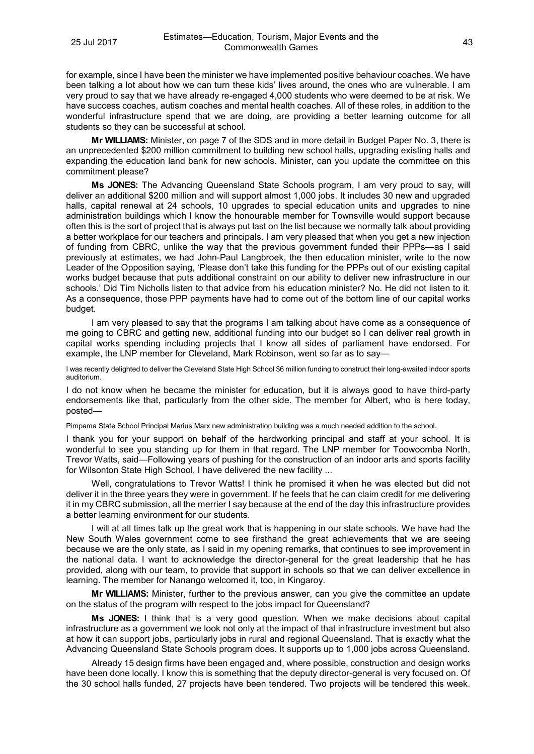for example, since I have been the minister we have implemented positive behaviour coaches. We have been talking a lot about how we can turn these kids' lives around, the ones who are vulnerable. I am very proud to say that we have already re-engaged 4,000 students who were deemed to be at risk. We have success coaches, autism coaches and mental health coaches. All of these roles, in addition to the wonderful infrastructure spend that we are doing, are providing a better learning outcome for all students so they can be successful at school.

**Mr WILLIAMS:** Minister, on page 7 of the SDS and in more detail in Budget Paper No. 3, there is an unprecedented \$200 million commitment to building new school halls, upgrading existing halls and expanding the education land bank for new schools. Minister, can you update the committee on this commitment please?

**Ms JONES:** The Advancing Queensland State Schools program, I am very proud to say, will deliver an additional \$200 million and will support almost 1,000 jobs. It includes 30 new and upgraded halls, capital renewal at 24 schools, 10 upgrades to special education units and upgrades to nine administration buildings which I know the honourable member for Townsville would support because often this is the sort of project that is always put last on the list because we normally talk about providing a better workplace for our teachers and principals. I am very pleased that when you get a new injection of funding from CBRC, unlike the way that the previous government funded their PPPs—as I said previously at estimates, we had John-Paul Langbroek, the then education minister, write to the now Leader of the Opposition saying, 'Please don't take this funding for the PPPs out of our existing capital works budget because that puts additional constraint on our ability to deliver new infrastructure in our schools.' Did Tim Nicholls listen to that advice from his education minister? No. He did not listen to it. As a consequence, those PPP payments have had to come out of the bottom line of our capital works budget.

I am very pleased to say that the programs I am talking about have come as a consequence of me going to CBRC and getting new, additional funding into our budget so I can deliver real growth in capital works spending including projects that I know all sides of parliament have endorsed. For example, the LNP member for Cleveland, Mark Robinson, went so far as to say—

I was recently delighted to deliver the Cleveland State High School \$6 million funding to construct their long-awaited indoor sports auditorium.

I do not know when he became the minister for education, but it is always good to have third-party endorsements like that, particularly from the other side. The member for Albert, who is here today, posted—

Pimpama State School Principal Marius Marx new administration building was a much needed addition to the school.

I thank you for your support on behalf of the hardworking principal and staff at your school. It is wonderful to see you standing up for them in that regard. The LNP member for Toowoomba North, Trevor Watts, said—Following years of pushing for the construction of an indoor arts and sports facility for Wilsonton State High School, I have delivered the new facility ...

Well, congratulations to Trevor Watts! I think he promised it when he was elected but did not deliver it in the three years they were in government. If he feels that he can claim credit for me delivering it in my CBRC submission, all the merrier I say because at the end of the day this infrastructure provides a better learning environment for our students.

I will at all times talk up the great work that is happening in our state schools. We have had the New South Wales government come to see firsthand the great achievements that we are seeing because we are the only state, as I said in my opening remarks, that continues to see improvement in the national data. I want to acknowledge the director-general for the great leadership that he has provided, along with our team, to provide that support in schools so that we can deliver excellence in learning. The member for Nanango welcomed it, too, in Kingaroy.

**Mr WILLIAMS:** Minister, further to the previous answer, can you give the committee an update on the status of the program with respect to the jobs impact for Queensland?

**Ms JONES:** I think that is a very good question. When we make decisions about capital infrastructure as a government we look not only at the impact of that infrastructure investment but also at how it can support jobs, particularly jobs in rural and regional Queensland. That is exactly what the Advancing Queensland State Schools program does. It supports up to 1,000 jobs across Queensland.

Already 15 design firms have been engaged and, where possible, construction and design works have been done locally. I know this is something that the deputy director-general is very focused on. Of the 30 school halls funded, 27 projects have been tendered. Two projects will be tendered this week.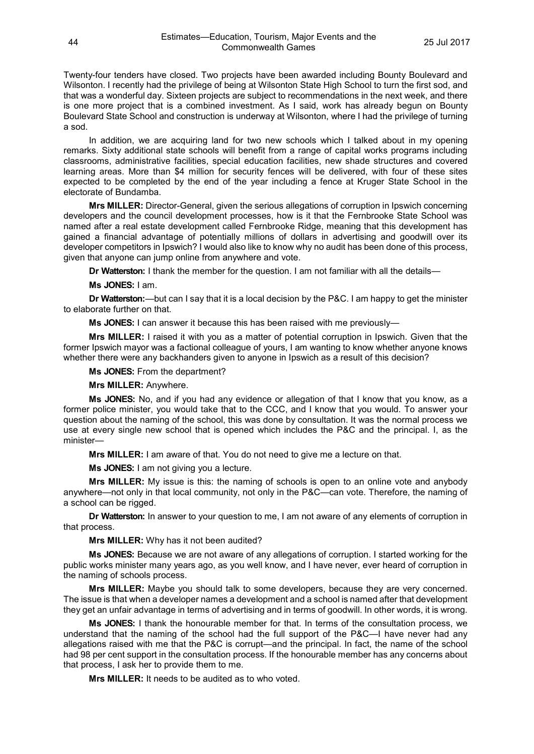Twenty-four tenders have closed. Two projects have been awarded including Bounty Boulevard and Wilsonton. I recently had the privilege of being at Wilsonton State High School to turn the first sod, and that was a wonderful day. Sixteen projects are subject to recommendations in the next week, and there is one more project that is a combined investment. As I said, work has already begun on Bounty Boulevard State School and construction is underway at Wilsonton, where I had the privilege of turning a sod.

In addition, we are acquiring land for two new schools which I talked about in my opening remarks. Sixty additional state schools will benefit from a range of capital works programs including classrooms, administrative facilities, special education facilities, new shade structures and covered learning areas. More than \$4 million for security fences will be delivered, with four of these sites expected to be completed by the end of the year including a fence at Kruger State School in the electorate of Bundamba.

**Mrs MILLER:** Director-General, given the serious allegations of corruption in Ipswich concerning developers and the council development processes, how is it that the Fernbrooke State School was named after a real estate development called Fernbrooke Ridge, meaning that this development has gained a financial advantage of potentially millions of dollars in advertising and goodwill over its developer competitors in Ipswich? I would also like to know why no audit has been done of this process, given that anyone can jump online from anywhere and vote.

**Dr Watterston:** I thank the member for the question. I am not familiar with all the details—

**Ms JONES:** I am.

**Dr Watterston:**—but can I say that it is a local decision by the P&C. I am happy to get the minister to elaborate further on that.

**Ms JONES:** I can answer it because this has been raised with me previously—

**Mrs MILLER:** I raised it with you as a matter of potential corruption in Ipswich. Given that the former Ipswich mayor was a factional colleague of yours, I am wanting to know whether anyone knows whether there were any backhanders given to anyone in Ipswich as a result of this decision?

**Ms JONES:** From the department?

#### **Mrs MILLER:** Anywhere.

**Ms JONES:** No, and if you had any evidence or allegation of that I know that you know, as a former police minister, you would take that to the CCC, and I know that you would. To answer your question about the naming of the school, this was done by consultation. It was the normal process we use at every single new school that is opened which includes the P&C and the principal. I, as the minister—

**Mrs MILLER:** I am aware of that. You do not need to give me a lecture on that.

**Ms JONES:** I am not giving you a lecture.

**Mrs MILLER:** My issue is this: the naming of schools is open to an online vote and anybody anywhere—not only in that local community, not only in the P&C—can vote. Therefore, the naming of a school can be rigged.

**Dr Watterston:** In answer to your question to me, I am not aware of any elements of corruption in that process.

**Mrs MILLER:** Why has it not been audited?

**Ms JONES:** Because we are not aware of any allegations of corruption. I started working for the public works minister many years ago, as you well know, and I have never, ever heard of corruption in the naming of schools process.

**Mrs MILLER:** Maybe you should talk to some developers, because they are very concerned. The issue is that when a developer names a development and a school is named after that development they get an unfair advantage in terms of advertising and in terms of goodwill. In other words, it is wrong.

**Ms JONES:** I thank the honourable member for that. In terms of the consultation process, we understand that the naming of the school had the full support of the P&C—I have never had any allegations raised with me that the P&C is corrupt—and the principal. In fact, the name of the school had 98 per cent support in the consultation process. If the honourable member has any concerns about that process, I ask her to provide them to me.

**Mrs MILLER:** It needs to be audited as to who voted.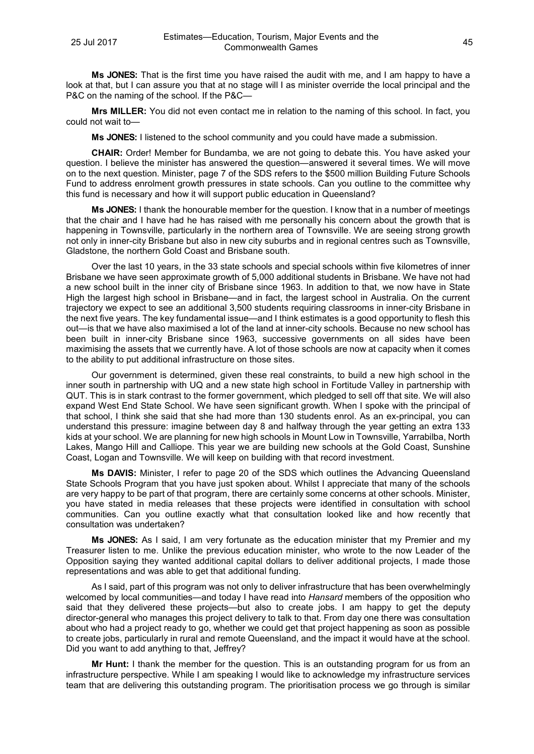**Ms JONES:** That is the first time you have raised the audit with me, and I am happy to have a look at that, but I can assure you that at no stage will I as minister override the local principal and the P&C on the naming of the school. If the P&C—

**Mrs MILLER:** You did not even contact me in relation to the naming of this school. In fact, you could not wait to—

**Ms JONES:** I listened to the school community and you could have made a submission.

**CHAIR:** Order! Member for Bundamba, we are not going to debate this. You have asked your question. I believe the minister has answered the question—answered it several times. We will move on to the next question. Minister, page 7 of the SDS refers to the \$500 million Building Future Schools Fund to address enrolment growth pressures in state schools. Can you outline to the committee why this fund is necessary and how it will support public education in Queensland?

**Ms JONES:** I thank the honourable member for the question. I know that in a number of meetings that the chair and I have had he has raised with me personally his concern about the growth that is happening in Townsville, particularly in the northern area of Townsville. We are seeing strong growth not only in inner-city Brisbane but also in new city suburbs and in regional centres such as Townsville, Gladstone, the northern Gold Coast and Brisbane south.

Over the last 10 years, in the 33 state schools and special schools within five kilometres of inner Brisbane we have seen approximate growth of 5,000 additional students in Brisbane. We have not had a new school built in the inner city of Brisbane since 1963. In addition to that, we now have in State High the largest high school in Brisbane—and in fact, the largest school in Australia. On the current trajectory we expect to see an additional 3,500 students requiring classrooms in inner-city Brisbane in the next five years. The key fundamental issue—and I think estimates is a good opportunity to flesh this out—is that we have also maximised a lot of the land at inner-city schools. Because no new school has been built in inner-city Brisbane since 1963, successive governments on all sides have been maximising the assets that we currently have. A lot of those schools are now at capacity when it comes to the ability to put additional infrastructure on those sites.

Our government is determined, given these real constraints, to build a new high school in the inner south in partnership with UQ and a new state high school in Fortitude Valley in partnership with QUT. This is in stark contrast to the former government, which pledged to sell off that site. We will also expand West End State School. We have seen significant growth. When I spoke with the principal of that school, I think she said that she had more than 130 students enrol. As an ex-principal, you can understand this pressure: imagine between day 8 and halfway through the year getting an extra 133 kids at your school. We are planning for new high schools in Mount Low in Townsville, Yarrabilba, North Lakes, Mango Hill and Calliope. This year we are building new schools at the Gold Coast, Sunshine Coast, Logan and Townsville. We will keep on building with that record investment.

**Ms DAVIS:** Minister, I refer to page 20 of the SDS which outlines the Advancing Queensland State Schools Program that you have just spoken about. Whilst I appreciate that many of the schools are very happy to be part of that program, there are certainly some concerns at other schools. Minister, you have stated in media releases that these projects were identified in consultation with school communities. Can you outline exactly what that consultation looked like and how recently that consultation was undertaken?

**Ms JONES:** As I said, I am very fortunate as the education minister that my Premier and my Treasurer listen to me. Unlike the previous education minister, who wrote to the now Leader of the Opposition saying they wanted additional capital dollars to deliver additional projects, I made those representations and was able to get that additional funding.

As I said, part of this program was not only to deliver infrastructure that has been overwhelmingly welcomed by local communities—and today I have read into *Hansard* members of the opposition who said that they delivered these projects—but also to create jobs. I am happy to get the deputy director-general who manages this project delivery to talk to that. From day one there was consultation about who had a project ready to go, whether we could get that project happening as soon as possible to create jobs, particularly in rural and remote Queensland, and the impact it would have at the school. Did you want to add anything to that, Jeffrey?

**Mr Hunt:** I thank the member for the question. This is an outstanding program for us from an infrastructure perspective. While I am speaking I would like to acknowledge my infrastructure services team that are delivering this outstanding program. The prioritisation process we go through is similar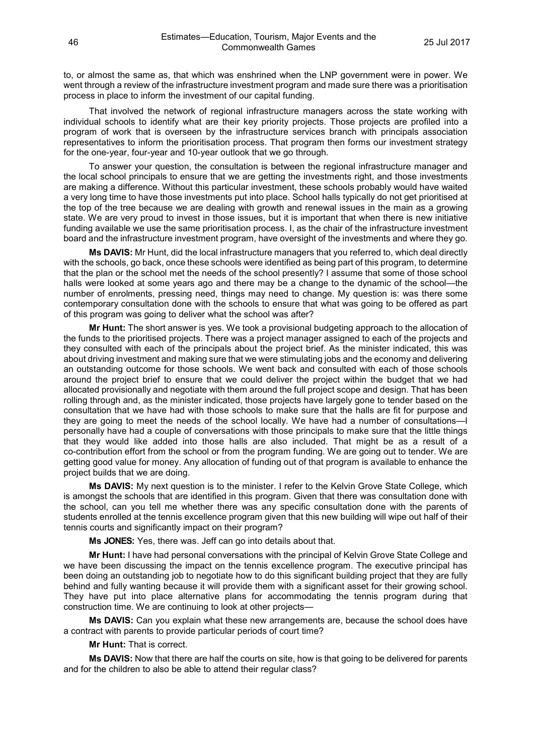to, or almost the same as, that which was enshrined when the LNP government were in power. We went through a review of the infrastructure investment program and made sure there was a prioritisation process in place to inform the investment of our capital funding.

That involved the network of regional infrastructure managers across the state working with individual schools to identify what are their key priority projects. Those projects are profiled into a program of work that is overseen by the infrastructure services branch with principals association representatives to inform the prioritisation process. That program then forms our investment strategy for the one-year, four-year and 10-year outlook that we go through.

To answer your question, the consultation is between the regional infrastructure manager and the local school principals to ensure that we are getting the investments right, and those investments are making a difference. Without this particular investment, these schools probably would have waited a very long time to have those investments put into place. School halls typically do not get prioritised at the top of the tree because we are dealing with growth and renewal issues in the main as a growing state. We are very proud to invest in those issues, but it is important that when there is new initiative funding available we use the same prioritisation process. I, as the chair of the infrastructure investment board and the infrastructure investment program, have oversight of the investments and where they go.

**Ms DAVIS:** Mr Hunt, did the local infrastructure managers that you referred to, which deal directly with the schools, go back, once these schools were identified as being part of this program, to determine that the plan or the school met the needs of the school presently? I assume that some of those school halls were looked at some years ago and there may be a change to the dynamic of the school—the number of enrolments, pressing need, things may need to change. My question is: was there some contemporary consultation done with the schools to ensure that what was going to be offered as part of this program was going to deliver what the school was after?

**Mr Hunt:** The short answer is yes. We took a provisional budgeting approach to the allocation of the funds to the prioritised projects. There was a project manager assigned to each of the projects and they consulted with each of the principals about the project brief. As the minister indicated, this was about driving investment and making sure that we were stimulating jobs and the economy and delivering an outstanding outcome for those schools. We went back and consulted with each of those schools around the project brief to ensure that we could deliver the project within the budget that we had allocated provisionally and negotiate with them around the full project scope and design. That has been rolling through and, as the minister indicated, those projects have largely gone to tender based on the consultation that we have had with those schools to make sure that the halls are fit for purpose and they are going to meet the needs of the school locally. We have had a number of consultations—I personally have had a couple of conversations with those principals to make sure that the little things that they would like added into those halls are also included. That might be as a result of a co-contribution effort from the school or from the program funding. We are going out to tender. We are getting good value for money. Any allocation of funding out of that program is available to enhance the project builds that we are doing.

**Ms DAVIS:** My next question is to the minister. I refer to the Kelvin Grove State College, which is amongst the schools that are identified in this program. Given that there was consultation done with the school, can you tell me whether there was any specific consultation done with the parents of students enrolled at the tennis excellence program given that this new building will wipe out half of their tennis courts and significantly impact on their program?

**Ms JONES:** Yes, there was. Jeff can go into details about that.

**Mr Hunt:** I have had personal conversations with the principal of Kelvin Grove State College and we have been discussing the impact on the tennis excellence program. The executive principal has been doing an outstanding job to negotiate how to do this significant building project that they are fully behind and fully wanting because it will provide them with a significant asset for their growing school. They have put into place alternative plans for accommodating the tennis program during that construction time. We are continuing to look at other projects—

**Ms DAVIS:** Can you explain what these new arrangements are, because the school does have a contract with parents to provide particular periods of court time?

**Mr Hunt:** That is correct.

**Ms DAVIS:** Now that there are half the courts on site, how is that going to be delivered for parents and for the children to also be able to attend their regular class?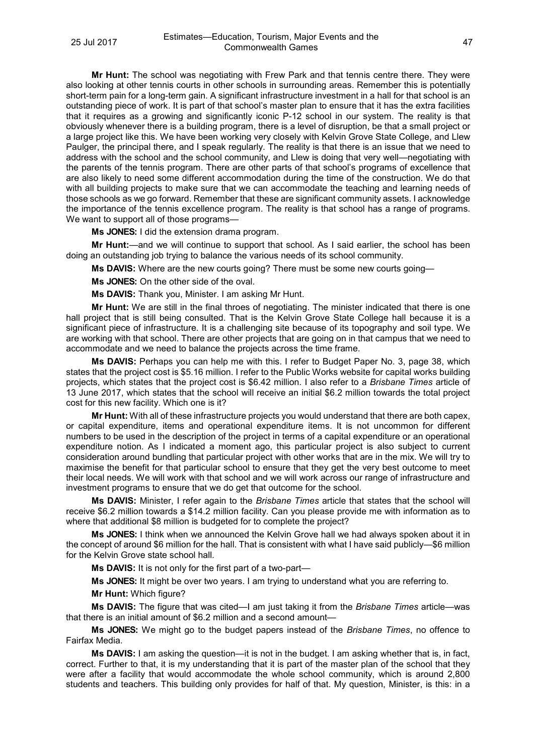**Mr Hunt:** The school was negotiating with Frew Park and that tennis centre there. They were also looking at other tennis courts in other schools in surrounding areas. Remember this is potentially short-term pain for a long-term gain. A significant infrastructure investment in a hall for that school is an outstanding piece of work. It is part of that school's master plan to ensure that it has the extra facilities that it requires as a growing and significantly iconic P-12 school in our system. The reality is that obviously whenever there is a building program, there is a level of disruption, be that a small project or a large project like this. We have been working very closely with Kelvin Grove State College, and Llew Paulger, the principal there, and I speak regularly. The reality is that there is an issue that we need to address with the school and the school community, and Llew is doing that very well—negotiating with the parents of the tennis program. There are other parts of that school's programs of excellence that are also likely to need some different accommodation during the time of the construction. We do that with all building projects to make sure that we can accommodate the teaching and learning needs of those schools as we go forward. Remember that these are significant community assets. I acknowledge the importance of the tennis excellence program. The reality is that school has a range of programs. We want to support all of those programs-

**Ms JONES:** I did the extension drama program.

**Mr Hunt:**—and we will continue to support that school. As I said earlier, the school has been doing an outstanding job trying to balance the various needs of its school community.

**Ms DAVIS:** Where are the new courts going? There must be some new courts going—

**Ms JONES:** On the other side of the oval.

**Ms DAVIS:** Thank you, Minister. I am asking Mr Hunt.

**Mr Hunt:** We are still in the final throes of negotiating. The minister indicated that there is one hall project that is still being consulted. That is the Kelvin Grove State College hall because it is a significant piece of infrastructure. It is a challenging site because of its topography and soil type. We are working with that school. There are other projects that are going on in that campus that we need to accommodate and we need to balance the projects across the time frame.

**Ms DAVIS:** Perhaps you can help me with this. I refer to Budget Paper No. 3, page 38, which states that the project cost is \$5.16 million. I refer to the Public Works website for capital works building projects, which states that the project cost is \$6.42 million. I also refer to a *Brisbane Times* article of 13 June 2017, which states that the school will receive an initial \$6.2 million towards the total project cost for this new facility. Which one is it?

**Mr Hunt:** With all of these infrastructure projects you would understand that there are both capex, or capital expenditure, items and operational expenditure items. It is not uncommon for different numbers to be used in the description of the project in terms of a capital expenditure or an operational expenditure notion. As I indicated a moment ago, this particular project is also subject to current consideration around bundling that particular project with other works that are in the mix. We will try to maximise the benefit for that particular school to ensure that they get the very best outcome to meet their local needs. We will work with that school and we will work across our range of infrastructure and investment programs to ensure that we do get that outcome for the school.

**Ms DAVIS:** Minister, I refer again to the *Brisbane Times* article that states that the school will receive \$6.2 million towards a \$14.2 million facility. Can you please provide me with information as to where that additional \$8 million is budgeted for to complete the project?

**Ms JONES:** I think when we announced the Kelvin Grove hall we had always spoken about it in the concept of around \$6 million for the hall. That is consistent with what I have said publicly—\$6 million for the Kelvin Grove state school hall.

**Ms DAVIS:** It is not only for the first part of a two-part—

**Ms JONES:** It might be over two years. I am trying to understand what you are referring to.

**Mr Hunt:** Which figure?

**Ms DAVIS:** The figure that was cited—I am just taking it from the *Brisbane Times* article—was that there is an initial amount of \$6.2 million and a second amount—

**Ms JONES:** We might go to the budget papers instead of the *Brisbane Times*, no offence to Fairfax Media.

**Ms DAVIS:** I am asking the question—it is not in the budget. I am asking whether that is, in fact, correct. Further to that, it is my understanding that it is part of the master plan of the school that they were after a facility that would accommodate the whole school community, which is around 2,800 students and teachers. This building only provides for half of that. My question, Minister, is this: in a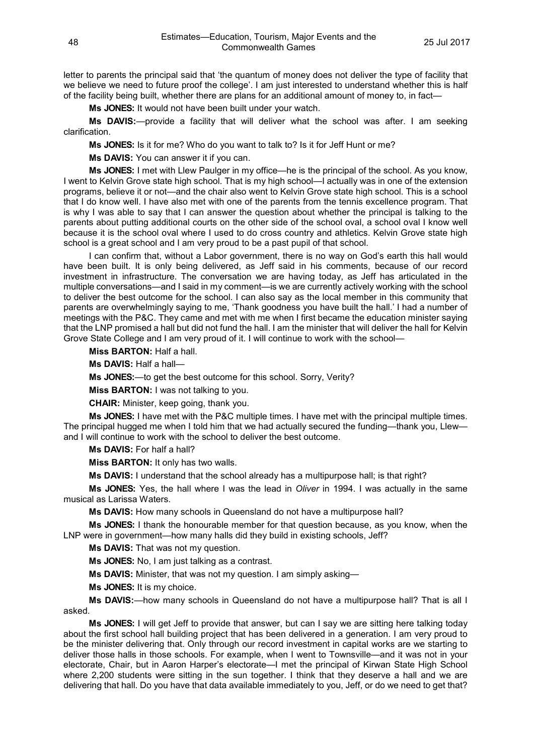letter to parents the principal said that 'the quantum of money does not deliver the type of facility that we believe we need to future proof the college'. I am just interested to understand whether this is half of the facility being built, whether there are plans for an additional amount of money to, in fact—

**Ms JONES:** It would not have been built under your watch.

**Ms DAVIS:**—provide a facility that will deliver what the school was after. I am seeking clarification.

**Ms JONES:** Is it for me? Who do you want to talk to? Is it for Jeff Hunt or me?

**Ms DAVIS:** You can answer it if you can.

**Ms JONES:** I met with Llew Paulger in my office—he is the principal of the school. As you know, I went to Kelvin Grove state high school. That is my high school—I actually was in one of the extension programs, believe it or not—and the chair also went to Kelvin Grove state high school. This is a school that I do know well. I have also met with one of the parents from the tennis excellence program. That is why I was able to say that I can answer the question about whether the principal is talking to the parents about putting additional courts on the other side of the school oval, a school oval I know well because it is the school oval where I used to do cross country and athletics. Kelvin Grove state high school is a great school and I am very proud to be a past pupil of that school.

I can confirm that, without a Labor government, there is no way on God's earth this hall would have been built. It is only being delivered, as Jeff said in his comments, because of our record investment in infrastructure. The conversation we are having today, as Jeff has articulated in the multiple conversations—and I said in my comment—is we are currently actively working with the school to deliver the best outcome for the school. I can also say as the local member in this community that parents are overwhelmingly saying to me, 'Thank goodness you have built the hall.' I had a number of meetings with the P&C. They came and met with me when I first became the education minister saying that the LNP promised a hall but did not fund the hall. I am the minister that will deliver the hall for Kelvin Grove State College and I am very proud of it. I will continue to work with the school—

**Miss BARTON:** Half a hall.

**Ms DAVIS:** Half a hall—

**Ms JONES:**—to get the best outcome for this school. Sorry, Verity?

**Miss BARTON:** I was not talking to you.

**CHAIR:** Minister, keep going, thank you.

**Ms JONES:** I have met with the P&C multiple times. I have met with the principal multiple times. The principal hugged me when I told him that we had actually secured the funding—thank you, Llew and I will continue to work with the school to deliver the best outcome.

**Ms DAVIS:** For half a hall?

**Miss BARTON:** It only has two walls.

**Ms DAVIS:** I understand that the school already has a multipurpose hall; is that right?

**Ms JONES:** Yes, the hall where I was the lead in *Oliver* in 1994. I was actually in the same musical as Larissa Waters.

**Ms DAVIS:** How many schools in Queensland do not have a multipurpose hall?

**Ms JONES:** I thank the honourable member for that question because, as you know, when the LNP were in government—how many halls did they build in existing schools, Jeff?

**Ms DAVIS:** That was not my question.

**Ms JONES:** No, I am just talking as a contrast.

**Ms DAVIS:** Minister, that was not my question. I am simply asking—

**Ms JONES:** It is my choice.

**Ms DAVIS:**—how many schools in Queensland do not have a multipurpose hall? That is all I asked.

**Ms JONES:** I will get Jeff to provide that answer, but can I say we are sitting here talking today about the first school hall building project that has been delivered in a generation. I am very proud to be the minister delivering that. Only through our record investment in capital works are we starting to deliver those halls in those schools. For example, when I went to Townsville—and it was not in your electorate, Chair, but in Aaron Harper's electorate—I met the principal of Kirwan State High School where 2,200 students were sitting in the sun together. I think that they deserve a hall and we are delivering that hall. Do you have that data available immediately to you, Jeff, or do we need to get that?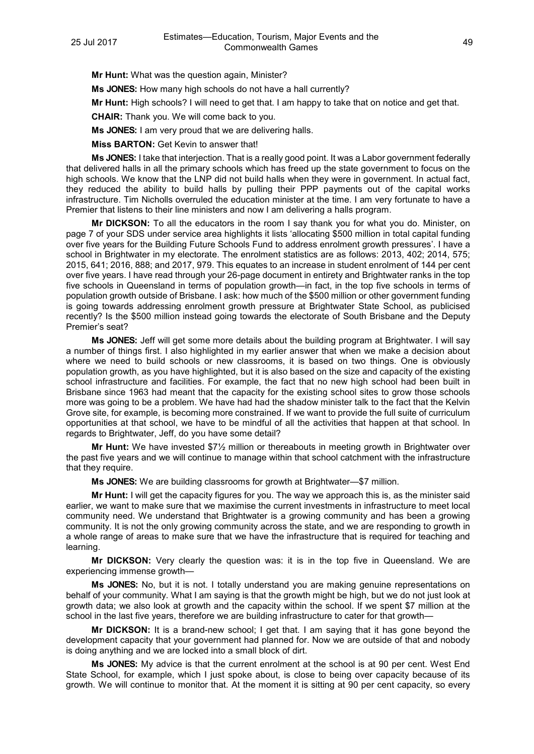**Mr Hunt:** What was the question again, Minister?

**Ms JONES:** How many high schools do not have a hall currently?

**Mr Hunt:** High schools? I will need to get that. I am happy to take that on notice and get that.

**CHAIR:** Thank you. We will come back to you.

**Ms JONES:** I am very proud that we are delivering halls.

**Miss BARTON:** Get Kevin to answer that!

**Ms JONES:** I take that interjection. That is a really good point. It was a Labor government federally that delivered halls in all the primary schools which has freed up the state government to focus on the high schools. We know that the LNP did not build halls when they were in government. In actual fact, they reduced the ability to build halls by pulling their PPP payments out of the capital works infrastructure. Tim Nicholls overruled the education minister at the time. I am very fortunate to have a Premier that listens to their line ministers and now I am delivering a halls program.

**Mr DICKSON:** To all the educators in the room I say thank you for what you do. Minister, on page 7 of your SDS under service area highlights it lists 'allocating \$500 million in total capital funding over five years for the Building Future Schools Fund to address enrolment growth pressures'. I have a school in Brightwater in my electorate. The enrolment statistics are as follows: 2013, 402; 2014, 575; 2015, 641; 2016, 888; and 2017, 979. This equates to an increase in student enrolment of 144 per cent over five years. I have read through your 26-page document in entirety and Brightwater ranks in the top five schools in Queensland in terms of population growth—in fact, in the top five schools in terms of population growth outside of Brisbane. I ask: how much of the \$500 million or other government funding is going towards addressing enrolment growth pressure at Brightwater State School, as publicised recently? Is the \$500 million instead going towards the electorate of South Brisbane and the Deputy Premier's seat?

**Ms JONES:** Jeff will get some more details about the building program at Brightwater. I will say a number of things first. I also highlighted in my earlier answer that when we make a decision about where we need to build schools or new classrooms, it is based on two things. One is obviously population growth, as you have highlighted, but it is also based on the size and capacity of the existing school infrastructure and facilities. For example, the fact that no new high school had been built in Brisbane since 1963 had meant that the capacity for the existing school sites to grow those schools more was going to be a problem. We have had had the shadow minister talk to the fact that the Kelvin Grove site, for example, is becoming more constrained. If we want to provide the full suite of curriculum opportunities at that school, we have to be mindful of all the activities that happen at that school. In regards to Brightwater, Jeff, do you have some detail?

**Mr Hunt:** We have invested \$7½ million or thereabouts in meeting growth in Brightwater over the past five years and we will continue to manage within that school catchment with the infrastructure that they require.

**Ms JONES:** We are building classrooms for growth at Brightwater—\$7 million.

**Mr Hunt:** I will get the capacity figures for you. The way we approach this is, as the minister said earlier, we want to make sure that we maximise the current investments in infrastructure to meet local community need. We understand that Brightwater is a growing community and has been a growing community. It is not the only growing community across the state, and we are responding to growth in a whole range of areas to make sure that we have the infrastructure that is required for teaching and learning.

**Mr DICKSON:** Very clearly the question was: it is in the top five in Queensland. We are experiencing immense growth—

**Ms JONES:** No, but it is not. I totally understand you are making genuine representations on behalf of your community. What I am saying is that the growth might be high, but we do not just look at growth data; we also look at growth and the capacity within the school. If we spent \$7 million at the school in the last five years, therefore we are building infrastructure to cater for that growth–

**Mr DICKSON:** It is a brand-new school; I get that. I am saying that it has gone beyond the development capacity that your government had planned for. Now we are outside of that and nobody is doing anything and we are locked into a small block of dirt.

**Ms JONES:** My advice is that the current enrolment at the school is at 90 per cent. West End State School, for example, which I just spoke about, is close to being over capacity because of its growth. We will continue to monitor that. At the moment it is sitting at 90 per cent capacity, so every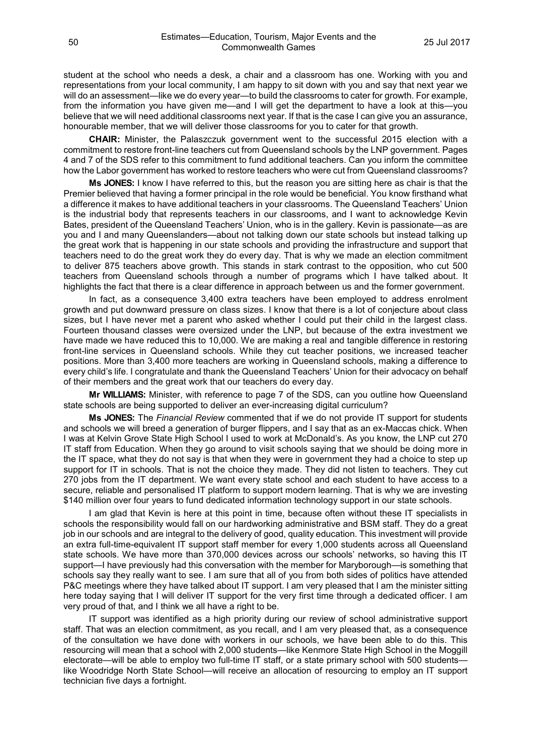student at the school who needs a desk, a chair and a classroom has one. Working with you and representations from your local community, I am happy to sit down with you and say that next year we will do an assessment—like we do every year—to build the classrooms to cater for growth. For example, from the information you have given me—and I will get the department to have a look at this—you believe that we will need additional classrooms next year. If that is the case I can give you an assurance, honourable member, that we will deliver those classrooms for you to cater for that growth.

**CHAIR:** Minister, the Palaszczuk government went to the successful 2015 election with a commitment to restore front-line teachers cut from Queensland schools by the LNP government. Pages 4 and 7 of the SDS refer to this commitment to fund additional teachers. Can you inform the committee how the Labor government has worked to restore teachers who were cut from Queensland classrooms?

**Ms JONES:** I know I have referred to this, but the reason you are sitting here as chair is that the Premier believed that having a former principal in the role would be beneficial. You know firsthand what a difference it makes to have additional teachers in your classrooms. The Queensland Teachers' Union is the industrial body that represents teachers in our classrooms, and I want to acknowledge Kevin Bates, president of the Queensland Teachers' Union, who is in the gallery. Kevin is passionate—as are you and I and many Queenslanders—about not talking down our state schools but instead talking up the great work that is happening in our state schools and providing the infrastructure and support that teachers need to do the great work they do every day. That is why we made an election commitment to deliver 875 teachers above growth. This stands in stark contrast to the opposition, who cut 500 teachers from Queensland schools through a number of programs which I have talked about. It highlights the fact that there is a clear difference in approach between us and the former government.

In fact, as a consequence 3,400 extra teachers have been employed to address enrolment growth and put downward pressure on class sizes. I know that there is a lot of conjecture about class sizes, but I have never met a parent who asked whether I could put their child in the largest class. Fourteen thousand classes were oversized under the LNP, but because of the extra investment we have made we have reduced this to 10,000. We are making a real and tangible difference in restoring front-line services in Queensland schools. While they cut teacher positions, we increased teacher positions. More than 3,400 more teachers are working in Queensland schools, making a difference to every child's life. I congratulate and thank the Queensland Teachers' Union for their advocacy on behalf of their members and the great work that our teachers do every day.

**Mr WILLIAMS:** Minister, with reference to page 7 of the SDS, can you outline how Queensland state schools are being supported to deliver an ever-increasing digital curriculum?

**Ms JONES:** The *Financial Review* commented that if we do not provide IT support for students and schools we will breed a generation of burger flippers, and I say that as an ex-Maccas chick. When I was at Kelvin Grove State High School I used to work at McDonald's. As you know, the LNP cut 270 IT staff from Education. When they go around to visit schools saying that we should be doing more in the IT space, what they do not say is that when they were in government they had a choice to step up support for IT in schools. That is not the choice they made. They did not listen to teachers. They cut 270 jobs from the IT department. We want every state school and each student to have access to a secure, reliable and personalised IT platform to support modern learning. That is why we are investing \$140 million over four years to fund dedicated information technology support in our state schools.

I am glad that Kevin is here at this point in time, because often without these IT specialists in schools the responsibility would fall on our hardworking administrative and BSM staff. They do a great job in our schools and are integral to the delivery of good, quality education. This investment will provide an extra full-time-equivalent IT support staff member for every 1,000 students across all Queensland state schools. We have more than 370,000 devices across our schools' networks, so having this IT support—I have previously had this conversation with the member for Maryborough—is something that schools say they really want to see. I am sure that all of you from both sides of politics have attended P&C meetings where they have talked about IT support. I am very pleased that I am the minister sitting here today saying that I will deliver IT support for the very first time through a dedicated officer. I am very proud of that, and I think we all have a right to be.

IT support was identified as a high priority during our review of school administrative support staff. That was an election commitment, as you recall, and I am very pleased that, as a consequence of the consultation we have done with workers in our schools, we have been able to do this. This resourcing will mean that a school with 2,000 students—like Kenmore State High School in the Moggill electorate—will be able to employ two full-time IT staff, or a state primary school with 500 students like Woodridge North State School—will receive an allocation of resourcing to employ an IT support technician five days a fortnight.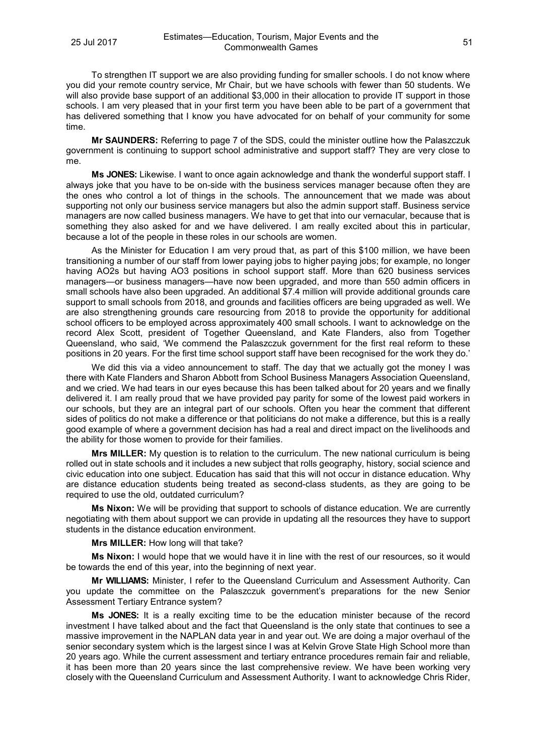To strengthen IT support we are also providing funding for smaller schools. I do not know where you did your remote country service, Mr Chair, but we have schools with fewer than 50 students. We will also provide base support of an additional \$3,000 in their allocation to provide IT support in those schools. I am very pleased that in your first term you have been able to be part of a government that has delivered something that I know you have advocated for on behalf of your community for some time.

**Mr SAUNDERS:** Referring to page 7 of the SDS, could the minister outline how the Palaszczuk government is continuing to support school administrative and support staff? They are very close to me.

**Ms JONES:** Likewise. I want to once again acknowledge and thank the wonderful support staff. I always joke that you have to be on-side with the business services manager because often they are the ones who control a lot of things in the schools. The announcement that we made was about supporting not only our business service managers but also the admin support staff. Business service managers are now called business managers. We have to get that into our vernacular, because that is something they also asked for and we have delivered. I am really excited about this in particular, because a lot of the people in these roles in our schools are women.

As the Minister for Education I am very proud that, as part of this \$100 million, we have been transitioning a number of our staff from lower paying jobs to higher paying jobs; for example, no longer having AO2s but having AO3 positions in school support staff. More than 620 business services managers—or business managers—have now been upgraded, and more than 550 admin officers in small schools have also been upgraded. An additional \$7.4 million will provide additional grounds care support to small schools from 2018, and grounds and facilities officers are being upgraded as well. We are also strengthening grounds care resourcing from 2018 to provide the opportunity for additional school officers to be employed across approximately 400 small schools. I want to acknowledge on the record Alex Scott, president of Together Queensland, and Kate Flanders, also from Together Queensland, who said, 'We commend the Palaszczuk government for the first real reform to these positions in 20 years. For the first time school support staff have been recognised for the work they do.'

We did this via a video announcement to staff. The day that we actually got the money I was there with Kate Flanders and Sharon Abbott from School Business Managers Association Queensland, and we cried. We had tears in our eyes because this has been talked about for 20 years and we finally delivered it. I am really proud that we have provided pay parity for some of the lowest paid workers in our schools, but they are an integral part of our schools. Often you hear the comment that different sides of politics do not make a difference or that politicians do not make a difference, but this is a really good example of where a government decision has had a real and direct impact on the livelihoods and the ability for those women to provide for their families.

**Mrs MILLER:** My question is to relation to the curriculum. The new national curriculum is being rolled out in state schools and it includes a new subject that rolls geography, history, social science and civic education into one subject. Education has said that this will not occur in distance education. Why are distance education students being treated as second-class students, as they are going to be required to use the old, outdated curriculum?

**Ms Nixon:** We will be providing that support to schools of distance education. We are currently negotiating with them about support we can provide in updating all the resources they have to support students in the distance education environment.

## **Mrs MILLER:** How long will that take?

**Ms Nixon:** I would hope that we would have it in line with the rest of our resources, so it would be towards the end of this year, into the beginning of next year.

**Mr WILLIAMS:** Minister, I refer to the Queensland Curriculum and Assessment Authority. Can you update the committee on the Palaszczuk government's preparations for the new Senior Assessment Tertiary Entrance system?

**Ms JONES:** It is a really exciting time to be the education minister because of the record investment I have talked about and the fact that Queensland is the only state that continues to see a massive improvement in the NAPLAN data year in and year out. We are doing a major overhaul of the senior secondary system which is the largest since I was at Kelvin Grove State High School more than 20 years ago. While the current assessment and tertiary entrance procedures remain fair and reliable, it has been more than 20 years since the last comprehensive review. We have been working very closely with the Queensland Curriculum and Assessment Authority. I want to acknowledge Chris Rider,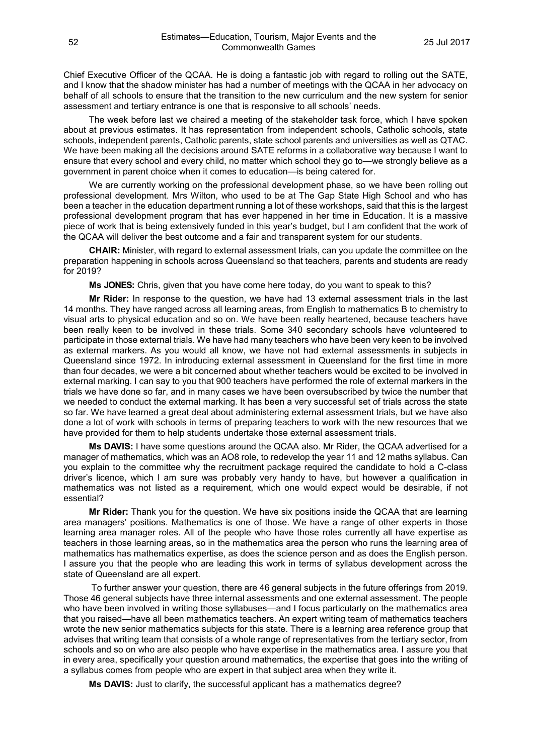Chief Executive Officer of the QCAA. He is doing a fantastic job with regard to rolling out the SATE, and I know that the shadow minister has had a number of meetings with the QCAA in her advocacy on behalf of all schools to ensure that the transition to the new curriculum and the new system for senior assessment and tertiary entrance is one that is responsive to all schools' needs.

The week before last we chaired a meeting of the stakeholder task force, which I have spoken about at previous estimates. It has representation from independent schools, Catholic schools, state schools, independent parents, Catholic parents, state school parents and universities as well as QTAC. We have been making all the decisions around SATE reforms in a collaborative way because I want to ensure that every school and every child, no matter which school they go to—we strongly believe as a government in parent choice when it comes to education—is being catered for.

We are currently working on the professional development phase, so we have been rolling out professional development. Mrs Wilton, who used to be at The Gap State High School and who has been a teacher in the education department running a lot of these workshops, said that this is the largest professional development program that has ever happened in her time in Education. It is a massive piece of work that is being extensively funded in this year's budget, but I am confident that the work of the QCAA will deliver the best outcome and a fair and transparent system for our students.

**CHAIR:** Minister, with regard to external assessment trials, can you update the committee on the preparation happening in schools across Queensland so that teachers, parents and students are ready for 2019?

**Ms JONES:** Chris, given that you have come here today, do you want to speak to this?

**Mr Rider:** In response to the question, we have had 13 external assessment trials in the last 14 months. They have ranged across all learning areas, from English to mathematics B to chemistry to visual arts to physical education and so on. We have been really heartened, because teachers have been really keen to be involved in these trials. Some 340 secondary schools have volunteered to participate in those external trials. We have had many teachers who have been very keen to be involved as external markers. As you would all know, we have not had external assessments in subjects in Queensland since 1972. In introducing external assessment in Queensland for the first time in more than four decades, we were a bit concerned about whether teachers would be excited to be involved in external marking. I can say to you that 900 teachers have performed the role of external markers in the trials we have done so far, and in many cases we have been oversubscribed by twice the number that we needed to conduct the external marking. It has been a very successful set of trials across the state so far. We have learned a great deal about administering external assessment trials, but we have also done a lot of work with schools in terms of preparing teachers to work with the new resources that we have provided for them to help students undertake those external assessment trials.

**Ms DAVIS:** I have some questions around the QCAA also. Mr Rider, the QCAA advertised for a manager of mathematics, which was an AO8 role, to redevelop the year 11 and 12 maths syllabus. Can you explain to the committee why the recruitment package required the candidate to hold a C-class driver's licence, which I am sure was probably very handy to have, but however a qualification in mathematics was not listed as a requirement, which one would expect would be desirable, if not essential?

**Mr Rider:** Thank you for the question. We have six positions inside the QCAA that are learning area managers' positions. Mathematics is one of those. We have a range of other experts in those learning area manager roles. All of the people who have those roles currently all have expertise as teachers in those learning areas, so in the mathematics area the person who runs the learning area of mathematics has mathematics expertise, as does the science person and as does the English person. I assure you that the people who are leading this work in terms of syllabus development across the state of Queensland are all expert.

To further answer your question, there are 46 general subjects in the future offerings from 2019. Those 46 general subjects have three internal assessments and one external assessment. The people who have been involved in writing those syllabuses—and I focus particularly on the mathematics area that you raised—have all been mathematics teachers. An expert writing team of mathematics teachers wrote the new senior mathematics subjects for this state. There is a learning area reference group that advises that writing team that consists of a whole range of representatives from the tertiary sector, from schools and so on who are also people who have expertise in the mathematics area. I assure you that in every area, specifically your question around mathematics, the expertise that goes into the writing of a syllabus comes from people who are expert in that subject area when they write it.

**Ms DAVIS:** Just to clarify, the successful applicant has a mathematics degree?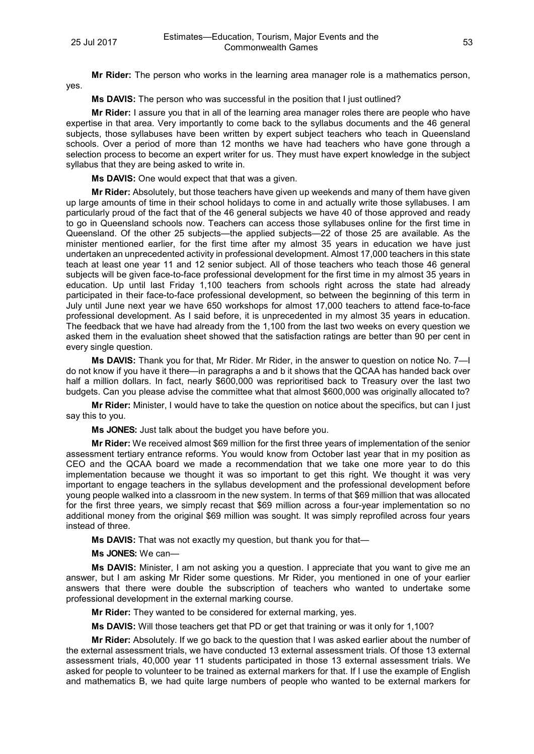**Ms DAVIS:** The person who was successful in the position that I just outlined?

**Mr Rider:** I assure you that in all of the learning area manager roles there are people who have expertise in that area. Very importantly to come back to the syllabus documents and the 46 general subjects, those syllabuses have been written by expert subject teachers who teach in Queensland schools. Over a period of more than 12 months we have had teachers who have gone through a selection process to become an expert writer for us. They must have expert knowledge in the subject syllabus that they are being asked to write in.

**Ms DAVIS:** One would expect that that was a given.

**Mr Rider:** Absolutely, but those teachers have given up weekends and many of them have given up large amounts of time in their school holidays to come in and actually write those syllabuses. I am particularly proud of the fact that of the 46 general subjects we have 40 of those approved and ready to go in Queensland schools now. Teachers can access those syllabuses online for the first time in Queensland. Of the other 25 subjects—the applied subjects—22 of those 25 are available. As the minister mentioned earlier, for the first time after my almost 35 years in education we have just undertaken an unprecedented activity in professional development. Almost 17,000 teachers in this state teach at least one year 11 and 12 senior subject. All of those teachers who teach those 46 general subjects will be given face-to-face professional development for the first time in my almost 35 years in education. Up until last Friday 1,100 teachers from schools right across the state had already participated in their face-to-face professional development, so between the beginning of this term in July until June next year we have 650 workshops for almost 17,000 teachers to attend face-to-face professional development. As I said before, it is unprecedented in my almost 35 years in education. The feedback that we have had already from the 1,100 from the last two weeks on every question we asked them in the evaluation sheet showed that the satisfaction ratings are better than 90 per cent in every single question.

**Ms DAVIS:** Thank you for that, Mr Rider. Mr Rider, in the answer to question on notice No. 7—I do not know if you have it there—in paragraphs a and b it shows that the QCAA has handed back over half a million dollars. In fact, nearly \$600,000 was reprioritised back to Treasury over the last two budgets. Can you please advise the committee what that almost \$600,000 was originally allocated to?

**Mr Rider:** Minister, I would have to take the question on notice about the specifics, but can I just say this to you.

**Ms JONES:** Just talk about the budget you have before you.

**Mr Rider:** We received almost \$69 million for the first three years of implementation of the senior assessment tertiary entrance reforms. You would know from October last year that in my position as CEO and the QCAA board we made a recommendation that we take one more year to do this implementation because we thought it was so important to get this right. We thought it was very important to engage teachers in the syllabus development and the professional development before young people walked into a classroom in the new system. In terms of that \$69 million that was allocated for the first three years, we simply recast that \$69 million across a four-year implementation so no additional money from the original \$69 million was sought. It was simply reprofiled across four years instead of three.

**Ms DAVIS:** That was not exactly my question, but thank you for that—

**Ms JONES:** We can—

**Ms DAVIS:** Minister, I am not asking you a question. I appreciate that you want to give me an answer, but I am asking Mr Rider some questions. Mr Rider, you mentioned in one of your earlier answers that there were double the subscription of teachers who wanted to undertake some professional development in the external marking course.

**Mr Rider:** They wanted to be considered for external marking, yes.

**Ms DAVIS:** Will those teachers get that PD or get that training or was it only for 1,100?

**Mr Rider:** Absolutely. If we go back to the question that I was asked earlier about the number of the external assessment trials, we have conducted 13 external assessment trials. Of those 13 external assessment trials, 40,000 year 11 students participated in those 13 external assessment trials. We asked for people to volunteer to be trained as external markers for that. If I use the example of English and mathematics B, we had quite large numbers of people who wanted to be external markers for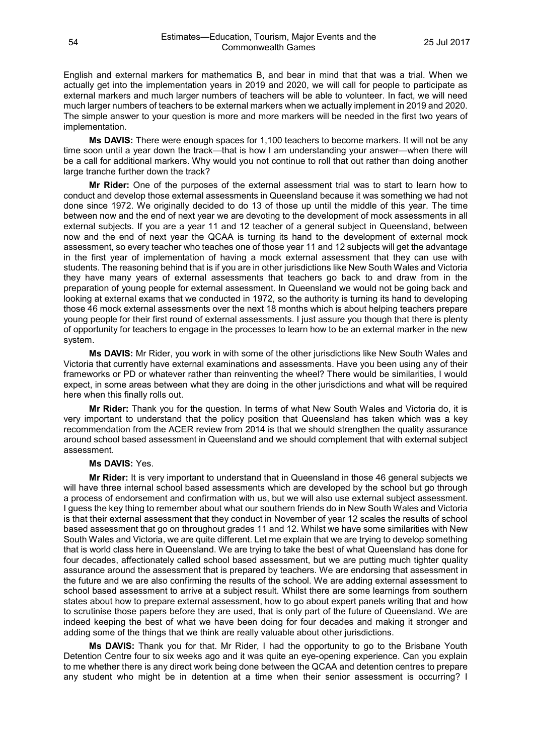English and external markers for mathematics B, and bear in mind that that was a trial. When we actually get into the implementation years in 2019 and 2020, we will call for people to participate as external markers and much larger numbers of teachers will be able to volunteer. In fact, we will need much larger numbers of teachers to be external markers when we actually implement in 2019 and 2020. The simple answer to your question is more and more markers will be needed in the first two years of implementation.

**Ms DAVIS:** There were enough spaces for 1,100 teachers to become markers. It will not be any time soon until a year down the track—that is how I am understanding your answer—when there will be a call for additional markers. Why would you not continue to roll that out rather than doing another large tranche further down the track?

**Mr Rider:** One of the purposes of the external assessment trial was to start to learn how to conduct and develop those external assessments in Queensland because it was something we had not done since 1972. We originally decided to do 13 of those up until the middle of this year. The time between now and the end of next year we are devoting to the development of mock assessments in all external subjects. If you are a year 11 and 12 teacher of a general subject in Queensland, between now and the end of next year the QCAA is turning its hand to the development of external mock assessment, so every teacher who teaches one of those year 11 and 12 subjects will get the advantage in the first year of implementation of having a mock external assessment that they can use with students. The reasoning behind that is if you are in other jurisdictions like New South Wales and Victoria they have many years of external assessments that teachers go back to and draw from in the preparation of young people for external assessment. In Queensland we would not be going back and looking at external exams that we conducted in 1972, so the authority is turning its hand to developing those 46 mock external assessments over the next 18 months which is about helping teachers prepare young people for their first round of external assessments. I just assure you though that there is plenty of opportunity for teachers to engage in the processes to learn how to be an external marker in the new system.

**Ms DAVIS:** Mr Rider, you work in with some of the other jurisdictions like New South Wales and Victoria that currently have external examinations and assessments. Have you been using any of their frameworks or PD or whatever rather than reinventing the wheel? There would be similarities, I would expect, in some areas between what they are doing in the other jurisdictions and what will be required here when this finally rolls out.

**Mr Rider:** Thank you for the question. In terms of what New South Wales and Victoria do, it is very important to understand that the policy position that Queensland has taken which was a key recommendation from the ACER review from 2014 is that we should strengthen the quality assurance around school based assessment in Queensland and we should complement that with external subject assessment.

#### **Ms DAVIS:** Yes.

**Mr Rider:** It is very important to understand that in Queensland in those 46 general subjects we will have three internal school based assessments which are developed by the school but go through a process of endorsement and confirmation with us, but we will also use external subject assessment. I guess the key thing to remember about what our southern friends do in New South Wales and Victoria is that their external assessment that they conduct in November of year 12 scales the results of school based assessment that go on throughout grades 11 and 12. Whilst we have some similarities with New South Wales and Victoria, we are quite different. Let me explain that we are trying to develop something that is world class here in Queensland. We are trying to take the best of what Queensland has done for four decades, affectionately called school based assessment, but we are putting much tighter quality assurance around the assessment that is prepared by teachers. We are endorsing that assessment in the future and we are also confirming the results of the school. We are adding external assessment to school based assessment to arrive at a subject result. Whilst there are some learnings from southern states about how to prepare external assessment, how to go about expert panels writing that and how to scrutinise those papers before they are used, that is only part of the future of Queensland. We are indeed keeping the best of what we have been doing for four decades and making it stronger and adding some of the things that we think are really valuable about other jurisdictions.

**Ms DAVIS:** Thank you for that. Mr Rider, I had the opportunity to go to the Brisbane Youth Detention Centre four to six weeks ago and it was quite an eye-opening experience. Can you explain to me whether there is any direct work being done between the QCAA and detention centres to prepare any student who might be in detention at a time when their senior assessment is occurring? I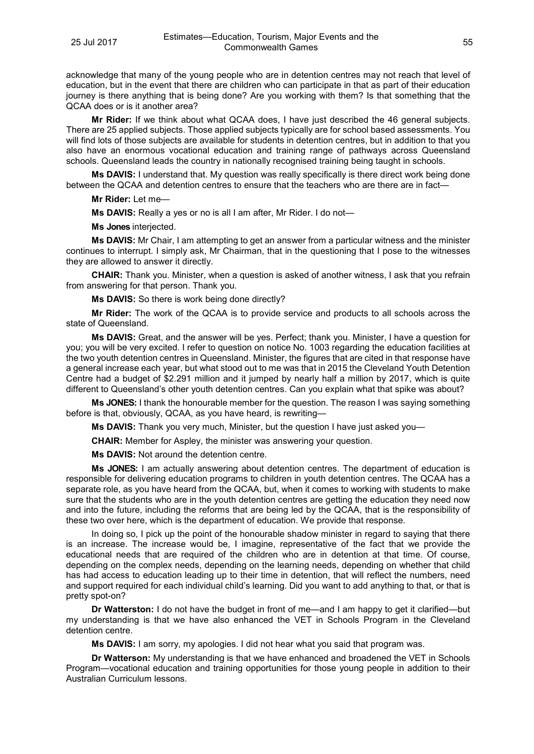acknowledge that many of the young people who are in detention centres may not reach that level of education, but in the event that there are children who can participate in that as part of their education journey is there anything that is being done? Are you working with them? Is that something that the QCAA does or is it another area?

**Mr Rider:** If we think about what QCAA does, I have just described the 46 general subjects. There are 25 applied subjects. Those applied subjects typically are for school based assessments. You will find lots of those subjects are available for students in detention centres, but in addition to that you also have an enormous vocational education and training range of pathways across Queensland schools. Queensland leads the country in nationally recognised training being taught in schools.

**Ms DAVIS:** I understand that. My question was really specifically is there direct work being done between the QCAA and detention centres to ensure that the teachers who are there are in fact—

**Mr Rider:** Let me—

**Ms DAVIS:** Really a yes or no is all I am after, Mr Rider. I do not—

**Ms Jones** interjected.

**Ms DAVIS:** Mr Chair, I am attempting to get an answer from a particular witness and the minister continues to interrupt. I simply ask, Mr Chairman, that in the questioning that I pose to the witnesses they are allowed to answer it directly.

**CHAIR:** Thank you. Minister, when a question is asked of another witness, I ask that you refrain from answering for that person. Thank you.

**Ms DAVIS:** So there is work being done directly?

**Mr Rider:** The work of the QCAA is to provide service and products to all schools across the state of Queensland.

**Ms DAVIS:** Great, and the answer will be yes. Perfect; thank you. Minister, I have a question for you; you will be very excited. I refer to question on notice No. 1003 regarding the education facilities at the two youth detention centres in Queensland. Minister, the figures that are cited in that response have a general increase each year, but what stood out to me was that in 2015 the Cleveland Youth Detention Centre had a budget of \$2.291 million and it jumped by nearly half a million by 2017, which is quite different to Queensland's other youth detention centres. Can you explain what that spike was about?

**Ms JONES:** I thank the honourable member for the question. The reason I was saying something before is that, obviously, QCAA, as you have heard, is rewriting—

**Ms DAVIS:** Thank you very much, Minister, but the question I have just asked you—

**CHAIR:** Member for Aspley, the minister was answering your question.

**Ms DAVIS:** Not around the detention centre.

**Ms JONES:** I am actually answering about detention centres. The department of education is responsible for delivering education programs to children in youth detention centres. The QCAA has a separate role, as you have heard from the QCAA, but, when it comes to working with students to make sure that the students who are in the youth detention centres are getting the education they need now and into the future, including the reforms that are being led by the QCAA, that is the responsibility of these two over here, which is the department of education. We provide that response.

In doing so, I pick up the point of the honourable shadow minister in regard to saying that there is an increase. The increase would be, I imagine, representative of the fact that we provide the educational needs that are required of the children who are in detention at that time. Of course, depending on the complex needs, depending on the learning needs, depending on whether that child has had access to education leading up to their time in detention, that will reflect the numbers, need and support required for each individual child's learning. Did you want to add anything to that, or that is pretty spot-on?

**Dr Watterston:** I do not have the budget in front of me—and I am happy to get it clarified—but my understanding is that we have also enhanced the VET in Schools Program in the Cleveland detention centre.

**Ms DAVIS:** I am sorry, my apologies. I did not hear what you said that program was.

**Dr Watterson:** My understanding is that we have enhanced and broadened the VET in Schools Program—vocational education and training opportunities for those young people in addition to their Australian Curriculum lessons.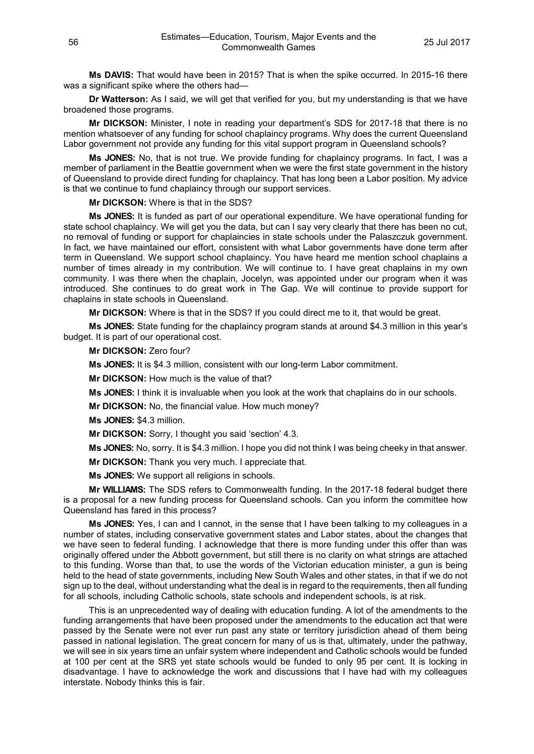**Ms DAVIS:** That would have been in 2015? That is when the spike occurred. In 2015-16 there was a significant spike where the others had—

**Dr Watterson:** As I said, we will get that verified for you, but my understanding is that we have broadened those programs.

**Mr DICKSON:** Minister, I note in reading your department's SDS for 2017-18 that there is no mention whatsoever of any funding for school chaplaincy programs. Why does the current Queensland Labor government not provide any funding for this vital support program in Queensland schools?

**Ms JONES:** No, that is not true. We provide funding for chaplaincy programs. In fact, I was a member of parliament in the Beattie government when we were the first state government in the history of Queensland to provide direct funding for chaplaincy. That has long been a Labor position. My advice is that we continue to fund chaplaincy through our support services.

**Mr DICKSON:** Where is that in the SDS?

**Ms JONES:** It is funded as part of our operational expenditure. We have operational funding for state school chaplaincy. We will get you the data, but can I say very clearly that there has been no cut, no removal of funding or support for chaplaincies in state schools under the Palaszczuk government. In fact, we have maintained our effort, consistent with what Labor governments have done term after term in Queensland. We support school chaplaincy. You have heard me mention school chaplains a number of times already in my contribution. We will continue to. I have great chaplains in my own community. I was there when the chaplain, Jocelyn, was appointed under our program when it was introduced. She continues to do great work in The Gap. We will continue to provide support for chaplains in state schools in Queensland.

**Mr DICKSON:** Where is that in the SDS? If you could direct me to it, that would be great.

**Ms JONES:** State funding for the chaplaincy program stands at around \$4.3 million in this year's budget. It is part of our operational cost.

**Mr DICKSON:** Zero four?

**Ms JONES:** It is \$4.3 million, consistent with our long-term Labor commitment.

**Mr DICKSON:** How much is the value of that?

**Ms JONES:** I think it is invaluable when you look at the work that chaplains do in our schools.

**Mr DICKSON:** No, the financial value. How much money?

**Ms JONES:** \$4.3 million.

**Mr DICKSON:** Sorry, I thought you said 'section' 4.3.

**Ms JONES:** No, sorry. It is \$4.3 million. I hope you did not think I was being cheeky in that answer.

**Mr DICKSON:** Thank you very much. I appreciate that.

**Ms JONES:** We support all religions in schools.

**Mr WILLIAMS:** The SDS refers to Commonwealth funding. In the 2017-18 federal budget there is a proposal for a new funding process for Queensland schools. Can you inform the committee how Queensland has fared in this process?

**Ms JONES:** Yes, I can and I cannot, in the sense that I have been talking to my colleagues in a number of states, including conservative government states and Labor states, about the changes that we have seen to federal funding. I acknowledge that there is more funding under this offer than was originally offered under the Abbott government, but still there is no clarity on what strings are attached to this funding. Worse than that, to use the words of the Victorian education minister, a gun is being held to the head of state governments, including New South Wales and other states, in that if we do not sign up to the deal, without understanding what the deal is in regard to the requirements, then all funding for all schools, including Catholic schools, state schools and independent schools, is at risk.

This is an unprecedented way of dealing with education funding. A lot of the amendments to the funding arrangements that have been proposed under the amendments to the education act that were passed by the Senate were not ever run past any state or territory jurisdiction ahead of them being passed in national legislation. The great concern for many of us is that, ultimately, under the pathway, we will see in six years time an unfair system where independent and Catholic schools would be funded at 100 per cent at the SRS yet state schools would be funded to only 95 per cent. It is locking in disadvantage. I have to acknowledge the work and discussions that I have had with my colleagues interstate. Nobody thinks this is fair.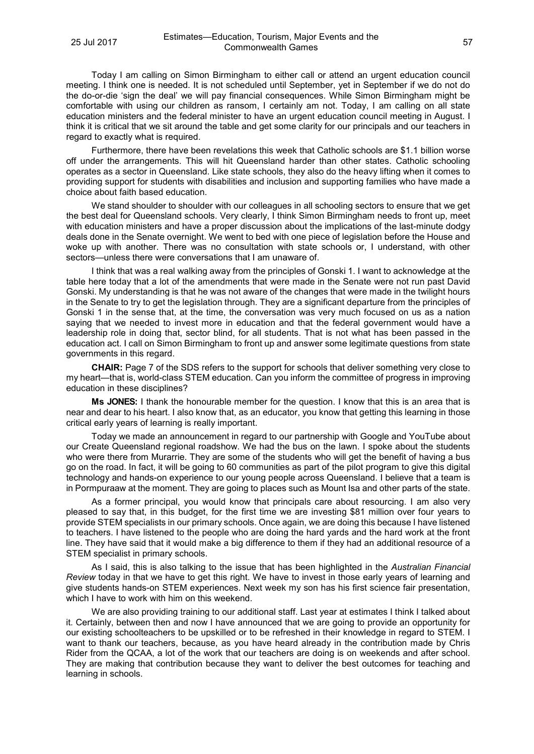Today I am calling on Simon Birmingham to either call or attend an urgent education council meeting. I think one is needed. It is not scheduled until September, yet in September if we do not do the do-or-die 'sign the deal' we will pay financial consequences. While Simon Birmingham might be comfortable with using our children as ransom, I certainly am not. Today, I am calling on all state education ministers and the federal minister to have an urgent education council meeting in August. I think it is critical that we sit around the table and get some clarity for our principals and our teachers in regard to exactly what is required.

Furthermore, there have been revelations this week that Catholic schools are \$1.1 billion worse off under the arrangements. This will hit Queensland harder than other states. Catholic schooling operates as a sector in Queensland. Like state schools, they also do the heavy lifting when it comes to providing support for students with disabilities and inclusion and supporting families who have made a choice about faith based education.

We stand shoulder to shoulder with our colleagues in all schooling sectors to ensure that we get the best deal for Queensland schools. Very clearly, I think Simon Birmingham needs to front up, meet with education ministers and have a proper discussion about the implications of the last-minute dodgy deals done in the Senate overnight. We went to bed with one piece of legislation before the House and woke up with another. There was no consultation with state schools or, I understand, with other sectors—unless there were conversations that I am unaware of.

I think that was a real walking away from the principles of Gonski 1. I want to acknowledge at the table here today that a lot of the amendments that were made in the Senate were not run past David Gonski. My understanding is that he was not aware of the changes that were made in the twilight hours in the Senate to try to get the legislation through. They are a significant departure from the principles of Gonski 1 in the sense that, at the time, the conversation was very much focused on us as a nation saying that we needed to invest more in education and that the federal government would have a leadership role in doing that, sector blind, for all students. That is not what has been passed in the education act. I call on Simon Birmingham to front up and answer some legitimate questions from state governments in this regard.

**CHAIR:** Page 7 of the SDS refers to the support for schools that deliver something very close to my heart—that is, world-class STEM education. Can you inform the committee of progress in improving education in these disciplines?

**Ms JONES:** I thank the honourable member for the question. I know that this is an area that is near and dear to his heart. I also know that, as an educator, you know that getting this learning in those critical early years of learning is really important.

Today we made an announcement in regard to our partnership with Google and YouTube about our Create Queensland regional roadshow. We had the bus on the lawn. I spoke about the students who were there from Murarrie. They are some of the students who will get the benefit of having a bus go on the road. In fact, it will be going to 60 communities as part of the pilot program to give this digital technology and hands-on experience to our young people across Queensland. I believe that a team is in Pormpuraaw at the moment. They are going to places such as Mount Isa and other parts of the state.

As a former principal, you would know that principals care about resourcing. I am also very pleased to say that, in this budget, for the first time we are investing \$81 million over four years to provide STEM specialists in our primary schools. Once again, we are doing this because I have listened to teachers. I have listened to the people who are doing the hard yards and the hard work at the front line. They have said that it would make a big difference to them if they had an additional resource of a STEM specialist in primary schools.

As I said, this is also talking to the issue that has been highlighted in the *Australian Financial Review* today in that we have to get this right. We have to invest in those early years of learning and give students hands-on STEM experiences. Next week my son has his first science fair presentation, which I have to work with him on this weekend.

We are also providing training to our additional staff. Last year at estimates I think I talked about it. Certainly, between then and now I have announced that we are going to provide an opportunity for our existing schoolteachers to be upskilled or to be refreshed in their knowledge in regard to STEM. I want to thank our teachers, because, as you have heard already in the contribution made by Chris Rider from the QCAA, a lot of the work that our teachers are doing is on weekends and after school. They are making that contribution because they want to deliver the best outcomes for teaching and learning in schools.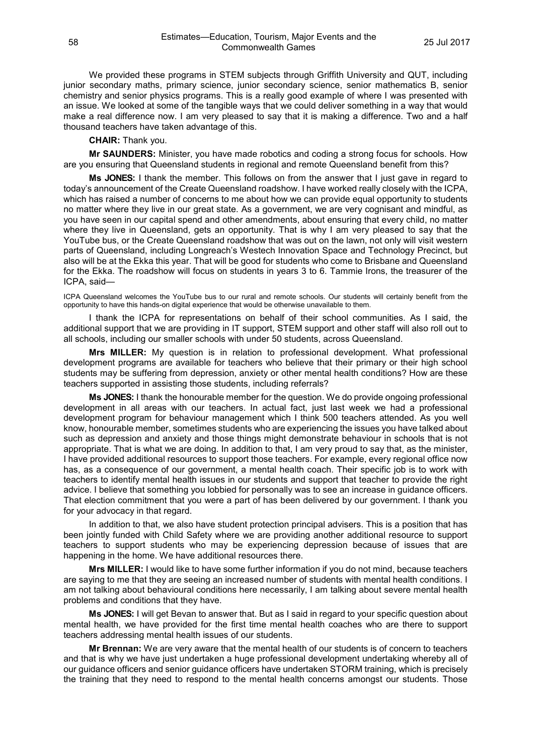We provided these programs in STEM subjects through Griffith University and QUT, including junior secondary maths, primary science, junior secondary science, senior mathematics B, senior chemistry and senior physics programs. This is a really good example of where I was presented with an issue. We looked at some of the tangible ways that we could deliver something in a way that would make a real difference now. I am very pleased to say that it is making a difference. Two and a half thousand teachers have taken advantage of this.

#### **CHAIR:** Thank you.

**Mr SAUNDERS:** Minister, you have made robotics and coding a strong focus for schools. How are you ensuring that Queensland students in regional and remote Queensland benefit from this?

**Ms JONES:** I thank the member. This follows on from the answer that I just gave in regard to today's announcement of the Create Queensland roadshow. I have worked really closely with the ICPA, which has raised a number of concerns to me about how we can provide equal opportunity to students no matter where they live in our great state. As a government, we are very cognisant and mindful, as you have seen in our capital spend and other amendments, about ensuring that every child, no matter where they live in Queensland, gets an opportunity. That is why I am very pleased to say that the YouTube bus, or the Create Queensland roadshow that was out on the lawn, not only will visit western parts of Queensland, including Longreach's Westech Innovation Space and Technology Precinct, but also will be at the Ekka this year. That will be good for students who come to Brisbane and Queensland for the Ekka. The roadshow will focus on students in years 3 to 6. Tammie Irons, the treasurer of the ICPA, said—

ICPA Queensland welcomes the YouTube bus to our rural and remote schools. Our students will certainly benefit from the opportunity to have this hands-on digital experience that would be otherwise unavailable to them.

I thank the ICPA for representations on behalf of their school communities. As I said, the additional support that we are providing in IT support, STEM support and other staff will also roll out to all schools, including our smaller schools with under 50 students, across Queensland.

**Mrs MILLER:** My question is in relation to professional development. What professional development programs are available for teachers who believe that their primary or their high school students may be suffering from depression, anxiety or other mental health conditions? How are these teachers supported in assisting those students, including referrals?

**Ms JONES:** I thank the honourable member for the question. We do provide ongoing professional development in all areas with our teachers. In actual fact, just last week we had a professional development program for behaviour management which I think 500 teachers attended. As you well know, honourable member, sometimes students who are experiencing the issues you have talked about such as depression and anxiety and those things might demonstrate behaviour in schools that is not appropriate. That is what we are doing. In addition to that, I am very proud to say that, as the minister, I have provided additional resources to support those teachers. For example, every regional office now has, as a consequence of our government, a mental health coach. Their specific job is to work with teachers to identify mental health issues in our students and support that teacher to provide the right advice. I believe that something you lobbied for personally was to see an increase in guidance officers. That election commitment that you were a part of has been delivered by our government. I thank you for your advocacy in that regard.

In addition to that, we also have student protection principal advisers. This is a position that has been jointly funded with Child Safety where we are providing another additional resource to support teachers to support students who may be experiencing depression because of issues that are happening in the home. We have additional resources there.

**Mrs MILLER:** I would like to have some further information if you do not mind, because teachers are saying to me that they are seeing an increased number of students with mental health conditions. I am not talking about behavioural conditions here necessarily, I am talking about severe mental health problems and conditions that they have.

**Ms JONES:** I will get Bevan to answer that. But as I said in regard to your specific question about mental health, we have provided for the first time mental health coaches who are there to support teachers addressing mental health issues of our students.

**Mr Brennan:** We are very aware that the mental health of our students is of concern to teachers and that is why we have just undertaken a huge professional development undertaking whereby all of our guidance officers and senior guidance officers have undertaken STORM training, which is precisely the training that they need to respond to the mental health concerns amongst our students. Those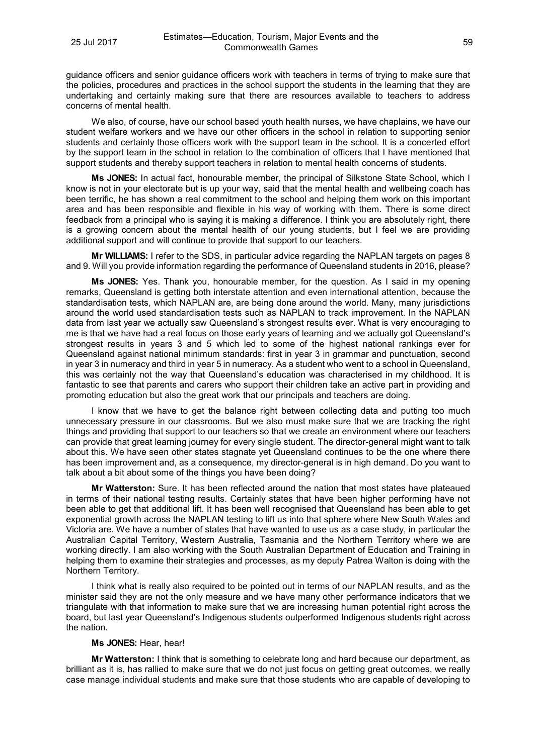guidance officers and senior guidance officers work with teachers in terms of trying to make sure that the policies, procedures and practices in the school support the students in the learning that they are undertaking and certainly making sure that there are resources available to teachers to address concerns of mental health.

We also, of course, have our school based youth health nurses, we have chaplains, we have our student welfare workers and we have our other officers in the school in relation to supporting senior students and certainly those officers work with the support team in the school. It is a concerted effort by the support team in the school in relation to the combination of officers that I have mentioned that support students and thereby support teachers in relation to mental health concerns of students.

**Ms JONES:** In actual fact, honourable member, the principal of Silkstone State School, which I know is not in your electorate but is up your way, said that the mental health and wellbeing coach has been terrific, he has shown a real commitment to the school and helping them work on this important area and has been responsible and flexible in his way of working with them. There is some direct feedback from a principal who is saying it is making a difference. I think you are absolutely right, there is a growing concern about the mental health of our young students, but I feel we are providing additional support and will continue to provide that support to our teachers.

**Mr WILLIAMS:** I refer to the SDS, in particular advice regarding the NAPLAN targets on pages 8 and 9. Will you provide information regarding the performance of Queensland students in 2016, please?

**Ms JONES:** Yes. Thank you, honourable member, for the question. As I said in my opening remarks, Queensland is getting both interstate attention and even international attention, because the standardisation tests, which NAPLAN are, are being done around the world. Many, many jurisdictions around the world used standardisation tests such as NAPLAN to track improvement. In the NAPLAN data from last year we actually saw Queensland's strongest results ever. What is very encouraging to me is that we have had a real focus on those early years of learning and we actually got Queensland's strongest results in years 3 and 5 which led to some of the highest national rankings ever for Queensland against national minimum standards: first in year 3 in grammar and punctuation, second in year 3 in numeracy and third in year 5 in numeracy. As a student who went to a school in Queensland, this was certainly not the way that Queensland's education was characterised in my childhood. It is fantastic to see that parents and carers who support their children take an active part in providing and promoting education but also the great work that our principals and teachers are doing.

I know that we have to get the balance right between collecting data and putting too much unnecessary pressure in our classrooms. But we also must make sure that we are tracking the right things and providing that support to our teachers so that we create an environment where our teachers can provide that great learning journey for every single student. The director-general might want to talk about this. We have seen other states stagnate yet Queensland continues to be the one where there has been improvement and, as a consequence, my director-general is in high demand. Do you want to talk about a bit about some of the things you have been doing?

**Mr Watterston:** Sure. It has been reflected around the nation that most states have plateaued in terms of their national testing results. Certainly states that have been higher performing have not been able to get that additional lift. It has been well recognised that Queensland has been able to get exponential growth across the NAPLAN testing to lift us into that sphere where New South Wales and Victoria are. We have a number of states that have wanted to use us as a case study, in particular the Australian Capital Territory, Western Australia, Tasmania and the Northern Territory where we are working directly. I am also working with the South Australian Department of Education and Training in helping them to examine their strategies and processes, as my deputy Patrea Walton is doing with the Northern Territory.

I think what is really also required to be pointed out in terms of our NAPLAN results, and as the minister said they are not the only measure and we have many other performance indicators that we triangulate with that information to make sure that we are increasing human potential right across the board, but last year Queensland's Indigenous students outperformed Indigenous students right across the nation.

## **Ms JONES:** Hear, hear!

**Mr Watterston:** I think that is something to celebrate long and hard because our department, as brilliant as it is, has rallied to make sure that we do not just focus on getting great outcomes, we really case manage individual students and make sure that those students who are capable of developing to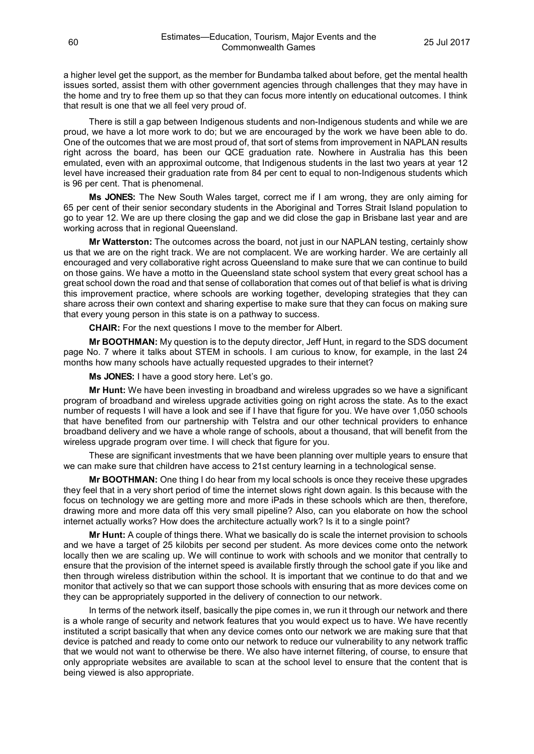a higher level get the support, as the member for Bundamba talked about before, get the mental health issues sorted, assist them with other government agencies through challenges that they may have in the home and try to free them up so that they can focus more intently on educational outcomes. I think that result is one that we all feel very proud of.

There is still a gap between Indigenous students and non-Indigenous students and while we are proud, we have a lot more work to do; but we are encouraged by the work we have been able to do. One of the outcomes that we are most proud of, that sort of stems from improvement in NAPLAN results right across the board, has been our QCE graduation rate. Nowhere in Australia has this been emulated, even with an approximal outcome, that Indigenous students in the last two years at year 12 level have increased their graduation rate from 84 per cent to equal to non-Indigenous students which is 96 per cent. That is phenomenal.

**Ms JONES:** The New South Wales target, correct me if I am wrong, they are only aiming for 65 per cent of their senior secondary students in the Aboriginal and Torres Strait Island population to go to year 12. We are up there closing the gap and we did close the gap in Brisbane last year and are working across that in regional Queensland.

**Mr Watterston:** The outcomes across the board, not just in our NAPLAN testing, certainly show us that we are on the right track. We are not complacent. We are working harder. We are certainly all encouraged and very collaborative right across Queensland to make sure that we can continue to build on those gains. We have a motto in the Queensland state school system that every great school has a great school down the road and that sense of collaboration that comes out of that belief is what is driving this improvement practice, where schools are working together, developing strategies that they can share across their own context and sharing expertise to make sure that they can focus on making sure that every young person in this state is on a pathway to success.

**CHAIR:** For the next questions I move to the member for Albert.

**Mr BOOTHMAN:** My question is to the deputy director, Jeff Hunt, in regard to the SDS document page No. 7 where it talks about STEM in schools. I am curious to know, for example, in the last 24 months how many schools have actually requested upgrades to their internet?

**Ms JONES:** I have a good story here. Let's go.

**Mr Hunt:** We have been investing in broadband and wireless upgrades so we have a significant program of broadband and wireless upgrade activities going on right across the state. As to the exact number of requests I will have a look and see if I have that figure for you. We have over 1,050 schools that have benefited from our partnership with Telstra and our other technical providers to enhance broadband delivery and we have a whole range of schools, about a thousand, that will benefit from the wireless upgrade program over time. I will check that figure for you.

These are significant investments that we have been planning over multiple years to ensure that we can make sure that children have access to 21st century learning in a technological sense.

**Mr BOOTHMAN:** One thing I do hear from my local schools is once they receive these upgrades they feel that in a very short period of time the internet slows right down again. Is this because with the focus on technology we are getting more and more iPads in these schools which are then, therefore, drawing more and more data off this very small pipeline? Also, can you elaborate on how the school internet actually works? How does the architecture actually work? Is it to a single point?

**Mr Hunt:** A couple of things there. What we basically do is scale the internet provision to schools and we have a target of 25 kilobits per second per student. As more devices come onto the network locally then we are scaling up. We will continue to work with schools and we monitor that centrally to ensure that the provision of the internet speed is available firstly through the school gate if you like and then through wireless distribution within the school. It is important that we continue to do that and we monitor that actively so that we can support those schools with ensuring that as more devices come on they can be appropriately supported in the delivery of connection to our network.

In terms of the network itself, basically the pipe comes in, we run it through our network and there is a whole range of security and network features that you would expect us to have. We have recently instituted a script basically that when any device comes onto our network we are making sure that that device is patched and ready to come onto our network to reduce our vulnerability to any network traffic that we would not want to otherwise be there. We also have internet filtering, of course, to ensure that only appropriate websites are available to scan at the school level to ensure that the content that is being viewed is also appropriate.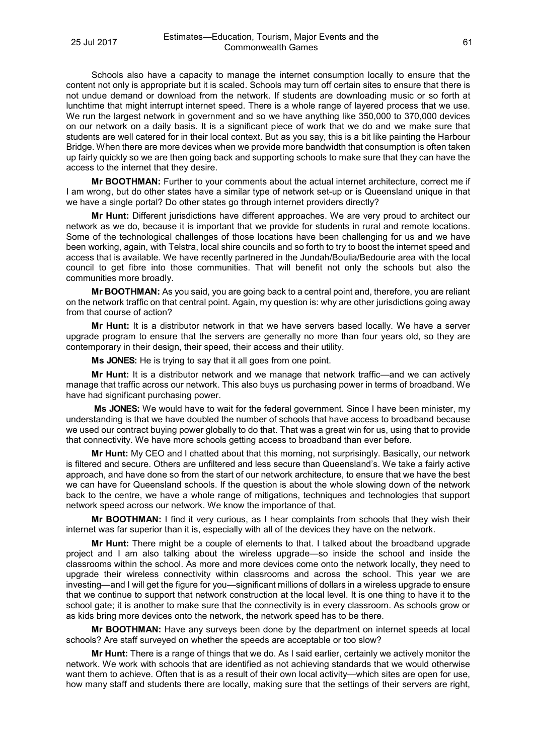Schools also have a capacity to manage the internet consumption locally to ensure that the content not only is appropriate but it is scaled. Schools may turn off certain sites to ensure that there is not undue demand or download from the network. If students are downloading music or so forth at lunchtime that might interrupt internet speed. There is a whole range of layered process that we use. We run the largest network in government and so we have anything like 350,000 to 370,000 devices on our network on a daily basis. It is a significant piece of work that we do and we make sure that students are well catered for in their local context. But as you say, this is a bit like painting the Harbour Bridge. When there are more devices when we provide more bandwidth that consumption is often taken up fairly quickly so we are then going back and supporting schools to make sure that they can have the access to the internet that they desire.

**Mr BOOTHMAN:** Further to your comments about the actual internet architecture, correct me if I am wrong, but do other states have a similar type of network set-up or is Queensland unique in that we have a single portal? Do other states go through internet providers directly?

**Mr Hunt:** Different jurisdictions have different approaches. We are very proud to architect our network as we do, because it is important that we provide for students in rural and remote locations. Some of the technological challenges of those locations have been challenging for us and we have been working, again, with Telstra, local shire councils and so forth to try to boost the internet speed and access that is available. We have recently partnered in the Jundah/Boulia/Bedourie area with the local council to get fibre into those communities. That will benefit not only the schools but also the communities more broadly.

**Mr BOOTHMAN:** As you said, you are going back to a central point and, therefore, you are reliant on the network traffic on that central point. Again, my question is: why are other jurisdictions going away from that course of action?

**Mr Hunt:** It is a distributor network in that we have servers based locally. We have a server upgrade program to ensure that the servers are generally no more than four years old, so they are contemporary in their design, their speed, their access and their utility.

**Ms JONES:** He is trying to say that it all goes from one point.

**Mr Hunt:** It is a distributor network and we manage that network traffic—and we can actively manage that traffic across our network. This also buys us purchasing power in terms of broadband. We have had significant purchasing power.

**Ms JONES:** We would have to wait for the federal government. Since I have been minister, my understanding is that we have doubled the number of schools that have access to broadband because we used our contract buying power globally to do that. That was a great win for us, using that to provide that connectivity. We have more schools getting access to broadband than ever before.

**Mr Hunt:** My CEO and I chatted about that this morning, not surprisingly. Basically, our network is filtered and secure. Others are unfiltered and less secure than Queensland's. We take a fairly active approach, and have done so from the start of our network architecture, to ensure that we have the best we can have for Queensland schools. If the question is about the whole slowing down of the network back to the centre, we have a whole range of mitigations, techniques and technologies that support network speed across our network. We know the importance of that.

**Mr BOOTHMAN:** I find it very curious, as I hear complaints from schools that they wish their internet was far superior than it is, especially with all of the devices they have on the network.

**Mr Hunt:** There might be a couple of elements to that. I talked about the broadband upgrade project and I am also talking about the wireless upgrade—so inside the school and inside the classrooms within the school. As more and more devices come onto the network locally, they need to upgrade their wireless connectivity within classrooms and across the school. This year we are investing—and I will get the figure for you—significant millions of dollars in a wireless upgrade to ensure that we continue to support that network construction at the local level. It is one thing to have it to the school gate; it is another to make sure that the connectivity is in every classroom. As schools grow or as kids bring more devices onto the network, the network speed has to be there.

**Mr BOOTHMAN:** Have any surveys been done by the department on internet speeds at local schools? Are staff surveyed on whether the speeds are acceptable or too slow?

**Mr Hunt:** There is a range of things that we do. As I said earlier, certainly we actively monitor the network. We work with schools that are identified as not achieving standards that we would otherwise want them to achieve. Often that is as a result of their own local activity—which sites are open for use, how many staff and students there are locally, making sure that the settings of their servers are right,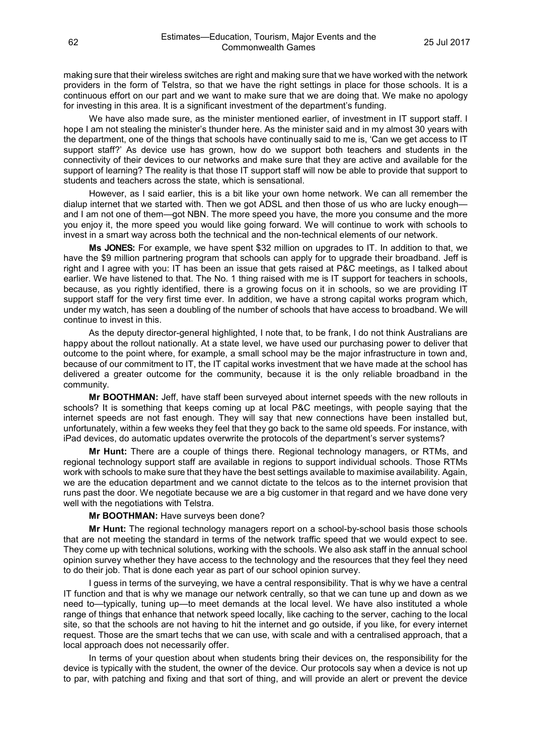making sure that their wireless switches are right and making sure that we have worked with the network providers in the form of Telstra, so that we have the right settings in place for those schools. It is a continuous effort on our part and we want to make sure that we are doing that. We make no apology for investing in this area. It is a significant investment of the department's funding.

We have also made sure, as the minister mentioned earlier, of investment in IT support staff. I hope I am not stealing the minister's thunder here. As the minister said and in my almost 30 years with the department, one of the things that schools have continually said to me is, 'Can we get access to IT support staff?' As device use has grown, how do we support both teachers and students in the connectivity of their devices to our networks and make sure that they are active and available for the support of learning? The reality is that those IT support staff will now be able to provide that support to students and teachers across the state, which is sensational.

However, as I said earlier, this is a bit like your own home network. We can all remember the dialup internet that we started with. Then we got ADSL and then those of us who are lucky enough and I am not one of them—got NBN. The more speed you have, the more you consume and the more you enjoy it, the more speed you would like going forward. We will continue to work with schools to invest in a smart way across both the technical and the non-technical elements of our network.

**Ms JONES:** For example, we have spent \$32 million on upgrades to IT. In addition to that, we have the \$9 million partnering program that schools can apply for to upgrade their broadband. Jeff is right and I agree with you: IT has been an issue that gets raised at P&C meetings, as I talked about earlier. We have listened to that. The No. 1 thing raised with me is IT support for teachers in schools, because, as you rightly identified, there is a growing focus on it in schools, so we are providing IT support staff for the very first time ever. In addition, we have a strong capital works program which, under my watch, has seen a doubling of the number of schools that have access to broadband. We will continue to invest in this.

As the deputy director-general highlighted, I note that, to be frank, I do not think Australians are happy about the rollout nationally. At a state level, we have used our purchasing power to deliver that outcome to the point where, for example, a small school may be the major infrastructure in town and, because of our commitment to IT, the IT capital works investment that we have made at the school has delivered a greater outcome for the community, because it is the only reliable broadband in the community.

**Mr BOOTHMAN:** Jeff, have staff been surveyed about internet speeds with the new rollouts in schools? It is something that keeps coming up at local P&C meetings, with people saying that the internet speeds are not fast enough. They will say that new connections have been installed but, unfortunately, within a few weeks they feel that they go back to the same old speeds. For instance, with iPad devices, do automatic updates overwrite the protocols of the department's server systems?

**Mr Hunt:** There are a couple of things there. Regional technology managers, or RTMs, and regional technology support staff are available in regions to support individual schools. Those RTMs work with schools to make sure that they have the best settings available to maximise availability. Again, we are the education department and we cannot dictate to the telcos as to the internet provision that runs past the door. We negotiate because we are a big customer in that regard and we have done very well with the negotiations with Telstra.

## **Mr BOOTHMAN:** Have surveys been done?

**Mr Hunt:** The regional technology managers report on a school-by-school basis those schools that are not meeting the standard in terms of the network traffic speed that we would expect to see. They come up with technical solutions, working with the schools. We also ask staff in the annual school opinion survey whether they have access to the technology and the resources that they feel they need to do their job. That is done each year as part of our school opinion survey.

I guess in terms of the surveying, we have a central responsibility. That is why we have a central IT function and that is why we manage our network centrally, so that we can tune up and down as we need to—typically, tuning up—to meet demands at the local level. We have also instituted a whole range of things that enhance that network speed locally, like caching to the server, caching to the local site, so that the schools are not having to hit the internet and go outside, if you like, for every internet request. Those are the smart techs that we can use, with scale and with a centralised approach, that a local approach does not necessarily offer.

In terms of your question about when students bring their devices on, the responsibility for the device is typically with the student, the owner of the device. Our protocols say when a device is not up to par, with patching and fixing and that sort of thing, and will provide an alert or prevent the device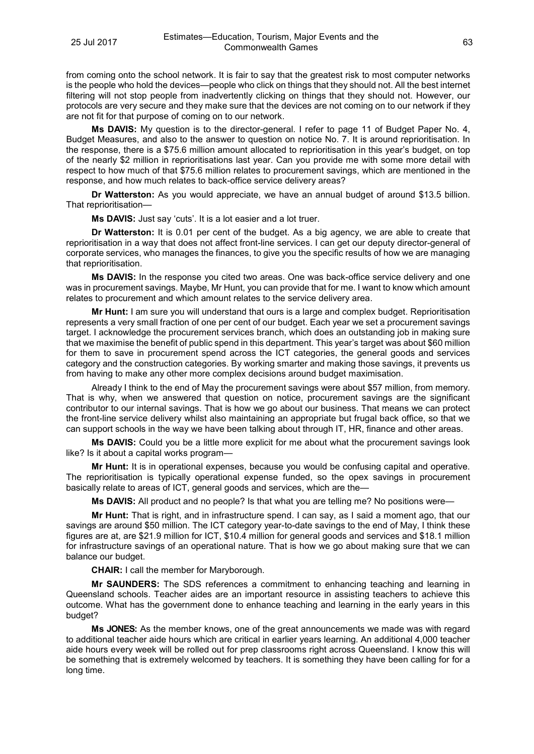from coming onto the school network. It is fair to say that the greatest risk to most computer networks is the people who hold the devices—people who click on things that they should not. All the best internet filtering will not stop people from inadvertently clicking on things that they should not. However, our protocols are very secure and they make sure that the devices are not coming on to our network if they are not fit for that purpose of coming on to our network.

**Ms DAVIS:** My question is to the director-general. I refer to page 11 of Budget Paper No. 4, Budget Measures, and also to the answer to question on notice No. 7. It is around reprioritisation. In the response, there is a \$75.6 million amount allocated to reprioritisation in this year's budget, on top of the nearly \$2 million in reprioritisations last year. Can you provide me with some more detail with respect to how much of that \$75.6 million relates to procurement savings, which are mentioned in the response, and how much relates to back-office service delivery areas?

**Dr Watterston:** As you would appreciate, we have an annual budget of around \$13.5 billion. That reprioritisation—

**Ms DAVIS:** Just say 'cuts'. It is a lot easier and a lot truer.

**Dr Watterston:** It is 0.01 per cent of the budget. As a big agency, we are able to create that reprioritisation in a way that does not affect front-line services. I can get our deputy director-general of corporate services, who manages the finances, to give you the specific results of how we are managing that reprioritisation.

**Ms DAVIS:** In the response you cited two areas. One was back-office service delivery and one was in procurement savings. Maybe, Mr Hunt, you can provide that for me. I want to know which amount relates to procurement and which amount relates to the service delivery area.

**Mr Hunt:** I am sure you will understand that ours is a large and complex budget. Reprioritisation represents a very small fraction of one per cent of our budget. Each year we set a procurement savings target. I acknowledge the procurement services branch, which does an outstanding job in making sure that we maximise the benefit of public spend in this department. This year's target was about \$60 million for them to save in procurement spend across the ICT categories, the general goods and services category and the construction categories. By working smarter and making those savings, it prevents us from having to make any other more complex decisions around budget maximisation.

Already I think to the end of May the procurement savings were about \$57 million, from memory. That is why, when we answered that question on notice, procurement savings are the significant contributor to our internal savings. That is how we go about our business. That means we can protect the front-line service delivery whilst also maintaining an appropriate but frugal back office, so that we can support schools in the way we have been talking about through IT, HR, finance and other areas.

**Ms DAVIS:** Could you be a little more explicit for me about what the procurement savings look like? Is it about a capital works program—

**Mr Hunt:** It is in operational expenses, because you would be confusing capital and operative. The reprioritisation is typically operational expense funded, so the opex savings in procurement basically relate to areas of ICT, general goods and services, which are the—

**Ms DAVIS:** All product and no people? Is that what you are telling me? No positions were—

**Mr Hunt:** That is right, and in infrastructure spend. I can say, as I said a moment ago, that our savings are around \$50 million. The ICT category year-to-date savings to the end of May, I think these figures are at, are \$21.9 million for ICT, \$10.4 million for general goods and services and \$18.1 million for infrastructure savings of an operational nature. That is how we go about making sure that we can balance our budget.

**CHAIR:** I call the member for Maryborough.

**Mr SAUNDERS:** The SDS references a commitment to enhancing teaching and learning in Queensland schools. Teacher aides are an important resource in assisting teachers to achieve this outcome. What has the government done to enhance teaching and learning in the early years in this budget?

**Ms JONES:** As the member knows, one of the great announcements we made was with regard to additional teacher aide hours which are critical in earlier years learning. An additional 4,000 teacher aide hours every week will be rolled out for prep classrooms right across Queensland. I know this will be something that is extremely welcomed by teachers. It is something they have been calling for for a long time.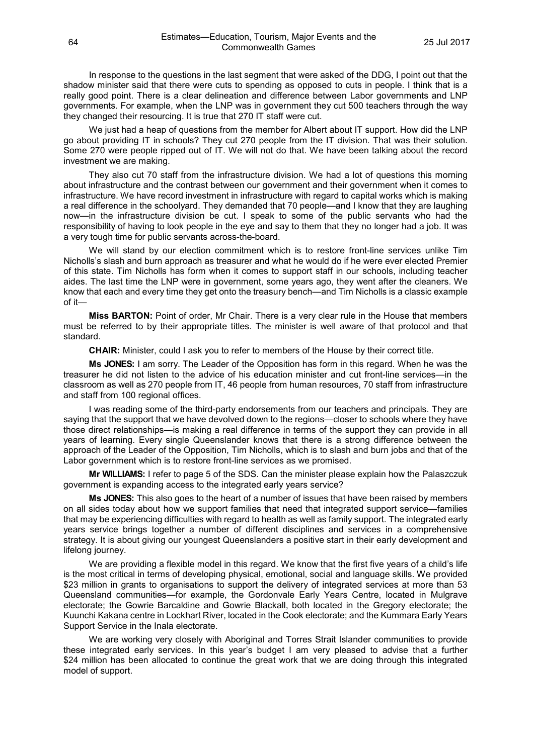In response to the questions in the last segment that were asked of the DDG, I point out that the shadow minister said that there were cuts to spending as opposed to cuts in people. I think that is a really good point. There is a clear delineation and difference between Labor governments and LNP governments. For example, when the LNP was in government they cut 500 teachers through the way they changed their resourcing. It is true that 270 IT staff were cut.

We just had a heap of questions from the member for Albert about IT support. How did the LNP go about providing IT in schools? They cut 270 people from the IT division. That was their solution. Some 270 were people ripped out of IT. We will not do that. We have been talking about the record investment we are making.

They also cut 70 staff from the infrastructure division. We had a lot of questions this morning about infrastructure and the contrast between our government and their government when it comes to infrastructure. We have record investment in infrastructure with regard to capital works which is making a real difference in the schoolyard. They demanded that 70 people—and I know that they are laughing now—in the infrastructure division be cut. I speak to some of the public servants who had the responsibility of having to look people in the eye and say to them that they no longer had a job. It was a very tough time for public servants across-the-board.

We will stand by our election commitment which is to restore front-line services unlike Tim Nicholls's slash and burn approach as treasurer and what he would do if he were ever elected Premier of this state. Tim Nicholls has form when it comes to support staff in our schools, including teacher aides. The last time the LNP were in government, some years ago, they went after the cleaners. We know that each and every time they get onto the treasury bench—and Tim Nicholls is a classic example of it—

**Miss BARTON:** Point of order, Mr Chair. There is a very clear rule in the House that members must be referred to by their appropriate titles. The minister is well aware of that protocol and that standard.

**CHAIR:** Minister, could I ask you to refer to members of the House by their correct title.

**Ms JONES:** I am sorry. The Leader of the Opposition has form in this regard. When he was the treasurer he did not listen to the advice of his education minister and cut front-line services—in the classroom as well as 270 people from IT, 46 people from human resources, 70 staff from infrastructure and staff from 100 regional offices.

I was reading some of the third-party endorsements from our teachers and principals. They are saying that the support that we have devolved down to the regions—closer to schools where they have those direct relationships—is making a real difference in terms of the support they can provide in all years of learning. Every single Queenslander knows that there is a strong difference between the approach of the Leader of the Opposition, Tim Nicholls, which is to slash and burn jobs and that of the Labor government which is to restore front-line services as we promised.

**Mr WILLIAMS:** I refer to page 5 of the SDS. Can the minister please explain how the Palaszczuk government is expanding access to the integrated early years service?

**Ms JONES:** This also goes to the heart of a number of issues that have been raised by members on all sides today about how we support families that need that integrated support service—families that may be experiencing difficulties with regard to health as well as family support. The integrated early years service brings together a number of different disciplines and services in a comprehensive strategy. It is about giving our youngest Queenslanders a positive start in their early development and lifelong journey.

We are providing a flexible model in this regard. We know that the first five years of a child's life is the most critical in terms of developing physical, emotional, social and language skills. We provided \$23 million in grants to organisations to support the delivery of integrated services at more than 53 Queensland communities—for example, the Gordonvale Early Years Centre, located in Mulgrave electorate; the Gowrie Barcaldine and Gowrie Blackall, both located in the Gregory electorate; the Kuunchi Kakana centre in Lockhart River, located in the Cook electorate; and the Kummara Early Years Support Service in the Inala electorate.

We are working very closely with Aboriginal and Torres Strait Islander communities to provide these integrated early services. In this year's budget I am very pleased to advise that a further \$24 million has been allocated to continue the great work that we are doing through this integrated model of support.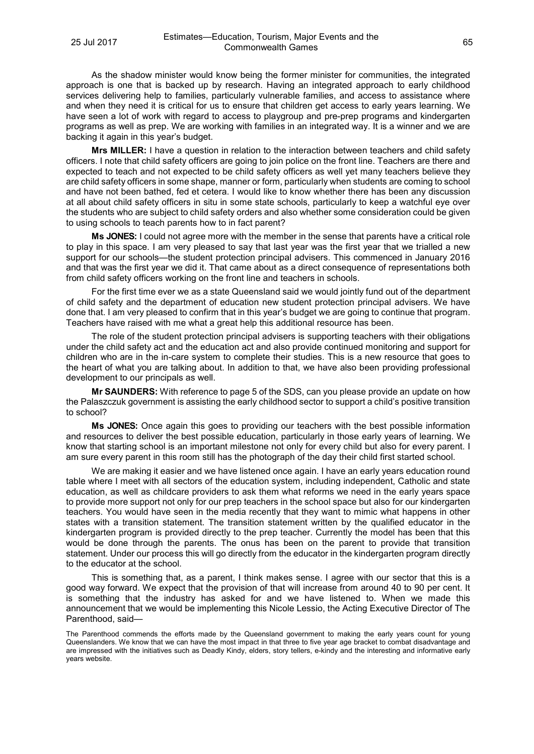As the shadow minister would know being the former minister for communities, the integrated approach is one that is backed up by research. Having an integrated approach to early childhood services delivering help to families, particularly vulnerable families, and access to assistance where and when they need it is critical for us to ensure that children get access to early years learning. We have seen a lot of work with regard to access to playgroup and pre-prep programs and kindergarten programs as well as prep. We are working with families in an integrated way. It is a winner and we are backing it again in this year's budget.

**Mrs MILLER:** I have a question in relation to the interaction between teachers and child safety officers. I note that child safety officers are going to join police on the front line. Teachers are there and expected to teach and not expected to be child safety officers as well yet many teachers believe they are child safety officers in some shape, manner or form, particularly when students are coming to school and have not been bathed, fed et cetera. I would like to know whether there has been any discussion at all about child safety officers in situ in some state schools, particularly to keep a watchful eye over the students who are subject to child safety orders and also whether some consideration could be given to using schools to teach parents how to in fact parent?

**Ms JONES:** I could not agree more with the member in the sense that parents have a critical role to play in this space. I am very pleased to say that last year was the first year that we trialled a new support for our schools—the student protection principal advisers. This commenced in January 2016 and that was the first year we did it. That came about as a direct consequence of representations both from child safety officers working on the front line and teachers in schools.

For the first time ever we as a state Queensland said we would jointly fund out of the department of child safety and the department of education new student protection principal advisers. We have done that. I am very pleased to confirm that in this year's budget we are going to continue that program. Teachers have raised with me what a great help this additional resource has been.

The role of the student protection principal advisers is supporting teachers with their obligations under the child safety act and the education act and also provide continued monitoring and support for children who are in the in-care system to complete their studies. This is a new resource that goes to the heart of what you are talking about. In addition to that, we have also been providing professional development to our principals as well.

**Mr SAUNDERS:** With reference to page 5 of the SDS, can you please provide an update on how the Palaszczuk government is assisting the early childhood sector to support a child's positive transition to school?

**Ms JONES:** Once again this goes to providing our teachers with the best possible information and resources to deliver the best possible education, particularly in those early years of learning. We know that starting school is an important milestone not only for every child but also for every parent. I am sure every parent in this room still has the photograph of the day their child first started school.

We are making it easier and we have listened once again. I have an early years education round table where I meet with all sectors of the education system, including independent, Catholic and state education, as well as childcare providers to ask them what reforms we need in the early years space to provide more support not only for our prep teachers in the school space but also for our kindergarten teachers. You would have seen in the media recently that they want to mimic what happens in other states with a transition statement. The transition statement written by the qualified educator in the kindergarten program is provided directly to the prep teacher. Currently the model has been that this would be done through the parents. The onus has been on the parent to provide that transition statement. Under our process this will go directly from the educator in the kindergarten program directly to the educator at the school.

This is something that, as a parent, I think makes sense. I agree with our sector that this is a good way forward. We expect that the provision of that will increase from around 40 to 90 per cent. It is something that the industry has asked for and we have listened to. When we made this announcement that we would be implementing this Nicole Lessio, the Acting Executive Director of The Parenthood, said—

The Parenthood commends the efforts made by the Queensland government to making the early years count for young Queenslanders. We know that we can have the most impact in that three to five year age bracket to combat disadvantage and are impressed with the initiatives such as Deadly Kindy, elders, story tellers, e-kindy and the interesting and informative early years website.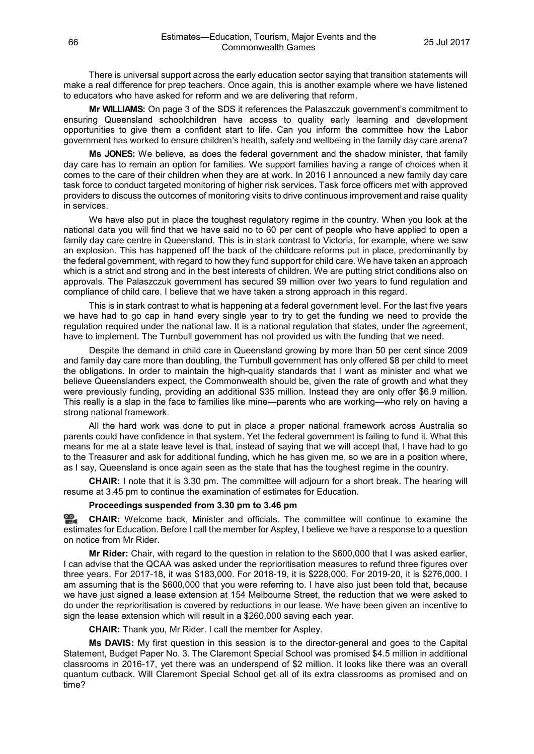There is universal support across the early education sector saying that transition statements will make a real difference for prep teachers. Once again, this is another example where we have listened to educators who have asked for reform and we are delivering that reform.

**Mr WILLIAMS:** On page 3 of the SDS it references the Palaszczuk government's commitment to ensuring Queensland schoolchildren have access to quality early learning and development opportunities to give them a confident start to life. Can you inform the committee how the Labor government has worked to ensure children's health, safety and wellbeing in the family day care arena?

**Ms JONES:** We believe, as does the federal government and the shadow minister, that family day care has to remain an option for families. We support families having a range of choices when it comes to the care of their children when they are at work. In 2016 I announced a new family day care task force to conduct targeted monitoring of higher risk services. Task force officers met with approved providers to discuss the outcomes of monitoring visits to drive continuous improvement and raise quality in services.

We have also put in place the toughest regulatory regime in the country. When you look at the national data you will find that we have said no to 60 per cent of people who have applied to open a family day care centre in Queensland. This is in stark contrast to Victoria, for example, where we saw an explosion. This has happened off the back of the childcare reforms put in place, predominantly by the federal government, with regard to how they fund support for child care. We have taken an approach which is a strict and strong and in the best interests of children. We are putting strict conditions also on approvals. The Palaszczuk government has secured \$9 million over two years to fund regulation and compliance of child care. I believe that we have taken a strong approach in this regard.

This is in stark contrast to what is happening at a federal government level. For the last five years we have had to go cap in hand every single year to try to get the funding we need to provide the regulation required under the national law. It is a national regulation that states, under the agreement, have to implement. The Turnbull government has not provided us with the funding that we need.

Despite the demand in child care in Queensland growing by more than 50 per cent since 2009 and family day care more than doubling, the Turnbull government has only offered \$8 per child to meet the obligations. In order to maintain the high-quality standards that I want as minister and what we believe Queenslanders expect, the Commonwealth should be, given the rate of growth and what they were previously funding, providing an additional \$35 million. Instead they are only offer \$6.9 million. This really is a slap in the face to families like mine—parents who are working—who rely on having a strong national framework.

All the hard work was done to put in place a proper national framework across Australia so parents could have confidence in that system. Yet the federal government is failing to fund it. What this means for me at a state leave level is that, instead of saying that we will accept that, I have had to go to the Treasurer and ask for additional funding, which he has given me, so we are in a position where, as I say, Queensland is once again seen as the state that has the toughest regime in the country.

**CHAIR:** I note that it is 3.30 pm. The committee will adjourn for a short break. The hearing will resume at 3.45 pm to continue the examination of estimates for Education.

# **Proceedings suspended from 3.30 pm to 3.46 pm**

≌. **[CHAIR:](http://www.parliament.qld.gov.au/docs/find.aspx?id=0Mba20170725_154711)** Welcome back, Minister and officials. The committee will continue to examine the estimates for Education. Before I call the member for Aspley, I believe we have a response to a question on notice from Mr Rider.

**Mr Rider:** Chair, with regard to the question in relation to the \$600,000 that I was asked earlier, I can advise that the QCAA was asked under the reprioritisation measures to refund three figures over three years. For 2017-18, it was \$183,000. For 2018-19, it is \$228,000. For 2019-20, it is \$276,000. I am assuming that is the \$600,000 that you were referring to. I have also just been told that, because we have just signed a lease extension at 154 Melbourne Street, the reduction that we were asked to do under the reprioritisation is covered by reductions in our lease. We have been given an incentive to sign the lease extension which will result in a \$260,000 saving each year.

**CHAIR:** Thank you, Mr Rider. I call the member for Aspley.

**Ms DAVIS:** My first question in this session is to the director-general and goes to the Capital Statement, Budget Paper No. 3. The Claremont Special School was promised \$4.5 million in additional classrooms in 2016-17, yet there was an underspend of \$2 million. It looks like there was an overall quantum cutback. Will Claremont Special School get all of its extra classrooms as promised and on time?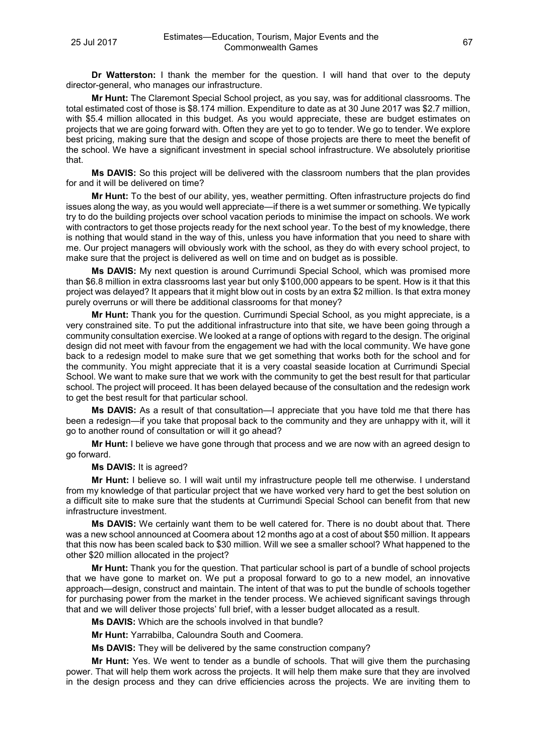**Dr Watterston:** I thank the member for the question. I will hand that over to the deputy director-general, who manages our infrastructure.

**Mr Hunt:** The Claremont Special School project, as you say, was for additional classrooms. The total estimated cost of those is \$8.174 million. Expenditure to date as at 30 June 2017 was \$2.7 million, with \$5.4 million allocated in this budget. As you would appreciate, these are budget estimates on projects that we are going forward with. Often they are yet to go to tender. We go to tender. We explore best pricing, making sure that the design and scope of those projects are there to meet the benefit of the school. We have a significant investment in special school infrastructure. We absolutely prioritise that.

**Ms DAVIS:** So this project will be delivered with the classroom numbers that the plan provides for and it will be delivered on time?

**Mr Hunt:** To the best of our ability, yes, weather permitting. Often infrastructure projects do find issues along the way, as you would well appreciate—if there is a wet summer or something. We typically try to do the building projects over school vacation periods to minimise the impact on schools. We work with contractors to get those projects ready for the next school year. To the best of my knowledge, there is nothing that would stand in the way of this, unless you have information that you need to share with me. Our project managers will obviously work with the school, as they do with every school project, to make sure that the project is delivered as well on time and on budget as is possible.

**Ms DAVIS:** My next question is around Currimundi Special School, which was promised more than \$6.8 million in extra classrooms last year but only \$100,000 appears to be spent. How is it that this project was delayed? It appears that it might blow out in costs by an extra \$2 million. Is that extra money purely overruns or will there be additional classrooms for that money?

**Mr Hunt:** Thank you for the question. Currimundi Special School, as you might appreciate, is a very constrained site. To put the additional infrastructure into that site, we have been going through a community consultation exercise. We looked at a range of options with regard to the design. The original design did not meet with favour from the engagement we had with the local community. We have gone back to a redesign model to make sure that we get something that works both for the school and for the community. You might appreciate that it is a very coastal seaside location at Currimundi Special School. We want to make sure that we work with the community to get the best result for that particular school. The project will proceed. It has been delayed because of the consultation and the redesign work to get the best result for that particular school.

**Ms DAVIS:** As a result of that consultation—I appreciate that you have told me that there has been a redesign—if you take that proposal back to the community and they are unhappy with it, will it go to another round of consultation or will it go ahead?

**Mr Hunt:** I believe we have gone through that process and we are now with an agreed design to go forward.

**Ms DAVIS:** It is agreed?

**Mr Hunt:** I believe so. I will wait until my infrastructure people tell me otherwise. I understand from my knowledge of that particular project that we have worked very hard to get the best solution on a difficult site to make sure that the students at Currimundi Special School can benefit from that new infrastructure investment.

**Ms DAVIS:** We certainly want them to be well catered for. There is no doubt about that. There was a new school announced at Coomera about 12 months ago at a cost of about \$50 million. It appears that this now has been scaled back to \$30 million. Will we see a smaller school? What happened to the other \$20 million allocated in the project?

**Mr Hunt:** Thank you for the question. That particular school is part of a bundle of school projects that we have gone to market on. We put a proposal forward to go to a new model, an innovative approach—design, construct and maintain. The intent of that was to put the bundle of schools together for purchasing power from the market in the tender process. We achieved significant savings through that and we will deliver those projects' full brief, with a lesser budget allocated as a result.

**Ms DAVIS:** Which are the schools involved in that bundle?

**Mr Hunt:** Yarrabilba, Caloundra South and Coomera.

**Ms DAVIS:** They will be delivered by the same construction company?

**Mr Hunt:** Yes. We went to tender as a bundle of schools. That will give them the purchasing power. That will help them work across the projects. It will help them make sure that they are involved in the design process and they can drive efficiencies across the projects. We are inviting them to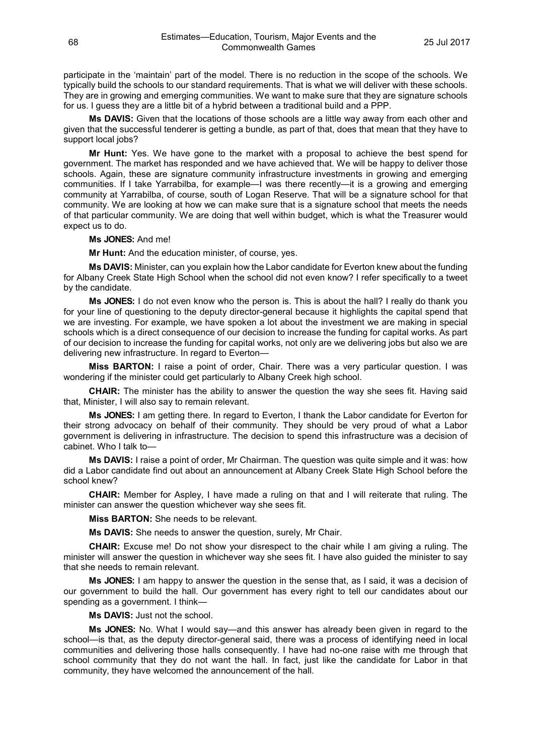participate in the 'maintain' part of the model. There is no reduction in the scope of the schools. We typically build the schools to our standard requirements. That is what we will deliver with these schools. They are in growing and emerging communities. We want to make sure that they are signature schools for us. I guess they are a little bit of a hybrid between a traditional build and a PPP.

**Ms DAVIS:** Given that the locations of those schools are a little way away from each other and given that the successful tenderer is getting a bundle, as part of that, does that mean that they have to support local jobs?

**Mr Hunt:** Yes. We have gone to the market with a proposal to achieve the best spend for government. The market has responded and we have achieved that. We will be happy to deliver those schools. Again, these are signature community infrastructure investments in growing and emerging communities. If I take Yarrabilba, for example—I was there recently—it is a growing and emerging community at Yarrabilba, of course, south of Logan Reserve. That will be a signature school for that community. We are looking at how we can make sure that is a signature school that meets the needs of that particular community. We are doing that well within budget, which is what the Treasurer would expect us to do.

## **Ms JONES:** And me!

**Mr Hunt:** And the education minister, of course, yes.

**Ms DAVIS:** Minister, can you explain how the Labor candidate for Everton knew about the funding for Albany Creek State High School when the school did not even know? I refer specifically to a tweet by the candidate.

**Ms JONES:** I do not even know who the person is. This is about the hall? I really do thank you for your line of questioning to the deputy director-general because it highlights the capital spend that we are investing. For example, we have spoken a lot about the investment we are making in special schools which is a direct consequence of our decision to increase the funding for capital works. As part of our decision to increase the funding for capital works, not only are we delivering jobs but also we are delivering new infrastructure. In regard to Everton—

**Miss BARTON:** I raise a point of order, Chair. There was a very particular question. I was wondering if the minister could get particularly to Albany Creek high school.

**CHAIR:** The minister has the ability to answer the question the way she sees fit. Having said that, Minister, I will also say to remain relevant.

**Ms JONES:** I am getting there. In regard to Everton, I thank the Labor candidate for Everton for their strong advocacy on behalf of their community. They should be very proud of what a Labor government is delivering in infrastructure. The decision to spend this infrastructure was a decision of cabinet. Who I talk to—

**Ms DAVIS:** I raise a point of order, Mr Chairman. The question was quite simple and it was: how did a Labor candidate find out about an announcement at Albany Creek State High School before the school knew?

**CHAIR:** Member for Aspley, I have made a ruling on that and I will reiterate that ruling. The minister can answer the question whichever way she sees fit.

**Miss BARTON:** She needs to be relevant.

**Ms DAVIS:** She needs to answer the question, surely, Mr Chair.

**CHAIR:** Excuse me! Do not show your disrespect to the chair while I am giving a ruling. The minister will answer the question in whichever way she sees fit. I have also guided the minister to say that she needs to remain relevant.

**Ms JONES:** I am happy to answer the question in the sense that, as I said, it was a decision of our government to build the hall. Our government has every right to tell our candidates about our spending as a government. I think—

**Ms DAVIS:** Just not the school.

**Ms JONES:** No. What I would say—and this answer has already been given in regard to the school—is that, as the deputy director-general said, there was a process of identifying need in local communities and delivering those halls consequently. I have had no-one raise with me through that school community that they do not want the hall. In fact, just like the candidate for Labor in that community, they have welcomed the announcement of the hall.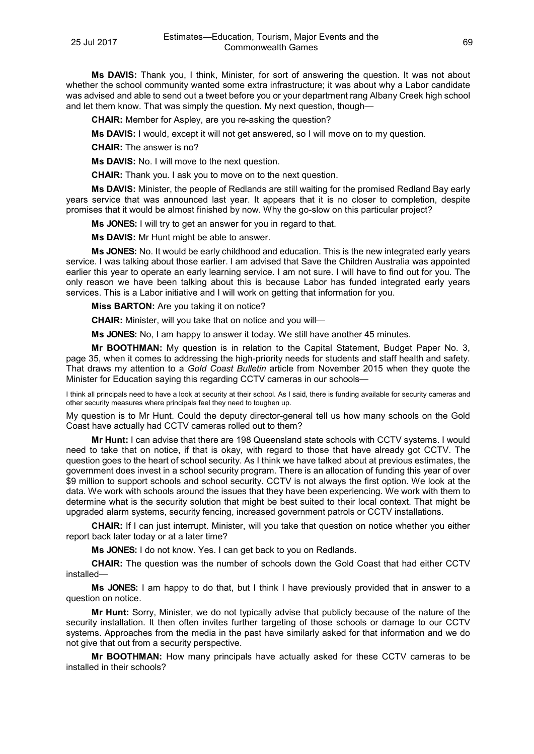**Ms DAVIS:** Thank you, I think, Minister, for sort of answering the question. It was not about whether the school community wanted some extra infrastructure; it was about why a Labor candidate was advised and able to send out a tweet before you or your department rang Albany Creek high school and let them know. That was simply the question. My next question, though—

**CHAIR:** Member for Aspley, are you re-asking the question?

**Ms DAVIS:** I would, except it will not get answered, so I will move on to my question.

**CHAIR:** The answer is no?

**Ms DAVIS:** No. I will move to the next question.

**CHAIR:** Thank you. I ask you to move on to the next question.

**Ms DAVIS:** Minister, the people of Redlands are still waiting for the promised Redland Bay early years service that was announced last year. It appears that it is no closer to completion, despite promises that it would be almost finished by now. Why the go-slow on this particular project?

**Ms JONES:** I will try to get an answer for you in regard to that.

**Ms DAVIS:** Mr Hunt might be able to answer.

**Ms JONES:** No. It would be early childhood and education. This is the new integrated early years service. I was talking about those earlier. I am advised that Save the Children Australia was appointed earlier this year to operate an early learning service. I am not sure. I will have to find out for you. The only reason we have been talking about this is because Labor has funded integrated early years services. This is a Labor initiative and I will work on getting that information for you.

**Miss BARTON:** Are you taking it on notice?

**CHAIR:** Minister, will you take that on notice and you will—

**Ms JONES:** No, I am happy to answer it today. We still have another 45 minutes.

**Mr BOOTHMAN:** My question is in relation to the Capital Statement, Budget Paper No. 3, page 35, when it comes to addressing the high-priority needs for students and staff health and safety. That draws my attention to a *Gold Coast Bulletin* article from November 2015 when they quote the Minister for Education saying this regarding CCTV cameras in our schools—

I think all principals need to have a look at security at their school. As I said, there is funding available for security cameras and other security measures where principals feel they need to toughen up.

My question is to Mr Hunt. Could the deputy director-general tell us how many schools on the Gold Coast have actually had CCTV cameras rolled out to them?

**Mr Hunt:** I can advise that there are 198 Queensland state schools with CCTV systems. I would need to take that on notice, if that is okay, with regard to those that have already got CCTV. The question goes to the heart of school security. As I think we have talked about at previous estimates, the government does invest in a school security program. There is an allocation of funding this year of over \$9 million to support schools and school security. CCTV is not always the first option. We look at the data. We work with schools around the issues that they have been experiencing. We work with them to determine what is the security solution that might be best suited to their local context. That might be upgraded alarm systems, security fencing, increased government patrols or CCTV installations.

**CHAIR:** If I can just interrupt. Minister, will you take that question on notice whether you either report back later today or at a later time?

**Ms JONES:** I do not know. Yes. I can get back to you on Redlands.

**CHAIR:** The question was the number of schools down the Gold Coast that had either CCTV installed—

**Ms JONES:** I am happy to do that, but I think I have previously provided that in answer to a question on notice.

**Mr Hunt:** Sorry, Minister, we do not typically advise that publicly because of the nature of the security installation. It then often invites further targeting of those schools or damage to our CCTV systems. Approaches from the media in the past have similarly asked for that information and we do not give that out from a security perspective.

**Mr BOOTHMAN:** How many principals have actually asked for these CCTV cameras to be installed in their schools?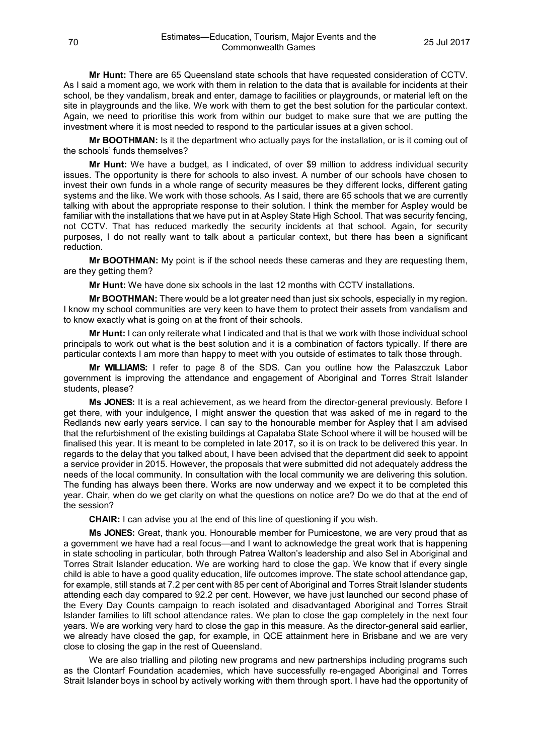**Mr Hunt:** There are 65 Queensland state schools that have requested consideration of CCTV. As I said a moment ago, we work with them in relation to the data that is available for incidents at their school, be they vandalism, break and enter, damage to facilities or playgrounds, or material left on the site in playgrounds and the like. We work with them to get the best solution for the particular context. Again, we need to prioritise this work from within our budget to make sure that we are putting the investment where it is most needed to respond to the particular issues at a given school.

**Mr BOOTHMAN:** Is it the department who actually pays for the installation, or is it coming out of the schools' funds themselves?

**Mr Hunt:** We have a budget, as I indicated, of over \$9 million to address individual security issues. The opportunity is there for schools to also invest. A number of our schools have chosen to invest their own funds in a whole range of security measures be they different locks, different gating systems and the like. We work with those schools. As I said, there are 65 schools that we are currently talking with about the appropriate response to their solution. I think the member for Aspley would be familiar with the installations that we have put in at Aspley State High School. That was security fencing, not CCTV. That has reduced markedly the security incidents at that school. Again, for security purposes, I do not really want to talk about a particular context, but there has been a significant reduction.

**Mr BOOTHMAN:** My point is if the school needs these cameras and they are requesting them, are they getting them?

**Mr Hunt:** We have done six schools in the last 12 months with CCTV installations.

**Mr BOOTHMAN:** There would be a lot greater need than just six schools, especially in my region. I know my school communities are very keen to have them to protect their assets from vandalism and to know exactly what is going on at the front of their schools.

**Mr Hunt:** I can only reiterate what I indicated and that is that we work with those individual school principals to work out what is the best solution and it is a combination of factors typically. If there are particular contexts I am more than happy to meet with you outside of estimates to talk those through.

**Mr WILLIAMS:** I refer to page 8 of the SDS. Can you outline how the Palaszczuk Labor government is improving the attendance and engagement of Aboriginal and Torres Strait Islander students, please?

**Ms JONES:** It is a real achievement, as we heard from the director-general previously. Before I get there, with your indulgence, I might answer the question that was asked of me in regard to the Redlands new early years service. I can say to the honourable member for Aspley that I am advised that the refurbishment of the existing buildings at Capalaba State School where it will be housed will be finalised this year. It is meant to be completed in late 2017, so it is on track to be delivered this year. In regards to the delay that you talked about, I have been advised that the department did seek to appoint a service provider in 2015. However, the proposals that were submitted did not adequately address the needs of the local community. In consultation with the local community we are delivering this solution. The funding has always been there. Works are now underway and we expect it to be completed this year. Chair, when do we get clarity on what the questions on notice are? Do we do that at the end of the session?

**CHAIR:** I can advise you at the end of this line of questioning if you wish.

**Ms JONES:** Great, thank you. Honourable member for Pumicestone, we are very proud that as a government we have had a real focus—and I want to acknowledge the great work that is happening in state schooling in particular, both through Patrea Walton's leadership and also Sel in Aboriginal and Torres Strait Islander education. We are working hard to close the gap. We know that if every single child is able to have a good quality education, life outcomes improve. The state school attendance gap, for example, still stands at 7.2 per cent with 85 per cent of Aboriginal and Torres Strait Islander students attending each day compared to 92.2 per cent. However, we have just launched our second phase of the Every Day Counts campaign to reach isolated and disadvantaged Aboriginal and Torres Strait Islander families to lift school attendance rates. We plan to close the gap completely in the next four years. We are working very hard to close the gap in this measure. As the director-general said earlier, we already have closed the gap, for example, in QCE attainment here in Brisbane and we are very close to closing the gap in the rest of Queensland.

We are also trialling and piloting new programs and new partnerships including programs such as the Clontarf Foundation academies, which have successfully re-engaged Aboriginal and Torres Strait Islander boys in school by actively working with them through sport. I have had the opportunity of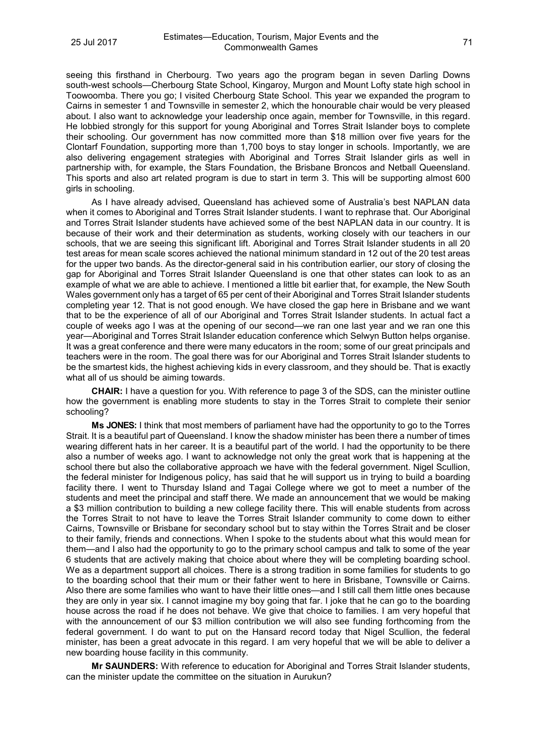seeing this firsthand in Cherbourg. Two years ago the program began in seven Darling Downs south-west schools—Cherbourg State School, Kingaroy, Murgon and Mount Lofty state high school in Toowoomba. There you go; I visited Cherbourg State School. This year we expanded the program to Cairns in semester 1 and Townsville in semester 2, which the honourable chair would be very pleased about. I also want to acknowledge your leadership once again, member for Townsville, in this regard. He lobbied strongly for this support for young Aboriginal and Torres Strait Islander boys to complete their schooling. Our government has now committed more than \$18 million over five years for the Clontarf Foundation, supporting more than 1,700 boys to stay longer in schools. Importantly, we are also delivering engagement strategies with Aboriginal and Torres Strait Islander girls as well in partnership with, for example, the Stars Foundation, the Brisbane Broncos and Netball Queensland. This sports and also art related program is due to start in term 3. This will be supporting almost 600 girls in schooling.

As I have already advised, Queensland has achieved some of Australia's best NAPLAN data when it comes to Aboriginal and Torres Strait Islander students. I want to rephrase that. Our Aboriginal and Torres Strait Islander students have achieved some of the best NAPLAN data in our country. It is because of their work and their determination as students, working closely with our teachers in our schools, that we are seeing this significant lift. Aboriginal and Torres Strait Islander students in all 20 test areas for mean scale scores achieved the national minimum standard in 12 out of the 20 test areas for the upper two bands. As the director-general said in his contribution earlier, our story of closing the gap for Aboriginal and Torres Strait Islander Queensland is one that other states can look to as an example of what we are able to achieve. I mentioned a little bit earlier that, for example, the New South Wales government only has a target of 65 per cent of their Aboriginal and Torres Strait Islander students completing year 12. That is not good enough. We have closed the gap here in Brisbane and we want that to be the experience of all of our Aboriginal and Torres Strait Islander students. In actual fact a couple of weeks ago I was at the opening of our second—we ran one last year and we ran one this year—Aboriginal and Torres Strait Islander education conference which Selwyn Button helps organise. It was a great conference and there were many educators in the room; some of our great principals and teachers were in the room. The goal there was for our Aboriginal and Torres Strait Islander students to be the smartest kids, the highest achieving kids in every classroom, and they should be. That is exactly what all of us should be aiming towards.

**CHAIR:** I have a question for you. With reference to page 3 of the SDS, can the minister outline how the government is enabling more students to stay in the Torres Strait to complete their senior schooling?

**Ms JONES:** I think that most members of parliament have had the opportunity to go to the Torres Strait. It is a beautiful part of Queensland. I know the shadow minister has been there a number of times wearing different hats in her career. It is a beautiful part of the world. I had the opportunity to be there also a number of weeks ago. I want to acknowledge not only the great work that is happening at the school there but also the collaborative approach we have with the federal government. Nigel Scullion, the federal minister for Indigenous policy, has said that he will support us in trying to build a boarding facility there. I went to Thursday Island and Tagai College where we got to meet a number of the students and meet the principal and staff there. We made an announcement that we would be making a \$3 million contribution to building a new college facility there. This will enable students from across the Torres Strait to not have to leave the Torres Strait Islander community to come down to either Cairns, Townsville or Brisbane for secondary school but to stay within the Torres Strait and be closer to their family, friends and connections. When I spoke to the students about what this would mean for them—and I also had the opportunity to go to the primary school campus and talk to some of the year 6 students that are actively making that choice about where they will be completing boarding school. We as a department support all choices. There is a strong tradition in some families for students to go to the boarding school that their mum or their father went to here in Brisbane, Townsville or Cairns. Also there are some families who want to have their little ones—and I still call them little ones because they are only in year six. I cannot imagine my boy going that far. I joke that he can go to the boarding house across the road if he does not behave. We give that choice to families. I am very hopeful that with the announcement of our \$3 million contribution we will also see funding forthcoming from the federal government. I do want to put on the Hansard record today that Nigel Scullion, the federal minister, has been a great advocate in this regard. I am very hopeful that we will be able to deliver a new boarding house facility in this community.

**Mr SAUNDERS:** With reference to education for Aboriginal and Torres Strait Islander students, can the minister update the committee on the situation in Aurukun?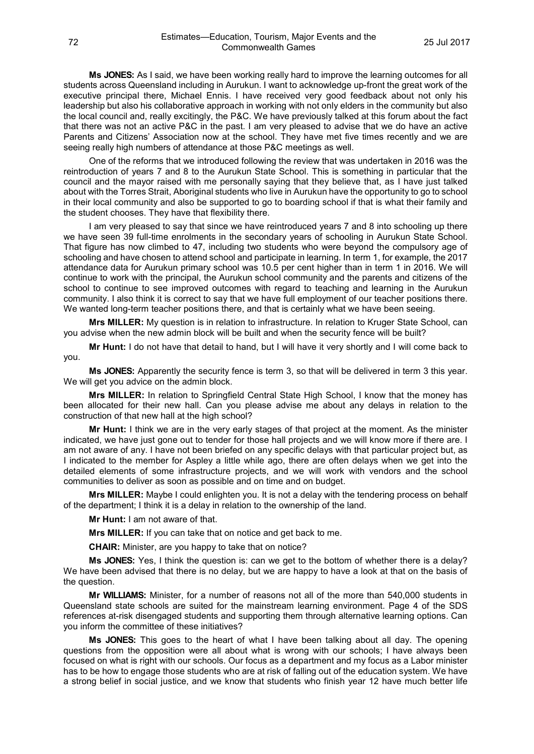**Ms JONES:** As I said, we have been working really hard to improve the learning outcomes for all students across Queensland including in Aurukun. I want to acknowledge up-front the great work of the executive principal there, Michael Ennis. I have received very good feedback about not only his leadership but also his collaborative approach in working with not only elders in the community but also the local council and, really excitingly, the P&C. We have previously talked at this forum about the fact that there was not an active P&C in the past. I am very pleased to advise that we do have an active Parents and Citizens' Association now at the school. They have met five times recently and we are seeing really high numbers of attendance at those P&C meetings as well.

One of the reforms that we introduced following the review that was undertaken in 2016 was the reintroduction of years 7 and 8 to the Aurukun State School. This is something in particular that the council and the mayor raised with me personally saying that they believe that, as I have just talked about with the Torres Strait, Aboriginal students who live in Aurukun have the opportunity to go to school in their local community and also be supported to go to boarding school if that is what their family and the student chooses. They have that flexibility there.

I am very pleased to say that since we have reintroduced years 7 and 8 into schooling up there we have seen 39 full-time enrolments in the secondary years of schooling in Aurukun State School. That figure has now climbed to 47, including two students who were beyond the compulsory age of schooling and have chosen to attend school and participate in learning. In term 1, for example, the 2017 attendance data for Aurukun primary school was 10.5 per cent higher than in term 1 in 2016. We will continue to work with the principal, the Aurukun school community and the parents and citizens of the school to continue to see improved outcomes with regard to teaching and learning in the Aurukun community. I also think it is correct to say that we have full employment of our teacher positions there. We wanted long-term teacher positions there, and that is certainly what we have been seeing.

**Mrs MILLER:** My question is in relation to infrastructure. In relation to Kruger State School, can you advise when the new admin block will be built and when the security fence will be built?

**Mr Hunt:** I do not have that detail to hand, but I will have it very shortly and I will come back to you.

**Ms JONES:** Apparently the security fence is term 3, so that will be delivered in term 3 this year. We will get you advice on the admin block.

**Mrs MILLER:** In relation to Springfield Central State High School, I know that the money has been allocated for their new hall. Can you please advise me about any delays in relation to the construction of that new hall at the high school?

**Mr Hunt:** I think we are in the very early stages of that project at the moment. As the minister indicated, we have just gone out to tender for those hall projects and we will know more if there are. I am not aware of any. I have not been briefed on any specific delays with that particular project but, as I indicated to the member for Aspley a little while ago, there are often delays when we get into the detailed elements of some infrastructure projects, and we will work with vendors and the school communities to deliver as soon as possible and on time and on budget.

**Mrs MILLER:** Maybe I could enlighten you. It is not a delay with the tendering process on behalf of the department; I think it is a delay in relation to the ownership of the land.

**Mr Hunt:** I am not aware of that.

**Mrs MILLER:** If you can take that on notice and get back to me.

**CHAIR:** Minister, are you happy to take that on notice?

**Ms JONES:** Yes, I think the question is: can we get to the bottom of whether there is a delay? We have been advised that there is no delay, but we are happy to have a look at that on the basis of the question.

**Mr WILLIAMS:** Minister, for a number of reasons not all of the more than 540,000 students in Queensland state schools are suited for the mainstream learning environment. Page 4 of the SDS references at-risk disengaged students and supporting them through alternative learning options. Can you inform the committee of these initiatives?

**Ms JONES:** This goes to the heart of what I have been talking about all day. The opening questions from the opposition were all about what is wrong with our schools; I have always been focused on what is right with our schools. Our focus as a department and my focus as a Labor minister has to be how to engage those students who are at risk of falling out of the education system. We have a strong belief in social justice, and we know that students who finish year 12 have much better life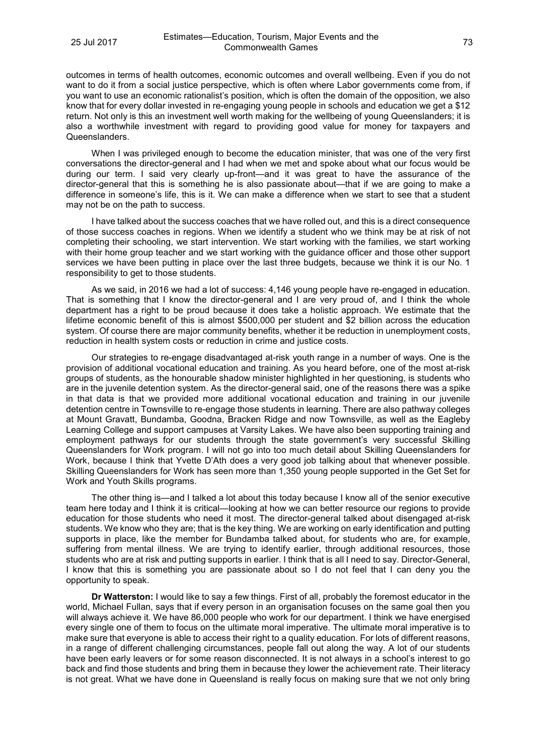outcomes in terms of health outcomes, economic outcomes and overall wellbeing. Even if you do not want to do it from a social justice perspective, which is often where Labor governments come from, if you want to use an economic rationalist's position, which is often the domain of the opposition, we also know that for every dollar invested in re-engaging young people in schools and education we get a \$12 return. Not only is this an investment well worth making for the wellbeing of young Queenslanders; it is also a worthwhile investment with regard to providing good value for money for taxpayers and Queenslanders.

When I was privileged enough to become the education minister, that was one of the very first conversations the director-general and I had when we met and spoke about what our focus would be during our term. I said very clearly up-front—and it was great to have the assurance of the director-general that this is something he is also passionate about—that if we are going to make a difference in someone's life, this is it. We can make a difference when we start to see that a student may not be on the path to success.

I have talked about the success coaches that we have rolled out, and this is a direct consequence of those success coaches in regions. When we identify a student who we think may be at risk of not completing their schooling, we start intervention. We start working with the families, we start working with their home group teacher and we start working with the guidance officer and those other support services we have been putting in place over the last three budgets, because we think it is our No. 1 responsibility to get to those students.

As we said, in 2016 we had a lot of success: 4,146 young people have re-engaged in education. That is something that I know the director-general and I are very proud of, and I think the whole department has a right to be proud because it does take a holistic approach. We estimate that the lifetime economic benefit of this is almost \$500,000 per student and \$2 billion across the education system. Of course there are major community benefits, whether it be reduction in unemployment costs, reduction in health system costs or reduction in crime and justice costs.

Our strategies to re-engage disadvantaged at-risk youth range in a number of ways. One is the provision of additional vocational education and training. As you heard before, one of the most at-risk groups of students, as the honourable shadow minister highlighted in her questioning, is students who are in the juvenile detention system. As the director-general said, one of the reasons there was a spike in that data is that we provided more additional vocational education and training in our juvenile detention centre in Townsville to re-engage those students in learning. There are also pathway colleges at Mount Gravatt, Bundamba, Goodna, Bracken Ridge and now Townsville, as well as the Eagleby Learning College and support campuses at Varsity Lakes. We have also been supporting training and employment pathways for our students through the state government's very successful Skilling Queenslanders for Work program. I will not go into too much detail about Skilling Queenslanders for Work, because I think that Yvette D'Ath does a very good job talking about that whenever possible. Skilling Queenslanders for Work has seen more than 1,350 young people supported in the Get Set for Work and Youth Skills programs.

The other thing is—and I talked a lot about this today because I know all of the senior executive team here today and I think it is critical—looking at how we can better resource our regions to provide education for those students who need it most. The director-general talked about disengaged at-risk students. We know who they are; that is the key thing. We are working on early identification and putting supports in place, like the member for Bundamba talked about, for students who are, for example, suffering from mental illness. We are trying to identify earlier, through additional resources, those students who are at risk and putting supports in earlier. I think that is all I need to say. Director-General, I know that this is something you are passionate about so I do not feel that I can deny you the opportunity to speak.

**Dr Watterston:** I would like to say a few things. First of all, probably the foremost educator in the world, Michael Fullan, says that if every person in an organisation focuses on the same goal then you will always achieve it. We have 86,000 people who work for our department. I think we have energised every single one of them to focus on the ultimate moral imperative. The ultimate moral imperative is to make sure that everyone is able to access their right to a quality education. For lots of different reasons, in a range of different challenging circumstances, people fall out along the way. A lot of our students have been early leavers or for some reason disconnected. It is not always in a school's interest to go back and find those students and bring them in because they lower the achievement rate. Their literacy is not great. What we have done in Queensland is really focus on making sure that we not only bring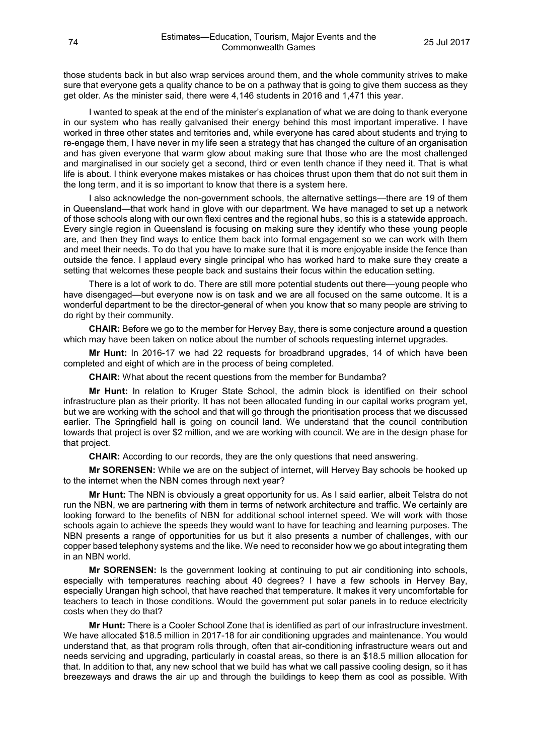those students back in but also wrap services around them, and the whole community strives to make sure that everyone gets a quality chance to be on a pathway that is going to give them success as they get older. As the minister said, there were 4,146 students in 2016 and 1,471 this year.

I wanted to speak at the end of the minister's explanation of what we are doing to thank everyone in our system who has really galvanised their energy behind this most important imperative. I have worked in three other states and territories and, while everyone has cared about students and trying to re-engage them, I have never in my life seen a strategy that has changed the culture of an organisation and has given everyone that warm glow about making sure that those who are the most challenged and marginalised in our society get a second, third or even tenth chance if they need it. That is what life is about. I think everyone makes mistakes or has choices thrust upon them that do not suit them in the long term, and it is so important to know that there is a system here.

I also acknowledge the non-government schools, the alternative settings—there are 19 of them in Queensland—that work hand in glove with our department. We have managed to set up a network of those schools along with our own flexi centres and the regional hubs, so this is a statewide approach. Every single region in Queensland is focusing on making sure they identify who these young people are, and then they find ways to entice them back into formal engagement so we can work with them and meet their needs. To do that you have to make sure that it is more enjoyable inside the fence than outside the fence. I applaud every single principal who has worked hard to make sure they create a setting that welcomes these people back and sustains their focus within the education setting.

There is a lot of work to do. There are still more potential students out there—young people who have disengaged—but everyone now is on task and we are all focused on the same outcome. It is a wonderful department to be the director-general of when you know that so many people are striving to do right by their community.

**CHAIR:** Before we go to the member for Hervey Bay, there is some conjecture around a question which may have been taken on notice about the number of schools requesting internet upgrades.

**Mr Hunt:** In 2016-17 we had 22 requests for broadbrand upgrades, 14 of which have been completed and eight of which are in the process of being completed.

**CHAIR:** What about the recent questions from the member for Bundamba?

**Mr Hunt:** In relation to Kruger State School, the admin block is identified on their school infrastructure plan as their priority. It has not been allocated funding in our capital works program yet, but we are working with the school and that will go through the prioritisation process that we discussed earlier. The Springfield hall is going on council land. We understand that the council contribution towards that project is over \$2 million, and we are working with council. We are in the design phase for that project.

**CHAIR:** According to our records, they are the only questions that need answering.

**Mr SORENSEN:** While we are on the subject of internet, will Hervey Bay schools be hooked up to the internet when the NBN comes through next year?

**Mr Hunt:** The NBN is obviously a great opportunity for us. As I said earlier, albeit Telstra do not run the NBN, we are partnering with them in terms of network architecture and traffic. We certainly are looking forward to the benefits of NBN for additional school internet speed. We will work with those schools again to achieve the speeds they would want to have for teaching and learning purposes. The NBN presents a range of opportunities for us but it also presents a number of challenges, with our copper based telephony systems and the like. We need to reconsider how we go about integrating them in an NBN world.

**Mr SORENSEN:** Is the government looking at continuing to put air conditioning into schools, especially with temperatures reaching about 40 degrees? I have a few schools in Hervey Bay, especially Urangan high school, that have reached that temperature. It makes it very uncomfortable for teachers to teach in those conditions. Would the government put solar panels in to reduce electricity costs when they do that?

**Mr Hunt:** There is a Cooler School Zone that is identified as part of our infrastructure investment. We have allocated \$18.5 million in 2017-18 for air conditioning upgrades and maintenance. You would understand that, as that program rolls through, often that air-conditioning infrastructure wears out and needs servicing and upgrading, particularly in coastal areas, so there is an \$18.5 million allocation for that. In addition to that, any new school that we build has what we call passive cooling design, so it has breezeways and draws the air up and through the buildings to keep them as cool as possible. With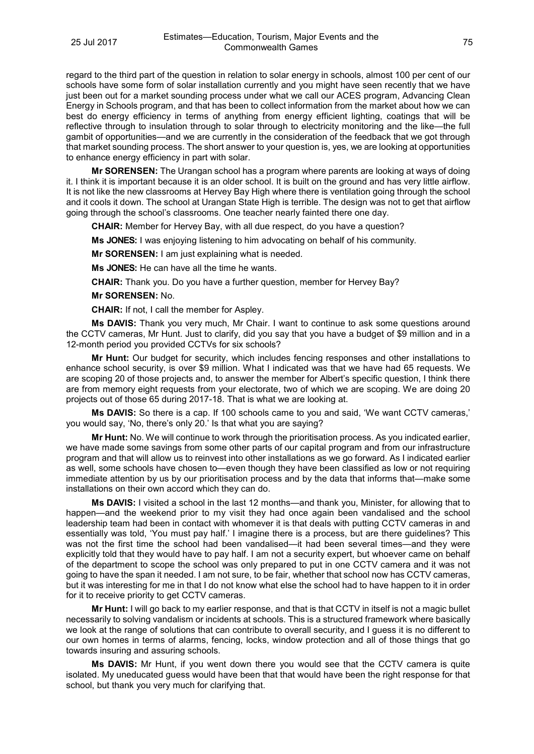regard to the third part of the question in relation to solar energy in schools, almost 100 per cent of our schools have some form of solar installation currently and you might have seen recently that we have just been out for a market sounding process under what we call our ACES program, Advancing Clean Energy in Schools program, and that has been to collect information from the market about how we can best do energy efficiency in terms of anything from energy efficient lighting, coatings that will be reflective through to insulation through to solar through to electricity monitoring and the like—the full gambit of opportunities—and we are currently in the consideration of the feedback that we got through that market sounding process. The short answer to your question is, yes, we are looking at opportunities to enhance energy efficiency in part with solar.

**Mr SORENSEN:** The Urangan school has a program where parents are looking at ways of doing it. I think it is important because it is an older school. It is built on the ground and has very little airflow. It is not like the new classrooms at Hervey Bay High where there is ventilation going through the school and it cools it down. The school at Urangan State High is terrible. The design was not to get that airflow going through the school's classrooms. One teacher nearly fainted there one day.

**CHAIR:** Member for Hervey Bay, with all due respect, do you have a question?

**Ms JONES:** I was enjoying listening to him advocating on behalf of his community.

**Mr SORENSEN:** I am just explaining what is needed.

**Ms JONES:** He can have all the time he wants.

**CHAIR:** Thank you. Do you have a further question, member for Hervey Bay?

**Mr SORENSEN:** No.

**CHAIR:** If not, I call the member for Aspley.

**Ms DAVIS:** Thank you very much, Mr Chair. I want to continue to ask some questions around the CCTV cameras, Mr Hunt. Just to clarify, did you say that you have a budget of \$9 million and in a 12-month period you provided CCTVs for six schools?

**Mr Hunt:** Our budget for security, which includes fencing responses and other installations to enhance school security, is over \$9 million. What I indicated was that we have had 65 requests. We are scoping 20 of those projects and, to answer the member for Albert's specific question, I think there are from memory eight requests from your electorate, two of which we are scoping. We are doing 20 projects out of those 65 during 2017-18. That is what we are looking at.

**Ms DAVIS:** So there is a cap. If 100 schools came to you and said, 'We want CCTV cameras,' you would say, 'No, there's only 20.' Is that what you are saying?

**Mr Hunt:** No. We will continue to work through the prioritisation process. As you indicated earlier, we have made some savings from some other parts of our capital program and from our infrastructure program and that will allow us to reinvest into other installations as we go forward. As I indicated earlier as well, some schools have chosen to—even though they have been classified as low or not requiring immediate attention by us by our prioritisation process and by the data that informs that—make some installations on their own accord which they can do.

**Ms DAVIS:** I visited a school in the last 12 months—and thank you, Minister, for allowing that to happen—and the weekend prior to my visit they had once again been vandalised and the school leadership team had been in contact with whomever it is that deals with putting CCTV cameras in and essentially was told, 'You must pay half.' I imagine there is a process, but are there guidelines? This was not the first time the school had been vandalised—it had been several times—and they were explicitly told that they would have to pay half. I am not a security expert, but whoever came on behalf of the department to scope the school was only prepared to put in one CCTV camera and it was not going to have the span it needed. I am not sure, to be fair, whether that school now has CCTV cameras, but it was interesting for me in that I do not know what else the school had to have happen to it in order for it to receive priority to get CCTV cameras.

**Mr Hunt:** I will go back to my earlier response, and that is that CCTV in itself is not a magic bullet necessarily to solving vandalism or incidents at schools. This is a structured framework where basically we look at the range of solutions that can contribute to overall security, and I guess it is no different to our own homes in terms of alarms, fencing, locks, window protection and all of those things that go towards insuring and assuring schools.

**Ms DAVIS:** Mr Hunt, if you went down there you would see that the CCTV camera is quite isolated. My uneducated guess would have been that that would have been the right response for that school, but thank you very much for clarifying that.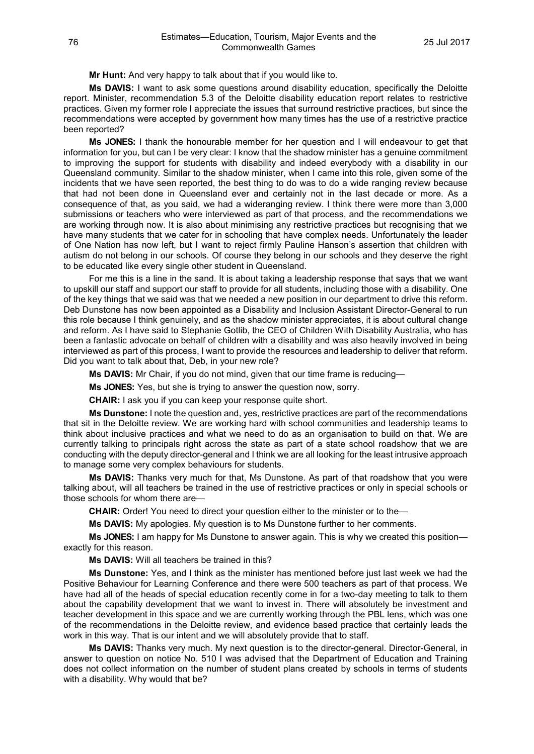**Mr Hunt:** And very happy to talk about that if you would like to.

**Ms DAVIS:** I want to ask some questions around disability education, specifically the Deloitte report. Minister, recommendation 5.3 of the Deloitte disability education report relates to restrictive practices. Given my former role I appreciate the issues that surround restrictive practices, but since the recommendations were accepted by government how many times has the use of a restrictive practice been reported?

**Ms JONES:** I thank the honourable member for her question and I will endeavour to get that information for you, but can I be very clear: I know that the shadow minister has a genuine commitment to improving the support for students with disability and indeed everybody with a disability in our Queensland community. Similar to the shadow minister, when I came into this role, given some of the incidents that we have seen reported, the best thing to do was to do a wide ranging review because that had not been done in Queensland ever and certainly not in the last decade or more. As a consequence of that, as you said, we had a wideranging review. I think there were more than 3,000 submissions or teachers who were interviewed as part of that process, and the recommendations we are working through now. It is also about minimising any restrictive practices but recognising that we have many students that we cater for in schooling that have complex needs. Unfortunately the leader of One Nation has now left, but I want to reject firmly Pauline Hanson's assertion that children with autism do not belong in our schools. Of course they belong in our schools and they deserve the right to be educated like every single other student in Queensland.

For me this is a line in the sand. It is about taking a leadership response that says that we want to upskill our staff and support our staff to provide for all students, including those with a disability. One of the key things that we said was that we needed a new position in our department to drive this reform. Deb Dunstone has now been appointed as a Disability and Inclusion Assistant Director-General to run this role because I think genuinely, and as the shadow minister appreciates, it is about cultural change and reform. As I have said to Stephanie Gotlib, the CEO of Children With Disability Australia, who has been a fantastic advocate on behalf of children with a disability and was also heavily involved in being interviewed as part of this process, I want to provide the resources and leadership to deliver that reform. Did you want to talk about that, Deb, in your new role?

**Ms DAVIS:** Mr Chair, if you do not mind, given that our time frame is reducing—

**Ms JONES:** Yes, but she is trying to answer the question now, sorry.

**CHAIR:** I ask you if you can keep your response quite short.

**Ms Dunstone:** I note the question and, yes, restrictive practices are part of the recommendations that sit in the Deloitte review. We are working hard with school communities and leadership teams to think about inclusive practices and what we need to do as an organisation to build on that. We are currently talking to principals right across the state as part of a state school roadshow that we are conducting with the deputy director-general and I think we are all looking for the least intrusive approach to manage some very complex behaviours for students.

**Ms DAVIS:** Thanks very much for that, Ms Dunstone. As part of that roadshow that you were talking about, will all teachers be trained in the use of restrictive practices or only in special schools or those schools for whom there are—

**CHAIR:** Order! You need to direct your question either to the minister or to the—

**Ms DAVIS:** My apologies. My question is to Ms Dunstone further to her comments.

**Ms JONES:** I am happy for Ms Dunstone to answer again. This is why we created this position exactly for this reason.

**Ms DAVIS:** Will all teachers be trained in this?

**Ms Dunstone:** Yes, and I think as the minister has mentioned before just last week we had the Positive Behaviour for Learning Conference and there were 500 teachers as part of that process. We have had all of the heads of special education recently come in for a two-day meeting to talk to them about the capability development that we want to invest in. There will absolutely be investment and teacher development in this space and we are currently working through the PBL lens, which was one of the recommendations in the Deloitte review, and evidence based practice that certainly leads the work in this way. That is our intent and we will absolutely provide that to staff.

**Ms DAVIS:** Thanks very much. My next question is to the director-general. Director-General, in answer to question on notice No. 510 I was advised that the Department of Education and Training does not collect information on the number of student plans created by schools in terms of students with a disability. Why would that be?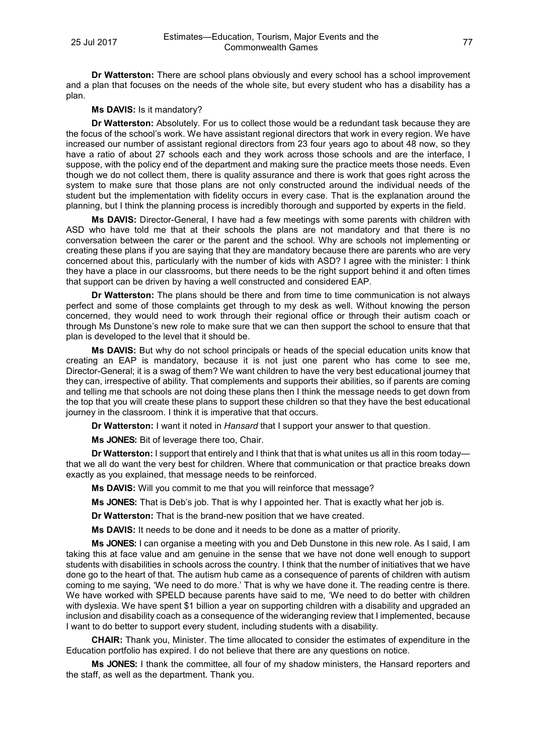**Dr Watterston:** There are school plans obviously and every school has a school improvement and a plan that focuses on the needs of the whole site, but every student who has a disability has a plan.

## **Ms DAVIS:** Is it mandatory?

**Dr Watterston:** Absolutely. For us to collect those would be a redundant task because they are the focus of the school's work. We have assistant regional directors that work in every region. We have increased our number of assistant regional directors from 23 four years ago to about 48 now, so they have a ratio of about 27 schools each and they work across those schools and are the interface, I suppose, with the policy end of the department and making sure the practice meets those needs. Even though we do not collect them, there is quality assurance and there is work that goes right across the system to make sure that those plans are not only constructed around the individual needs of the student but the implementation with fidelity occurs in every case. That is the explanation around the planning, but I think the planning process is incredibly thorough and supported by experts in the field.

**Ms DAVIS:** Director-General, I have had a few meetings with some parents with children with ASD who have told me that at their schools the plans are not mandatory and that there is no conversation between the carer or the parent and the school. Why are schools not implementing or creating these plans if you are saying that they are mandatory because there are parents who are very concerned about this, particularly with the number of kids with ASD? I agree with the minister: I think they have a place in our classrooms, but there needs to be the right support behind it and often times that support can be driven by having a well constructed and considered EAP.

**Dr Watterston:** The plans should be there and from time to time communication is not always perfect and some of those complaints get through to my desk as well. Without knowing the person concerned, they would need to work through their regional office or through their autism coach or through Ms Dunstone's new role to make sure that we can then support the school to ensure that that plan is developed to the level that it should be.

**Ms DAVIS:** But why do not school principals or heads of the special education units know that creating an EAP is mandatory, because it is not just one parent who has come to see me, Director-General; it is a swag of them? We want children to have the very best educational journey that they can, irrespective of ability. That complements and supports their abilities, so if parents are coming and telling me that schools are not doing these plans then I think the message needs to get down from the top that you will create these plans to support these children so that they have the best educational journey in the classroom. I think it is imperative that that occurs.

**Dr Watterston:** I want it noted in *Hansard* that I support your answer to that question.

**Ms JONES:** Bit of leverage there too, Chair.

**Dr Watterston:** I support that entirely and I think that that is what unites us all in this room today that we all do want the very best for children. Where that communication or that practice breaks down exactly as you explained, that message needs to be reinforced.

**Ms DAVIS:** Will you commit to me that you will reinforce that message?

**Ms JONES:** That is Deb's job. That is why I appointed her. That is exactly what her job is.

**Dr Watterston:** That is the brand-new position that we have created.

**Ms DAVIS:** It needs to be done and it needs to be done as a matter of priority.

**Ms JONES:** I can organise a meeting with you and Deb Dunstone in this new role. As I said, I am taking this at face value and am genuine in the sense that we have not done well enough to support students with disabilities in schools across the country. I think that the number of initiatives that we have done go to the heart of that. The autism hub came as a consequence of parents of children with autism coming to me saying, 'We need to do more.' That is why we have done it. The reading centre is there. We have worked with SPELD because parents have said to me, 'We need to do better with children with dyslexia. We have spent \$1 billion a year on supporting children with a disability and upgraded an inclusion and disability coach as a consequence of the wideranging review that I implemented, because I want to do better to support every student, including students with a disability.

**CHAIR:** Thank you, Minister. The time allocated to consider the estimates of expenditure in the Education portfolio has expired. I do not believe that there are any questions on notice.

**Ms JONES:** I thank the committee, all four of my shadow ministers, the Hansard reporters and the staff, as well as the department. Thank you.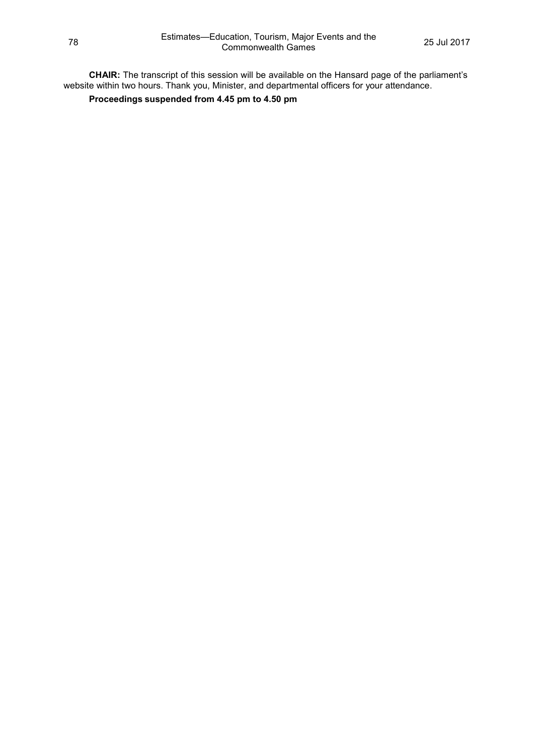**CHAIR:** The transcript of this session will be available on the Hansard page of the parliament's website within two hours. Thank you, Minister, and departmental officers for your attendance.

**Proceedings suspended from 4.45 pm to 4.50 pm**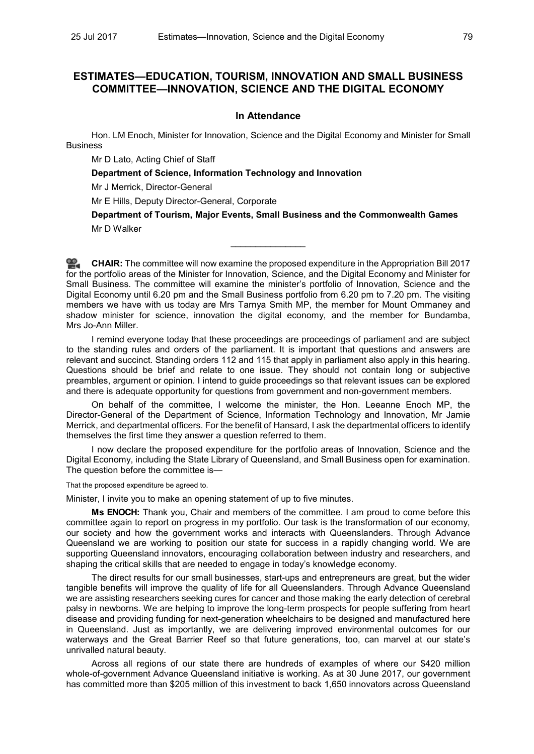## **ESTIMATES—EDUCATION, TOURISM, INNOVATION AND SMALL BUSINESS COMMITTEE—INNOVATION, SCIENCE AND THE DIGITAL ECONOMY**

## **In Attendance**

Hon. LM Enoch, Minister for Innovation, Science and the Digital Economy and Minister for Small Business

Mr D Lato, Acting Chief of Staff

**Department of Science, Information Technology and Innovation**

Mr J Merrick, Director-General

Mr E Hills, Deputy Director-General, Corporate

**Department of Tourism, Major Events, Small Business and the Commonwealth Games** Mr D Walker

**[CHAIR:](http://www.parliament.qld.gov.au/docs/find.aspx?id=0Mba20170725_165215)** The committee will now examine the proposed expenditure in the Appropriation Bill 2017 for the portfolio areas of the Minister for Innovation, Science, and the Digital Economy and Minister for Small Business. The committee will examine the minister's portfolio of Innovation, Science and the Digital Economy until 6.20 pm and the Small Business portfolio from 6.20 pm to 7.20 pm. The visiting members we have with us today are Mrs Tarnya Smith MP, the member for Mount Ommaney and shadow minister for science, innovation the digital economy, and the member for Bundamba, Mrs Jo-Ann Miller.

 $\overline{\phantom{a}}$ 

I remind everyone today that these proceedings are proceedings of parliament and are subject to the standing rules and orders of the parliament. It is important that questions and answers are relevant and succinct. Standing orders 112 and 115 that apply in parliament also apply in this hearing. Questions should be brief and relate to one issue. They should not contain long or subjective preambles, argument or opinion. I intend to guide proceedings so that relevant issues can be explored and there is adequate opportunity for questions from government and non-government members.

On behalf of the committee, I welcome the minister, the Hon. Leeanne Enoch MP, the Director-General of the Department of Science, Information Technology and Innovation, Mr Jamie Merrick, and departmental officers. For the benefit of Hansard, I ask the departmental officers to identify themselves the first time they answer a question referred to them.

I now declare the proposed expenditure for the portfolio areas of Innovation, Science and the Digital Economy, including the State Library of Queensland, and Small Business open for examination. The question before the committee is-

That the proposed expenditure be agreed to.

Minister, I invite you to make an opening statement of up to five minutes.

**Ms ENOCH:** Thank you, Chair and members of the committee. I am proud to come before this committee again to report on progress in my portfolio. Our task is the transformation of our economy, our society and how the government works and interacts with Queenslanders. Through Advance Queensland we are working to position our state for success in a rapidly changing world. We are supporting Queensland innovators, encouraging collaboration between industry and researchers, and shaping the critical skills that are needed to engage in today's knowledge economy.

The direct results for our small businesses, start-ups and entrepreneurs are great, but the wider tangible benefits will improve the quality of life for all Queenslanders. Through Advance Queensland we are assisting researchers seeking cures for cancer and those making the early detection of cerebral palsy in newborns. We are helping to improve the long-term prospects for people suffering from heart disease and providing funding for next-generation wheelchairs to be designed and manufactured here in Queensland. Just as importantly, we are delivering improved environmental outcomes for our waterways and the Great Barrier Reef so that future generations, too, can marvel at our state's unrivalled natural beauty.

Across all regions of our state there are hundreds of examples of where our \$420 million whole-of-government Advance Queensland initiative is working. As at 30 June 2017, our government has committed more than \$205 million of this investment to back 1,650 innovators across Queensland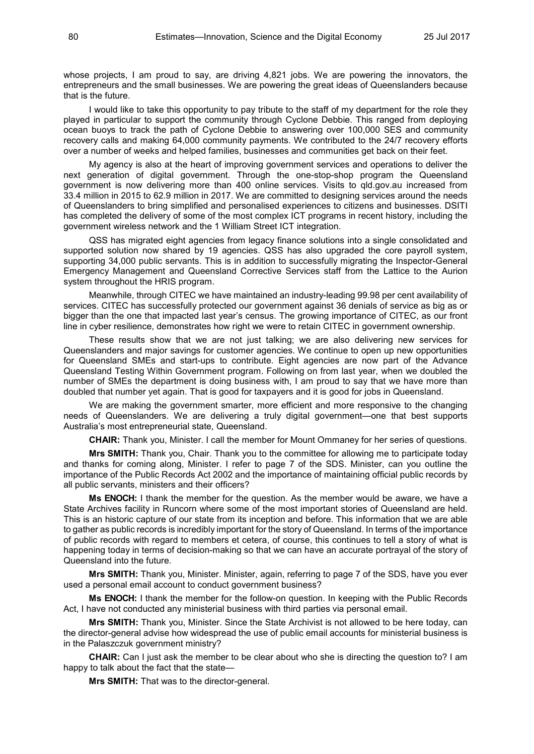whose projects. I am proud to say, are driving 4,821 jobs. We are powering the innovators, the entrepreneurs and the small businesses. We are powering the great ideas of Queenslanders because that is the future.

I would like to take this opportunity to pay tribute to the staff of my department for the role they played in particular to support the community through Cyclone Debbie. This ranged from deploying ocean buoys to track the path of Cyclone Debbie to answering over 100,000 SES and community recovery calls and making 64,000 community payments. We contributed to the 24/7 recovery efforts over a number of weeks and helped families, businesses and communities get back on their feet.

My agency is also at the heart of improving government services and operations to deliver the next generation of digital government. Through the one-stop-shop program the Queensland government is now delivering more than 400 online services. Visits to qld.gov.au increased from 33.4 million in 2015 to 62.9 million in 2017. We are committed to designing services around the needs of Queenslanders to bring simplified and personalised experiences to citizens and businesses. DSITI has completed the delivery of some of the most complex ICT programs in recent history, including the government wireless network and the 1 William Street ICT integration.

QSS has migrated eight agencies from legacy finance solutions into a single consolidated and supported solution now shared by 19 agencies. QSS has also upgraded the core payroll system, supporting 34,000 public servants. This is in addition to successfully migrating the Inspector-General Emergency Management and Queensland Corrective Services staff from the Lattice to the Aurion system throughout the HRIS program.

Meanwhile, through CITEC we have maintained an industry-leading 99.98 per cent availability of services. CITEC has successfully protected our government against 36 denials of service as big as or bigger than the one that impacted last year's census. The growing importance of CITEC, as our front line in cyber resilience, demonstrates how right we were to retain CITEC in government ownership.

These results show that we are not just talking; we are also delivering new services for Queenslanders and major savings for customer agencies. We continue to open up new opportunities for Queensland SMEs and start-ups to contribute. Eight agencies are now part of the Advance Queensland Testing Within Government program. Following on from last year, when we doubled the number of SMEs the department is doing business with, I am proud to say that we have more than doubled that number yet again. That is good for taxpayers and it is good for jobs in Queensland.

We are making the government smarter, more efficient and more responsive to the changing needs of Queenslanders. We are delivering a truly digital government—one that best supports Australia's most entrepreneurial state, Queensland.

**CHAIR:** Thank you, Minister. I call the member for Mount Ommaney for her series of questions.

**Mrs SMITH:** Thank you, Chair. Thank you to the committee for allowing me to participate today and thanks for coming along, Minister. I refer to page 7 of the SDS. Minister, can you outline the importance of the Public Records Act 2002 and the importance of maintaining official public records by all public servants, ministers and their officers?

**Ms ENOCH:** I thank the member for the question. As the member would be aware, we have a State Archives facility in Runcorn where some of the most important stories of Queensland are held. This is an historic capture of our state from its inception and before. This information that we are able to gather as public records is incredibly important for the story of Queensland. In terms of the importance of public records with regard to members et cetera, of course, this continues to tell a story of what is happening today in terms of decision-making so that we can have an accurate portrayal of the story of Queensland into the future.

**Mrs SMITH:** Thank you, Minister. Minister, again, referring to page 7 of the SDS, have you ever used a personal email account to conduct government business?

**Ms ENOCH:** I thank the member for the follow-on question. In keeping with the Public Records Act, I have not conducted any ministerial business with third parties via personal email.

**Mrs SMITH:** Thank you, Minister. Since the State Archivist is not allowed to be here today, can the director-general advise how widespread the use of public email accounts for ministerial business is in the Palaszczuk government ministry?

**CHAIR:** Can I just ask the member to be clear about who she is directing the question to? I am happy to talk about the fact that the state—

**Mrs SMITH:** That was to the director-general.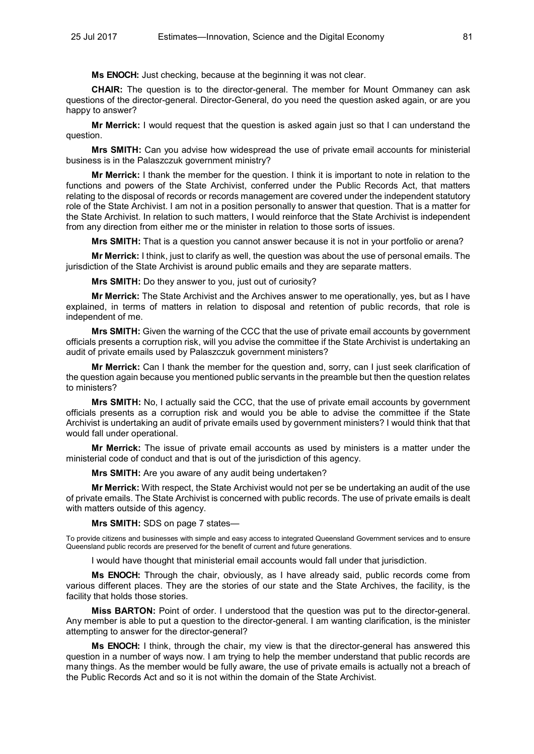**Ms ENOCH:** Just checking, because at the beginning it was not clear.

**CHAIR:** The question is to the director-general. The member for Mount Ommaney can ask questions of the director-general. Director-General, do you need the question asked again, or are you happy to answer?

**Mr Merrick:** I would request that the question is asked again just so that I can understand the question.

**Mrs SMITH:** Can you advise how widespread the use of private email accounts for ministerial business is in the Palaszczuk government ministry?

**Mr Merrick:** I thank the member for the question. I think it is important to note in relation to the functions and powers of the State Archivist, conferred under the Public Records Act, that matters relating to the disposal of records or records management are covered under the independent statutory role of the State Archivist. I am not in a position personally to answer that question. That is a matter for the State Archivist. In relation to such matters, I would reinforce that the State Archivist is independent from any direction from either me or the minister in relation to those sorts of issues.

**Mrs SMITH:** That is a question you cannot answer because it is not in your portfolio or arena?

**Mr Merrick:** I think, just to clarify as well, the question was about the use of personal emails. The jurisdiction of the State Archivist is around public emails and they are separate matters.

**Mrs SMITH:** Do they answer to you, just out of curiosity?

**Mr Merrick:** The State Archivist and the Archives answer to me operationally, yes, but as I have explained, in terms of matters in relation to disposal and retention of public records, that role is independent of me.

**Mrs SMITH:** Given the warning of the CCC that the use of private email accounts by government officials presents a corruption risk, will you advise the committee if the State Archivist is undertaking an audit of private emails used by Palaszczuk government ministers?

**Mr Merrick:** Can I thank the member for the question and, sorry, can I just seek clarification of the question again because you mentioned public servants in the preamble but then the question relates to ministers?

**Mrs SMITH:** No, I actually said the CCC, that the use of private email accounts by government officials presents as a corruption risk and would you be able to advise the committee if the State Archivist is undertaking an audit of private emails used by government ministers? I would think that that would fall under operational.

**Mr Merrick:** The issue of private email accounts as used by ministers is a matter under the ministerial code of conduct and that is out of the jurisdiction of this agency.

**Mrs SMITH:** Are you aware of any audit being undertaken?

**Mr Merrick:** With respect, the State Archivist would not per se be undertaking an audit of the use of private emails. The State Archivist is concerned with public records. The use of private emails is dealt with matters outside of this agency.

**Mrs SMITH:** SDS on page 7 states—

To provide citizens and businesses with simple and easy access to integrated Queensland Government services and to ensure Queensland public records are preserved for the benefit of current and future generations.

I would have thought that ministerial email accounts would fall under that jurisdiction.

**Ms ENOCH:** Through the chair, obviously, as I have already said, public records come from various different places. They are the stories of our state and the State Archives, the facility, is the facility that holds those stories.

**Miss BARTON:** Point of order. I understood that the question was put to the director-general. Any member is able to put a question to the director-general. I am wanting clarification, is the minister attempting to answer for the director-general?

**Ms ENOCH:** I think, through the chair, my view is that the director-general has answered this question in a number of ways now. I am trying to help the member understand that public records are many things. As the member would be fully aware, the use of private emails is actually not a breach of the Public Records Act and so it is not within the domain of the State Archivist.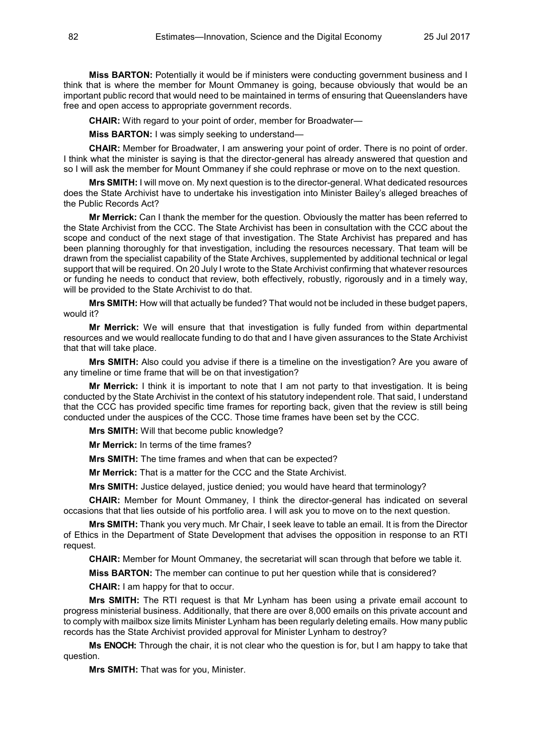**Miss BARTON:** Potentially it would be if ministers were conducting government business and I think that is where the member for Mount Ommaney is going, because obviously that would be an important public record that would need to be maintained in terms of ensuring that Queenslanders have free and open access to appropriate government records.

**CHAIR:** With regard to your point of order, member for Broadwater—

**Miss BARTON:** I was simply seeking to understand—

**CHAIR:** Member for Broadwater, I am answering your point of order. There is no point of order. I think what the minister is saying is that the director-general has already answered that question and so I will ask the member for Mount Ommaney if she could rephrase or move on to the next question.

**Mrs SMITH:** I will move on. My next question is to the director-general. What dedicated resources does the State Archivist have to undertake his investigation into Minister Bailey's alleged breaches of the Public Records Act?

**Mr Merrick:** Can I thank the member for the question. Obviously the matter has been referred to the State Archivist from the CCC. The State Archivist has been in consultation with the CCC about the scope and conduct of the next stage of that investigation. The State Archivist has prepared and has been planning thoroughly for that investigation, including the resources necessary. That team will be drawn from the specialist capability of the State Archives, supplemented by additional technical or legal support that will be required. On 20 July I wrote to the State Archivist confirming that whatever resources or funding he needs to conduct that review, both effectively, robustly, rigorously and in a timely way, will be provided to the State Archivist to do that.

**Mrs SMITH:** How will that actually be funded? That would not be included in these budget papers, would it?

**Mr Merrick:** We will ensure that that investigation is fully funded from within departmental resources and we would reallocate funding to do that and I have given assurances to the State Archivist that that will take place.

**Mrs SMITH:** Also could you advise if there is a timeline on the investigation? Are you aware of any timeline or time frame that will be on that investigation?

**Mr Merrick:** I think it is important to note that I am not party to that investigation. It is being conducted by the State Archivist in the context of his statutory independent role. That said, I understand that the CCC has provided specific time frames for reporting back, given that the review is still being conducted under the auspices of the CCC. Those time frames have been set by the CCC.

**Mrs SMITH:** Will that become public knowledge?

**Mr Merrick:** In terms of the time frames?

**Mrs SMITH:** The time frames and when that can be expected?

**Mr Merrick:** That is a matter for the CCC and the State Archivist.

**Mrs SMITH:** Justice delayed, justice denied; you would have heard that terminology?

**CHAIR:** Member for Mount Ommaney, I think the director-general has indicated on several occasions that that lies outside of his portfolio area. I will ask you to move on to the next question.

**Mrs SMITH:** Thank you very much. Mr Chair, I seek leave to table an email. It is from the Director of Ethics in the Department of State Development that advises the opposition in response to an RTI request.

**CHAIR:** Member for Mount Ommaney, the secretariat will scan through that before we table it.

**Miss BARTON:** The member can continue to put her question while that is considered?

**CHAIR:** I am happy for that to occur.

**Mrs SMITH:** The RTI request is that Mr Lynham has been using a private email account to progress ministerial business. Additionally, that there are over 8,000 emails on this private account and to comply with mailbox size limits Minister Lynham has been regularly deleting emails. How many public records has the State Archivist provided approval for Minister Lynham to destroy?

**Ms ENOCH:** Through the chair, it is not clear who the question is for, but I am happy to take that question.

**Mrs SMITH:** That was for you, Minister.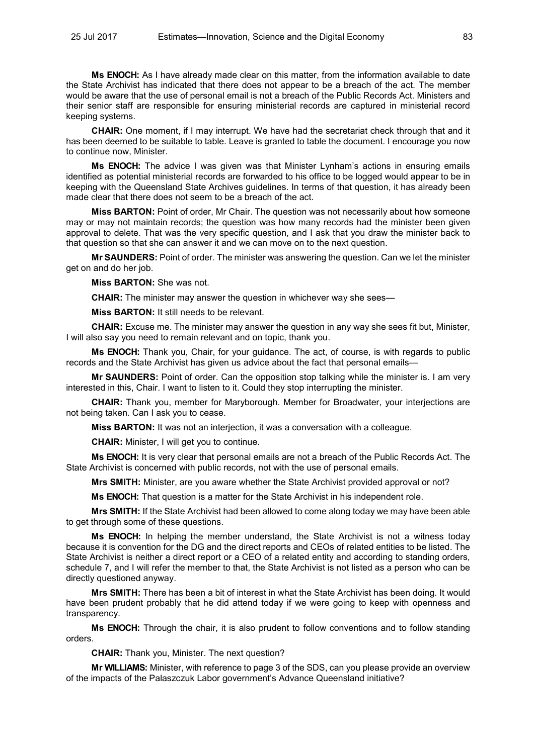**Ms ENOCH:** As I have already made clear on this matter, from the information available to date the State Archivist has indicated that there does not appear to be a breach of the act. The member would be aware that the use of personal email is not a breach of the Public Records Act. Ministers and their senior staff are responsible for ensuring ministerial records are captured in ministerial record keeping systems.

**CHAIR:** One moment, if I may interrupt. We have had the secretariat check through that and it has been deemed to be suitable to table. Leave is granted to table the document. I encourage you now to continue now, Minister.

**Ms ENOCH:** The advice I was given was that Minister Lynham's actions in ensuring emails identified as potential ministerial records are forwarded to his office to be logged would appear to be in keeping with the Queensland State Archives guidelines. In terms of that question, it has already been made clear that there does not seem to be a breach of the act.

**Miss BARTON:** Point of order, Mr Chair. The question was not necessarily about how someone may or may not maintain records; the question was how many records had the minister been given approval to delete. That was the very specific question, and I ask that you draw the minister back to that question so that she can answer it and we can move on to the next question.

**Mr SAUNDERS:** Point of order. The minister was answering the question. Can we let the minister get on and do her job.

**Miss BARTON:** She was not.

**CHAIR:** The minister may answer the question in whichever way she sees—

**Miss BARTON:** It still needs to be relevant.

**CHAIR:** Excuse me. The minister may answer the question in any way she sees fit but, Minister, I will also say you need to remain relevant and on topic, thank you.

**Ms ENOCH:** Thank you, Chair, for your guidance. The act, of course, is with regards to public records and the State Archivist has given us advice about the fact that personal emails—

**Mr SAUNDERS:** Point of order. Can the opposition stop talking while the minister is. I am very interested in this, Chair. I want to listen to it. Could they stop interrupting the minister.

**CHAIR:** Thank you, member for Maryborough. Member for Broadwater, your interjections are not being taken. Can I ask you to cease.

**Miss BARTON:** It was not an interjection, it was a conversation with a colleague.

**CHAIR:** Minister, I will get you to continue.

**Ms ENOCH:** It is very clear that personal emails are not a breach of the Public Records Act. The State Archivist is concerned with public records, not with the use of personal emails.

**Mrs SMITH:** Minister, are you aware whether the State Archivist provided approval or not?

**Ms ENOCH:** That question is a matter for the State Archivist in his independent role.

**Mrs SMITH:** If the State Archivist had been allowed to come along today we may have been able to get through some of these questions.

**Ms ENOCH:** In helping the member understand, the State Archivist is not a witness today because it is convention for the DG and the direct reports and CEOs of related entities to be listed. The State Archivist is neither a direct report or a CEO of a related entity and according to standing orders, schedule 7, and I will refer the member to that, the State Archivist is not listed as a person who can be directly questioned anyway.

**Mrs SMITH:** There has been a bit of interest in what the State Archivist has been doing. It would have been prudent probably that he did attend today if we were going to keep with openness and transparency.

**Ms ENOCH:** Through the chair, it is also prudent to follow conventions and to follow standing orders.

**CHAIR:** Thank you, Minister. The next question?

**Mr WILLIAMS:** Minister, with reference to page 3 of the SDS, can you please provide an overview of the impacts of the Palaszczuk Labor government's Advance Queensland initiative?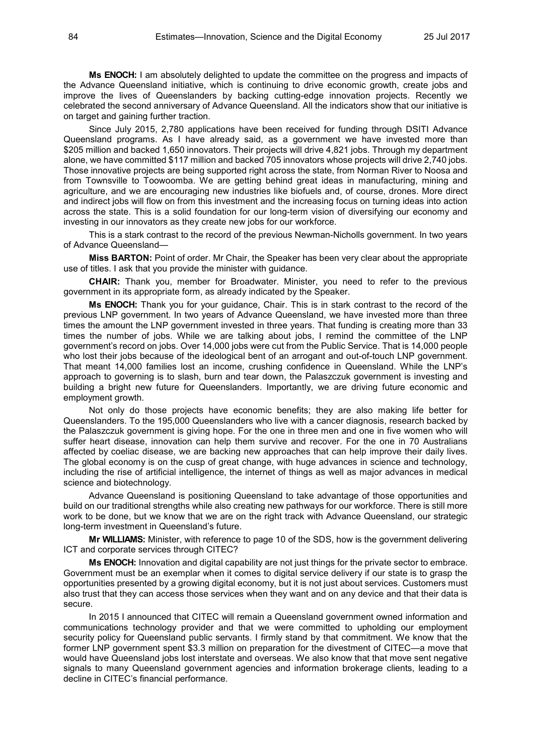**Ms ENOCH:** I am absolutely delighted to update the committee on the progress and impacts of the Advance Queensland initiative, which is continuing to drive economic growth, create jobs and improve the lives of Queenslanders by backing cutting-edge innovation projects. Recently we celebrated the second anniversary of Advance Queensland. All the indicators show that our initiative is on target and gaining further traction.

Since July 2015, 2,780 applications have been received for funding through DSITI Advance Queensland programs. As I have already said, as a government we have invested more than \$205 million and backed 1,650 innovators. Their projects will drive 4,821 jobs. Through my department alone, we have committed \$117 million and backed 705 innovators whose projects will drive 2,740 jobs. Those innovative projects are being supported right across the state, from Norman River to Noosa and from Townsville to Toowoomba. We are getting behind great ideas in manufacturing, mining and agriculture, and we are encouraging new industries like biofuels and, of course, drones. More direct and indirect jobs will flow on from this investment and the increasing focus on turning ideas into action across the state. This is a solid foundation for our long-term vision of diversifying our economy and investing in our innovators as they create new jobs for our workforce.

This is a stark contrast to the record of the previous Newman-Nicholls government. In two years of Advance Queensland—

**Miss BARTON:** Point of order. Mr Chair, the Speaker has been very clear about the appropriate use of titles. I ask that you provide the minister with guidance.

**CHAIR:** Thank you, member for Broadwater. Minister, you need to refer to the previous government in its appropriate form, as already indicated by the Speaker.

**Ms ENOCH:** Thank you for your guidance, Chair. This is in stark contrast to the record of the previous LNP government. In two years of Advance Queensland, we have invested more than three times the amount the LNP government invested in three years. That funding is creating more than 33 times the number of jobs. While we are talking about jobs, I remind the committee of the LNP government's record on jobs. Over 14,000 jobs were cut from the Public Service. That is 14,000 people who lost their jobs because of the ideological bent of an arrogant and out-of-touch LNP government. That meant 14,000 families lost an income, crushing confidence in Queensland. While the LNP's approach to governing is to slash, burn and tear down, the Palaszczuk government is investing and building a bright new future for Queenslanders. Importantly, we are driving future economic and employment growth.

Not only do those projects have economic benefits; they are also making life better for Queenslanders. To the 195,000 Queenslanders who live with a cancer diagnosis, research backed by the Palaszczuk government is giving hope. For the one in three men and one in five women who will suffer heart disease, innovation can help them survive and recover. For the one in 70 Australians affected by coeliac disease, we are backing new approaches that can help improve their daily lives. The global economy is on the cusp of great change, with huge advances in science and technology, including the rise of artificial intelligence, the internet of things as well as major advances in medical science and biotechnology.

Advance Queensland is positioning Queensland to take advantage of those opportunities and build on our traditional strengths while also creating new pathways for our workforce. There is still more work to be done, but we know that we are on the right track with Advance Queensland, our strategic long-term investment in Queensland's future.

**Mr WILLIAMS:** Minister, with reference to page 10 of the SDS, how is the government delivering ICT and corporate services through CITEC?

**Ms ENOCH:** Innovation and digital capability are not just things for the private sector to embrace. Government must be an exemplar when it comes to digital service delivery if our state is to grasp the opportunities presented by a growing digital economy, but it is not just about services. Customers must also trust that they can access those services when they want and on any device and that their data is secure.

In 2015 I announced that CITEC will remain a Queensland government owned information and communications technology provider and that we were committed to upholding our employment security policy for Queensland public servants. I firmly stand by that commitment. We know that the former LNP government spent \$3.3 million on preparation for the divestment of CITEC—a move that would have Queensland jobs lost interstate and overseas. We also know that that move sent negative signals to many Queensland government agencies and information brokerage clients, leading to a decline in CITEC's financial performance.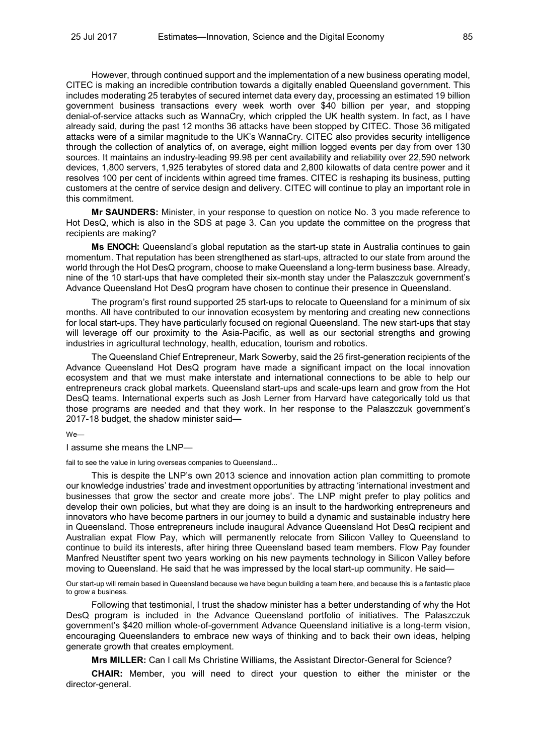However, through continued support and the implementation of a new business operating model, CITEC is making an incredible contribution towards a digitally enabled Queensland government. This includes moderating 25 terabytes of secured internet data every day, processing an estimated 19 billion government business transactions every week worth over \$40 billion per year, and stopping denial-of-service attacks such as WannaCry, which crippled the UK health system. In fact, as I have already said, during the past 12 months 36 attacks have been stopped by CITEC. Those 36 mitigated attacks were of a similar magnitude to the UK's WannaCry. CITEC also provides security intelligence through the collection of analytics of, on average, eight million logged events per day from over 130 sources. It maintains an industry-leading 99.98 per cent availability and reliability over 22,590 network devices, 1,800 servers, 1,925 terabytes of stored data and 2,800 kilowatts of data centre power and it resolves 100 per cent of incidents within agreed time frames. CITEC is reshaping its business, putting customers at the centre of service design and delivery. CITEC will continue to play an important role in this commitment.

**Mr SAUNDERS:** Minister, in your response to question on notice No. 3 you made reference to Hot DesQ, which is also in the SDS at page 3. Can you update the committee on the progress that recipients are making?

**Ms ENOCH:** Queensland's global reputation as the start-up state in Australia continues to gain momentum. That reputation has been strengthened as start-ups, attracted to our state from around the world through the Hot DesQ program, choose to make Queensland a long-term business base. Already, nine of the 10 start-ups that have completed their six-month stay under the Palaszczuk government's Advance Queensland Hot DesQ program have chosen to continue their presence in Queensland.

The program's first round supported 25 start-ups to relocate to Queensland for a minimum of six months. All have contributed to our innovation ecosystem by mentoring and creating new connections for local start-ups. They have particularly focused on regional Queensland. The new start-ups that stay will leverage off our proximity to the Asia-Pacific, as well as our sectorial strengths and growing industries in agricultural technology, health, education, tourism and robotics.

The Queensland Chief Entrepreneur, Mark Sowerby, said the 25 first-generation recipients of the Advance Queensland Hot DesQ program have made a significant impact on the local innovation ecosystem and that we must make interstate and international connections to be able to help our entrepreneurs crack global markets. Queensland start-ups and scale-ups learn and grow from the Hot DesQ teams. International experts such as Josh Lerner from Harvard have categorically told us that those programs are needed and that they work. In her response to the Palaszczuk government's 2017-18 budget, the shadow minister said—

We—

I assume she means the LNP—

fail to see the value in luring overseas companies to Queensland...

This is despite the LNP's own 2013 science and innovation action plan committing to promote our knowledge industries' trade and investment opportunities by attracting 'international investment and businesses that grow the sector and create more jobs'. The LNP might prefer to play politics and develop their own policies, but what they are doing is an insult to the hardworking entrepreneurs and innovators who have become partners in our journey to build a dynamic and sustainable industry here in Queensland. Those entrepreneurs include inaugural Advance Queensland Hot DesQ recipient and Australian expat Flow Pay, which will permanently relocate from Silicon Valley to Queensland to continue to build its interests, after hiring three Queensland based team members. Flow Pay founder Manfred Neustifter spent two years working on his new payments technology in Silicon Valley before moving to Queensland. He said that he was impressed by the local start-up community. He said—

Our start-up will remain based in Queensland because we have begun building a team here, and because this is a fantastic place to grow a business.

Following that testimonial, I trust the shadow minister has a better understanding of why the Hot DesQ program is included in the Advance Queensland portfolio of initiatives. The Palaszczuk government's \$420 million whole-of-government Advance Queensland initiative is a long-term vision, encouraging Queenslanders to embrace new ways of thinking and to back their own ideas, helping generate growth that creates employment.

**Mrs MILLER:** Can I call Ms Christine Williams, the Assistant Director-General for Science?

**CHAIR:** Member, you will need to direct your question to either the minister or the director-general.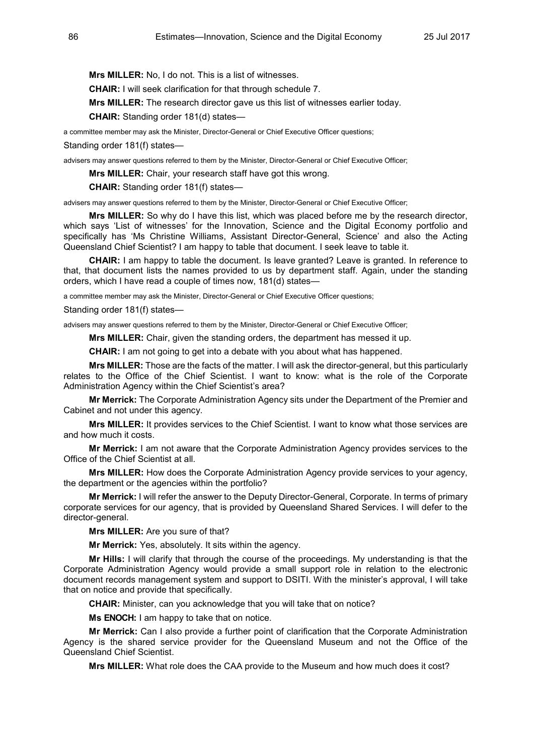**Mrs MILLER:** No, I do not. This is a list of witnesses.

**CHAIR:** I will seek clarification for that through schedule 7.

**Mrs MILLER:** The research director gave us this list of witnesses earlier today.

**CHAIR:** Standing order 181(d) states—

a committee member may ask the Minister, Director-General or Chief Executive Officer questions;

Standing order 181(f) states—

advisers may answer questions referred to them by the Minister, Director-General or Chief Executive Officer;

**Mrs MILLER:** Chair, your research staff have got this wrong.

**CHAIR:** Standing order 181(f) states—

advisers may answer questions referred to them by the Minister, Director-General or Chief Executive Officer;

**Mrs MILLER:** So why do I have this list, which was placed before me by the research director, which says 'List of witnesses' for the Innovation, Science and the Digital Economy portfolio and specifically has 'Ms Christine Williams, Assistant Director-General, Science' and also the Acting Queensland Chief Scientist? I am happy to table that document. I seek leave to table it.

**CHAIR:** I am happy to table the document. Is leave granted? Leave is granted. In reference to that, that document lists the names provided to us by department staff. Again, under the standing orders, which I have read a couple of times now, 181(d) states—

a committee member may ask the Minister, Director-General or Chief Executive Officer questions;

Standing order 181(f) states—

advisers may answer questions referred to them by the Minister, Director-General or Chief Executive Officer;

**Mrs MILLER:** Chair, given the standing orders, the department has messed it up.

**CHAIR:** I am not going to get into a debate with you about what has happened.

**Mrs MILLER:** Those are the facts of the matter. I will ask the director-general, but this particularly relates to the Office of the Chief Scientist. I want to know: what is the role of the Corporate Administration Agency within the Chief Scientist's area?

**Mr Merrick:** The Corporate Administration Agency sits under the Department of the Premier and Cabinet and not under this agency.

**Mrs MILLER:** It provides services to the Chief Scientist. I want to know what those services are and how much it costs.

**Mr Merrick:** I am not aware that the Corporate Administration Agency provides services to the Office of the Chief Scientist at all.

**Mrs MILLER:** How does the Corporate Administration Agency provide services to your agency, the department or the agencies within the portfolio?

**Mr Merrick:** I will refer the answer to the Deputy Director-General, Corporate. In terms of primary corporate services for our agency, that is provided by Queensland Shared Services. I will defer to the director-general.

**Mrs MILLER:** Are you sure of that?

**Mr Merrick:** Yes, absolutely. It sits within the agency.

**Mr Hills:** I will clarify that through the course of the proceedings. My understanding is that the Corporate Administration Agency would provide a small support role in relation to the electronic document records management system and support to DSITI. With the minister's approval, I will take that on notice and provide that specifically.

**CHAIR:** Minister, can you acknowledge that you will take that on notice?

**Ms ENOCH:** I am happy to take that on notice.

**Mr Merrick:** Can I also provide a further point of clarification that the Corporate Administration Agency is the shared service provider for the Queensland Museum and not the Office of the Queensland Chief Scientist.

**Mrs MILLER:** What role does the CAA provide to the Museum and how much does it cost?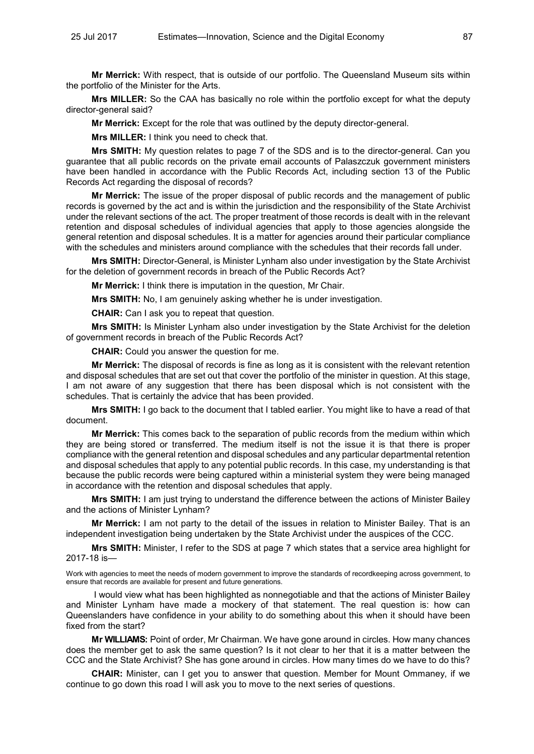**Mr Merrick:** With respect, that is outside of our portfolio. The Queensland Museum sits within the portfolio of the Minister for the Arts.

**Mrs MILLER:** So the CAA has basically no role within the portfolio except for what the deputy director-general said?

**Mr Merrick:** Except for the role that was outlined by the deputy director-general.

**Mrs MILLER:** I think you need to check that.

**Mrs SMITH:** My question relates to page 7 of the SDS and is to the director-general. Can you guarantee that all public records on the private email accounts of Palaszczuk government ministers have been handled in accordance with the Public Records Act, including section 13 of the Public Records Act regarding the disposal of records?

**Mr Merrick:** The issue of the proper disposal of public records and the management of public records is governed by the act and is within the jurisdiction and the responsibility of the State Archivist under the relevant sections of the act. The proper treatment of those records is dealt with in the relevant retention and disposal schedules of individual agencies that apply to those agencies alongside the general retention and disposal schedules. It is a matter for agencies around their particular compliance with the schedules and ministers around compliance with the schedules that their records fall under.

**Mrs SMITH:** Director-General, is Minister Lynham also under investigation by the State Archivist for the deletion of government records in breach of the Public Records Act?

**Mr Merrick:** I think there is imputation in the question, Mr Chair.

**Mrs SMITH:** No, I am genuinely asking whether he is under investigation.

**CHAIR:** Can I ask you to repeat that question.

**Mrs SMITH:** Is Minister Lynham also under investigation by the State Archivist for the deletion of government records in breach of the Public Records Act?

**CHAIR:** Could you answer the question for me.

**Mr Merrick:** The disposal of records is fine as long as it is consistent with the relevant retention and disposal schedules that are set out that cover the portfolio of the minister in question. At this stage, I am not aware of any suggestion that there has been disposal which is not consistent with the schedules. That is certainly the advice that has been provided.

**Mrs SMITH:** I go back to the document that I tabled earlier. You might like to have a read of that document.

**Mr Merrick:** This comes back to the separation of public records from the medium within which they are being stored or transferred. The medium itself is not the issue it is that there is proper compliance with the general retention and disposal schedules and any particular departmental retention and disposal schedules that apply to any potential public records. In this case, my understanding is that because the public records were being captured within a ministerial system they were being managed in accordance with the retention and disposal schedules that apply.

**Mrs SMITH:** I am just trying to understand the difference between the actions of Minister Bailey and the actions of Minister Lynham?

**Mr Merrick:** I am not party to the detail of the issues in relation to Minister Bailey. That is an independent investigation being undertaken by the State Archivist under the auspices of the CCC.

**Mrs SMITH:** Minister, I refer to the SDS at page 7 which states that a service area highlight for 2017-18 is—

Work with agencies to meet the needs of modern government to improve the standards of recordkeeping across government, to ensure that records are available for present and future generations.

I would view what has been highlighted as nonnegotiable and that the actions of Minister Bailey and Minister Lynham have made a mockery of that statement. The real question is: how can Queenslanders have confidence in your ability to do something about this when it should have been fixed from the start?

**Mr WILLIAMS:** Point of order, Mr Chairman. We have gone around in circles. How many chances does the member get to ask the same question? Is it not clear to her that it is a matter between the CCC and the State Archivist? She has gone around in circles. How many times do we have to do this?

**CHAIR:** Minister, can I get you to answer that question. Member for Mount Ommaney, if we continue to go down this road I will ask you to move to the next series of questions.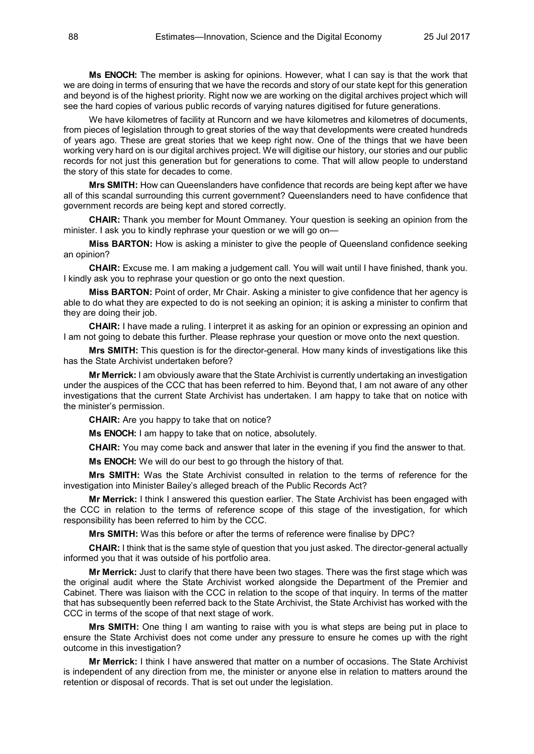**Ms ENOCH:** The member is asking for opinions. However, what I can say is that the work that we are doing in terms of ensuring that we have the records and story of our state kept for this generation and beyond is of the highest priority. Right now we are working on the digital archives project which will see the hard copies of various public records of varying natures digitised for future generations.

We have kilometres of facility at Runcorn and we have kilometres and kilometres of documents, from pieces of legislation through to great stories of the way that developments were created hundreds of years ago. These are great stories that we keep right now. One of the things that we have been working very hard on is our digital archives project. We will digitise our history, our stories and our public records for not just this generation but for generations to come. That will allow people to understand the story of this state for decades to come.

**Mrs SMITH:** How can Queenslanders have confidence that records are being kept after we have all of this scandal surrounding this current government? Queenslanders need to have confidence that government records are being kept and stored correctly.

**CHAIR:** Thank you member for Mount Ommaney. Your question is seeking an opinion from the minister. I ask you to kindly rephrase your question or we will go on—

**Miss BARTON:** How is asking a minister to give the people of Queensland confidence seeking an opinion?

**CHAIR:** Excuse me. I am making a judgement call. You will wait until I have finished, thank you. I kindly ask you to rephrase your question or go onto the next question.

**Miss BARTON:** Point of order, Mr Chair. Asking a minister to give confidence that her agency is able to do what they are expected to do is not seeking an opinion; it is asking a minister to confirm that they are doing their job.

**CHAIR:** I have made a ruling. I interpret it as asking for an opinion or expressing an opinion and I am not going to debate this further. Please rephrase your question or move onto the next question.

**Mrs SMITH:** This question is for the director-general. How many kinds of investigations like this has the State Archivist undertaken before?

**Mr Merrick:** I am obviously aware that the State Archivist is currently undertaking an investigation under the auspices of the CCC that has been referred to him. Beyond that, I am not aware of any other investigations that the current State Archivist has undertaken. I am happy to take that on notice with the minister's permission.

**CHAIR:** Are you happy to take that on notice?

**Ms ENOCH:** I am happy to take that on notice, absolutely.

**CHAIR:** You may come back and answer that later in the evening if you find the answer to that.

**Ms ENOCH:** We will do our best to go through the history of that.

**Mrs SMITH:** Was the State Archivist consulted in relation to the terms of reference for the investigation into Minister Bailey's alleged breach of the Public Records Act?

**Mr Merrick:** I think I answered this question earlier. The State Archivist has been engaged with the CCC in relation to the terms of reference scope of this stage of the investigation, for which responsibility has been referred to him by the CCC.

**Mrs SMITH:** Was this before or after the terms of reference were finalise by DPC?

**CHAIR:** I think that is the same style of question that you just asked. The director-general actually informed you that it was outside of his portfolio area.

**Mr Merrick:** Just to clarify that there have been two stages. There was the first stage which was the original audit where the State Archivist worked alongside the Department of the Premier and Cabinet. There was liaison with the CCC in relation to the scope of that inquiry. In terms of the matter that has subsequently been referred back to the State Archivist, the State Archivist has worked with the CCC in terms of the scope of that next stage of work.

**Mrs SMITH:** One thing I am wanting to raise with you is what steps are being put in place to ensure the State Archivist does not come under any pressure to ensure he comes up with the right outcome in this investigation?

**Mr Merrick:** I think I have answered that matter on a number of occasions. The State Archivist is independent of any direction from me, the minister or anyone else in relation to matters around the retention or disposal of records. That is set out under the legislation.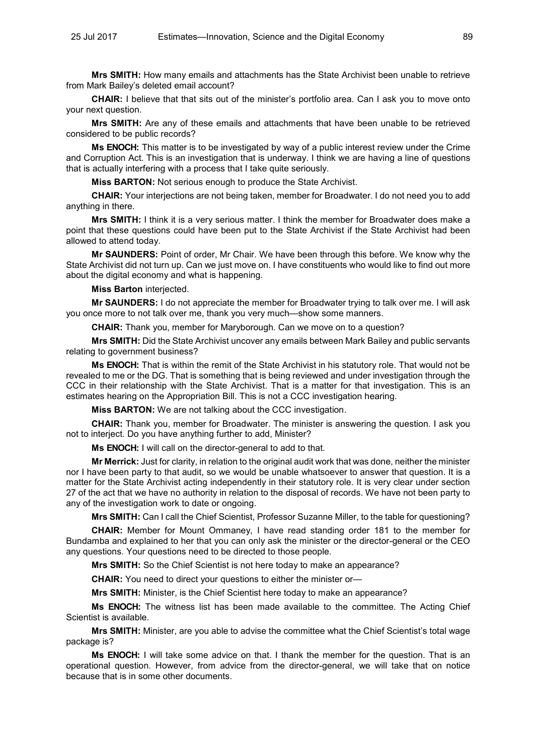**Mrs SMITH:** How many emails and attachments has the State Archivist been unable to retrieve from Mark Bailey's deleted email account?

**CHAIR:** I believe that that sits out of the minister's portfolio area. Can I ask you to move onto your next question.

**Mrs SMITH:** Are any of these emails and attachments that have been unable to be retrieved considered to be public records?

**Ms ENOCH:** This matter is to be investigated by way of a public interest review under the Crime and Corruption Act. This is an investigation that is underway. I think we are having a line of questions that is actually interfering with a process that I take quite seriously.

**Miss BARTON:** Not serious enough to produce the State Archivist.

**CHAIR:** Your interjections are not being taken, member for Broadwater. I do not need you to add anything in there.

**Mrs SMITH:** I think it is a very serious matter. I think the member for Broadwater does make a point that these questions could have been put to the State Archivist if the State Archivist had been allowed to attend today.

**Mr SAUNDERS:** Point of order, Mr Chair. We have been through this before. We know why the State Archivist did not turn up. Can we just move on. I have constituents who would like to find out more about the digital economy and what is happening.

**Miss Barton** interjected.

**Mr SAUNDERS:** I do not appreciate the member for Broadwater trying to talk over me. I will ask you once more to not talk over me, thank you very much—show some manners.

**CHAIR:** Thank you, member for Maryborough. Can we move on to a question?

**Mrs SMITH:** Did the State Archivist uncover any emails between Mark Bailey and public servants relating to government business?

**Ms ENOCH:** That is within the remit of the State Archivist in his statutory role. That would not be revealed to me or the DG. That is something that is being reviewed and under investigation through the CCC in their relationship with the State Archivist. That is a matter for that investigation. This is an estimates hearing on the Appropriation Bill. This is not a CCC investigation hearing.

**Miss BARTON:** We are not talking about the CCC investigation.

**CHAIR:** Thank you, member for Broadwater. The minister is answering the question. I ask you not to interject. Do you have anything further to add, Minister?

**Ms ENOCH:** I will call on the director-general to add to that.

**Mr Merrick:** Just for clarity, in relation to the original audit work that was done, neither the minister nor I have been party to that audit, so we would be unable whatsoever to answer that question. It is a matter for the State Archivist acting independently in their statutory role. It is very clear under section 27 of the act that we have no authority in relation to the disposal of records. We have not been party to any of the investigation work to date or ongoing.

**Mrs SMITH:** Can I call the Chief Scientist, Professor Suzanne Miller, to the table for questioning?

**CHAIR:** Member for Mount Ommaney, I have read standing order 181 to the member for Bundamba and explained to her that you can only ask the minister or the director-general or the CEO any questions. Your questions need to be directed to those people.

**Mrs SMITH:** So the Chief Scientist is not here today to make an appearance?

**CHAIR:** You need to direct your questions to either the minister or—

**Mrs SMITH:** Minister, is the Chief Scientist here today to make an appearance?

**Ms ENOCH:** The witness list has been made available to the committee. The Acting Chief Scientist is available.

**Mrs SMITH:** Minister, are you able to advise the committee what the Chief Scientist's total wage package is?

**Ms ENOCH:** I will take some advice on that. I thank the member for the question. That is an operational question. However, from advice from the director-general, we will take that on notice because that is in some other documents.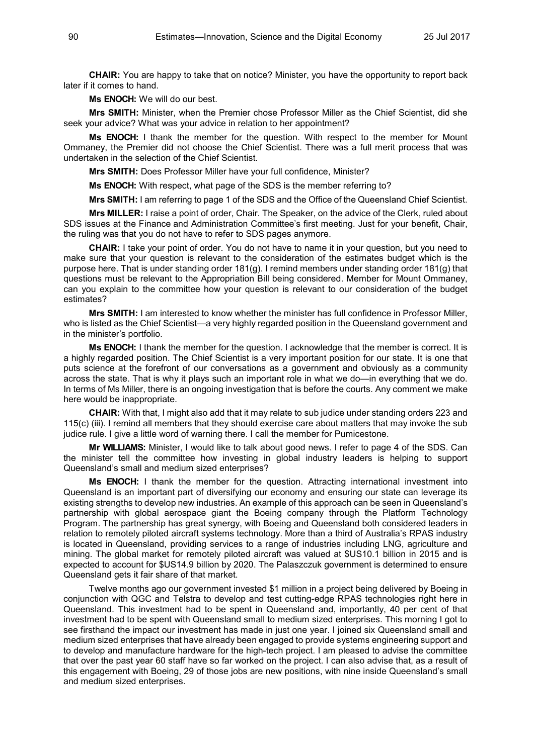**CHAIR:** You are happy to take that on notice? Minister, you have the opportunity to report back later if it comes to hand.

**Ms ENOCH:** We will do our best.

**Mrs SMITH:** Minister, when the Premier chose Professor Miller as the Chief Scientist, did she seek your advice? What was your advice in relation to her appointment?

**Ms ENOCH:** I thank the member for the question. With respect to the member for Mount Ommaney, the Premier did not choose the Chief Scientist. There was a full merit process that was undertaken in the selection of the Chief Scientist.

**Mrs SMITH:** Does Professor Miller have your full confidence, Minister?

**Ms ENOCH:** With respect, what page of the SDS is the member referring to?

**Mrs SMITH:** I am referring to page 1 of the SDS and the Office of the Queensland Chief Scientist.

**Mrs MILLER:** I raise a point of order, Chair. The Speaker, on the advice of the Clerk, ruled about SDS issues at the Finance and Administration Committee's first meeting. Just for your benefit, Chair, the ruling was that you do not have to refer to SDS pages anymore.

**CHAIR:** I take your point of order. You do not have to name it in your question, but you need to make sure that your question is relevant to the consideration of the estimates budget which is the purpose here. That is under standing order 181(g). I remind members under standing order 181(g) that questions must be relevant to the Appropriation Bill being considered. Member for Mount Ommaney, can you explain to the committee how your question is relevant to our consideration of the budget estimates?

**Mrs SMITH:** I am interested to know whether the minister has full confidence in Professor Miller, who is listed as the Chief Scientist—a very highly regarded position in the Queensland government and in the minister's portfolio.

**Ms ENOCH:** I thank the member for the question. I acknowledge that the member is correct. It is a highly regarded position. The Chief Scientist is a very important position for our state. It is one that puts science at the forefront of our conversations as a government and obviously as a community across the state. That is why it plays such an important role in what we do—in everything that we do. In terms of Ms Miller, there is an ongoing investigation that is before the courts. Any comment we make here would be inappropriate.

**CHAIR:** With that, I might also add that it may relate to sub judice under standing orders 223 and 115(c) (iii). I remind all members that they should exercise care about matters that may invoke the sub judice rule. I give a little word of warning there. I call the member for Pumicestone.

**Mr WILLIAMS:** Minister, I would like to talk about good news. I refer to page 4 of the SDS. Can the minister tell the committee how investing in global industry leaders is helping to support Queensland's small and medium sized enterprises?

**Ms ENOCH:** I thank the member for the question. Attracting international investment into Queensland is an important part of diversifying our economy and ensuring our state can leverage its existing strengths to develop new industries. An example of this approach can be seen in Queensland's partnership with global aerospace giant the Boeing company through the Platform Technology Program. The partnership has great synergy, with Boeing and Queensland both considered leaders in relation to remotely piloted aircraft systems technology. More than a third of Australia's RPAS industry is located in Queensland, providing services to a range of industries including LNG, agriculture and mining. The global market for remotely piloted aircraft was valued at \$US10.1 billion in 2015 and is expected to account for \$US14.9 billion by 2020. The Palaszczuk government is determined to ensure Queensland gets it fair share of that market.

Twelve months ago our government invested \$1 million in a project being delivered by Boeing in conjunction with QGC and Telstra to develop and test cutting-edge RPAS technologies right here in Queensland. This investment had to be spent in Queensland and, importantly, 40 per cent of that investment had to be spent with Queensland small to medium sized enterprises. This morning I got to see firsthand the impact our investment has made in just one year. I joined six Queensland small and medium sized enterprises that have already been engaged to provide systems engineering support and to develop and manufacture hardware for the high-tech project. I am pleased to advise the committee that over the past year 60 staff have so far worked on the project. I can also advise that, as a result of this engagement with Boeing, 29 of those jobs are new positions, with nine inside Queensland's small and medium sized enterprises.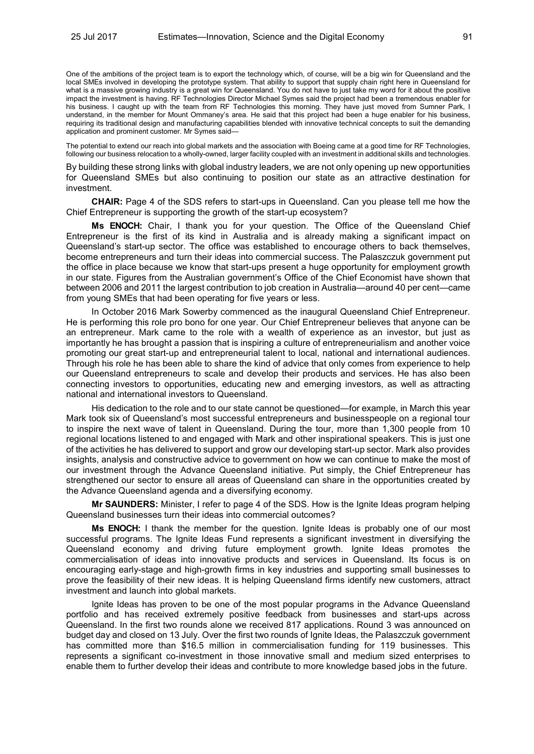One of the ambitions of the project team is to export the technology which, of course, will be a big win for Queensland and the local SMEs involved in developing the prototype system. That ability to support that supply chain right here in Queensland for what is a massive growing industry is a great win for Queensland. You do not have to just take my word for it about the positive impact the investment is having. RF Technologies Director Michael Symes said the project had been a tremendous enabler for his business. I caught up with the team from RF Technologies this morning. They have just moved from Sumner Park, I understand, in the member for Mount Ommaney's area. He said that this project had been a huge enabler for his business, requiring its traditional design and manufacturing capabilities blended with innovative technical concepts to suit the demanding application and prominent customer. Mr Symes said—

The potential to extend our reach into global markets and the association with Boeing came at a good time for RF Technologies, following our business relocation to a wholly-owned, larger facility coupled with an investment in additional skills and technologies.

By building these strong links with global industry leaders, we are not only opening up new opportunities for Queensland SMEs but also continuing to position our state as an attractive destination for investment.

**CHAIR:** Page 4 of the SDS refers to start-ups in Queensland. Can you please tell me how the Chief Entrepreneur is supporting the growth of the start-up ecosystem?

**Ms ENOCH:** Chair, I thank you for your question. The Office of the Queensland Chief Entrepreneur is the first of its kind in Australia and is already making a significant impact on Queensland's start-up sector. The office was established to encourage others to back themselves, become entrepreneurs and turn their ideas into commercial success. The Palaszczuk government put the office in place because we know that start-ups present a huge opportunity for employment growth in our state. Figures from the Australian government's Office of the Chief Economist have shown that between 2006 and 2011 the largest contribution to job creation in Australia—around 40 per cent—came from young SMEs that had been operating for five years or less.

In October 2016 Mark Sowerby commenced as the inaugural Queensland Chief Entrepreneur. He is performing this role pro bono for one year. Our Chief Entrepreneur believes that anyone can be an entrepreneur. Mark came to the role with a wealth of experience as an investor, but just as importantly he has brought a passion that is inspiring a culture of entrepreneurialism and another voice promoting our great start-up and entrepreneurial talent to local, national and international audiences. Through his role he has been able to share the kind of advice that only comes from experience to help our Queensland entrepreneurs to scale and develop their products and services. He has also been connecting investors to opportunities, educating new and emerging investors, as well as attracting national and international investors to Queensland.

His dedication to the role and to our state cannot be questioned—for example, in March this year Mark took six of Queensland's most successful entrepreneurs and businesspeople on a regional tour to inspire the next wave of talent in Queensland. During the tour, more than 1,300 people from 10 regional locations listened to and engaged with Mark and other inspirational speakers. This is just one of the activities he has delivered to support and grow our developing start-up sector. Mark also provides insights, analysis and constructive advice to government on how we can continue to make the most of our investment through the Advance Queensland initiative. Put simply, the Chief Entrepreneur has strengthened our sector to ensure all areas of Queensland can share in the opportunities created by the Advance Queensland agenda and a diversifying economy.

**Mr SAUNDERS:** Minister, I refer to page 4 of the SDS. How is the Ignite Ideas program helping Queensland businesses turn their ideas into commercial outcomes?

**Ms ENOCH:** I thank the member for the question. Ignite Ideas is probably one of our most successful programs. The Ignite Ideas Fund represents a significant investment in diversifying the Queensland economy and driving future employment growth. Ignite Ideas promotes the commercialisation of ideas into innovative products and services in Queensland. Its focus is on encouraging early-stage and high-growth firms in key industries and supporting small businesses to prove the feasibility of their new ideas. It is helping Queensland firms identify new customers, attract investment and launch into global markets.

Ignite Ideas has proven to be one of the most popular programs in the Advance Queensland portfolio and has received extremely positive feedback from businesses and start-ups across Queensland. In the first two rounds alone we received 817 applications. Round 3 was announced on budget day and closed on 13 July. Over the first two rounds of Ignite Ideas, the Palaszczuk government has committed more than \$16.5 million in commercialisation funding for 119 businesses. This represents a significant co-investment in those innovative small and medium sized enterprises to enable them to further develop their ideas and contribute to more knowledge based jobs in the future.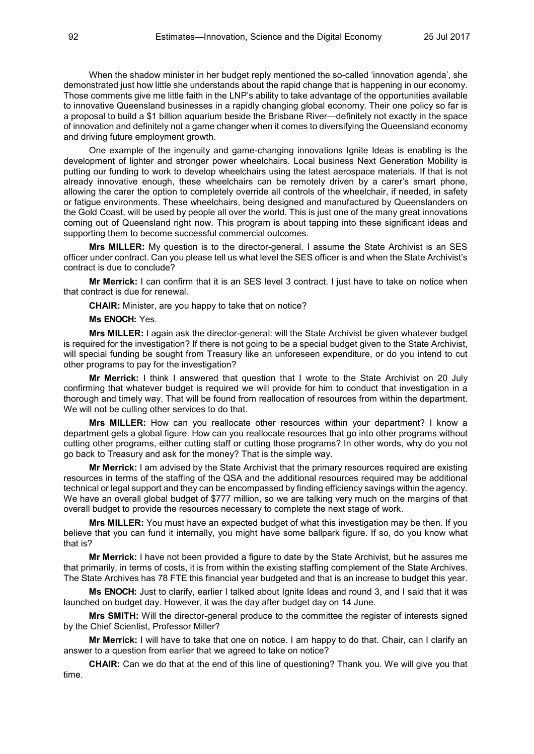When the shadow minister in her budget reply mentioned the so-called 'innovation agenda', she demonstrated just how little she understands about the rapid change that is happening in our economy. Those comments give me little faith in the LNP's ability to take advantage of the opportunities available to innovative Queensland businesses in a rapidly changing global economy. Their one policy so far is a proposal to build a \$1 billion aquarium beside the Brisbane River—definitely not exactly in the space of innovation and definitely not a game changer when it comes to diversifying the Queensland economy and driving future employment growth.

One example of the ingenuity and game-changing innovations Ignite Ideas is enabling is the development of lighter and stronger power wheelchairs. Local business Next Generation Mobility is putting our funding to work to develop wheelchairs using the latest aerospace materials. If that is not already innovative enough, these wheelchairs can be remotely driven by a carer's smart phone, allowing the carer the option to completely override all controls of the wheelchair, if needed, in safety or fatigue environments. These wheelchairs, being designed and manufactured by Queenslanders on the Gold Coast, will be used by people all over the world. This is just one of the many great innovations coming out of Queensland right now. This program is about tapping into these significant ideas and supporting them to become successful commercial outcomes.

**Mrs MILLER:** My question is to the director-general. I assume the State Archivist is an SES officer under contract. Can you please tell us what level the SES officer is and when the State Archivist's contract is due to conclude?

**Mr Merrick:** I can confirm that it is an SES level 3 contract. I just have to take on notice when that contract is due for renewal.

**CHAIR:** Minister, are you happy to take that on notice?

## **Ms ENOCH:** Yes.

**Mrs MILLER:** I again ask the director-general: will the State Archivist be given whatever budget is required for the investigation? If there is not going to be a special budget given to the State Archivist, will special funding be sought from Treasury like an unforeseen expenditure, or do you intend to cut other programs to pay for the investigation?

**Mr Merrick:** I think I answered that question that I wrote to the State Archivist on 20 July confirming that whatever budget is required we will provide for him to conduct that investigation in a thorough and timely way. That will be found from reallocation of resources from within the department. We will not be culling other services to do that.

**Mrs MILLER:** How can you reallocate other resources within your department? I know a department gets a global figure. How can you reallocate resources that go into other programs without cutting other programs, either cutting staff or cutting those programs? In other words, why do you not go back to Treasury and ask for the money? That is the simple way.

**Mr Merrick:** I am advised by the State Archivist that the primary resources required are existing resources in terms of the staffing of the QSA and the additional resources required may be additional technical or legal support and they can be encompassed by finding efficiency savings within the agency. We have an overall global budget of \$777 million, so we are talking very much on the margins of that overall budget to provide the resources necessary to complete the next stage of work.

**Mrs MILLER:** You must have an expected budget of what this investigation may be then. If you believe that you can fund it internally, you might have some ballpark figure. If so, do you know what that is?

**Mr Merrick:** I have not been provided a figure to date by the State Archivist, but he assures me that primarily, in terms of costs, it is from within the existing staffing complement of the State Archives. The State Archives has 78 FTE this financial year budgeted and that is an increase to budget this year.

**Ms ENOCH:** Just to clarify, earlier I talked about Ignite Ideas and round 3, and I said that it was launched on budget day. However, it was the day after budget day on 14 June.

**Mrs SMITH:** Will the director-general produce to the committee the register of interests signed by the Chief Scientist, Professor Miller?

**Mr Merrick:** I will have to take that one on notice. I am happy to do that. Chair, can I clarify an answer to a question from earlier that we agreed to take on notice?

**CHAIR:** Can we do that at the end of this line of questioning? Thank you. We will give you that time.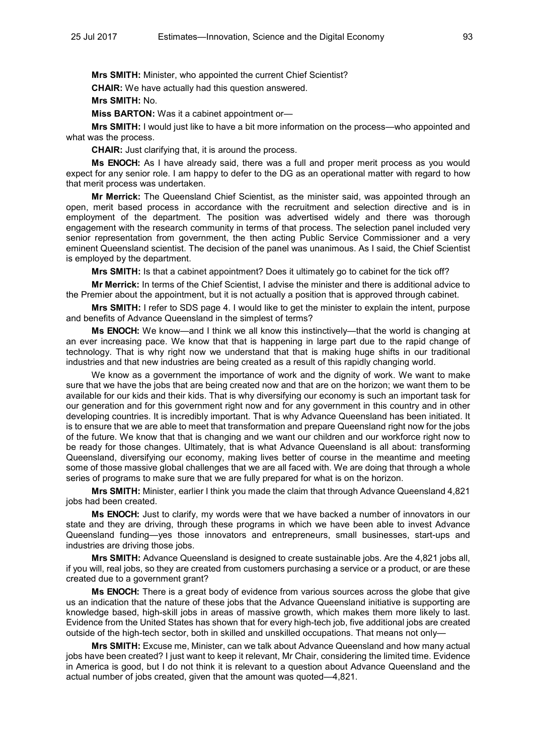**Mrs SMITH:** Minister, who appointed the current Chief Scientist?

**CHAIR:** We have actually had this question answered.

**Mrs SMITH:** No.

**Miss BARTON:** Was it a cabinet appointment or—

**Mrs SMITH:** I would just like to have a bit more information on the process—who appointed and what was the process.

**CHAIR:** Just clarifying that, it is around the process.

**Ms ENOCH:** As I have already said, there was a full and proper merit process as you would expect for any senior role. I am happy to defer to the DG as an operational matter with regard to how that merit process was undertaken.

**Mr Merrick:** The Queensland Chief Scientist, as the minister said, was appointed through an open, merit based process in accordance with the recruitment and selection directive and is in employment of the department. The position was advertised widely and there was thorough engagement with the research community in terms of that process. The selection panel included very senior representation from government, the then acting Public Service Commissioner and a very eminent Queensland scientist. The decision of the panel was unanimous. As I said, the Chief Scientist is employed by the department.

**Mrs SMITH:** Is that a cabinet appointment? Does it ultimately go to cabinet for the tick off?

**Mr Merrick:** In terms of the Chief Scientist, I advise the minister and there is additional advice to the Premier about the appointment, but it is not actually a position that is approved through cabinet.

**Mrs SMITH:** I refer to SDS page 4. I would like to get the minister to explain the intent, purpose and benefits of Advance Queensland in the simplest of terms?

**Ms ENOCH:** We know—and I think we all know this instinctively—that the world is changing at an ever increasing pace. We know that that is happening in large part due to the rapid change of technology. That is why right now we understand that that is making huge shifts in our traditional industries and that new industries are being created as a result of this rapidly changing world.

We know as a government the importance of work and the dignity of work. We want to make sure that we have the jobs that are being created now and that are on the horizon; we want them to be available for our kids and their kids. That is why diversifying our economy is such an important task for our generation and for this government right now and for any government in this country and in other developing countries. It is incredibly important. That is why Advance Queensland has been initiated. It is to ensure that we are able to meet that transformation and prepare Queensland right now for the jobs of the future. We know that that is changing and we want our children and our workforce right now to be ready for those changes. Ultimately, that is what Advance Queensland is all about: transforming Queensland, diversifying our economy, making lives better of course in the meantime and meeting some of those massive global challenges that we are all faced with. We are doing that through a whole series of programs to make sure that we are fully prepared for what is on the horizon.

**Mrs SMITH:** Minister, earlier I think you made the claim that through Advance Queensland 4,821 jobs had been created.

**Ms ENOCH:** Just to clarify, my words were that we have backed a number of innovators in our state and they are driving, through these programs in which we have been able to invest Advance Queensland funding—yes those innovators and entrepreneurs, small businesses, start-ups and industries are driving those jobs.

**Mrs SMITH:** Advance Queensland is designed to create sustainable jobs. Are the 4,821 jobs all, if you will, real jobs, so they are created from customers purchasing a service or a product, or are these created due to a government grant?

**Ms ENOCH:** There is a great body of evidence from various sources across the globe that give us an indication that the nature of these jobs that the Advance Queensland initiative is supporting are knowledge based, high-skill jobs in areas of massive growth, which makes them more likely to last. Evidence from the United States has shown that for every high-tech job, five additional jobs are created outside of the high-tech sector, both in skilled and unskilled occupations. That means not only—

**Mrs SMITH:** Excuse me, Minister, can we talk about Advance Queensland and how many actual jobs have been created? I just want to keep it relevant, Mr Chair, considering the limited time. Evidence in America is good, but I do not think it is relevant to a question about Advance Queensland and the actual number of jobs created, given that the amount was quoted—4,821.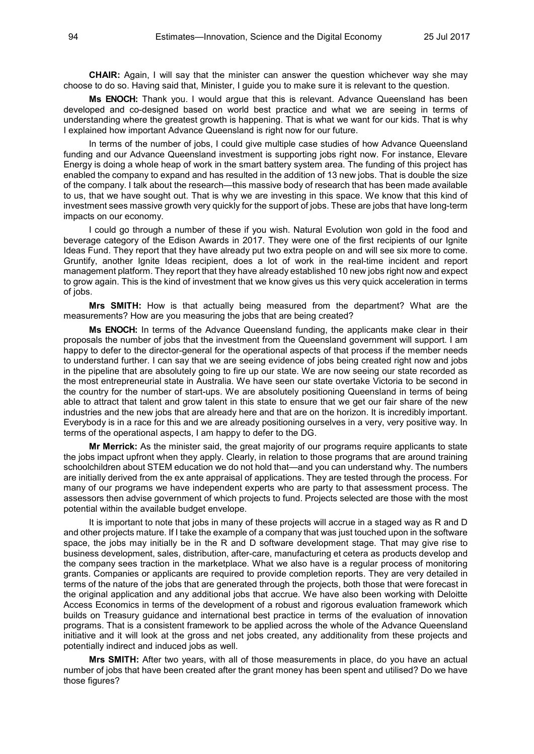**CHAIR:** Again, I will say that the minister can answer the question whichever way she may choose to do so. Having said that, Minister, I guide you to make sure it is relevant to the question.

**Ms ENOCH:** Thank you. I would argue that this is relevant. Advance Queensland has been developed and co-designed based on world best practice and what we are seeing in terms of understanding where the greatest growth is happening. That is what we want for our kids. That is why I explained how important Advance Queensland is right now for our future.

In terms of the number of jobs, I could give multiple case studies of how Advance Queensland funding and our Advance Queensland investment is supporting jobs right now. For instance, Elevare Energy is doing a whole heap of work in the smart battery system area. The funding of this project has enabled the company to expand and has resulted in the addition of 13 new jobs. That is double the size of the company. I talk about the research—this massive body of research that has been made available to us, that we have sought out. That is why we are investing in this space. We know that this kind of investment sees massive growth very quickly for the support of jobs. These are jobs that have long-term impacts on our economy.

I could go through a number of these if you wish. Natural Evolution won gold in the food and beverage category of the Edison Awards in 2017. They were one of the first recipients of our Ignite Ideas Fund. They report that they have already put two extra people on and will see six more to come. Gruntify, another Ignite Ideas recipient, does a lot of work in the real-time incident and report management platform. They report that they have already established 10 new jobs right now and expect to grow again. This is the kind of investment that we know gives us this very quick acceleration in terms of jobs.

**Mrs SMITH:** How is that actually being measured from the department? What are the measurements? How are you measuring the jobs that are being created?

**Ms ENOCH:** In terms of the Advance Queensland funding, the applicants make clear in their proposals the number of jobs that the investment from the Queensland government will support. I am happy to defer to the director-general for the operational aspects of that process if the member needs to understand further. I can say that we are seeing evidence of jobs being created right now and jobs in the pipeline that are absolutely going to fire up our state. We are now seeing our state recorded as the most entrepreneurial state in Australia. We have seen our state overtake Victoria to be second in the country for the number of start-ups. We are absolutely positioning Queensland in terms of being able to attract that talent and grow talent in this state to ensure that we get our fair share of the new industries and the new jobs that are already here and that are on the horizon. It is incredibly important. Everybody is in a race for this and we are already positioning ourselves in a very, very positive way. In terms of the operational aspects, I am happy to defer to the DG.

**Mr Merrick:** As the minister said, the great majority of our programs require applicants to state the jobs impact upfront when they apply. Clearly, in relation to those programs that are around training schoolchildren about STEM education we do not hold that—and you can understand why. The numbers are initially derived from the ex ante appraisal of applications. They are tested through the process. For many of our programs we have independent experts who are party to that assessment process. The assessors then advise government of which projects to fund. Projects selected are those with the most potential within the available budget envelope.

It is important to note that jobs in many of these projects will accrue in a staged way as R and D and other projects mature. If I take the example of a company that was just touched upon in the software space, the jobs may initially be in the R and D software development stage. That may give rise to business development, sales, distribution, after-care, manufacturing et cetera as products develop and the company sees traction in the marketplace. What we also have is a regular process of monitoring grants. Companies or applicants are required to provide completion reports. They are very detailed in terms of the nature of the jobs that are generated through the projects, both those that were forecast in the original application and any additional jobs that accrue. We have also been working with Deloitte Access Economics in terms of the development of a robust and rigorous evaluation framework which builds on Treasury guidance and international best practice in terms of the evaluation of innovation programs. That is a consistent framework to be applied across the whole of the Advance Queensland initiative and it will look at the gross and net jobs created, any additionality from these projects and potentially indirect and induced jobs as well.

**Mrs SMITH:** After two years, with all of those measurements in place, do you have an actual number of jobs that have been created after the grant money has been spent and utilised? Do we have those figures?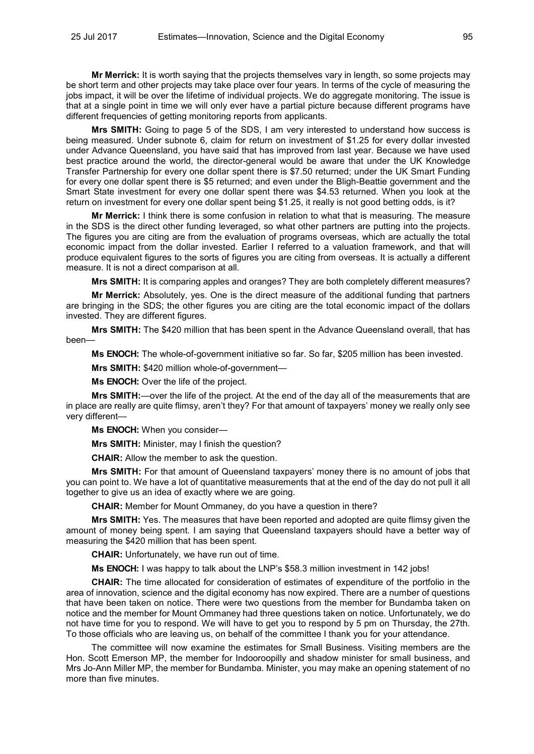**Mr Merrick:** It is worth saying that the projects themselves vary in length, so some projects may be short term and other projects may take place over four years. In terms of the cycle of measuring the jobs impact, it will be over the lifetime of individual projects. We do aggregate monitoring. The issue is that at a single point in time we will only ever have a partial picture because different programs have different frequencies of getting monitoring reports from applicants.

**Mrs SMITH:** Going to page 5 of the SDS, I am very interested to understand how success is being measured. Under subnote 6, claim for return on investment of \$1.25 for every dollar invested under Advance Queensland, you have said that has improved from last year. Because we have used best practice around the world, the director-general would be aware that under the UK Knowledge Transfer Partnership for every one dollar spent there is \$7.50 returned; under the UK Smart Funding for every one dollar spent there is \$5 returned; and even under the Bligh-Beattie government and the Smart State investment for every one dollar spent there was \$4.53 returned. When you look at the return on investment for every one dollar spent being \$1.25, it really is not good betting odds, is it?

**Mr Merrick:** I think there is some confusion in relation to what that is measuring. The measure in the SDS is the direct other funding leveraged, so what other partners are putting into the projects. The figures you are citing are from the evaluation of programs overseas, which are actually the total economic impact from the dollar invested. Earlier I referred to a valuation framework, and that will produce equivalent figures to the sorts of figures you are citing from overseas. It is actually a different measure. It is not a direct comparison at all.

**Mrs SMITH:** It is comparing apples and oranges? They are both completely different measures?

**Mr Merrick:** Absolutely, yes. One is the direct measure of the additional funding that partners are bringing in the SDS; the other figures you are citing are the total economic impact of the dollars invested. They are different figures.

**Mrs SMITH:** The \$420 million that has been spent in the Advance Queensland overall, that has been—

**Ms ENOCH:** The whole-of-government initiative so far. So far, \$205 million has been invested.

**Mrs SMITH:** \$420 million whole-of-government—

**Ms ENOCH:** Over the life of the project.

**Mrs SMITH:**—over the life of the project. At the end of the day all of the measurements that are in place are really are quite flimsy, aren't they? For that amount of taxpayers' money we really only see very different—

**Ms ENOCH:** When you consider—

**Mrs SMITH:** Minister, may I finish the question?

**CHAIR:** Allow the member to ask the question.

**Mrs SMITH:** For that amount of Queensland taxpayers' money there is no amount of jobs that you can point to. We have a lot of quantitative measurements that at the end of the day do not pull it all together to give us an idea of exactly where we are going.

**CHAIR:** Member for Mount Ommaney, do you have a question in there?

**Mrs SMITH:** Yes. The measures that have been reported and adopted are quite flimsy given the amount of money being spent. I am saying that Queensland taxpayers should have a better way of measuring the \$420 million that has been spent.

**CHAIR:** Unfortunately, we have run out of time.

**Ms ENOCH:** I was happy to talk about the LNP's \$58.3 million investment in 142 jobs!

**CHAIR:** The time allocated for consideration of estimates of expenditure of the portfolio in the area of innovation, science and the digital economy has now expired. There are a number of questions that have been taken on notice. There were two questions from the member for Bundamba taken on notice and the member for Mount Ommaney had three questions taken on notice. Unfortunately, we do not have time for you to respond. We will have to get you to respond by 5 pm on Thursday, the 27th. To those officials who are leaving us, on behalf of the committee I thank you for your attendance.

The committee will now examine the estimates for Small Business. Visiting members are the Hon. Scott Emerson MP, the member for Indooroopilly and shadow minister for small business, and Mrs Jo-Ann Miller MP, the member for Bundamba. Minister, you may make an opening statement of no more than five minutes.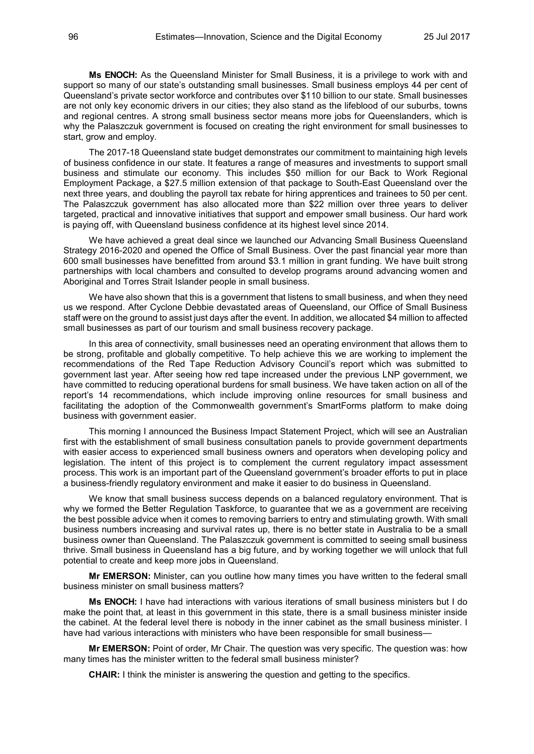**Ms ENOCH:** As the Queensland Minister for Small Business, it is a privilege to work with and support so many of our state's outstanding small businesses. Small business employs 44 per cent of Queensland's private sector workforce and contributes over \$110 billion to our state. Small businesses are not only key economic drivers in our cities; they also stand as the lifeblood of our suburbs, towns and regional centres. A strong small business sector means more jobs for Queenslanders, which is why the Palaszczuk government is focused on creating the right environment for small businesses to start, grow and employ.

The 2017-18 Queensland state budget demonstrates our commitment to maintaining high levels of business confidence in our state. It features a range of measures and investments to support small business and stimulate our economy. This includes \$50 million for our Back to Work Regional Employment Package, a \$27.5 million extension of that package to South-East Queensland over the next three years, and doubling the payroll tax rebate for hiring apprentices and trainees to 50 per cent. The Palaszczuk government has also allocated more than \$22 million over three years to deliver targeted, practical and innovative initiatives that support and empower small business. Our hard work is paying off, with Queensland business confidence at its highest level since 2014.

We have achieved a great deal since we launched our Advancing Small Business Queensland Strategy 2016-2020 and opened the Office of Small Business. Over the past financial year more than 600 small businesses have benefitted from around \$3.1 million in grant funding. We have built strong partnerships with local chambers and consulted to develop programs around advancing women and Aboriginal and Torres Strait Islander people in small business.

We have also shown that this is a government that listens to small business, and when they need us we respond. After Cyclone Debbie devastated areas of Queensland, our Office of Small Business staff were on the ground to assist just days after the event. In addition, we allocated \$4 million to affected small businesses as part of our tourism and small business recovery package.

In this area of connectivity, small businesses need an operating environment that allows them to be strong, profitable and globally competitive. To help achieve this we are working to implement the recommendations of the Red Tape Reduction Advisory Council's report which was submitted to government last year. After seeing how red tape increased under the previous LNP government, we have committed to reducing operational burdens for small business. We have taken action on all of the report's 14 recommendations, which include improving online resources for small business and facilitating the adoption of the Commonwealth government's SmartForms platform to make doing business with government easier.

This morning I announced the Business Impact Statement Project, which will see an Australian first with the establishment of small business consultation panels to provide government departments with easier access to experienced small business owners and operators when developing policy and legislation. The intent of this project is to complement the current regulatory impact assessment process. This work is an important part of the Queensland government's broader efforts to put in place a business-friendly regulatory environment and make it easier to do business in Queensland.

We know that small business success depends on a balanced regulatory environment. That is why we formed the Better Regulation Taskforce, to guarantee that we as a government are receiving the best possible advice when it comes to removing barriers to entry and stimulating growth. With small business numbers increasing and survival rates up, there is no better state in Australia to be a small business owner than Queensland. The Palaszczuk government is committed to seeing small business thrive. Small business in Queensland has a big future, and by working together we will unlock that full potential to create and keep more jobs in Queensland.

**Mr EMERSON:** Minister, can you outline how many times you have written to the federal small business minister on small business matters?

**Ms ENOCH:** I have had interactions with various iterations of small business ministers but I do make the point that, at least in this government in this state, there is a small business minister inside the cabinet. At the federal level there is nobody in the inner cabinet as the small business minister. I have had various interactions with ministers who have been responsible for small business–

**Mr EMERSON:** Point of order, Mr Chair. The question was very specific. The question was: how many times has the minister written to the federal small business minister?

**CHAIR:** I think the minister is answering the question and getting to the specifics.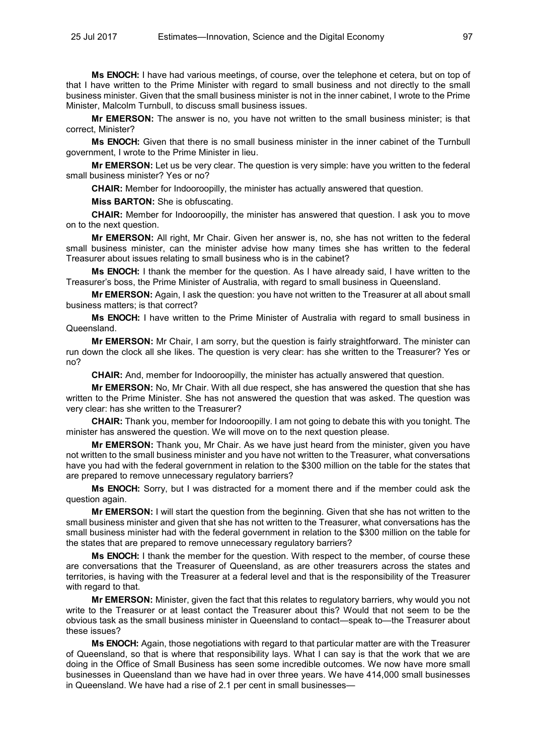**Ms ENOCH:** I have had various meetings, of course, over the telephone et cetera, but on top of that I have written to the Prime Minister with regard to small business and not directly to the small business minister. Given that the small business minister is not in the inner cabinet, I wrote to the Prime Minister, Malcolm Turnbull, to discuss small business issues.

**Mr EMERSON:** The answer is no, you have not written to the small business minister; is that correct, Minister?

**Ms ENOCH:** Given that there is no small business minister in the inner cabinet of the Turnbull government, I wrote to the Prime Minister in lieu.

**Mr EMERSON:** Let us be very clear. The question is very simple: have you written to the federal small business minister? Yes or no?

**CHAIR:** Member for Indooroopilly, the minister has actually answered that question.

**Miss BARTON:** She is obfuscating.

**CHAIR:** Member for Indooroopilly, the minister has answered that question. I ask you to move on to the next question.

**Mr EMERSON:** All right, Mr Chair. Given her answer is, no, she has not written to the federal small business minister, can the minister advise how many times she has written to the federal Treasurer about issues relating to small business who is in the cabinet?

**Ms ENOCH:** I thank the member for the question. As I have already said, I have written to the Treasurer's boss, the Prime Minister of Australia, with regard to small business in Queensland.

**Mr EMERSON:** Again, I ask the question: you have not written to the Treasurer at all about small business matters; is that correct?

**Ms ENOCH:** I have written to the Prime Minister of Australia with regard to small business in Queensland.

**Mr EMERSON:** Mr Chair, I am sorry, but the question is fairly straightforward. The minister can run down the clock all she likes. The question is very clear: has she written to the Treasurer? Yes or no?

**CHAIR:** And, member for Indooroopilly, the minister has actually answered that question.

**Mr EMERSON:** No, Mr Chair. With all due respect, she has answered the question that she has written to the Prime Minister. She has not answered the question that was asked. The question was very clear: has she written to the Treasurer?

**CHAIR:** Thank you, member for Indooroopilly. I am not going to debate this with you tonight. The minister has answered the question. We will move on to the next question please.

**Mr EMERSON:** Thank you, Mr Chair. As we have just heard from the minister, given you have not written to the small business minister and you have not written to the Treasurer, what conversations have you had with the federal government in relation to the \$300 million on the table for the states that are prepared to remove unnecessary regulatory barriers?

**Ms ENOCH:** Sorry, but I was distracted for a moment there and if the member could ask the question again.

**Mr EMERSON:** I will start the question from the beginning. Given that she has not written to the small business minister and given that she has not written to the Treasurer, what conversations has the small business minister had with the federal government in relation to the \$300 million on the table for the states that are prepared to remove unnecessary regulatory barriers?

**Ms ENOCH:** I thank the member for the question. With respect to the member, of course these are conversations that the Treasurer of Queensland, as are other treasurers across the states and territories, is having with the Treasurer at a federal level and that is the responsibility of the Treasurer with regard to that.

**Mr EMERSON:** Minister, given the fact that this relates to regulatory barriers, why would you not write to the Treasurer or at least contact the Treasurer about this? Would that not seem to be the obvious task as the small business minister in Queensland to contact—speak to—the Treasurer about these issues?

**Ms ENOCH:** Again, those negotiations with regard to that particular matter are with the Treasurer of Queensland, so that is where that responsibility lays. What I can say is that the work that we are doing in the Office of Small Business has seen some incredible outcomes. We now have more small businesses in Queensland than we have had in over three years. We have 414,000 small businesses in Queensland. We have had a rise of 2.1 per cent in small businesses—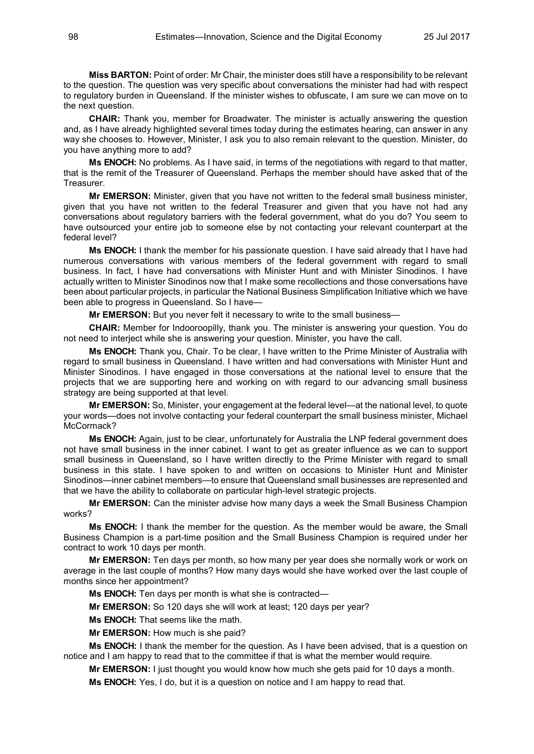**Miss BARTON:** Point of order: Mr Chair, the minister does still have a responsibility to be relevant to the question. The question was very specific about conversations the minister had had with respect to regulatory burden in Queensland. If the minister wishes to obfuscate, I am sure we can move on to the next question.

**CHAIR:** Thank you, member for Broadwater. The minister is actually answering the question and, as I have already highlighted several times today during the estimates hearing, can answer in any way she chooses to. However, Minister, I ask you to also remain relevant to the question. Minister, do you have anything more to add?

**Ms ENOCH:** No problems. As I have said, in terms of the negotiations with regard to that matter, that is the remit of the Treasurer of Queensland. Perhaps the member should have asked that of the **Treasurer** 

**Mr EMERSON:** Minister, given that you have not written to the federal small business minister, given that you have not written to the federal Treasurer and given that you have not had any conversations about regulatory barriers with the federal government, what do you do? You seem to have outsourced your entire job to someone else by not contacting your relevant counterpart at the federal level?

**Ms ENOCH:** I thank the member for his passionate question. I have said already that I have had numerous conversations with various members of the federal government with regard to small business. In fact, I have had conversations with Minister Hunt and with Minister Sinodinos. I have actually written to Minister Sinodinos now that I make some recollections and those conversations have been about particular projects, in particular the National Business Simplification Initiative which we have been able to progress in Queensland. So I have—

**Mr EMERSON:** But you never felt it necessary to write to the small business—

**CHAIR:** Member for Indooroopilly, thank you. The minister is answering your question. You do not need to interject while she is answering your question. Minister, you have the call.

**Ms ENOCH:** Thank you, Chair. To be clear, I have written to the Prime Minister of Australia with regard to small business in Queensland. I have written and had conversations with Minister Hunt and Minister Sinodinos. I have engaged in those conversations at the national level to ensure that the projects that we are supporting here and working on with regard to our advancing small business strategy are being supported at that level.

**Mr EMERSON:** So, Minister, your engagement at the federal level—at the national level, to quote your words—does not involve contacting your federal counterpart the small business minister, Michael McCormack?

**Ms ENOCH:** Again, just to be clear, unfortunately for Australia the LNP federal government does not have small business in the inner cabinet. I want to get as greater influence as we can to support small business in Queensland, so I have written directly to the Prime Minister with regard to small business in this state. I have spoken to and written on occasions to Minister Hunt and Minister Sinodinos—inner cabinet members—to ensure that Queensland small businesses are represented and that we have the ability to collaborate on particular high-level strategic projects.

**Mr EMERSON:** Can the minister advise how many days a week the Small Business Champion works?

**Ms ENOCH:** I thank the member for the question. As the member would be aware, the Small Business Champion is a part-time position and the Small Business Champion is required under her contract to work 10 days per month.

**Mr EMERSON:** Ten days per month, so how many per year does she normally work or work on average in the last couple of months? How many days would she have worked over the last couple of months since her appointment?

**Ms ENOCH:** Ten days per month is what she is contracted—

**Mr EMERSON:** So 120 days she will work at least; 120 days per year?

**Ms ENOCH:** That seems like the math.

**Mr EMERSON:** How much is she paid?

**Ms ENOCH:** I thank the member for the question. As I have been advised, that is a question on notice and I am happy to read that to the committee if that is what the member would require.

**Mr EMERSON:** I just thought you would know how much she gets paid for 10 days a month.

**Ms ENOCH:** Yes, I do, but it is a question on notice and I am happy to read that.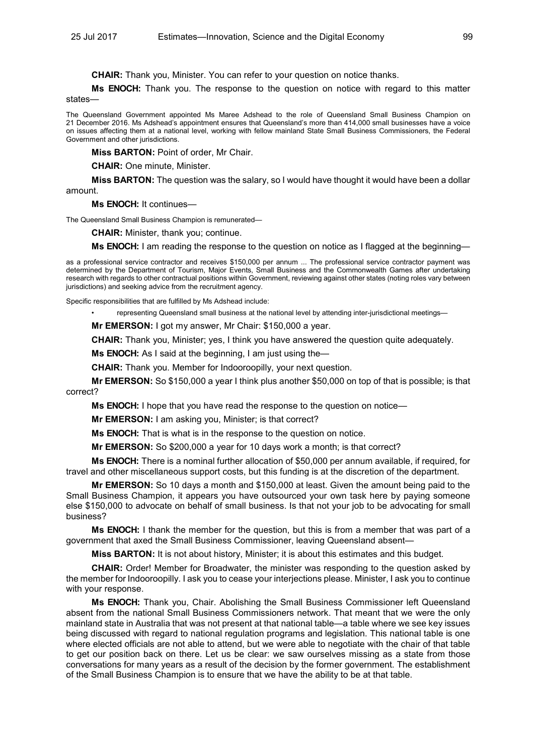**CHAIR:** Thank you, Minister. You can refer to your question on notice thanks.

**Ms ENOCH:** Thank you. The response to the question on notice with regard to this matter states—

The Queensland Government appointed Ms Maree Adshead to the role of Queensland Small Business Champion on 21 December 2016. Ms Adshead's appointment ensures that Queensland's more than 414,000 small businesses have a voice on issues affecting them at a national level, working with fellow mainland State Small Business Commissioners, the Federal Government and other jurisdictions.

**Miss BARTON:** Point of order, Mr Chair.

**CHAIR:** One minute, Minister.

**Miss BARTON:** The question was the salary, so I would have thought it would have been a dollar amount.

**Ms ENOCH:** It continues—

The Queensland Small Business Champion is remunerated—

**CHAIR:** Minister, thank you; continue.

**Ms ENOCH:** I am reading the response to the question on notice as I flagged at the beginning—

as a professional service contractor and receives \$150,000 per annum ... The professional service contractor payment was determined by the Department of Tourism, Major Events, Small Business and the Commonwealth Games after undertaking research with regards to other contractual positions within Government, reviewing against other states (noting roles vary between jurisdictions) and seeking advice from the recruitment agency.

Specific responsibilities that are fulfilled by Ms Adshead include:

• representing Queensland small business at the national level by attending inter-jurisdictional meetings—

**Mr EMERSON:** I got my answer, Mr Chair: \$150,000 a year.

**CHAIR:** Thank you, Minister; yes, I think you have answered the question quite adequately.

**Ms ENOCH:** As I said at the beginning, I am just using the—

**CHAIR:** Thank you. Member for Indooroopilly, your next question.

**Mr EMERSON:** So \$150,000 a year I think plus another \$50,000 on top of that is possible; is that correct?

**Ms ENOCH:** I hope that you have read the response to the question on notice—

**Mr EMERSON:** I am asking you, Minister; is that correct?

**Ms ENOCH:** That is what is in the response to the question on notice.

**Mr EMERSON:** So \$200,000 a year for 10 days work a month; is that correct?

**Ms ENOCH:** There is a nominal further allocation of \$50,000 per annum available, if required, for travel and other miscellaneous support costs, but this funding is at the discretion of the department.

**Mr EMERSON:** So 10 days a month and \$150,000 at least. Given the amount being paid to the Small Business Champion, it appears you have outsourced your own task here by paying someone else \$150,000 to advocate on behalf of small business. Is that not your job to be advocating for small business?

**Ms ENOCH:** I thank the member for the question, but this is from a member that was part of a government that axed the Small Business Commissioner, leaving Queensland absent—

**Miss BARTON:** It is not about history, Minister; it is about this estimates and this budget.

**CHAIR:** Order! Member for Broadwater, the minister was responding to the question asked by the member for Indooroopilly. I ask you to cease your interjections please. Minister, I ask you to continue with your response.

**Ms ENOCH:** Thank you, Chair. Abolishing the Small Business Commissioner left Queensland absent from the national Small Business Commissioners network. That meant that we were the only mainland state in Australia that was not present at that national table—a table where we see key issues being discussed with regard to national regulation programs and legislation. This national table is one where elected officials are not able to attend, but we were able to negotiate with the chair of that table to get our position back on there. Let us be clear: we saw ourselves missing as a state from those conversations for many years as a result of the decision by the former government. The establishment of the Small Business Champion is to ensure that we have the ability to be at that table.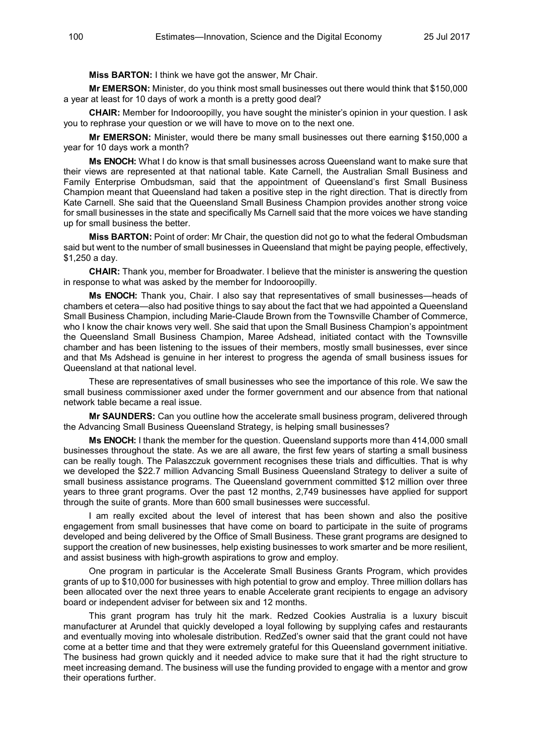**Miss BARTON:** I think we have got the answer, Mr Chair.

**Mr EMERSON:** Minister, do you think most small businesses out there would think that \$150,000 a year at least for 10 days of work a month is a pretty good deal?

**CHAIR:** Member for Indooroopilly, you have sought the minister's opinion in your question. I ask you to rephrase your question or we will have to move on to the next one.

**Mr EMERSON:** Minister, would there be many small businesses out there earning \$150,000 a year for 10 days work a month?

**Ms ENOCH:** What I do know is that small businesses across Queensland want to make sure that their views are represented at that national table. Kate Carnell, the Australian Small Business and Family Enterprise Ombudsman, said that the appointment of Queensland's first Small Business Champion meant that Queensland had taken a positive step in the right direction. That is directly from Kate Carnell. She said that the Queensland Small Business Champion provides another strong voice for small businesses in the state and specifically Ms Carnell said that the more voices we have standing up for small business the better.

**Miss BARTON:** Point of order: Mr Chair, the question did not go to what the federal Ombudsman said but went to the number of small businesses in Queensland that might be paying people, effectively, \$1,250 a day.

**CHAIR:** Thank you, member for Broadwater. I believe that the minister is answering the question in response to what was asked by the member for Indooroopilly.

**Ms ENOCH:** Thank you, Chair. I also say that representatives of small businesses—heads of chambers et cetera—also had positive things to say about the fact that we had appointed a Queensland Small Business Champion, including Marie-Claude Brown from the Townsville Chamber of Commerce, who I know the chair knows very well. She said that upon the Small Business Champion's appointment the Queensland Small Business Champion, Maree Adshead, initiated contact with the Townsville chamber and has been listening to the issues of their members, mostly small businesses, ever since and that Ms Adshead is genuine in her interest to progress the agenda of small business issues for Queensland at that national level.

These are representatives of small businesses who see the importance of this role. We saw the small business commissioner axed under the former government and our absence from that national network table became a real issue.

**Mr SAUNDERS:** Can you outline how the accelerate small business program, delivered through the Advancing Small Business Queensland Strategy, is helping small businesses?

**Ms ENOCH:** I thank the member for the question. Queensland supports more than 414,000 small businesses throughout the state. As we are all aware, the first few years of starting a small business can be really tough. The Palaszczuk government recognises these trials and difficulties. That is why we developed the \$22.7 million Advancing Small Business Queensland Strategy to deliver a suite of small business assistance programs. The Queensland government committed \$12 million over three years to three grant programs. Over the past 12 months, 2,749 businesses have applied for support through the suite of grants. More than 600 small businesses were successful.

I am really excited about the level of interest that has been shown and also the positive engagement from small businesses that have come on board to participate in the suite of programs developed and being delivered by the Office of Small Business. These grant programs are designed to support the creation of new businesses, help existing businesses to work smarter and be more resilient, and assist business with high-growth aspirations to grow and employ.

One program in particular is the Accelerate Small Business Grants Program, which provides grants of up to \$10,000 for businesses with high potential to grow and employ. Three million dollars has been allocated over the next three years to enable Accelerate grant recipients to engage an advisory board or independent adviser for between six and 12 months.

This grant program has truly hit the mark. Redzed Cookies Australia is a luxury biscuit manufacturer at Arundel that quickly developed a loyal following by supplying cafes and restaurants and eventually moving into wholesale distribution. RedZed's owner said that the grant could not have come at a better time and that they were extremely grateful for this Queensland government initiative. The business had grown quickly and it needed advice to make sure that it had the right structure to meet increasing demand. The business will use the funding provided to engage with a mentor and grow their operations further.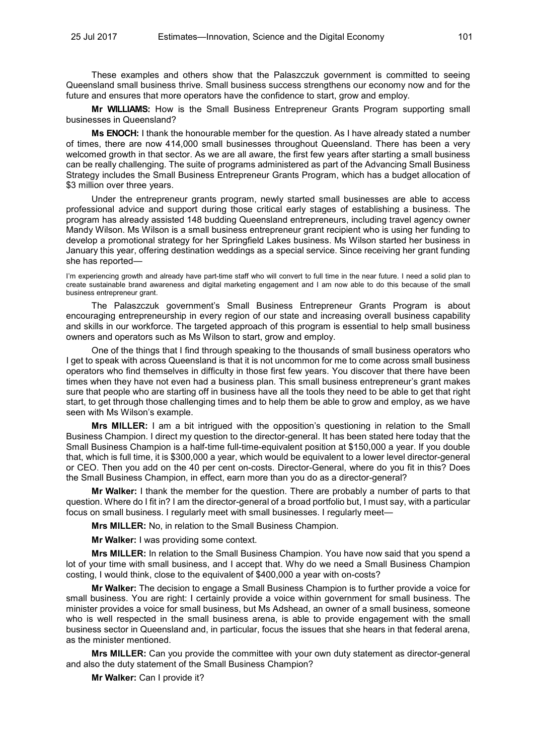These examples and others show that the Palaszczuk government is committed to seeing Queensland small business thrive. Small business success strengthens our economy now and for the future and ensures that more operators have the confidence to start, grow and employ.

**Mr WILLIAMS:** How is the Small Business Entrepreneur Grants Program supporting small businesses in Queensland?

**Ms ENOCH:** I thank the honourable member for the question. As I have already stated a number of times, there are now 414,000 small businesses throughout Queensland. There has been a very welcomed growth in that sector. As we are all aware, the first few years after starting a small business can be really challenging. The suite of programs administered as part of the Advancing Small Business Strategy includes the Small Business Entrepreneur Grants Program, which has a budget allocation of \$3 million over three years.

Under the entrepreneur grants program, newly started small businesses are able to access professional advice and support during those critical early stages of establishing a business. The program has already assisted 148 budding Queensland entrepreneurs, including travel agency owner Mandy Wilson. Ms Wilson is a small business entrepreneur grant recipient who is using her funding to develop a promotional strategy for her Springfield Lakes business. Ms Wilson started her business in January this year, offering destination weddings as a special service. Since receiving her grant funding she has reported—

I'm experiencing growth and already have part-time staff who will convert to full time in the near future. I need a solid plan to create sustainable brand awareness and digital marketing engagement and I am now able to do this because of the small business entrepreneur grant.

The Palaszczuk government's Small Business Entrepreneur Grants Program is about encouraging entrepreneurship in every region of our state and increasing overall business capability and skills in our workforce. The targeted approach of this program is essential to help small business owners and operators such as Ms Wilson to start, grow and employ.

One of the things that I find through speaking to the thousands of small business operators who I get to speak with across Queensland is that it is not uncommon for me to come across small business operators who find themselves in difficulty in those first few years. You discover that there have been times when they have not even had a business plan. This small business entrepreneur's grant makes sure that people who are starting off in business have all the tools they need to be able to get that right start, to get through those challenging times and to help them be able to grow and employ, as we have seen with Ms Wilson's example.

**Mrs MILLER:** I am a bit intrigued with the opposition's questioning in relation to the Small Business Champion. I direct my question to the director-general. It has been stated here today that the Small Business Champion is a half-time full-time-equivalent position at \$150,000 a year. If you double that, which is full time, it is \$300,000 a year, which would be equivalent to a lower level director-general or CEO. Then you add on the 40 per cent on-costs. Director-General, where do you fit in this? Does the Small Business Champion, in effect, earn more than you do as a director-general?

**Mr Walker:** I thank the member for the question. There are probably a number of parts to that question. Where do I fit in? I am the director-general of a broad portfolio but, I must say, with a particular focus on small business. I regularly meet with small businesses. I regularly meet—

**Mrs MILLER:** No, in relation to the Small Business Champion.

**Mr Walker:** I was providing some context.

**Mrs MILLER:** In relation to the Small Business Champion. You have now said that you spend a lot of your time with small business, and I accept that. Why do we need a Small Business Champion costing, I would think, close to the equivalent of \$400,000 a year with on-costs?

**Mr Walker:** The decision to engage a Small Business Champion is to further provide a voice for small business. You are right: I certainly provide a voice within government for small business. The minister provides a voice for small business, but Ms Adshead, an owner of a small business, someone who is well respected in the small business arena, is able to provide engagement with the small business sector in Queensland and, in particular, focus the issues that she hears in that federal arena, as the minister mentioned.

**Mrs MILLER:** Can you provide the committee with your own duty statement as director-general and also the duty statement of the Small Business Champion?

**Mr Walker:** Can I provide it?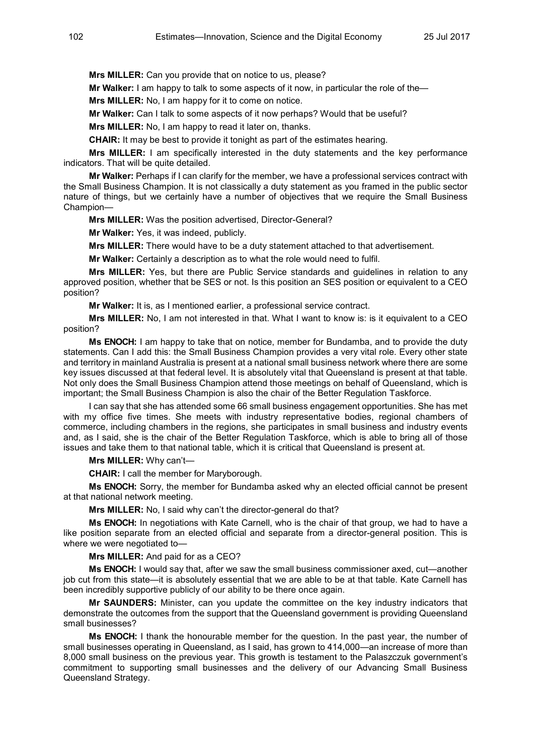**Mrs MILLER:** Can you provide that on notice to us, please?

**Mr Walker:** I am happy to talk to some aspects of it now, in particular the role of the—

**Mrs MILLER:** No, I am happy for it to come on notice.

**Mr Walker:** Can I talk to some aspects of it now perhaps? Would that be useful?

**Mrs MILLER:** No, I am happy to read it later on, thanks.

**CHAIR:** It may be best to provide it tonight as part of the estimates hearing.

**Mrs MILLER:** I am specifically interested in the duty statements and the key performance indicators. That will be quite detailed.

**Mr Walker:** Perhaps if I can clarify for the member, we have a professional services contract with the Small Business Champion. It is not classically a duty statement as you framed in the public sector nature of things, but we certainly have a number of objectives that we require the Small Business Champion—

**Mrs MILLER:** Was the position advertised, Director-General?

**Mr Walker:** Yes, it was indeed, publicly.

**Mrs MILLER:** There would have to be a duty statement attached to that advertisement.

**Mr Walker:** Certainly a description as to what the role would need to fulfil.

**Mrs MILLER:** Yes, but there are Public Service standards and guidelines in relation to any approved position, whether that be SES or not. Is this position an SES position or equivalent to a CEO position?

**Mr Walker:** It is, as I mentioned earlier, a professional service contract.

**Mrs MILLER:** No, I am not interested in that. What I want to know is: is it equivalent to a CEO position?

**Ms ENOCH:** I am happy to take that on notice, member for Bundamba, and to provide the duty statements. Can I add this: the Small Business Champion provides a very vital role. Every other state and territory in mainland Australia is present at a national small business network where there are some key issues discussed at that federal level. It is absolutely vital that Queensland is present at that table. Not only does the Small Business Champion attend those meetings on behalf of Queensland, which is important; the Small Business Champion is also the chair of the Better Regulation Taskforce.

I can say that she has attended some 66 small business engagement opportunities. She has met with my office five times. She meets with industry representative bodies, regional chambers of commerce, including chambers in the regions, she participates in small business and industry events and, as I said, she is the chair of the Better Regulation Taskforce, which is able to bring all of those issues and take them to that national table, which it is critical that Queensland is present at.

**Mrs MILLER:** Why can't—

**CHAIR:** I call the member for Maryborough.

**Ms ENOCH:** Sorry, the member for Bundamba asked why an elected official cannot be present at that national network meeting.

**Mrs MILLER:** No, I said why can't the director-general do that?

**Ms ENOCH:** In negotiations with Kate Carnell, who is the chair of that group, we had to have a like position separate from an elected official and separate from a director-general position. This is where we were negotiated to—

**Mrs MILLER:** And paid for as a CEO?

**Ms ENOCH:** I would say that, after we saw the small business commissioner axed, cut—another job cut from this state—it is absolutely essential that we are able to be at that table. Kate Carnell has been incredibly supportive publicly of our ability to be there once again.

**Mr SAUNDERS:** Minister, can you update the committee on the key industry indicators that demonstrate the outcomes from the support that the Queensland government is providing Queensland small businesses?

**Ms ENOCH:** I thank the honourable member for the question. In the past year, the number of small businesses operating in Queensland, as I said, has grown to 414,000—an increase of more than 8,000 small business on the previous year. This growth is testament to the Palaszczuk government's commitment to supporting small businesses and the delivery of our Advancing Small Business Queensland Strategy.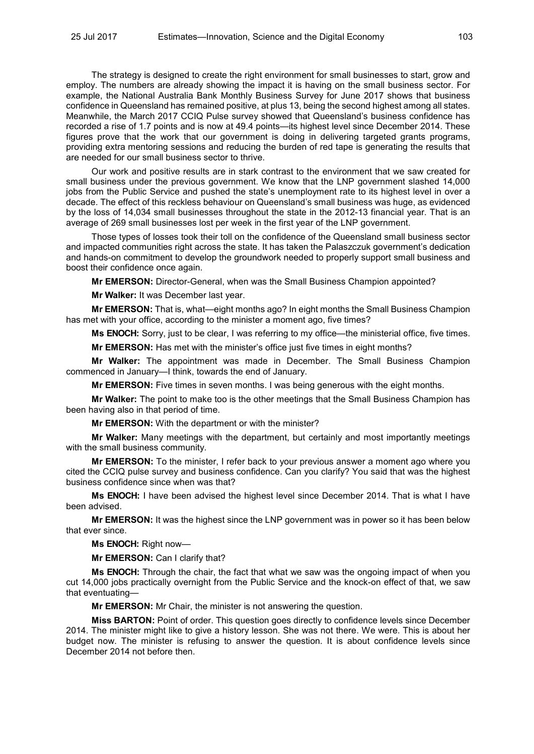The strategy is designed to create the right environment for small businesses to start, grow and employ. The numbers are already showing the impact it is having on the small business sector. For example, the National Australia Bank Monthly Business Survey for June 2017 shows that business confidence in Queensland has remained positive, at plus 13, being the second highest among all states. Meanwhile, the March 2017 CCIQ Pulse survey showed that Queensland's business confidence has recorded a rise of 1.7 points and is now at 49.4 points—its highest level since December 2014. These figures prove that the work that our government is doing in delivering targeted grants programs, providing extra mentoring sessions and reducing the burden of red tape is generating the results that are needed for our small business sector to thrive.

Our work and positive results are in stark contrast to the environment that we saw created for small business under the previous government. We know that the LNP government slashed 14,000 jobs from the Public Service and pushed the state's unemployment rate to its highest level in over a decade. The effect of this reckless behaviour on Queensland's small business was huge, as evidenced by the loss of 14,034 small businesses throughout the state in the 2012-13 financial year. That is an average of 269 small businesses lost per week in the first year of the LNP government.

Those types of losses took their toll on the confidence of the Queensland small business sector and impacted communities right across the state. It has taken the Palaszczuk government's dedication and hands-on commitment to develop the groundwork needed to properly support small business and boost their confidence once again.

**Mr EMERSON:** Director-General, when was the Small Business Champion appointed?

**Mr Walker:** It was December last year.

**Mr EMERSON:** That is, what—eight months ago? In eight months the Small Business Champion has met with your office, according to the minister a moment ago, five times?

**Ms ENOCH:** Sorry, just to be clear, I was referring to my office—the ministerial office, five times.

**Mr EMERSON:** Has met with the minister's office just five times in eight months?

**Mr Walker:** The appointment was made in December. The Small Business Champion commenced in January—I think, towards the end of January.

**Mr EMERSON:** Five times in seven months. I was being generous with the eight months.

**Mr Walker:** The point to make too is the other meetings that the Small Business Champion has been having also in that period of time.

**Mr EMERSON:** With the department or with the minister?

**Mr Walker:** Many meetings with the department, but certainly and most importantly meetings with the small business community.

**Mr EMERSON:** To the minister, I refer back to your previous answer a moment ago where you cited the CCIQ pulse survey and business confidence. Can you clarify? You said that was the highest business confidence since when was that?

**Ms ENOCH:** I have been advised the highest level since December 2014. That is what I have been advised.

**Mr EMERSON:** It was the highest since the LNP government was in power so it has been below that ever since.

**Ms ENOCH:** Right now—

**Mr EMERSON:** Can I clarify that?

**Ms ENOCH:** Through the chair, the fact that what we saw was the ongoing impact of when you cut 14,000 jobs practically overnight from the Public Service and the knock-on effect of that, we saw that eventuating—

**Mr EMERSON:** Mr Chair, the minister is not answering the question.

**Miss BARTON:** Point of order. This question goes directly to confidence levels since December 2014. The minister might like to give a history lesson. She was not there. We were. This is about her budget now. The minister is refusing to answer the question. It is about confidence levels since December 2014 not before then.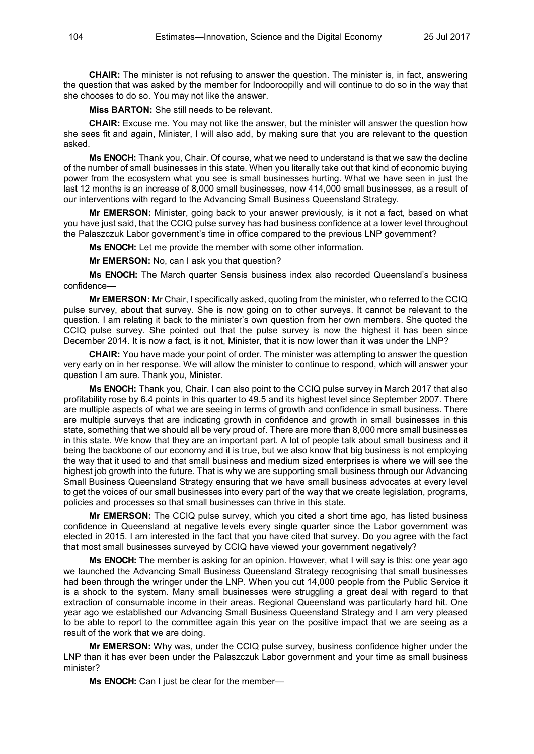**CHAIR:** The minister is not refusing to answer the question. The minister is, in fact, answering the question that was asked by the member for Indooroopilly and will continue to do so in the way that she chooses to do so. You may not like the answer.

**Miss BARTON:** She still needs to be relevant.

**CHAIR:** Excuse me. You may not like the answer, but the minister will answer the question how she sees fit and again, Minister, I will also add, by making sure that you are relevant to the question asked.

**Ms ENOCH:** Thank you, Chair. Of course, what we need to understand is that we saw the decline of the number of small businesses in this state. When you literally take out that kind of economic buying power from the ecosystem what you see is small businesses hurting. What we have seen in just the last 12 months is an increase of 8,000 small businesses, now 414,000 small businesses, as a result of our interventions with regard to the Advancing Small Business Queensland Strategy.

**Mr EMERSON:** Minister, going back to your answer previously, is it not a fact, based on what you have just said, that the CCIQ pulse survey has had business confidence at a lower level throughout the Palaszczuk Labor government's time in office compared to the previous LNP government?

**Ms ENOCH:** Let me provide the member with some other information.

**Mr EMERSON:** No, can I ask you that question?

**Ms ENOCH:** The March quarter Sensis business index also recorded Queensland's business confidence—

**Mr EMERSON:** Mr Chair, I specifically asked, quoting from the minister, who referred to the CCIQ pulse survey, about that survey. She is now going on to other surveys. It cannot be relevant to the question. I am relating it back to the minister's own question from her own members. She quoted the CCIQ pulse survey. She pointed out that the pulse survey is now the highest it has been since December 2014. It is now a fact, is it not, Minister, that it is now lower than it was under the LNP?

**CHAIR:** You have made your point of order. The minister was attempting to answer the question very early on in her response. We will allow the minister to continue to respond, which will answer your question I am sure. Thank you, Minister.

**Ms ENOCH:** Thank you, Chair. I can also point to the CCIQ pulse survey in March 2017 that also profitability rose by 6.4 points in this quarter to 49.5 and its highest level since September 2007. There are multiple aspects of what we are seeing in terms of growth and confidence in small business. There are multiple surveys that are indicating growth in confidence and growth in small businesses in this state, something that we should all be very proud of. There are more than 8,000 more small businesses in this state. We know that they are an important part. A lot of people talk about small business and it being the backbone of our economy and it is true, but we also know that big business is not employing the way that it used to and that small business and medium sized enterprises is where we will see the highest job growth into the future. That is why we are supporting small business through our Advancing Small Business Queensland Strategy ensuring that we have small business advocates at every level to get the voices of our small businesses into every part of the way that we create legislation, programs, policies and processes so that small businesses can thrive in this state.

**Mr EMERSON:** The CCIQ pulse survey, which you cited a short time ago, has listed business confidence in Queensland at negative levels every single quarter since the Labor government was elected in 2015. I am interested in the fact that you have cited that survey. Do you agree with the fact that most small businesses surveyed by CCIQ have viewed your government negatively?

**Ms ENOCH:** The member is asking for an opinion. However, what I will say is this: one year ago we launched the Advancing Small Business Queensland Strategy recognising that small businesses had been through the wringer under the LNP. When you cut 14,000 people from the Public Service it is a shock to the system. Many small businesses were struggling a great deal with regard to that extraction of consumable income in their areas. Regional Queensland was particularly hard hit. One year ago we established our Advancing Small Business Queensland Strategy and I am very pleased to be able to report to the committee again this year on the positive impact that we are seeing as a result of the work that we are doing.

**Mr EMERSON:** Why was, under the CCIQ pulse survey, business confidence higher under the LNP than it has ever been under the Palaszczuk Labor government and your time as small business minister?

**Ms ENOCH:** Can I just be clear for the member—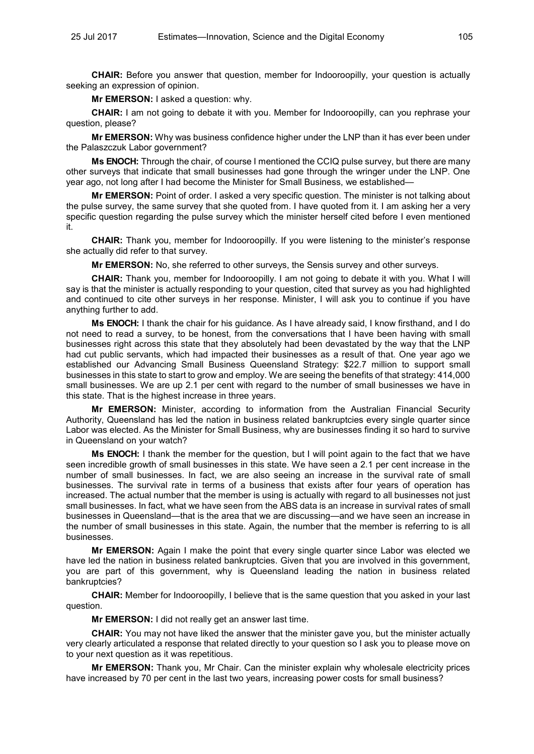**CHAIR:** Before you answer that question, member for Indooroopilly, your question is actually seeking an expression of opinion.

**Mr EMERSON:** I asked a question: why.

**CHAIR:** I am not going to debate it with you. Member for Indooroopilly, can you rephrase your question, please?

**Mr EMERSON:** Why was business confidence higher under the LNP than it has ever been under the Palaszczuk Labor government?

**Ms ENOCH:** Through the chair, of course I mentioned the CCIQ pulse survey, but there are many other surveys that indicate that small businesses had gone through the wringer under the LNP. One year ago, not long after I had become the Minister for Small Business, we established—

**Mr EMERSON:** Point of order. I asked a very specific question. The minister is not talking about the pulse survey, the same survey that she quoted from. I have quoted from it. I am asking her a very specific question regarding the pulse survey which the minister herself cited before I even mentioned it.

**CHAIR:** Thank you, member for Indooroopilly. If you were listening to the minister's response she actually did refer to that survey.

**Mr EMERSON:** No, she referred to other surveys, the Sensis survey and other surveys.

**CHAIR:** Thank you, member for Indooroopilly. I am not going to debate it with you. What I will say is that the minister is actually responding to your question, cited that survey as you had highlighted and continued to cite other surveys in her response. Minister, I will ask you to continue if you have anything further to add.

**Ms ENOCH:** I thank the chair for his guidance. As I have already said, I know firsthand, and I do not need to read a survey, to be honest, from the conversations that I have been having with small businesses right across this state that they absolutely had been devastated by the way that the LNP had cut public servants, which had impacted their businesses as a result of that. One year ago we established our Advancing Small Business Queensland Strategy: \$22.7 million to support small businesses in this state to start to grow and employ. We are seeing the benefits of that strategy: 414,000 small businesses. We are up 2.1 per cent with regard to the number of small businesses we have in this state. That is the highest increase in three years.

**Mr EMERSON:** Minister, according to information from the Australian Financial Security Authority, Queensland has led the nation in business related bankruptcies every single quarter since Labor was elected. As the Minister for Small Business, why are businesses finding it so hard to survive in Queensland on your watch?

**Ms ENOCH:** I thank the member for the question, but I will point again to the fact that we have seen incredible growth of small businesses in this state. We have seen a 2.1 per cent increase in the number of small businesses. In fact, we are also seeing an increase in the survival rate of small businesses. The survival rate in terms of a business that exists after four years of operation has increased. The actual number that the member is using is actually with regard to all businesses not just small businesses. In fact, what we have seen from the ABS data is an increase in survival rates of small businesses in Queensland—that is the area that we are discussing—and we have seen an increase in the number of small businesses in this state. Again, the number that the member is referring to is all businesses.

**Mr EMERSON:** Again I make the point that every single quarter since Labor was elected we have led the nation in business related bankruptcies. Given that you are involved in this government, you are part of this government, why is Queensland leading the nation in business related bankruptcies?

**CHAIR:** Member for Indooroopilly, I believe that is the same question that you asked in your last question.

**Mr EMERSON:** I did not really get an answer last time.

**CHAIR:** You may not have liked the answer that the minister gave you, but the minister actually very clearly articulated a response that related directly to your question so I ask you to please move on to your next question as it was repetitious.

**Mr EMERSON:** Thank you, Mr Chair. Can the minister explain why wholesale electricity prices have increased by 70 per cent in the last two years, increasing power costs for small business?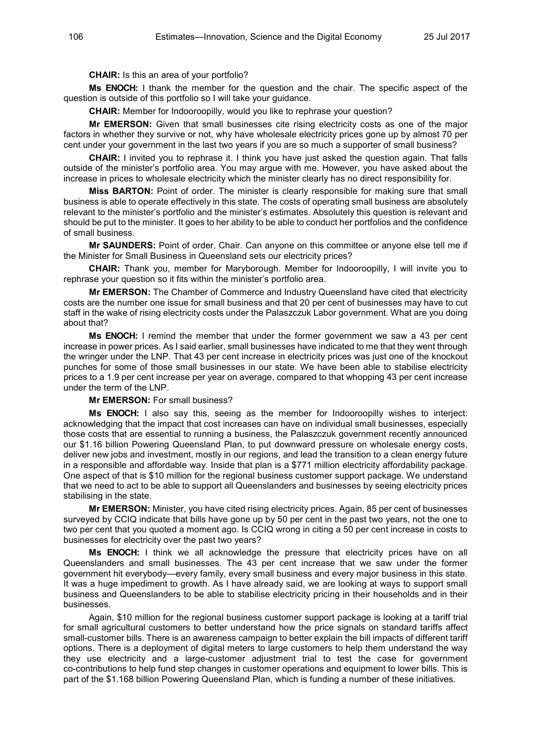**CHAIR:** Is this an area of your portfolio?

**Ms ENOCH:** I thank the member for the question and the chair. The specific aspect of the question is outside of this portfolio so I will take your guidance.

**CHAIR:** Member for Indooroopilly, would you like to rephrase your question?

**Mr EMERSON:** Given that small businesses cite rising electricity costs as one of the major factors in whether they survive or not, why have wholesale electricity prices gone up by almost 70 per cent under your government in the last two years if you are so much a supporter of small business?

**CHAIR:** I invited you to rephrase it. I think you have just asked the question again. That falls outside of the minister's portfolio area. You may argue with me. However, you have asked about the increase in prices to wholesale electricity which the minister clearly has no direct responsibility for.

**Miss BARTON:** Point of order. The minister is clearly responsible for making sure that small business is able to operate effectively in this state. The costs of operating small business are absolutely relevant to the minister's portfolio and the minister's estimates. Absolutely this question is relevant and should be put to the minister. It goes to her ability to be able to conduct her portfolios and the confidence of small business.

**Mr SAUNDERS:** Point of order, Chair. Can anyone on this committee or anyone else tell me if the Minister for Small Business in Queensland sets our electricity prices?

**CHAIR:** Thank you, member for Maryborough. Member for Indooroopilly, I will invite you to rephrase your question so it fits within the minister's portfolio area.

**Mr EMERSON:** The Chamber of Commerce and Industry Queensland have cited that electricity costs are the number one issue for small business and that 20 per cent of businesses may have to cut staff in the wake of rising electricity costs under the Palaszczuk Labor government. What are you doing about that?

**Ms ENOCH:** I remind the member that under the former government we saw a 43 per cent increase in power prices. As I said earlier, small businesses have indicated to me that they went through the wringer under the LNP. That 43 per cent increase in electricity prices was just one of the knockout punches for some of those small businesses in our state. We have been able to stabilise electricity prices to a 1.9 per cent increase per year on average, compared to that whopping 43 per cent increase under the term of the LNP.

**Mr EMERSON:** For small business?

**Ms ENOCH:** I also say this, seeing as the member for Indooroopilly wishes to interject: acknowledging that the impact that cost increases can have on individual small businesses, especially those costs that are essential to running a business, the Palaszczuk government recently announced our \$1.16 billion Powering Queensland Plan, to put downward pressure on wholesale energy costs, deliver new jobs and investment, mostly in our regions, and lead the transition to a clean energy future in a responsible and affordable way. Inside that plan is a \$771 million electricity affordability package. One aspect of that is \$10 million for the regional business customer support package. We understand that we need to act to be able to support all Queenslanders and businesses by seeing electricity prices stabilising in the state.

**Mr EMERSON:** Minister, you have cited rising electricity prices. Again, 85 per cent of businesses surveyed by CCIQ indicate that bills have gone up by 50 per cent in the past two years, not the one to two per cent that you quoted a moment ago. Is CCIQ wrong in citing a 50 per cent increase in costs to businesses for electricity over the past two years?

**Ms ENOCH:** I think we all acknowledge the pressure that electricity prices have on all Queenslanders and small businesses. The 43 per cent increase that we saw under the former government hit everybody—every family, every small business and every major business in this state. It was a huge impediment to growth. As I have already said, we are looking at ways to support small business and Queenslanders to be able to stabilise electricity pricing in their households and in their businesses.

Again, \$10 million for the regional business customer support package is looking at a tariff trial for small agricultural customers to better understand how the price signals on standard tariffs affect small-customer bills. There is an awareness campaign to better explain the bill impacts of different tariff options. There is a deployment of digital meters to large customers to help them understand the way they use electricity and a large-customer adjustment trial to test the case for government co-contributions to help fund step changes in customer operations and equipment to lower bills. This is part of the \$1.168 billion Powering Queensland Plan, which is funding a number of these initiatives.